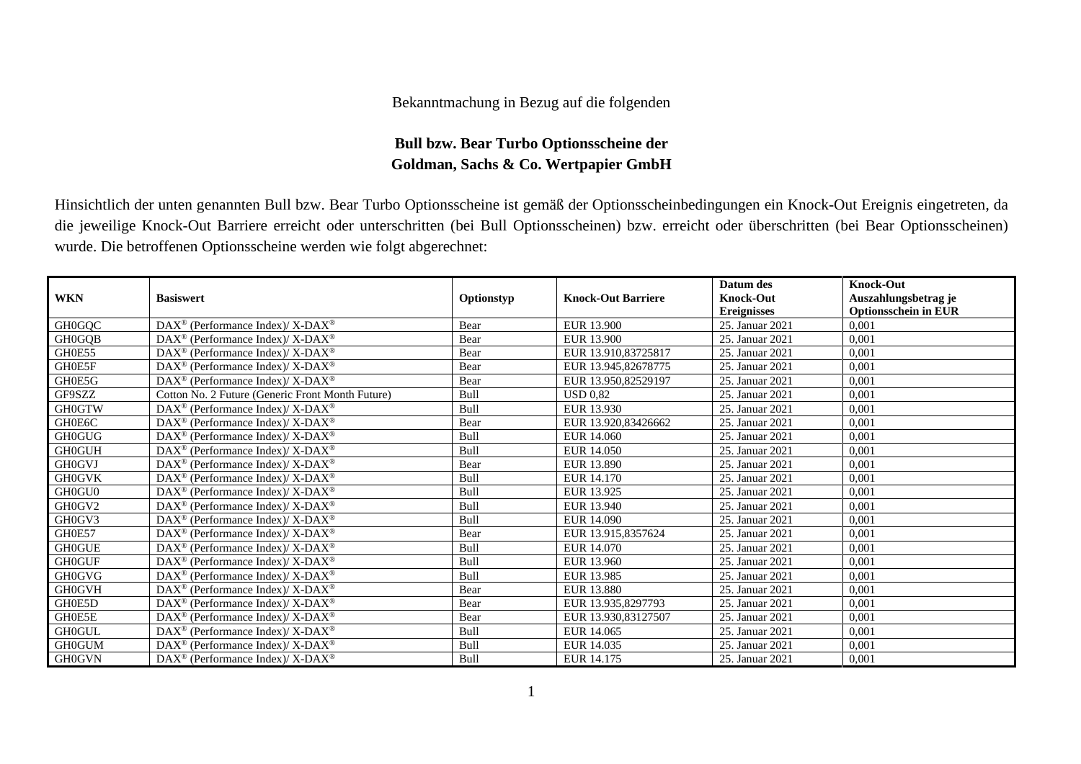## Bekanntmachung in Bezug auf die folgenden

## **Bull bzw. Bear Turbo Optionsscheine der Goldman, Sachs & Co. Wertpapier GmbH**

Hinsichtlich der unten genannten Bull bzw. Bear Turbo Optionsscheine ist gemäß der Optionsscheinbedingungen ein Knock-Out Ereignis eingetreten, da die jeweilige Knock-Out Barriere erreicht oder unterschritten (bei Bull Optionsscheinen) bzw. erreicht oder überschritten (bei Bear Optionsscheinen) wurde. Die betroffenen Optionsscheine werden wie folgt abgerechnet:

|               |                                                                        |            |                           | Datum des          | <b>Knock-Out</b>            |
|---------------|------------------------------------------------------------------------|------------|---------------------------|--------------------|-----------------------------|
| <b>WKN</b>    | <b>Basiswert</b>                                                       | Optionstyp | <b>Knock-Out Barriere</b> | <b>Knock-Out</b>   | Auszahlungsbetrag je        |
|               |                                                                        |            |                           | <b>Ereignisses</b> | <b>Optionsschein in EUR</b> |
| <b>GH0GQC</b> | $DAX^{\circledcirc}$ (Performance Index)/X-DAX <sup>®</sup>            | Bear       | EUR 13.900                | 25. Januar 2021    | 0.001                       |
| <b>GH0GQB</b> | $DAX^{\circledast}$ (Performance Index)/X-DAX <sup>®</sup>             | Bear       | EUR 13.900                | 25. Januar 2021    | 0,001                       |
| GH0E55        | DAX <sup>®</sup> (Performance Index)/X-DAX <sup>®</sup>                | Bear       | EUR 13.910,83725817       | 25. Januar 2021    | 0,001                       |
| GH0E5F        | $\text{DAX}^{\circledR}$ (Performance Index)/X-DAX <sup>®</sup>        | Bear       | EUR 13.945,82678775       | 25. Januar 2021    | 0,001                       |
| GH0E5G        | $\text{DAX}^{\circledR}$ (Performance Index)/X-DAX <sup>®</sup>        | Bear       | EUR 13.950,82529197       | 25. Januar 2021    | 0,001                       |
| GF9SZZ        | Cotton No. 2 Future (Generic Front Month Future)                       | Bull       | <b>USD 0.82</b>           | 25. Januar 2021    | 0.001                       |
| <b>GH0GTW</b> | $DAX^{\circledast}$ (Performance Index)/X-DAX <sup>®</sup>             | Bull       | EUR 13.930                | 25. Januar 2021    | 0,001                       |
| GH0E6C        | $DAX^{\circledcirc}$ (Performance Index)/X-DAX <sup>®</sup>            | Bear       | EUR 13.920,83426662       | 25. Januar 2021    | 0,001                       |
| <b>GH0GUG</b> | $\text{DAX}^{\circledR}$ (Performance Index)/X-DAX <sup>®</sup>        | Bull       | EUR 14.060                | 25. Januar 2021    | 0,001                       |
| <b>GH0GUH</b> | DAX <sup>®</sup> (Performance Index)/X-DAX <sup>®</sup>                | Bull       | EUR 14.050                | 25. Januar 2021    | 0,001                       |
| <b>GH0GVJ</b> | $DAX^{\circledcirc}$ (Performance Index)/X-DAX <sup>®</sup>            | Bear       | EUR 13.890                | 25. Januar 2021    | 0.001                       |
| <b>GH0GVK</b> | $\text{DAX}^{\circledR}$ (Performance Index)/X-DAX <sup>®</sup>        | Bull       | EUR 14.170                | 25. Januar 2021    | 0,001                       |
| GH0GU0        | $\text{DAX}^{\circledR}$ (Performance Index)/X-DAX <sup>®</sup>        | Bull       | EUR 13.925                | 25. Januar 2021    | 0,001                       |
| GH0GV2        | $\text{DAX}^{\circledast}$ (Performance Index)/ X-DAX <sup>®</sup>     | Bull       | EUR 13.940                | 25. Januar 2021    | 0,001                       |
| GH0GV3        | DAX <sup>®</sup> (Performance Index)/X-DAX <sup>®</sup>                | Bull       | EUR 14.090                | 25. Januar 2021    | 0,001                       |
| GH0E57        | $\text{DAX}^{\circledast}$ (Performance Index)/ X-DAX <sup>®</sup>     | Bear       | EUR 13.915,8357624        | 25. Januar 2021    | 0,001                       |
| <b>GH0GUE</b> | $\text{DAX}^{\circledast}$ (Performance Index)/X-DAX <sup>®</sup>      | Bull       | EUR 14.070                | 25. Januar 2021    | 0,001                       |
| <b>GH0GUF</b> | DAX <sup>®</sup> (Performance Index)/ X-DAX <sup>®</sup>               | Bull       | EUR 13.960                | 25. Januar 2021    | 0,001                       |
| <b>GH0GVG</b> | $\text{DAX}^{\circledast}$ (Performance Index)/ X-DAX $^{\circledast}$ | Bull       | EUR 13.985                | 25. Januar 2021    | 0,001                       |
| <b>GH0GVH</b> | $\text{DAX}^{\otimes}$ (Performance Index)/ X-DAX <sup>®</sup>         | Bear       | EUR 13.880                | 25. Januar 2021    | 0,001                       |
| GH0E5D        | DAX <sup>®</sup> (Performance Index)/X-DAX <sup>®</sup>                | Bear       | EUR 13.935,8297793        | 25. Januar 2021    | 0.001                       |
| GH0E5E        | DAX <sup>®</sup> (Performance Index)/X-DAX <sup>®</sup>                | Bear       | EUR 13.930,83127507       | 25. Januar 2021    | 0,001                       |
| <b>GH0GUL</b> | $\text{DAX}^{\circledR}$ (Performance Index)/X-DAX <sup>®</sup>        | Bull       | EUR 14.065                | 25. Januar 2021    | 0,001                       |
| <b>GH0GUM</b> | $\text{DAX}^{\circledast}$ (Performance Index)/ X-DAX <sup>®</sup>     | Bull       | EUR 14.035                | 25. Januar 2021    | 0,001                       |
| <b>GH0GVN</b> | DAX <sup>®</sup> (Performance Index)/X-DAX <sup>®</sup>                | Bull       | EUR 14.175                | 25. Januar 2021    | 0,001                       |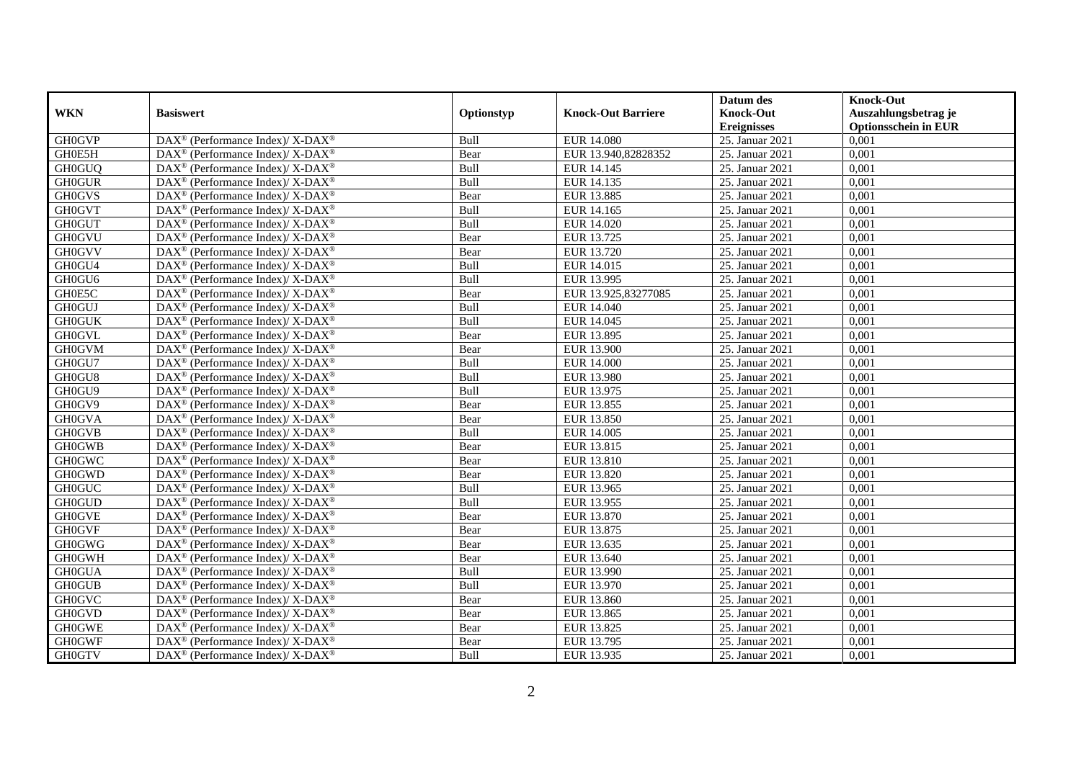|               |                                                                    |             |                           | Datum des          | <b>Knock-Out</b>            |
|---------------|--------------------------------------------------------------------|-------------|---------------------------|--------------------|-----------------------------|
| <b>WKN</b>    | <b>Basiswert</b>                                                   | Optionstyp  | <b>Knock-Out Barriere</b> | <b>Knock-Out</b>   | Auszahlungsbetrag je        |
|               |                                                                    |             |                           | <b>Ereignisses</b> | <b>Optionsschein in EUR</b> |
| <b>GH0GVP</b> | DAX <sup>®</sup> (Performance Index)/ X-DAX <sup>®</sup>           | Bull        | <b>EUR 14.080</b>         | 25. Januar 2021    | 0,001                       |
| GH0E5H        | DAX <sup>®</sup> (Performance Index)/ X-DAX <sup>®</sup>           | Bear        | EUR 13.940,82828352       | 25. Januar 2021    | 0,001                       |
| <b>GH0GUQ</b> | $DAX^{\circledast}$ (Performance Index)/ X-DAX <sup>®</sup>        | Bull        | EUR 14.145                | 25. Januar 2021    | 0,001                       |
| <b>GH0GUR</b> | DAX <sup>®</sup> (Performance Index)/ X-DAX <sup>®</sup>           | Bull        | EUR 14.135                | 25. Januar 2021    | 0,001                       |
| <b>GH0GVS</b> | $DAX^{\circledast}$ (Performance Index)/ X-DAX <sup>®</sup>        | Bear        | EUR 13.885                | 25. Januar 2021    | 0,001                       |
| <b>GH0GVT</b> | DAX <sup>®</sup> (Performance Index)/ X-DAX <sup>®</sup>           | <b>Bull</b> | EUR 14.165                | 25. Januar 2021    | 0,001                       |
| <b>GH0GUT</b> | DAX <sup>®</sup> (Performance Index)/ X-DAX <sup>®</sup>           | Bull        | EUR 14.020                | 25. Januar 2021    | 0,001                       |
| <b>GH0GVU</b> | DAX <sup>®</sup> (Performance Index)/ X-DAX <sup>®</sup>           | Bear        | EUR 13.725                | 25. Januar 2021    | 0,001                       |
| <b>GH0GVV</b> | DAX <sup>®</sup> (Performance Index)/ X-DAX <sup>®</sup>           | Bear        | EUR 13.720                | 25. Januar 2021    | 0,001                       |
| GH0GU4        | DAX <sup>®</sup> (Performance Index)/ X-DAX <sup>®</sup>           | Bull        | EUR 14.015                | 25. Januar 2021    | 0,001                       |
| GH0GU6        | $DAX^{\circledast}$ (Performance Index)/ X-DAX <sup>®</sup>        | Bull        | EUR 13.995                | 25. Januar 2021    | 0,001                       |
| GH0E5C        | $\text{DAX}^{\circledR}$ (Performance Index)/ X-DAX <sup>®</sup>   | Bear        | EUR 13.925,83277085       | 25. Januar 2021    | 0,001                       |
| <b>GH0GUJ</b> | DAX <sup>®</sup> (Performance Index)/ X-DAX <sup>®</sup>           | Bull        | EUR 14.040                | 25. Januar 2021    | 0,001                       |
| <b>GH0GUK</b> | DAX <sup>®</sup> (Performance Index)/ X-DAX <sup>®</sup>           | Bull        | EUR 14.045                | 25. Januar 2021    | 0,001                       |
| <b>GH0GVL</b> | DAX <sup>®</sup> (Performance Index)/ X-DAX <sup>®</sup>           | Bear        | EUR 13.895                | 25. Januar 2021    | 0,001                       |
| <b>GH0GVM</b> | $DAX^{\circledast}$ (Performance Index)/ X-DAX <sup>®</sup>        | Bear        | <b>EUR 13.900</b>         | 25. Januar 2021    | 0,001                       |
| GH0GU7        | DAX <sup>®</sup> (Performance Index)/ X-DAX <sup>®</sup>           | Bull        | <b>EUR 14.000</b>         | 25. Januar 2021    | 0,001                       |
| GH0GU8        | DAX <sup>®</sup> (Performance Index)/ X-DAX <sup>®</sup>           | Bull        | EUR 13.980                | 25. Januar 2021    | 0,001                       |
| GH0GU9        | $DAX^{\circledast}$ (Performance Index)/ X-DAX <sup>®</sup>        | Bull        | EUR 13.975                | 25. Januar 2021    | 0,001                       |
| GH0GV9        | $DAX^{\circledast}$ (Performance Index)/ X-DAX <sup>®</sup>        | Bear        | EUR 13.855                | 25. Januar 2021    | 0,001                       |
| <b>GH0GVA</b> | DAX <sup>®</sup> (Performance Index)/X-DAX <sup>®</sup>            | Bear        | EUR 13.850                | 25. Januar 2021    | 0,001                       |
| <b>GH0GVB</b> | DAX <sup>®</sup> (Performance Index)/X-DAX <sup>®</sup>            | Bull        | EUR 14.005                | 25. Januar 2021    | 0,001                       |
| <b>GH0GWB</b> | DAX <sup>®</sup> (Performance Index)/ X-DAX <sup>®</sup>           | Bear        | EUR 13.815                | 25. Januar 2021    | 0,001                       |
| <b>GH0GWC</b> | DAX <sup>®</sup> (Performance Index)/ X-DAX <sup>®</sup>           | Bear        | EUR 13.810                | 25. Januar 2021    | 0,001                       |
| <b>GH0GWD</b> | DAX <sup>®</sup> (Performance Index)/ X-DAX <sup>®</sup>           | Bear        | EUR 13.820                | 25. Januar 2021    | 0,001                       |
| <b>GH0GUC</b> | DAX <sup>®</sup> (Performance Index)/ X-DAX <sup>®</sup>           | Bull        | EUR 13.965                | 25. Januar 2021    | 0,001                       |
| <b>GH0GUD</b> | $DAX^{\circledast}$ (Performance Index)/ X-DAX <sup>®</sup>        | Bull        | EUR 13.955                | 25. Januar 2021    | 0,001                       |
| <b>GH0GVE</b> | DAX <sup>®</sup> (Performance Index)/ X-DAX <sup>®</sup>           | Bear        | EUR 13.870                | 25. Januar 2021    | 0,001                       |
| <b>GH0GVF</b> | $DAX^{\circledast}$ (Performance Index)/ X-DAX <sup>®</sup>        | Bear        | EUR 13.875                | 25. Januar 2021    | 0,001                       |
| <b>GH0GWG</b> | $DAX^{\circledcirc}$ (Performance Index)/X-DAX <sup>®</sup>        | Bear        | EUR 13.635                | 25. Januar 2021    | 0.001                       |
| <b>GH0GWH</b> | DAX <sup>®</sup> (Performance Index)/ X-DAX <sup>®</sup>           | Bear        | EUR 13.640                | 25. Januar 2021    | 0,001                       |
| <b>GH0GUA</b> | DAX <sup>®</sup> (Performance Index)/ X-DAX <sup>®</sup>           | Bull        | EUR 13.990                | 25. Januar 2021    | 0,001                       |
| <b>GH0GUB</b> | $DAX^{\circledast}$ (Performance Index)/ X-DAX <sup>®</sup>        | Bull        | EUR 13.970                | 25. Januar 2021    | 0,001                       |
| <b>GH0GVC</b> | DAX <sup>®</sup> (Performance Index)/ X-DAX <sup>®</sup>           | Bear        | <b>EUR 13.860</b>         | 25. Januar 2021    | 0,001                       |
| <b>GH0GVD</b> | DAX <sup>®</sup> (Performance Index)/ X-DAX <sup>®</sup>           | Bear        | EUR 13.865                | 25. Januar 2021    | 0,001                       |
| <b>GH0GWE</b> | $\text{DAX}^{\circledast}$ (Performance Index)/ X-DAX <sup>®</sup> | Bear        | EUR 13.825                | 25. Januar 2021    | 0,001                       |
| <b>GH0GWF</b> | DAX <sup>®</sup> (Performance Index)/ X-DAX <sup>®</sup>           | Bear        | EUR 13.795                | 25. Januar 2021    | 0,001                       |
| <b>GH0GTV</b> | DAX <sup>®</sup> (Performance Index)/ X-DAX <sup>®</sup>           | Bull        | EUR 13.935                | 25. Januar 2021    | 0,001                       |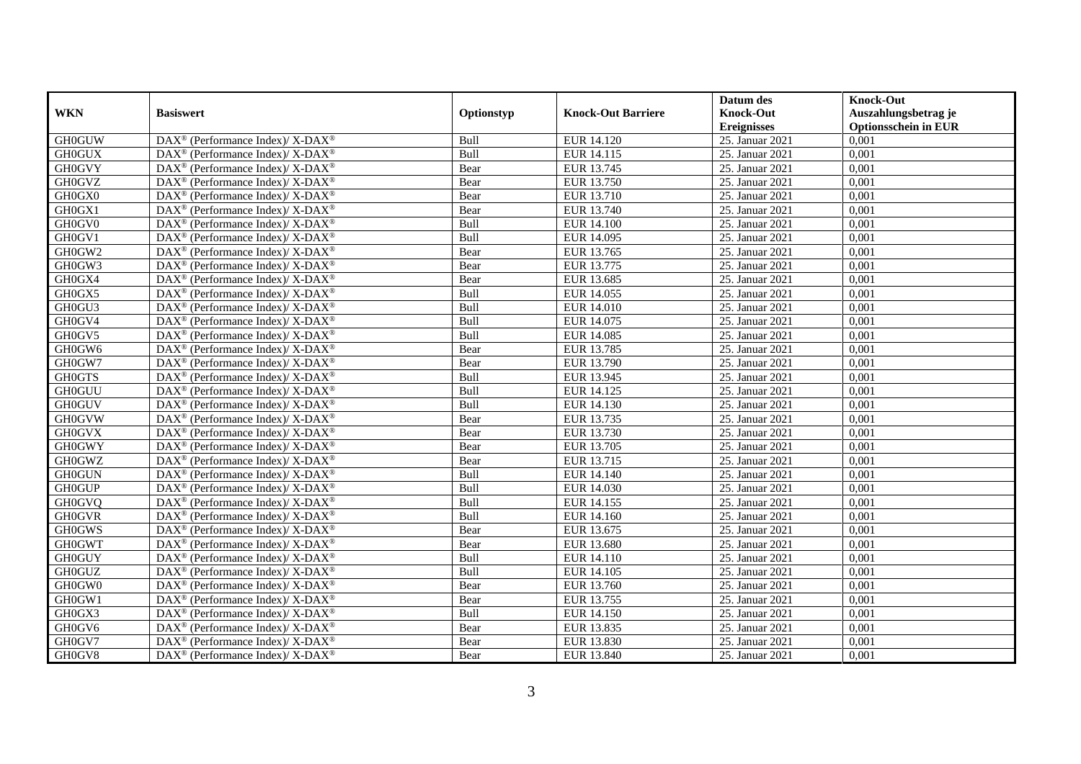|               |                                                                    |            |                           | Datum des          | <b>Knock-Out</b>            |
|---------------|--------------------------------------------------------------------|------------|---------------------------|--------------------|-----------------------------|
| <b>WKN</b>    | <b>Basiswert</b>                                                   | Optionstyp | <b>Knock-Out Barriere</b> | <b>Knock-Out</b>   | Auszahlungsbetrag je        |
|               |                                                                    |            |                           | <b>Ereignisses</b> | <b>Optionsschein in EUR</b> |
| <b>GH0GUW</b> | DAX <sup>®</sup> (Performance Index)/ X-DAX <sup>®</sup>           | Bull       | EUR 14.120                | 25. Januar 2021    | 0,001                       |
| <b>GH0GUX</b> | DAX <sup>®</sup> (Performance Index)/ X-DAX <sup>®</sup>           | Bull       | EUR 14.115                | 25. Januar 2021    | 0,001                       |
| <b>GH0GVY</b> | $DAX^{\circledast}$ (Performance Index)/ X-DAX <sup>®</sup>        | Bear       | EUR 13.745                | 25. Januar 2021    | 0,001                       |
| <b>GH0GVZ</b> | DAX <sup>®</sup> (Performance Index)/ X-DAX <sup>®</sup>           | Bear       | EUR 13.750                | 25. Januar 2021    | 0,001                       |
| GH0GX0        | DAX <sup>®</sup> (Performance Index)/ X-DAX <sup>®</sup>           | Bear       | EUR 13.710                | 25. Januar 2021    | 0,001                       |
| GH0GX1        | DAX <sup>®</sup> (Performance Index)/ X-DAX <sup>®</sup>           | Bear       | EUR 13.740                | 25. Januar 2021    | 0,001                       |
| GH0GV0        | DAX <sup>®</sup> (Performance Index)/ X-DAX <sup>®</sup>           | Bull       | <b>EUR 14.100</b>         | 25. Januar 2021    | 0,001                       |
| GH0GV1        | DAX <sup>®</sup> (Performance Index)/ X-DAX <sup>®</sup>           | Bull       | EUR 14.095                | 25. Januar 2021    | 0,001                       |
| GH0GW2        | DAX <sup>®</sup> (Performance Index)/ X-DAX <sup>®</sup>           | Bear       | EUR 13.765                | 25. Januar 2021    | 0,001                       |
| GH0GW3        | DAX <sup>®</sup> (Performance Index)/ X-DAX <sup>®</sup>           | Bear       | EUR 13.775                | 25. Januar 2021    | 0,001                       |
| GH0GX4        | $DAX^{\circledast}$ (Performance Index)/ X-DAX <sup>®</sup>        | Bear       | EUR 13.685                | 25. Januar 2021    | 0,001                       |
| GH0GX5        | $\text{DAX}^{\circledR}$ (Performance Index)/ X-DAX <sup>®</sup>   | Bull       | EUR 14.055                | 25. Januar 2021    | 0,001                       |
| GH0GU3        | DAX <sup>®</sup> (Performance Index)/ X-DAX <sup>®</sup>           | Bull       | EUR 14.010                | 25. Januar 2021    | 0,001                       |
| GH0GV4        | DAX <sup>®</sup> (Performance Index)/ X-DAX <sup>®</sup>           | Bull       | EUR 14.075                | 25. Januar 2021    | 0,001                       |
| GH0GV5        | $DAX^{\circledast}$ (Performance Index)/ X-DAX <sup>®</sup>        | Bull       | EUR 14.085                | 25. Januar 2021    | 0,001                       |
| GH0GW6        | $DAX^{\circledast}$ (Performance Index)/ X-DAX <sup>®</sup>        | Bear       | EUR 13.785                | 25. Januar 2021    | 0,001                       |
| GH0GW7        | DAX <sup>®</sup> (Performance Index)/ X-DAX <sup>®</sup>           | Bear       | EUR 13.790                | 25. Januar 2021    | 0,001                       |
| <b>GH0GTS</b> | DAX <sup>®</sup> (Performance Index)/ X-DAX <sup>®</sup>           | Bull       | EUR 13.945                | 25. Januar 2021    | 0,001                       |
| <b>GH0GUU</b> | $DAX^{\circledast}$ (Performance Index)/ X-DAX <sup>®</sup>        | Bull       | EUR 14.125                | 25. Januar 2021    | 0,001                       |
| <b>GH0GUV</b> | $DAX^{\circledast}$ (Performance Index)/ X-DAX <sup>®</sup>        | Bull       | EUR 14.130                | 25. Januar 2021    | 0,001                       |
| <b>GH0GVW</b> | DAX <sup>®</sup> (Performance Index)/ X-DAX <sup>®</sup>           | Bear       | EUR 13.735                | 25. Januar 2021    | 0,001                       |
| <b>GH0GVX</b> | DAX <sup>®</sup> (Performance Index)/X-DAX <sup>®</sup>            | Bear       | EUR 13.730                | 25. Januar 2021    | 0,001                       |
| <b>GH0GWY</b> | DAX <sup>®</sup> (Performance Index)/ X-DAX <sup>®</sup>           | Bear       | EUR 13.705                | 25. Januar 2021    | 0,001                       |
| <b>GH0GWZ</b> | DAX <sup>®</sup> (Performance Index)/ X-DAX <sup>®</sup>           | Bear       | EUR 13.715                | 25. Januar 2021    | 0,001                       |
| <b>GH0GUN</b> | DAX <sup>®</sup> (Performance Index)/X-DAX <sup>®</sup>            | Bull       | EUR 14.140                | 25. Januar 2021    | 0,001                       |
| <b>GH0GUP</b> | DAX <sup>®</sup> (Performance Index)/ X-DAX <sup>®</sup>           | Bull       | EUR 14.030                | 25. Januar 2021    | 0,001                       |
| <b>GH0GVQ</b> | $DAX^{\circledast}$ (Performance Index)/ X-DAX <sup>®</sup>        | Bull       | EUR 14.155                | 25. Januar 2021    | 0,001                       |
| <b>GH0GVR</b> | DAX <sup>®</sup> (Performance Index)/ X-DAX <sup>®</sup>           | Bull       | EUR 14.160                | 25. Januar 2021    | 0,001                       |
| <b>GH0GWS</b> | $DAX^{\circledast}$ (Performance Index)/ X-DAX <sup>®</sup>        | Bear       | EUR 13.675                | 25. Januar 2021    | 0,001                       |
| <b>GH0GWT</b> | $DAX^{\circledcirc}$ (Performance Index)/X-DAX <sup>®</sup>        | Bear       | EUR 13.680                | 25. Januar 2021    | 0.001                       |
| <b>GH0GUY</b> | DAX <sup>®</sup> (Performance Index)/ X-DAX <sup>®</sup>           | Bull       | EUR 14.110                | 25. Januar 2021    | 0,001                       |
| <b>GH0GUZ</b> | DAX <sup>®</sup> (Performance Index)/ X-DAX <sup>®</sup>           | Bull       | EUR 14.105                | 25. Januar 2021    | 0,001                       |
| GH0GW0        | $DAX^{\circledast}$ (Performance Index)/ X-DAX <sup>®</sup>        | Bear       | EUR 13.760                | 25. Januar 2021    | 0,001                       |
| GH0GW1        | DAX <sup>®</sup> (Performance Index)/ X-DAX <sup>®</sup>           | Bear       | EUR 13.755                | 25. Januar 2021    | 0,001                       |
| GH0GX3        | DAX <sup>®</sup> (Performance Index)/ X-DAX <sup>®</sup>           | Bull       | EUR 14.150                | 25. Januar 2021    | 0,001                       |
| GH0GV6        | $\text{DAX}^{\circledast}$ (Performance Index)/ X-DAX <sup>®</sup> | Bear       | EUR 13.835                | 25. Januar 2021    | 0,001                       |
| GH0GV7        | DAX <sup>®</sup> (Performance Index)/ X-DAX <sup>®</sup>           | Bear       | EUR 13.830                | 25. Januar 2021    | 0,001                       |
| GH0GV8        | DAX <sup>®</sup> (Performance Index)/ X-DAX <sup>®</sup>           | Bear       | EUR 13.840                | 25. Januar 2021    | 0,001                       |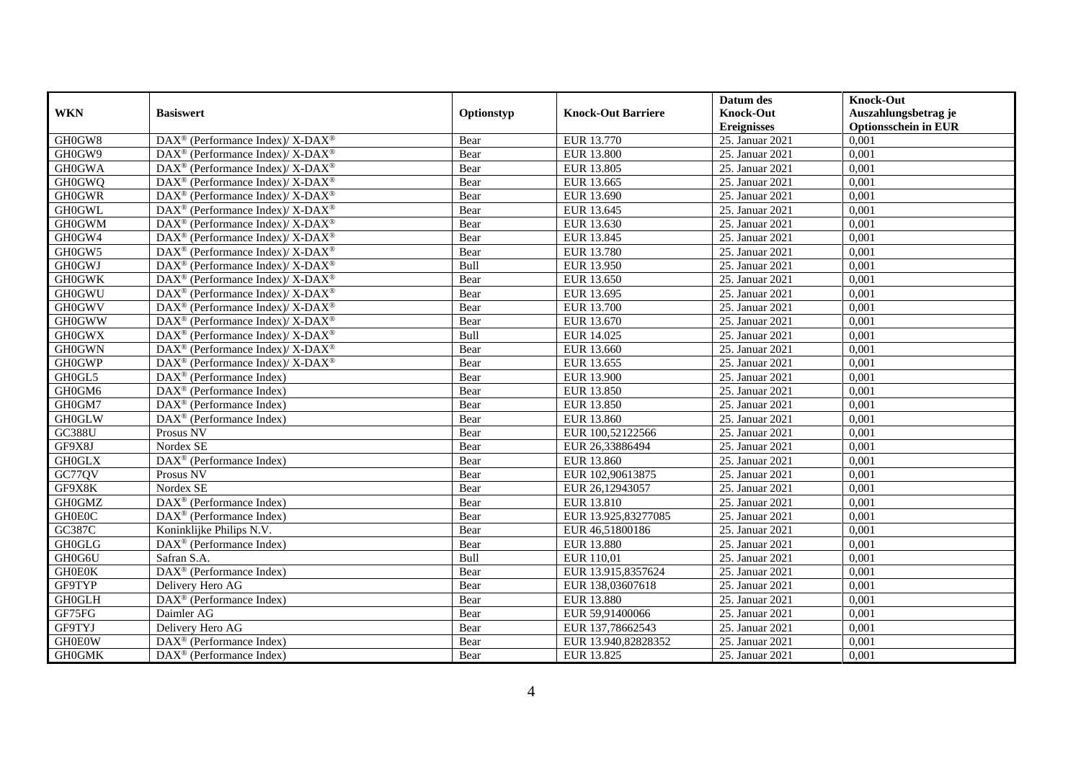|               |                                                                                         |            |                           | Datum des          | <b>Knock-Out</b>            |
|---------------|-----------------------------------------------------------------------------------------|------------|---------------------------|--------------------|-----------------------------|
| <b>WKN</b>    | <b>Basiswert</b>                                                                        | Optionstyp | <b>Knock-Out Barriere</b> | <b>Knock-Out</b>   | Auszahlungsbetrag je        |
|               |                                                                                         |            |                           | <b>Ereignisses</b> | <b>Optionsschein in EUR</b> |
| GH0GW8        | $\text{DAX}^{\circledR}$ (Performance Index)/ X-DAX <sup>®</sup>                        | Bear       | EUR 13.770                | 25. Januar 2021    | 0,001                       |
| GH0GW9        | DAX <sup>®</sup> (Performance Index)/ X-DAX <sup>®</sup>                                | Bear       | <b>EUR 13.800</b>         | 25. Januar 2021    | 0,001                       |
| <b>GH0GWA</b> | DAX <sup>®</sup> (Performance Index)/ X-DAX <sup>®</sup>                                | Bear       | EUR 13.805                | 25. Januar 2021    | 0,001                       |
| <b>GH0GWQ</b> | DAX <sup>®</sup> (Performance Index)/ X-DAX <sup>®</sup>                                | Bear       | EUR 13.665                | 25. Januar 2021    | 0,001                       |
| <b>GH0GWR</b> | $\text{DAX}^{\circledast}$ (Performance Index)/ X-DAX <sup>®</sup>                      | Bear       | EUR 13.690                | 25. Januar 2021    | 0,001                       |
| <b>GH0GWL</b> | $DAX^{\circledast}$ (Performance Index)/ X-DAX <sup>®</sup>                             | Bear       | EUR 13.645                | 25. Januar 2021    | 0,001                       |
| <b>GH0GWM</b> | DAX <sup>®</sup> (Performance Index)/ X-DAX <sup>®</sup>                                | Bear       | EUR 13.630                | 25. Januar 2021    | 0,001                       |
| GH0GW4        | DAX <sup>®</sup> (Performance Index)/ X-DAX <sup>®</sup>                                | Bear       | EUR 13.845                | 25. Januar 2021    | 0,001                       |
| GH0GW5        | DAX <sup>®</sup> (Performance Index)/ X-DAX <sup>®</sup>                                | Bear       | EUR 13.780                | 25. Januar 2021    | 0,001                       |
| <b>GH0GWJ</b> | DAX <sup>®</sup> (Performance Index)/ X-DAX <sup>®</sup>                                | Bull       | EUR 13.950                | 25. Januar 2021    | 0.001                       |
| <b>GH0GWK</b> | DAX <sup>®</sup> (Performance Index)/ X-DAX <sup>®</sup>                                | Bear       | EUR 13.650                | 25. Januar 2021    | 0,001                       |
| <b>GH0GWU</b> | $\text{DAX}^{\circledast}$ (Performance Index)/ $\overline{\text{X-DAX}^{\circledast}}$ | Bear       | EUR 13.695                | 25. Januar 2021    | 0,001                       |
| <b>GH0GWV</b> | $DAX^{\circledast}$ (Performance Index)/ X-DAX <sup>®</sup>                             | Bear       | EUR 13.700                | 25. Januar 2021    | 0,001                       |
| <b>GH0GWW</b> | $DAX^{\circledcirc}$ (Performance Index)/X-DAX <sup>®</sup>                             | Bear       | EUR 13.670                | 25. Januar 2021    | 0.001                       |
| <b>GH0GWX</b> | DAX <sup>®</sup> (Performance Index)/ X-DAX <sup>®</sup>                                | Bull       | EUR 14.025                | 25. Januar 2021    | 0,001                       |
| <b>GH0GWN</b> | DAX <sup>®</sup> (Performance Index)/ X-DAX <sup>®</sup>                                | Bear       | EUR 13.660                | 25. Januar 2021    | 0,001                       |
| <b>GH0GWP</b> | DAX <sup>®</sup> (Performance Index)/ X-DAX <sup>®</sup>                                | Bear       | EUR 13.655                | 25. Januar 2021    | 0,001                       |
| GH0GL5        | $DAX^{\circledast}$ (Performance Index)                                                 | Bear       | EUR 13.900                | 25. Januar 2021    | 0,001                       |
| GH0GM6        | $DAX^{\circledast}$ (Performance Index)                                                 | Bear       | EUR 13.850                | 25. Januar 2021    | 0,001                       |
| GH0GM7        | $DAX^{\circledast}$ (Performance Index)                                                 | Bear       | EUR 13.850                | 25. Januar 2021    | 0,001                       |
| <b>GH0GLW</b> | DAX <sup>®</sup> (Performance Index)                                                    | Bear       | EUR 13.860                | 25. Januar 2021    | 0,001                       |
| <b>GC388U</b> | Prosus NV                                                                               | Bear       | EUR 100,52122566          | 25. Januar 2021    | 0,001                       |
| GF9X8J        | Nordex SE                                                                               | Bear       | EUR 26,33886494           | 25. Januar 2021    | 0,001                       |
| <b>GH0GLX</b> | DAX <sup>®</sup> (Performance Index)                                                    | Bear       | <b>EUR 13.860</b>         | 25. Januar 2021    | 0,001                       |
| GC77QV        | Prosus NV                                                                               | Bear       | EUR 102,90613875          | 25. Januar 2021    | 0,001                       |
| GF9X8K        | Nordex SE                                                                               | Bear       | EUR 26,12943057           | 25. Januar 2021    | 0,001                       |
| <b>GH0GMZ</b> | DAX <sup>®</sup> (Performance Index)                                                    | Bear       | EUR 13.810                | 25. Januar 2021    | 0,001                       |
| <b>GH0E0C</b> | DAX <sup>®</sup> (Performance Index)                                                    | Bear       | EUR 13.925,83277085       | 25. Januar 2021    | 0,001                       |
| GC387C        | Koninklijke Philips N.V.                                                                | Bear       | EUR 46,51800186           | 25. Januar 2021    | 0,001                       |
| <b>GH0GLG</b> | $DAX^{\circledast}$ (Performance Index)                                                 | Bear       | <b>EUR 13.880</b>         | 25. Januar 2021    | 0,001                       |
| GH0G6U        | Safran S.A.                                                                             | Bull       | EUR 110,01                | 25. Januar 2021    | 0,001                       |
| <b>GH0E0K</b> | DAX <sup>®</sup> (Performance Index)                                                    | Bear       | EUR 13.915,8357624        | 25. Januar 2021    | 0,001                       |
| GF9TYP        | Delivery Hero AG                                                                        | Bear       | EUR 138,03607618          | 25. Januar 2021    | 0,001                       |
| <b>GH0GLH</b> | DAX <sup>®</sup> (Performance Index)                                                    | Bear       | EUR 13.880                | 25. Januar 2021    | 0,001                       |
| GF75FG        | Daimler AG                                                                              | Bear       | EUR 59,91400066           | 25. Januar 2021    | 0,001                       |
| GF9TYJ        | Delivery Hero AG                                                                        | Bear       | EUR 137,78662543          | 25. Januar 2021    | 0,001                       |
| <b>GH0E0W</b> | DAX <sup>®</sup> (Performance Index)                                                    | Bear       | EUR 13.940,82828352       | 25. Januar 2021    | 0,001                       |
| <b>GH0GMK</b> | $\text{DAX}^{\textcircled{}}$ (Performance Index)                                       | Bear       | EUR 13.825                | 25. Januar 2021    | 0,001                       |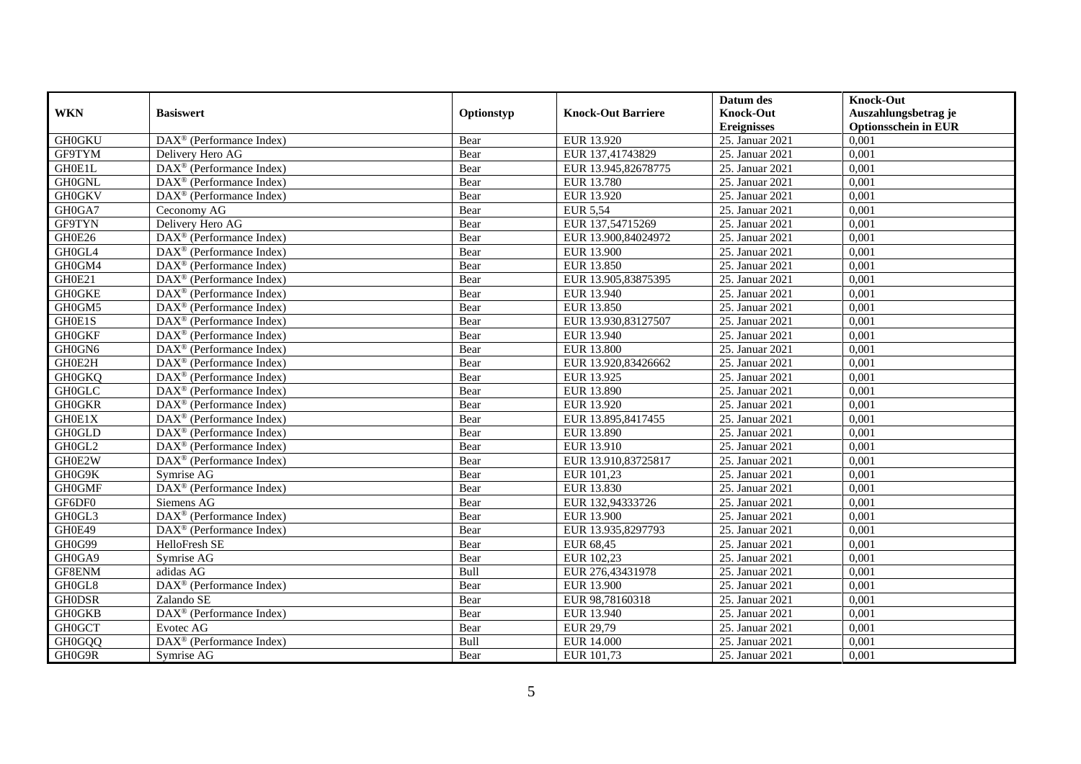|               |                                                         |            |                           | Datum des          | <b>Knock-Out</b>            |
|---------------|---------------------------------------------------------|------------|---------------------------|--------------------|-----------------------------|
| <b>WKN</b>    | <b>Basiswert</b>                                        | Optionstyp | <b>Knock-Out Barriere</b> | <b>Knock-Out</b>   | Auszahlungsbetrag je        |
|               |                                                         |            |                           | <b>Ereignisses</b> | <b>Optionsschein in EUR</b> |
| <b>GH0GKU</b> | $\text{DAX}^{\textcircled{p}}$ (Performance Index)      | Bear       | EUR 13.920                | 25. Januar 2021    | 0,001                       |
| GF9TYM        | Delivery Hero AG                                        | Bear       | EUR 137,41743829          | 25. Januar 2021    | 0,001                       |
| GH0E1L        | $\text{DAX}^{\textcircled{n}}$ (Performance Index)      | Bear       | EUR 13.945,82678775       | 25. Januar 2021    | 0,001                       |
| <b>GH0GNL</b> | $\text{DAX}^{\otimes}$ (Performance Index)              | Bear       | <b>EUR 13.780</b>         | 25. Januar 2021    | 0,001                       |
| <b>GH0GKV</b> | DAX <sup>®</sup> (Performance Index)                    | Bear       | EUR 13.920                | 25. Januar 2021    | 0,001                       |
| GH0GA7        | Ceconomy AG                                             | Bear       | <b>EUR 5,54</b>           | 25. Januar 2021    | 0,001                       |
| GF9TYN        | Delivery Hero AG                                        | Bear       | EUR 137,54715269          | 25. Januar 2021    | 0,001                       |
| GH0E26        | $\text{DAX}^{\textcircled{p}}$ (Performance Index)      | Bear       | EUR 13.900,84024972       | 25. Januar 2021    | 0,001                       |
| GH0GL4        | $\text{DAX}^{\textcircled{p}}$ (Performance Index)      | Bear       | EUR 13.900                | 25. Januar 2021    | 0,001                       |
| GH0GM4        | $DAX^{\otimes}$ (Performance Index)                     | Bear       | EUR 13.850                | 25. Januar 2021    | 0,001                       |
| GH0E21        | $\overline{\text{DAX}}^{\textcirc}$ (Performance Index) | Bear       | EUR 13.905,83875395       | 25. Januar 2021    | 0,001                       |
| <b>GH0GKE</b> | $\overline{\text{DAX}^{\otimes}}$ (Performance Index)   | Bear       | EUR 13.940                | 25. Januar 2021    | 0,001                       |
| GH0GM5        | $\text{DAX}^{\circledast}$ (Performance Index)          | Bear       | EUR 13.850                | 25. Januar 2021    | 0,001                       |
| GH0E1S        | DAX <sup>®</sup> (Performance Index)                    | Bear       | EUR 13.930,83127507       | 25. Januar 2021    | 0,001                       |
| <b>GH0GKF</b> | $\text{DAX}^{\circledast}$ (Performance Index)          | Bear       | EUR 13.940                | 25. Januar 2021    | 0,001                       |
| GH0GN6        | DAX <sup>®</sup> (Performance Index)                    | Bear       | <b>EUR 13.800</b>         | 25. Januar 2021    | 0,001                       |
| GH0E2H        | DAX <sup>®</sup> (Performance Index)                    | Bear       | EUR 13.920,83426662       | 25. Januar 2021    | 0,001                       |
| <b>GH0GKQ</b> | $DAX^{\circledR}$ (Performance Index)                   | Bear       | EUR 13.925                | 25. Januar 2021    | 0,001                       |
| <b>GH0GLC</b> | $\overline{\text{DAX}}^{\textcirc}$ (Performance Index) | Bear       | EUR 13.890                | 25. Januar 2021    | 0,001                       |
| <b>GH0GKR</b> | DAX <sup>®</sup> (Performance Index)                    | Bear       | EUR 13.920                | 25. Januar 2021    | 0,001                       |
| GH0E1X        | DAX <sup>®</sup> (Performance Index)                    | Bear       | EUR 13.895,8417455        | 25. Januar 2021    | 0,001                       |
| <b>GH0GLD</b> | $\overline{\text{DAX}^{\otimes}}$ (Performance Index)   | Bear       | EUR 13.890                | 25. Januar 2021    | 0,001                       |
| GH0GL2        | $\overline{\text{DAX}^{\otimes}}$ (Performance Index)   | Bear       | EUR 13.910                | 25. Januar 2021    | 0,001                       |
| GH0E2W        | DAX <sup>®</sup> (Performance Index)                    | Bear       | EUR 13.910,83725817       | 25. Januar 2021    | 0,001                       |
| GH0G9K        | Symrise AG                                              | Bear       | EUR 101,23                | 25. Januar 2021    | 0,001                       |
| <b>GH0GMF</b> | DAX <sup>®</sup> (Performance Index)                    | Bear       | EUR 13.830                | 25. Januar 2021    | 0,001                       |
| GF6DF0        | Siemens AG                                              | Bear       | EUR 132,94333726          | 25. Januar 2021    | 0,001                       |
| GH0GL3        | DAX <sup>®</sup> (Performance Index)                    | Bear       | EUR 13.900                | 25. Januar 2021    | 0.001                       |
| GH0E49        | $\text{DAX}^{\textcircled{p}}$ (Performance Index)      | Bear       | EUR 13.935,8297793        | 25. Januar 2021    | 0,001                       |
| GH0G99        | HelloFresh SE                                           | Bear       | EUR 68,45                 | 25. Januar 2021    | 0,001                       |
| GH0GA9        | Symrise AG                                              | Bear       | EUR 102,23                | 25. Januar 2021    | 0,001                       |
| GF8ENM        | adidas AG                                               | Bull       | EUR 276,43431978          | 25. Januar 2021    | 0.001                       |
| GH0GL8        | DAX <sup>®</sup> (Performance Index)                    | Bear       | <b>EUR 13.900</b>         | 25. Januar 2021    | 0,001                       |
| <b>GH0DSR</b> | Zalando SE                                              | Bear       | EUR 98,78160318           | 25. Januar 2021    | 0,001                       |
| <b>GH0GKB</b> | DAX <sup>®</sup> (Performance Index)                    | Bear       | EUR 13.940                | 25. Januar 2021    | 0,001                       |
| <b>GH0GCT</b> | Evotec AG                                               | Bear       | EUR 29,79                 | 25. Januar 2021    | 0,001                       |
| <b>GH0GQQ</b> | DAX <sup>®</sup> (Performance Index)                    | Bull       | <b>EUR 14.000</b>         | 25. Januar 2021    | 0,001                       |
| GH0G9R        | Symrise AG                                              | Bear       | EUR 101,73                | 25. Januar 2021    | 0,001                       |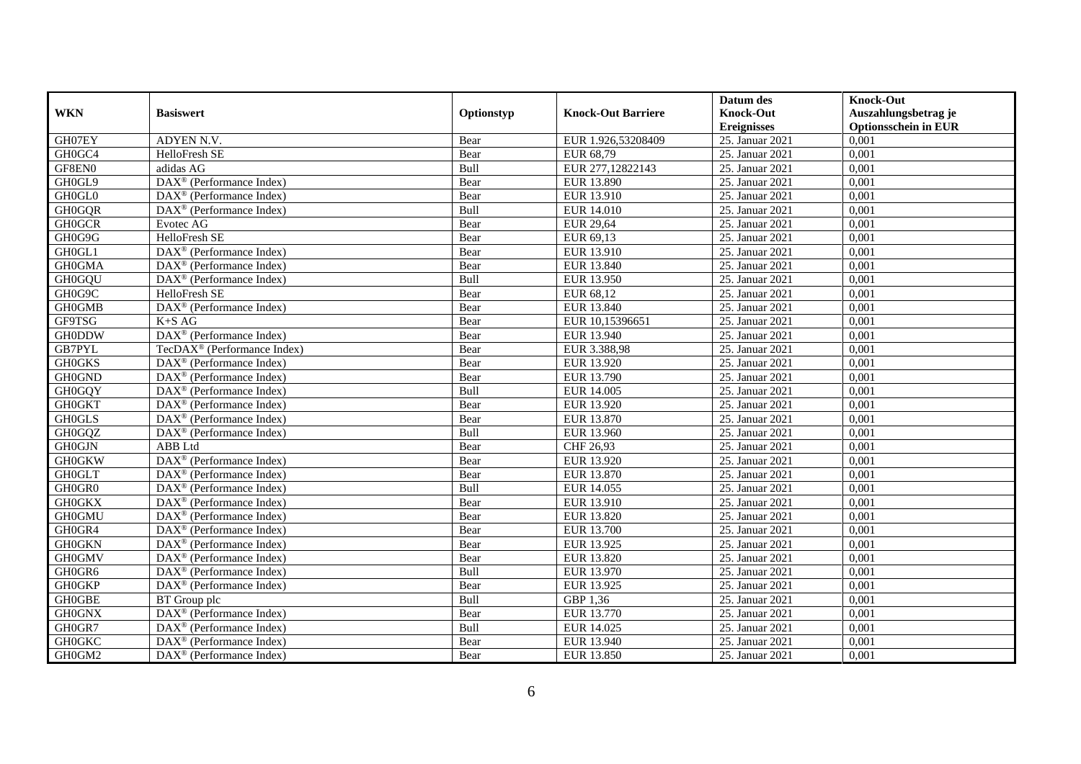|               |                                                              |            |                           | Datum des          | <b>Knock-Out</b>            |
|---------------|--------------------------------------------------------------|------------|---------------------------|--------------------|-----------------------------|
| <b>WKN</b>    | <b>Basiswert</b>                                             | Optionstyp | <b>Knock-Out Barriere</b> | <b>Knock-Out</b>   | Auszahlungsbetrag je        |
|               |                                                              |            |                           | <b>Ereignisses</b> | <b>Optionsschein in EUR</b> |
| GH07EY        | ADYEN N.V.                                                   | Bear       | EUR 1.926,53208409        | 25. Januar 2021    | 0,001                       |
| GH0GC4        | HelloFresh SE                                                | Bear       | EUR 68,79                 | 25. Januar 2021    | 0,001                       |
| GF8EN0        | adidas AG                                                    | Bull       | EUR 277,12822143          | 25. Januar 2021    | 0,001                       |
| GH0GL9        | DAX <sup>®</sup> (Performance Index)                         | Bear       | EUR 13.890                | 25. Januar 2021    | 0,001                       |
| GH0GL0        | $\overline{\text{DAX}}^{\textcircled{}}$ (Performance Index) | Bear       | EUR 13.910                | 25. Januar 2021    | 0,001                       |
| <b>GH0GQR</b> | DAX <sup>®</sup> (Performance Index)                         | Bull       | <b>EUR 14.010</b>         | 25. Januar 2021    | 0,001                       |
| <b>GH0GCR</b> | Evotec AG                                                    | Bear       | <b>EUR 29,64</b>          | 25. Januar 2021    | 0,001                       |
| GH0G9G        | HelloFresh SE                                                | Bear       | EUR 69,13                 | 25. Januar 2021    | 0,001                       |
| GH0GL1        | DAX <sup>®</sup> (Performance Index)                         | Bear       | EUR 13.910                | 25. Januar 2021    | 0,001                       |
| <b>GH0GMA</b> | $\text{DAX}^{\textcircled{}}$ (Performance Index)            | Bear       | EUR 13.840                | 25. Januar 2021    | 0,001                       |
| <b>GH0GQU</b> | DAX <sup>®</sup> (Performance Index)                         | Bull       | EUR 13.950                | 25. Januar 2021    | 0,001                       |
| GH0G9C        | HelloFresh SE                                                | Bear       | EUR 68,12                 | 25. Januar 2021    | 0,001                       |
| <b>GH0GMB</b> | DAX <sup>®</sup> (Performance Index)                         | Bear       | EUR 13.840                | 25. Januar 2021    | 0,001                       |
| GF9TSG        | $K+SAG$                                                      | Bear       | EUR 10.15396651           | 25. Januar 2021    | 0.001                       |
| <b>GH0DDW</b> | DAX <sup>®</sup> (Performance Index)                         | Bear       | EUR 13.940                | 25. Januar 2021    | 0,001                       |
| <b>GB7PYL</b> | TecDAX <sup>®</sup> (Performance Index)                      | Bear       | EUR 3.388,98              | 25. Januar 2021    | 0,001                       |
| <b>GH0GKS</b> | $\text{DAX}^{\textcircled{p}}$ (Performance Index)           | Bear       | EUR 13.920                | 25. Januar 2021    | 0,001                       |
| <b>GH0GND</b> | DAX <sup>®</sup> (Performance Index)                         | Bear       | EUR 13.790                | 25. Januar 2021    | 0,001                       |
| <b>GH0GQY</b> | $\text{DAX}^{\textcircled{n}}$ (Performance Index)           | Bull       | EUR 14.005                | 25. Januar 2021    | 0,001                       |
| <b>GH0GKT</b> | $\text{DAX}^{\otimes}$ (Performance Index)                   | Bear       | EUR 13.920                | 25. Januar 2021    | 0,001                       |
| <b>GH0GLS</b> | DAX <sup>®</sup> (Performance Index)                         | Bear       | EUR 13.870                | 25. Januar 2021    | 0,001                       |
| GH0GQZ        | $DAX^{\circledR}$ (Performance Index)                        | Bull       | EUR 13.960                | 25. Januar 2021    | 0,001                       |
| <b>GH0GJN</b> | <b>ABB</b> Ltd                                               | Bear       | CHF 26,93                 | 25. Januar 2021    | 0,001                       |
| <b>GH0GKW</b> | DAX <sup>®</sup> (Performance Index)                         | Bear       | EUR 13.920                | 25. Januar 2021    | 0,001                       |
| <b>GH0GLT</b> | $\text{DAX}^{\textcircled{p}}$ (Performance Index)           | Bear       | EUR 13.870                | 25. Januar 2021    | 0,001                       |
| GH0GR0        | $DAX^{\otimes}$ (Performance Index)                          | Bull       | EUR 14.055                | 25. Januar 2021    | 0,001                       |
| <b>GH0GKX</b> | $\overline{\text{DAX}^{\otimes}}$ (Performance Index)        | Bear       | EUR 13.910                | 25. Januar 2021    | 0,001                       |
| <b>GH0GMU</b> | DAX <sup>®</sup> (Performance Index)                         | Bear       | EUR 13.820                | 25. Januar 2021    | 0,001                       |
| GH0GR4        | $\text{DAX}^{\textcircled{n}}$ (Performance Index)           | Bear       | EUR 13.700                | 25. Januar 2021    | 0,001                       |
| <b>GH0GKN</b> | $\overline{\text{DAX}}^{\textcirc}$ (Performance Index)      | Bear       | EUR 13.925                | 25. Januar 2021    | 0,001                       |
| <b>GH0GMV</b> | $\text{DAX}^{\textcircled{p}}$ (Performance Index)           | Bear       | EUR 13.820                | 25. Januar 2021    | 0,001                       |
| GH0GR6        | DAX <sup>®</sup> (Performance Index)                         | Bull       | EUR 13.970                | 25. Januar 2021    | 0,001                       |
| <b>GH0GKP</b> | DAX <sup>®</sup> (Performance Index)                         | Bear       | EUR 13.925                | 25. Januar 2021    | 0,001                       |
| <b>GH0GBE</b> | BT Group plc                                                 | Bull       | GBP 1,36                  | 25. Januar 2021    | 0,001                       |
| <b>GH0GNX</b> | $\text{DAX}^{\textcircled{n}}$ (Performance Index)           | Bear       | EUR 13.770                | 25. Januar 2021    | 0,001                       |
| GH0GR7        | DAX <sup>®</sup> (Performance Index)                         | Bull       | EUR 14.025                | 25. Januar 2021    | 0,001                       |
| <b>GH0GKC</b> | $\text{DAX}^{\otimes}$ (Performance Index)                   | Bear       | EUR 13.940                | 25. Januar 2021    | 0,001                       |
| GH0GM2        | $\text{DAX}^{\textcircled{n}}$ (Performance Index)           | Bear       | EUR 13.850                | 25. Januar 2021    | 0,001                       |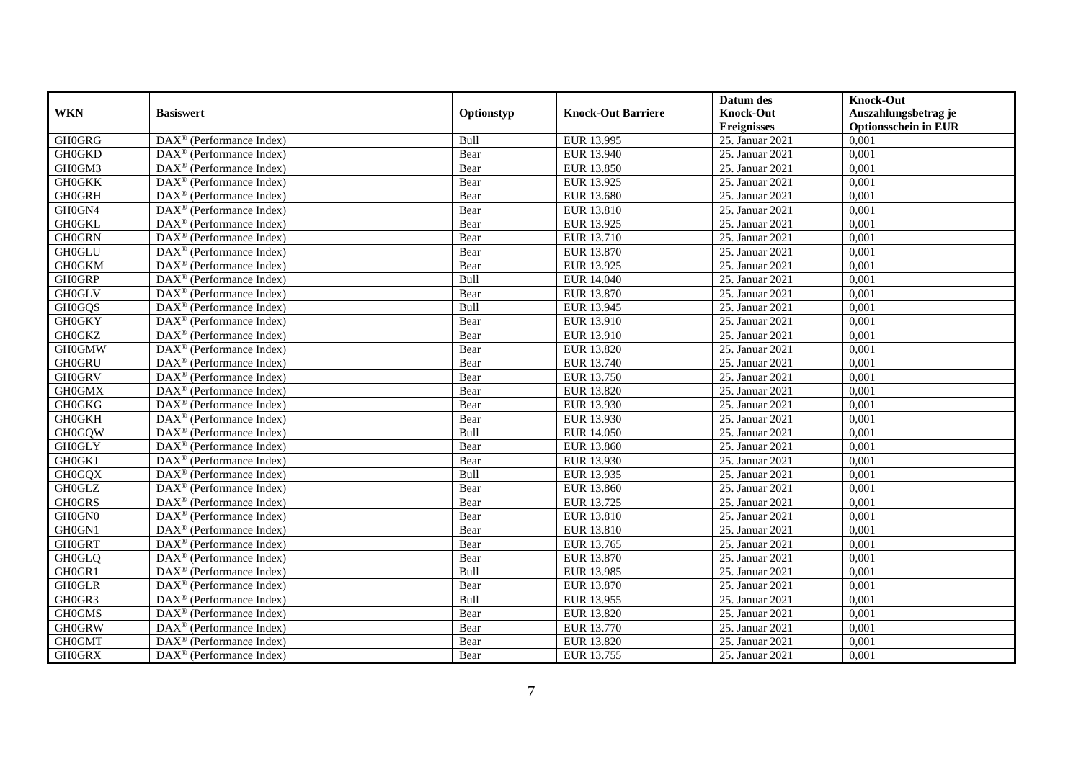|               |                                                         |            |                           | Datum des          | <b>Knock-Out</b>            |
|---------------|---------------------------------------------------------|------------|---------------------------|--------------------|-----------------------------|
| <b>WKN</b>    | <b>Basiswert</b>                                        | Optionstyp | <b>Knock-Out Barriere</b> | <b>Knock-Out</b>   | Auszahlungsbetrag je        |
|               |                                                         |            |                           | <b>Ereignisses</b> | <b>Optionsschein in EUR</b> |
| <b>GH0GRG</b> | DAX <sup>®</sup> (Performance Index)                    | Bull       | EUR 13.995                | 25. Januar 2021    | 0,001                       |
| <b>GH0GKD</b> | $DAX^{\circledR}$ (Performance Index)                   | Bear       | EUR 13.940                | 25. Januar 2021    | 0,001                       |
| GH0GM3        | DAX <sup>®</sup> (Performance Index)                    | Bear       | EUR 13.850                | 25. Januar 2021    | 0,001                       |
| <b>GH0GKK</b> | $\text{DAX}^{\circledast}$ (Performance Index)          | Bear       | EUR 13.925                | 25. Januar 2021    | 0,001                       |
| <b>GH0GRH</b> | DAX <sup>®</sup> (Performance Index)                    | Bear       | <b>EUR 13.680</b>         | 25. Januar 2021    | 0,001                       |
| GH0GN4        | $\text{DAX}^{\circledast}$ (Performance Index)          | Bear       | EUR 13.810                | 25. Januar 2021    | 0,001                       |
| <b>GH0GKL</b> | $\text{DAX}^{\textcircled{n}}$ (Performance Index)      | Bear       | EUR 13.925                | 25. Januar 2021    | 0,001                       |
| <b>GH0GRN</b> | $\text{DAX}^{\textcircled{}}$ (Performance Index)       | Bear       | EUR 13.710                | 25. Januar 2021    | 0,001                       |
| <b>GH0GLU</b> | $\text{DAX}^{\textcircled{p}}$ (Performance Index)      | Bear       | EUR 13.870                | 25. Januar 2021    | 0,001                       |
| <b>GH0GKM</b> | $DAX^{\otimes}$ (Performance Index)                     | Bear       | EUR 13.925                | 25. Januar 2021    | 0,001                       |
| <b>GH0GRP</b> | DAX <sup>®</sup> (Performance Index)                    | Bull       | <b>EUR 14.040</b>         | 25. Januar 2021    | 0,001                       |
| <b>GH0GLV</b> | $\overline{\text{DAX}^{\otimes}}$ (Performance Index)   | Bear       | EUR 13.870                | 25. Januar 2021    | 0,001                       |
| <b>GH0GQS</b> | $\text{DAX}^{\circledR}$ (Performance Index)            | Bull       | EUR 13.945                | 25. Januar 2021    | 0,001                       |
| <b>GH0GKY</b> | DAX <sup>®</sup> (Performance Index)                    | Bear       | EUR 13.910                | 25. Januar 2021    | 0,001                       |
| <b>GH0GKZ</b> | DAX <sup>®</sup> (Performance Index)                    | Bear       | EUR 13.910                | 25. Januar 2021    | 0,001                       |
| <b>GH0GMW</b> | DAX <sup>®</sup> (Performance Index)                    | Bear       | EUR 13.820                | 25. Januar 2021    | 0,001                       |
| <b>GH0GRU</b> | DAX <sup>®</sup> (Performance Index)                    | Bear       | EUR 13.740                | 25. Januar 2021    | 0,001                       |
| <b>GH0GRV</b> | $\overline{\text{DAX}}^{\textcirc}$ (Performance Index) | Bear       | EUR 13.750                | 25. Januar 2021    | 0,001                       |
| <b>GH0GMX</b> | DAX <sup>®</sup> (Performance Index)                    | Bear       | EUR 13.820                | 25. Januar 2021    | 0,001                       |
| <b>GH0GKG</b> | DAX <sup>®</sup> (Performance Index)                    | Bear       | EUR 13.930                | 25. Januar 2021    | 0,001                       |
| <b>GH0GKH</b> | DAX <sup>®</sup> (Performance Index)                    | Bear       | EUR 13.930                | 25. Januar 2021    | 0,001                       |
| <b>GH0GQW</b> | $\overline{\text{DAX}^{\otimes}}$ (Performance Index)   | Bull       | <b>EUR 14.050</b>         | 25. Januar 2021    | 0,001                       |
| <b>GH0GLY</b> | $\text{DAX}^{\circledR}$ (Performance Index)            | Bear       | EUR 13.860                | 25. Januar 2021    | 0,001                       |
| <b>GH0GKJ</b> | DAX <sup>®</sup> (Performance Index)                    | Bear       | EUR 13.930                | 25. Januar 2021    | 0,001                       |
| <b>GH0GQX</b> | DAX <sup>®</sup> (Performance Index)                    | Bull       | EUR 13.935                | 25. Januar 2021    | 0,001                       |
| <b>GH0GLZ</b> | $\text{DAX}^{\otimes}$ (Performance Index)              | Bear       | EUR 13.860                | 25. Januar 2021    | 0,001                       |
| <b>GH0GRS</b> | $\text{DAX}^{\circledR}$ (Performance Index)            | Bear       | EUR 13.725                | 25. Januar 2021    | 0,001                       |
| GH0GN0        | $DAX^{\circledR}$ (Performance Index)                   | Bear       | EUR 13.810                | 25. Januar 2021    | 0.001                       |
| GH0GN1        | $\text{DAX}^{\textcircled{D}}$ (Performance Index)      | Bear       | EUR 13.810                | 25. Januar 2021    | 0,001                       |
| <b>GH0GRT</b> | $DAX^{\circledR}$ (Performance Index)                   | Bear       | EUR 13.765                | 25. Januar 2021    | 0,001                       |
| <b>GH0GLQ</b> | DAX <sup>®</sup> (Performance Index)                    | Bear       | EUR 13.870                | 25. Januar 2021    | 0,001                       |
| GH0GR1        | $\text{DAX}^{\otimes}$ (Performance Index)              | Bull       | EUR 13.985                | 25. Januar 2021    | 0.001                       |
| <b>GH0GLR</b> | $\overline{\text{DAX}^{\otimes}}$ (Performance Index)   | Bear       | EUR 13.870                | 25. Januar 2021    | 0,001                       |
| GH0GR3        | $\text{DAX}^{\circledast}$ (Performance Index)          | Bull       | EUR 13.955                | 25. Januar 2021    | 0,001                       |
| <b>GH0GMS</b> | $\text{DAX}^{\textcircled{n}}$ (Performance Index)      | Bear       | EUR 13.820                | 25. Januar 2021    | 0,001                       |
| <b>GH0GRW</b> | $\text{DAX}^{\circledR}$ (Performance Index)            | Bear       | EUR 13.770                | 25. Januar 2021    | 0,001                       |
| <b>GH0GMT</b> | $\text{DAX}^{\circledast}$ (Performance Index)          | Bear       | EUR 13.820                | 25. Januar 2021    | 0,001                       |
| <b>GH0GRX</b> | $\overline{\text{DAX}}^{\textcirc}$ (Performance Index) | Bear       | EUR 13.755                | 25. Januar 2021    | 0,001                       |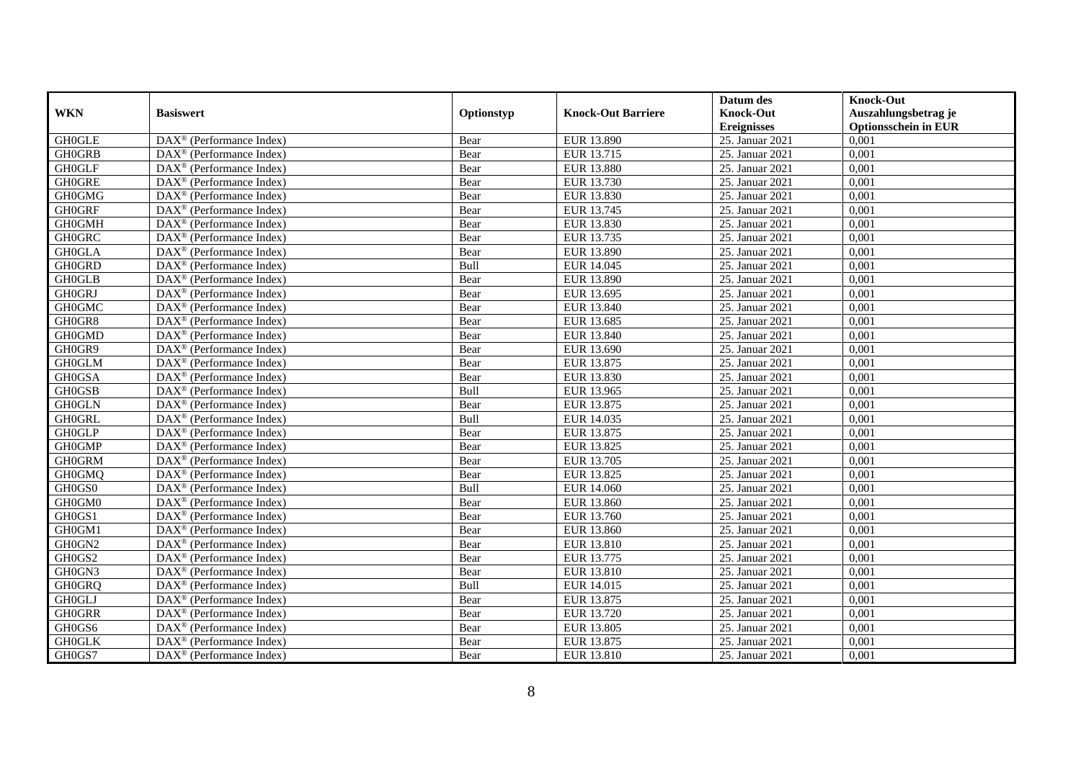|               |                                                         |            |                           | Datum des          | <b>Knock-Out</b>            |
|---------------|---------------------------------------------------------|------------|---------------------------|--------------------|-----------------------------|
| <b>WKN</b>    | <b>Basiswert</b>                                        | Optionstyp | <b>Knock-Out Barriere</b> | <b>Knock-Out</b>   | Auszahlungsbetrag je        |
|               |                                                         |            |                           | <b>Ereignisses</b> | <b>Optionsschein in EUR</b> |
| <b>GH0GLE</b> | $\overline{\text{DAX}}^{\textcirc}$ (Performance Index) | Bear       | EUR 13.890                | 25. Januar 2021    | 0,001                       |
| <b>GH0GRB</b> | $DAX^{\circledcirc}$ (Performance Index)                | Bear       | EUR 13.715                | 25. Januar 2021    | 0,001                       |
| <b>GH0GLF</b> | DAX <sup>®</sup> (Performance Index)                    | Bear       | EUR 13.880                | 25. Januar 2021    | 0,001                       |
| <b>GH0GRE</b> | $DAX^{\circledast}$ (Performance Index)                 | Bear       | EUR 13.730                | 25. Januar 2021    | 0,001                       |
| <b>GH0GMG</b> | DAX <sup>®</sup> (Performance Index)                    | Bear       | EUR 13.830                | 25. Januar 2021    | 0,001                       |
| <b>GH0GRF</b> | $DAX^{\circledast}$ (Performance Index)                 | Bear       | EUR 13.745                | 25. Januar 2021    | 0,001                       |
| <b>GH0GMH</b> | $\text{DAX}^{\textcircled{}}$ (Performance Index)       | Bear       | EUR 13.830                | 25. Januar 2021    | 0,001                       |
| <b>GH0GRC</b> | $DAX^{\circledR}$ (Performance Index)                   | Bear       | EUR 13.735                | 25. Januar 2021    | 0,001                       |
| <b>GH0GLA</b> | $DAX^{\circledR}$ (Performance Index)                   | Bear       | EUR 13.890                | 25. Januar 2021    | 0,001                       |
| <b>GH0GRD</b> | DAX <sup>®</sup> (Performance Index)                    | Bull       | EUR 14.045                | 25. Januar 2021    | 0,001                       |
| <b>GH0GLB</b> | DAX <sup>®</sup> (Performance Index)                    | Bear       | EUR 13.890                | 25. Januar 2021    | 0,001                       |
| <b>GH0GRJ</b> | $\overline{\text{DAX}^{\otimes}}$ (Performance Index)   | Bear       | EUR 13.695                | 25. Januar 2021    | 0,001                       |
| <b>GH0GMC</b> | DAX <sup>®</sup> (Performance Index)                    | Bear       | EUR 13.840                | 25. Januar 2021    | 0,001                       |
| GH0GR8        | DAX <sup>®</sup> (Performance Index)                    | Bear       | EUR 13.685                | 25. Januar 2021    | 0,001                       |
| <b>GH0GMD</b> | $DAX^{\circledast}$ (Performance Index)                 | Bear       | EUR 13.840                | 25. Januar 2021    | 0,001                       |
| GH0GR9        | DAX <sup>®</sup> (Performance Index)                    | Bear       | EUR 13.690                | 25. Januar 2021    | 0,001                       |
| <b>GH0GLM</b> | DAX <sup>®</sup> (Performance Index)                    | Bear       | EUR 13.875                | 25. Januar 2021    | 0,001                       |
| <b>GH0GSA</b> | $DAX^{\circledcirc}$ (Performance Index)                | Bear       | EUR 13.830                | 25. Januar 2021    | 0.001                       |
| <b>GH0GSB</b> | $DAX^{\circledR}$ (Performance Index)                   | Bull       | EUR 13.965                | 25. Januar 2021    | 0,001                       |
| <b>GH0GLN</b> | DAX <sup>®</sup> (Performance Index)                    | Bear       | EUR 13.875                | 25. Januar 2021    | 0,001                       |
| <b>GH0GRL</b> | DAX <sup>®</sup> (Performance Index)                    | Bull       | EUR 14.035                | 25. Januar 2021    | 0,001                       |
| <b>GH0GLP</b> | DAX <sup>®</sup> (Performance Index)                    | Bear       | EUR 13.875                | 25. Januar 2021    | 0,001                       |
| <b>GH0GMP</b> | $DAX^{\circledast}$ (Performance Index)                 | Bear       | EUR 13.825                | 25. Januar 2021    | 0,001                       |
| <b>GH0GRM</b> | $DAX^{\circledast}$ (Performance Index)                 | Bear       | EUR 13.705                | 25. Januar 2021    | 0,001                       |
| <b>GH0GMQ</b> | DAX <sup>®</sup> (Performance Index)                    | Bear       | EUR 13.825                | 25. Januar 2021    | 0,001                       |
| GH0GS0        | DAX <sup>®</sup> (Performance Index)                    | Bull       | EUR 14.060                | 25. Januar 2021    | 0,001                       |
| GH0GM0        | $DAX^{\circledast}$ (Performance Index)                 | Bear       | EUR 13.860                | 25. Januar 2021    | 0,001                       |
| GH0GS1        | $DAX^{\circledR}$ (Performance Index)                   | Bear       | EUR 13.760                | 25. Januar 2021    | 0.001                       |
| GH0GM1        | $\overline{\text{DAX}}^{\textcirc}$ (Performance Index) | Bear       | EUR 13.860                | 25. Januar 2021    | 0,001                       |
| GH0GN2        | $DAX^{\circledcirc}$ (Performance Index)                | Bear       | EUR 13.810                | 25. Januar 2021    | 0,001                       |
| GH0GS2        | DAX <sup>®</sup> (Performance Index)                    | Bear       | EUR 13.775                | 25. Januar 2021    | 0,001                       |
| GH0GN3        | DAX <sup>®</sup> (Performance Index)                    | Bear       | EUR 13.810                | 25. Januar 2021    | 0,001                       |
| <b>GH0GRQ</b> | $\overline{\text{DAX}^{\otimes}}$ (Performance Index)   | Bull       | EUR 14.015                | 25. Januar 2021    | 0,001                       |
| <b>GH0GLJ</b> | DAX <sup>®</sup> (Performance Index)                    | Bear       | EUR 13.875                | 25. Januar 2021    | 0,001                       |
| <b>GH0GRR</b> | $DAX^{\circledast}$ (Performance Index)                 | Bear       | EUR 13.720                | 25. Januar 2021    | 0,001                       |
| GH0GS6        | $DAX^{\circledast}$ (Performance Index)                 | Bear       | EUR 13.805                | 25. Januar 2021    | 0,001                       |
| <b>GH0GLK</b> | DAX <sup>®</sup> (Performance Index)                    | Bear       | EUR 13.875                | 25. Januar 2021    | 0,001                       |
| GH0GS7        | $DAX^{\circledast}$ (Performance Index)                 | Bear       | EUR 13.810                | 25. Januar 2021    | 0,001                       |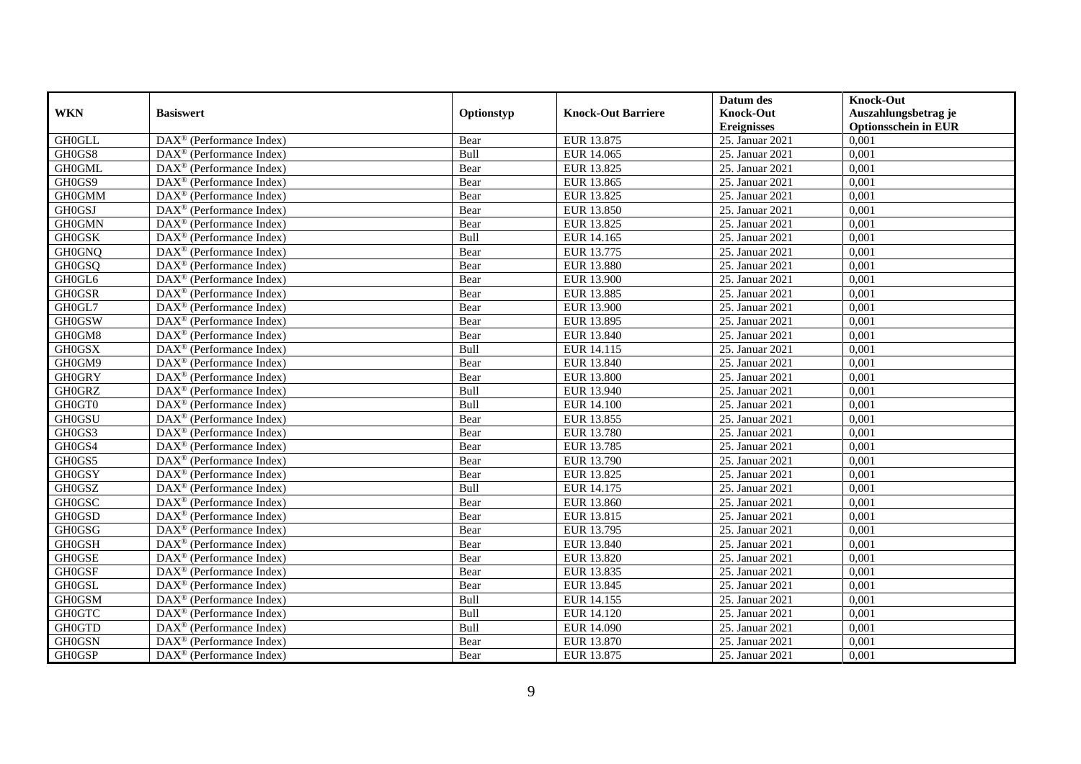|               |                                                              |            |                           | Datum des          | <b>Knock-Out</b>            |
|---------------|--------------------------------------------------------------|------------|---------------------------|--------------------|-----------------------------|
| <b>WKN</b>    | <b>Basiswert</b>                                             | Optionstyp | <b>Knock-Out Barriere</b> | <b>Knock-Out</b>   | Auszahlungsbetrag je        |
|               |                                                              |            |                           | <b>Ereignisses</b> | <b>Optionsschein in EUR</b> |
| <b>GH0GLL</b> | $\overline{\text{DAX}}^{\textcircled{}}$ (Performance Index) | Bear       | EUR 13.875                | 25. Januar 2021    | 0,001                       |
| GH0GS8        | $DAX^{\circledR}$ (Performance Index)                        | Bull       | EUR 14.065                | 25. Januar 2021    | 0,001                       |
| <b>GH0GML</b> | DAX <sup>®</sup> (Performance Index)                         | Bear       | EUR 13.825                | 25. Januar 2021    | 0,001                       |
| GH0GS9        | $\text{DAX}^{\circledast}$ (Performance Index)               | Bear       | EUR 13.865                | 25. Januar 2021    | 0,001                       |
| <b>GH0GMM</b> | DAX <sup>®</sup> (Performance Index)                         | Bear       | EUR 13.825                | 25. Januar 2021    | 0,001                       |
| <b>GH0GSJ</b> | $\text{DAX}^{\circledR}$ (Performance Index)                 | Bear       | EUR 13.850                | 25. Januar 2021    | 0,001                       |
| <b>GH0GMN</b> | $\text{DAX}^{\textcircled{n}}$ (Performance Index)           | Bear       | EUR 13.825                | 25. Januar 2021    | 0,001                       |
| <b>GH0GSK</b> | $\text{DAX}^{\textcircled{}}$ (Performance Index)            | Bull       | EUR 14.165                | 25. Januar 2021    | 0,001                       |
| <b>GH0GNQ</b> | $\text{DAX}^{\textcircled{D}}$ (Performance Index)           | Bear       | EUR 13.775                | 25. Januar 2021    | 0,001                       |
| <b>GH0GSQ</b> | $DAX^{\otimes}$ (Performance Index)                          | Bear       | <b>EUR 13.880</b>         | 25. Januar 2021    | 0,001                       |
| GH0GL6        | DAX <sup>®</sup> (Performance Index)                         | Bear       | <b>EUR 13.900</b>         | 25. Januar 2021    | 0,001                       |
| <b>GH0GSR</b> | $\overline{\text{DAX}^{\otimes}}$ (Performance Index)        | Bear       | EUR 13.885                | 25. Januar 2021    | 0,001                       |
| GH0GL7        | $\text{DAX}^{\circledR}$ (Performance Index)                 | Bear       | <b>EUR 13.900</b>         | 25. Januar 2021    | 0,001                       |
| <b>GH0GSW</b> | DAX <sup>®</sup> (Performance Index)                         | Bear       | EUR 13.895                | 25. Januar 2021    | 0,001                       |
| GH0GM8        | DAX <sup>®</sup> (Performance Index)                         | Bear       | EUR 13.840                | 25. Januar 2021    | 0,001                       |
| <b>GH0GSX</b> | DAX <sup>®</sup> (Performance Index)                         | Bull       | EUR 14.115                | 25. Januar 2021    | 0,001                       |
| GH0GM9        | DAX <sup>®</sup> (Performance Index)                         | Bear       | EUR 13.840                | 25. Januar 2021    | 0,001                       |
| <b>GH0GRY</b> | $\overline{\text{DAX}}^{\textcirc}$ (Performance Index)      | Bear       | EUR 13.800                | 25. Januar 2021    | 0,001                       |
| <b>GH0GRZ</b> | DAX <sup>®</sup> (Performance Index)                         | Bull       | EUR 13.940                | 25. Januar 2021    | 0,001                       |
| GH0GT0        | DAX <sup>®</sup> (Performance Index)                         | Bull       | <b>EUR 14.100</b>         | 25. Januar 2021    | 0,001                       |
| <b>GH0GSU</b> | DAX <sup>®</sup> (Performance Index)                         | Bear       | EUR 13.855                | 25. Januar 2021    | 0,001                       |
| GH0GS3        | $\overline{\text{DAX}^{\otimes}}$ (Performance Index)        | Bear       | <b>EUR 13.780</b>         | 25. Januar 2021    | 0,001                       |
| GH0GS4        | $\text{DAX}^{\circledR}$ (Performance Index)                 | Bear       | EUR 13.785                | 25. Januar 2021    | 0,001                       |
| GH0GS5        | DAX <sup>®</sup> (Performance Index)                         | Bear       | EUR 13.790                | 25. Januar 2021    | 0,001                       |
| <b>GH0GSY</b> | DAX <sup>®</sup> (Performance Index)                         | Bear       | EUR 13.825                | 25. Januar 2021    | 0,001                       |
| GH0GSZ        | $\text{DAX}^{\otimes}$ (Performance Index)                   | Bull       | EUR 14.175                | 25. Januar 2021    | 0,001                       |
| <b>GH0GSC</b> | $\text{DAX}^{\circledR}$ (Performance Index)                 | Bear       | EUR 13.860                | 25. Januar 2021    | 0,001                       |
| <b>GH0GSD</b> | $\text{DAX}^{\textcircled{D}}$ (Performance Index)           | Bear       | EUR 13.815                | 25. Januar 2021    | 0.001                       |
| <b>GH0GSG</b> | $\text{DAX}^{\textcircled{D}}$ (Performance Index)           | Bear       | EUR 13.795                | 25. Januar 2021    | 0,001                       |
| <b>GH0GSH</b> | $DAX^{\circledR}$ (Performance Index)                        | Bear       | EUR 13.840                | 25. Januar 2021    | 0,001                       |
| <b>GH0GSE</b> | DAX <sup>®</sup> (Performance Index)                         | Bear       | EUR 13.820                | 25. Januar 2021    | 0,001                       |
| <b>GH0GSF</b> | $\text{DAX}^{\otimes}$ (Performance Index)                   | Bear       | EUR 13.835                | 25. Januar 2021    | 0.001                       |
| <b>GH0GSL</b> | $\overline{\text{DAX}^{\otimes}}$ (Performance Index)        | Bear       | EUR 13.845                | 25. Januar 2021    | 0,001                       |
| <b>GH0GSM</b> | DAX <sup>®</sup> (Performance Index)                         | Bull       | EUR 14.155                | 25. Januar 2021    | 0,001                       |
| <b>GH0GTC</b> | $\text{DAX}^{\textcircled{n}}$ (Performance Index)           | Bull       | EUR 14.120                | 25. Januar 2021    | 0,001                       |
| <b>GH0GTD</b> | $\text{DAX}^{\circledast}$ (Performance Index)               | Bull       | <b>EUR 14.090</b>         | 25. Januar 2021    | 0,001                       |
| <b>GH0GSN</b> | $\text{DAX}^{\otimes}$ (Performance Index)                   | Bear       | EUR 13.870                | 25. Januar 2021    | 0,001                       |
| <b>GH0GSP</b> | $\overline{\text{DAX}}^{\textcirc}$ (Performance Index)      | Bear       | EUR 13.875                | 25. Januar 2021    | 0,001                       |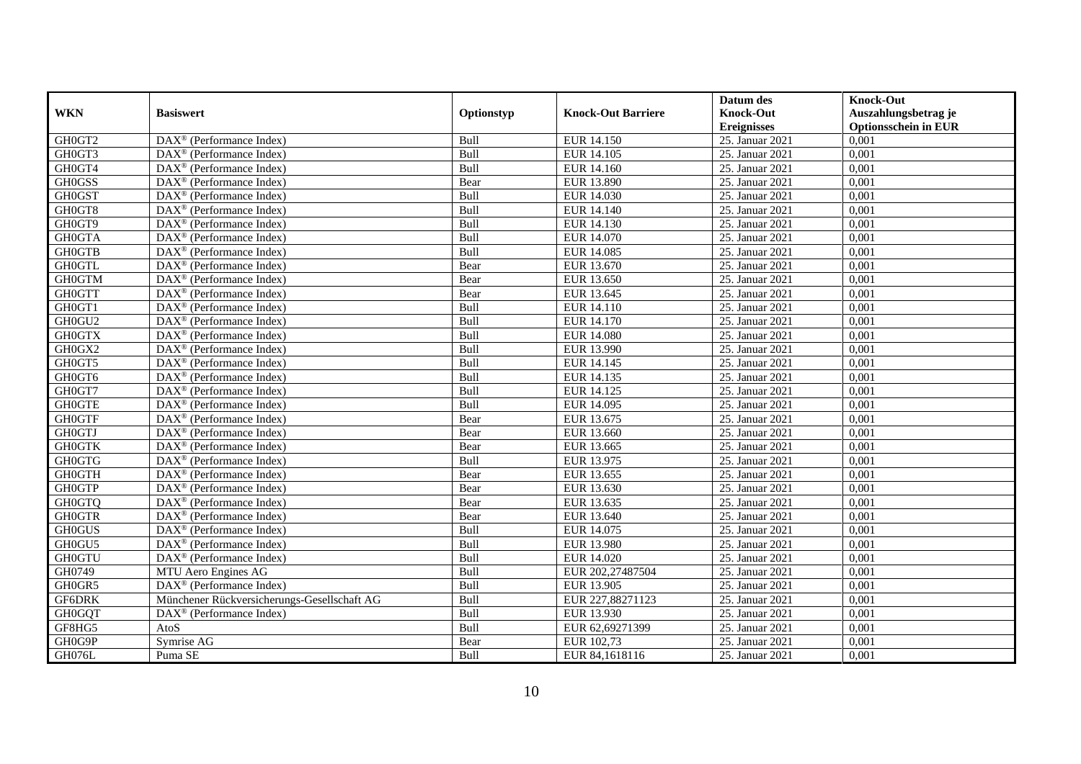|               |                                                         |            |                           | Datum des          | <b>Knock-Out</b>            |
|---------------|---------------------------------------------------------|------------|---------------------------|--------------------|-----------------------------|
| <b>WKN</b>    | <b>Basiswert</b>                                        | Optionstyp | <b>Knock-Out Barriere</b> | <b>Knock-Out</b>   | Auszahlungsbetrag je        |
|               |                                                         |            |                           | <b>Ereignisses</b> | <b>Optionsschein in EUR</b> |
| GH0GT2        | $\overline{\text{DAX}}^{\textcirc}$ (Performance Index) | Bull       | EUR 14.150                | 25. Januar 2021    | 0,001                       |
| GH0GT3        | $DAX^{\circledR}$ (Performance Index)                   | Bull       | <b>EUR 14.105</b>         | 25. Januar 2021    | 0,001                       |
| GH0GT4        | DAX <sup>®</sup> (Performance Index)                    | Bull       | EUR 14.160                | 25. Januar 2021    | 0,001                       |
| <b>GH0GSS</b> | $\text{DAX}^{\otimes}$ (Performance Index)              | Bear       | EUR 13.890                | 25. Januar 2021    | 0,001                       |
| <b>GH0GST</b> | DAX <sup>®</sup> (Performance Index)                    | Bull       | EUR 14.030                | 25. Januar 2021    | 0,001                       |
| GH0GT8        | $\text{DAX}^{\circledast}$ (Performance Index)          | Bull       | EUR 14.140                | 25. Januar 2021    | 0,001                       |
| GH0GT9        | $\text{DAX}^{\textcircled{n}}$ (Performance Index)      | Bull       | EUR 14.130                | 25. Januar 2021    | 0,001                       |
| <b>GH0GTA</b> | $\text{DAX}^{\textcircled{}}$ (Performance Index)       | Bull       | <b>EUR 14.070</b>         | 25. Januar 2021    | 0,001                       |
| <b>GH0GTB</b> | $\text{DAX}^{\textcircled{p}}$ (Performance Index)      | Bull       | <b>EUR 14.085</b>         | 25. Januar 2021    | 0,001                       |
| <b>GH0GTL</b> | $DAX^{\otimes}$ (Performance Index)                     | Bear       | EUR 13.670                | 25. Januar 2021    | 0,001                       |
| <b>GH0GTM</b> | $\overline{\text{DAX}}^{\textcirc}$ (Performance Index) | Bear       | EUR 13.650                | 25. Januar 2021    | 0,001                       |
| <b>GH0GTT</b> | $\overline{\text{DAX}^{\otimes}}$ (Performance Index)   | Bear       | EUR 13.645                | 25. Januar 2021    | 0,001                       |
| GH0GT1        | $\text{DAX}^{\circledast}$ (Performance Index)          | Bull       | EUR 14.110                | 25. Januar 2021    | 0,001                       |
| GH0GU2        | DAX <sup>®</sup> (Performance Index)                    | Bull       | EUR 14.170                | 25. Januar 2021    | 0,001                       |
| <b>GH0GTX</b> | DAX <sup>®</sup> (Performance Index)                    | Bull       | <b>EUR 14.080</b>         | 25. Januar 2021    | 0,001                       |
| GH0GX2        | DAX <sup>®</sup> (Performance Index)                    | Bull       | EUR 13.990                | 25. Januar 2021    | 0,001                       |
| GH0GT5        | DAX <sup>®</sup> (Performance Index)                    | Bull       | EUR 14.145                | 25. Januar 2021    | 0,001                       |
| GH0GT6        | $DAX^{\circledR}$ (Performance Index)                   | Bull       | EUR 14.135                | 25. Januar 2021    | 0,001                       |
| GH0GT7        | DAX <sup>®</sup> (Performance Index)                    | Bull       | EUR 14.125                | 25. Januar 2021    | 0,001                       |
| <b>GH0GTE</b> | DAX <sup>®</sup> (Performance Index)                    | Bull       | EUR 14.095                | 25. Januar 2021    | 0,001                       |
| <b>GH0GTF</b> | DAX <sup>®</sup> (Performance Index)                    | Bear       | EUR 13.675                | 25. Januar 2021    | 0,001                       |
| <b>GH0GTJ</b> | $\overline{\text{DAX}^{\otimes}}$ (Performance Index)   | Bear       | EUR 13.660                | 25. Januar 2021    | 0,001                       |
| <b>GH0GTK</b> | $\text{DAX}^{\circledast}$ (Performance Index)          | Bear       | EUR 13.665                | 25. Januar 2021    | 0,001                       |
| <b>GH0GTG</b> | DAX <sup>®</sup> (Performance Index)                    | Bull       | EUR 13.975                | 25. Januar 2021    | 0,001                       |
| <b>GH0GTH</b> | DAX <sup>®</sup> (Performance Index)                    | Bear       | EUR 13.655                | 25. Januar 2021    | 0,001                       |
| <b>GH0GTP</b> | $\text{DAX}^{\otimes}$ (Performance Index)              | Bear       | EUR 13.630                | 25. Januar 2021    | 0,001                       |
| <b>GH0GTQ</b> | DAX <sup>®</sup> (Performance Index)                    | Bear       | EUR 13.635                | 25. Januar 2021    | 0,001                       |
| <b>GH0GTR</b> | $\text{DAX}^{\textcircled{D}}$ (Performance Index)      | Bear       | EUR 13.640                | 25. Januar 2021    | 0.001                       |
| <b>GH0GUS</b> | $\text{DAX}^{\textcircled{D}}$ (Performance Index)      | Bull       | EUR 14.075                | 25. Januar 2021    | 0,001                       |
| GH0GU5        | $\text{DAX}^{\textcircled{D}}$ (Performance Index)      | Bull       | <b>EUR 13.980</b>         | 25. Januar 2021    | 0,001                       |
| <b>GH0GTU</b> | DAX <sup>®</sup> (Performance Index)                    | Bull       | EUR 14.020                | 25. Januar 2021    | 0,001                       |
| GH0749        | MTU Aero Engines AG                                     | Bull       | EUR 202,27487504          | 25. Januar 2021    | 0.001                       |
| GH0GR5        | $DAX^{\otimes}$ (Performance Index)                     | Bull       | <b>EUR 13.905</b>         | 25. Januar 2021    | 0,001                       |
| <b>GF6DRK</b> | Münchener Rückversicherungs-Gesellschaft AG             | Bull       | EUR 227,88271123          | 25. Januar 2021    | 0,001                       |
| <b>GH0GQT</b> | $\text{DAX}^{\circledast}$ (Performance Index)          | Bull       | EUR 13.930                | 25. Januar 2021    | 0,001                       |
| GF8HG5        | AtoS                                                    | Bull       | EUR 62,69271399           | 25. Januar 2021    | 0,001                       |
| GH0G9P        | Symrise AG                                              | Bear       | EUR 102,73                | 25. Januar 2021    | 0,001                       |
| GH076L        | Puma SE                                                 | Bull       | EUR 84,1618116            | 25. Januar 2021    | 0,001                       |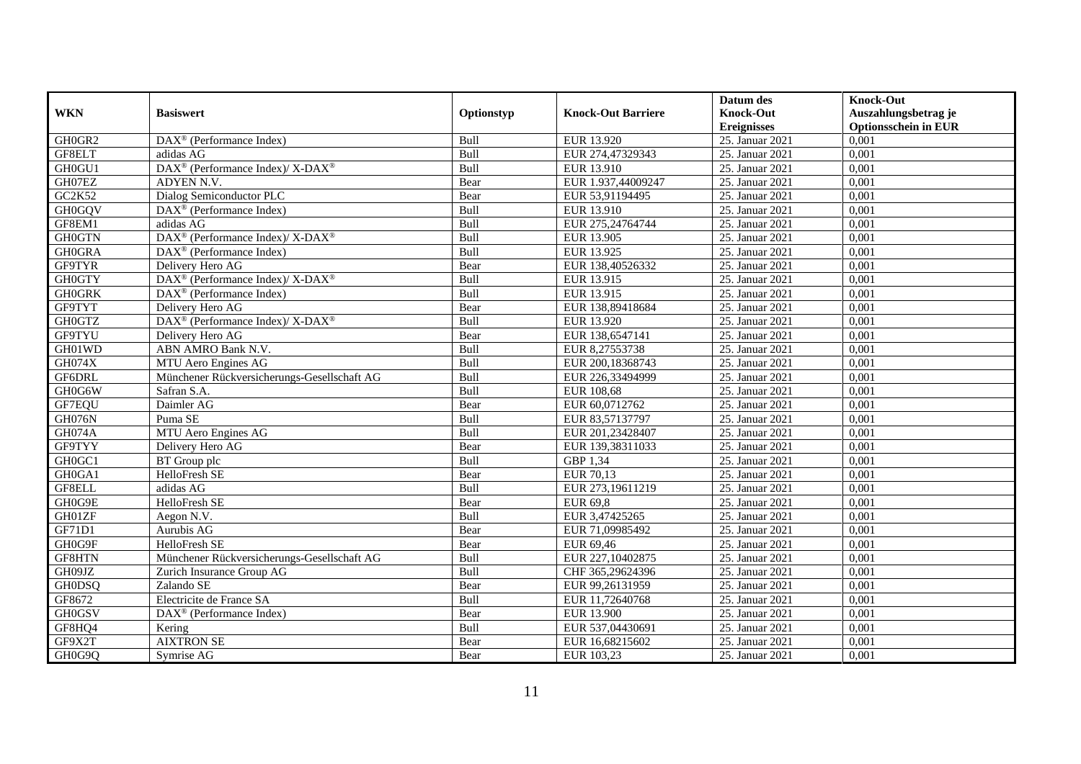|               |                                                                  |            |                           | Datum des          | <b>Knock-Out</b>            |
|---------------|------------------------------------------------------------------|------------|---------------------------|--------------------|-----------------------------|
| <b>WKN</b>    | <b>Basiswert</b>                                                 | Optionstyp | <b>Knock-Out Barriere</b> | <b>Knock-Out</b>   | Auszahlungsbetrag je        |
|               |                                                                  |            |                           | <b>Ereignisses</b> | <b>Optionsschein in EUR</b> |
| GH0GR2        | DAX <sup>®</sup> (Performance Index)                             | Bull       | EUR 13.920                | 25. Januar 2021    | 0,001                       |
| GF8ELT        | adidas AG                                                        | Bull       | EUR 274,47329343          | 25. Januar 2021    | 0,001                       |
| GH0GU1        | $\text{DAX}^{\circledR}$ (Performance Index)/ X-DAX <sup>®</sup> | Bull       | EUR 13.910                | 25. Januar 2021    | 0,001                       |
| GH07EZ        | ADYEN N.V.                                                       | Bear       | EUR 1.937,44009247        | 25. Januar 2021    | 0,001                       |
| GC2K52        | Dialog Semiconductor PLC                                         | Bear       | EUR 53,91194495           | 25. Januar 2021    | 0,001                       |
| <b>GH0GQV</b> | $\text{DAX}^{\textcircled{D}}$ (Performance Index)               | Bull       | EUR 13.910                | 25. Januar 2021    | 0,001                       |
| GF8EM1        | adidas AG                                                        | Bull       | EUR 275,24764744          | 25. Januar 2021    | 0,001                       |
| <b>GH0GTN</b> | DAX <sup>®</sup> (Performance Index)/ X-DAX <sup>®</sup>         | Bull       | <b>EUR 13.905</b>         | 25. Januar 2021    | 0,001                       |
| <b>GH0GRA</b> | $\overline{\text{DAX}^{\otimes}}$ (Performance Index)            | Bull       | EUR 13.925                | 25. Januar 2021    | 0,001                       |
| <b>GF9TYR</b> | Delivery Hero AG                                                 | Bear       | EUR 138,40526332          | 25. Januar 2021    | 0,001                       |
| <b>GH0GTY</b> | DAX <sup>®</sup> (Performance Index)/X-DAX <sup>®</sup>          | Bull       | EUR 13.915                | 25. Januar 2021    | 0,001                       |
| <b>GH0GRK</b> | DAX <sup>®</sup> (Performance Index)                             | Bull       | EUR 13.915                | 25. Januar 2021    | 0,001                       |
| GF9TYT        | Delivery Hero AG                                                 | Bear       | EUR 138,89418684          | 25. Januar 2021    | 0,001                       |
| <b>GH0GTZ</b> | $DAX^{\circledcirc}$ (Performance Index)/ X-DAX <sup>®</sup>     | Bull       | EUR 13.920                | 25. Januar 2021    | 0.001                       |
| GF9TYU        | Delivery Hero AG                                                 | Bear       | EUR 138,6547141           | 25. Januar 2021    | 0,001                       |
| GH01WD        | ABN AMRO Bank N.V.                                               | Bull       | EUR 8,27553738            | 25. Januar 2021    | 0,001                       |
| GH074X        | MTU Aero Engines AG                                              | Bull       | EUR 200,18368743          | 25. Januar 2021    | 0,001                       |
| GF6DRL        | Münchener Rückversicherungs-Gesellschaft AG                      | Bull       | EUR 226,33494999          | 25. Januar 2021    | 0,001                       |
| GH0G6W        | Safran S.A.                                                      | Bull       | EUR 108,68                | 25. Januar 2021    | 0,001                       |
| GF7EQU        | Daimler AG                                                       | Bear       | EUR 60,0712762            | 25. Januar 2021    | 0,001                       |
| GH076N        | Puma SE                                                          | Bull       | EUR 83,57137797           | 25. Januar 2021    | 0,001                       |
| <b>GH074A</b> | MTU Aero Engines AG                                              | Bull       | EUR 201,23428407          | 25. Januar 2021    | 0.001                       |
| GF9TYY        | Delivery Hero AG                                                 | Bear       | EUR 139,38311033          | 25. Januar 2021    | 0,001                       |
| GH0GC1        | BT Group plc                                                     | Bull       | GBP 1,34                  | 25. Januar 2021    | 0,001                       |
| GH0GA1        | HelloFresh SE                                                    | Bear       | EUR 70,13                 | 25. Januar 2021    | 0,001                       |
| GF8ELL        | adidas AG                                                        | Bull       | EUR 273,19611219          | 25. Januar 2021    | 0,001                       |
| GH0G9E        | HelloFresh SE                                                    | Bear       | EUR 69,8                  | 25. Januar 2021    | 0,001                       |
| GH01ZF        | Aegon N. $\overline{V}$ .                                        | Bull       | EUR 3,47425265            | 25. Januar 2021    | 0,001                       |
| GF71D1        | Aurubis AG                                                       | Bear       | EUR 71,09985492           | 25. Januar 2021    | 0,001                       |
| GH0G9F        | HelloFresh SE                                                    | Bear       | EUR 69,46                 | 25. Januar 2021    | 0,001                       |
| GF8HTN        | Münchener Rückversicherungs-Gesellschaft AG                      | Bull       | EUR 227,10402875          | 25. Januar 2021    | 0,001                       |
| GH09JZ        | Zurich Insurance Group AG                                        | Bull       | CHF 365,29624396          | 25. Januar 2021    | 0,001                       |
| <b>GH0DSQ</b> | Zalando SE                                                       | Bear       | EUR 99,26131959           | 25. Januar 2021    | 0,001                       |
| GF8672        | Electricite de France SA                                         | Bull       | EUR 11,72640768           | 25. Januar 2021    | 0,001                       |
| <b>GH0GSV</b> | $\text{DAX}^{\otimes}$ (Performance Index)                       | Bear       | <b>EUR 13.900</b>         | 25. Januar 2021    | 0,001                       |
| GF8HQ4        | Kering                                                           | Bull       | EUR 537,04430691          | 25. Januar 2021    | 0,001                       |
| GF9X2T        | <b>AIXTRON SE</b>                                                | Bear       | EUR 16,68215602           | 25. Januar 2021    | 0,001                       |
| GH0G9Q        | Symrise AG                                                       | Bear       | EUR 103,23                | 25. Januar 2021    | 0,001                       |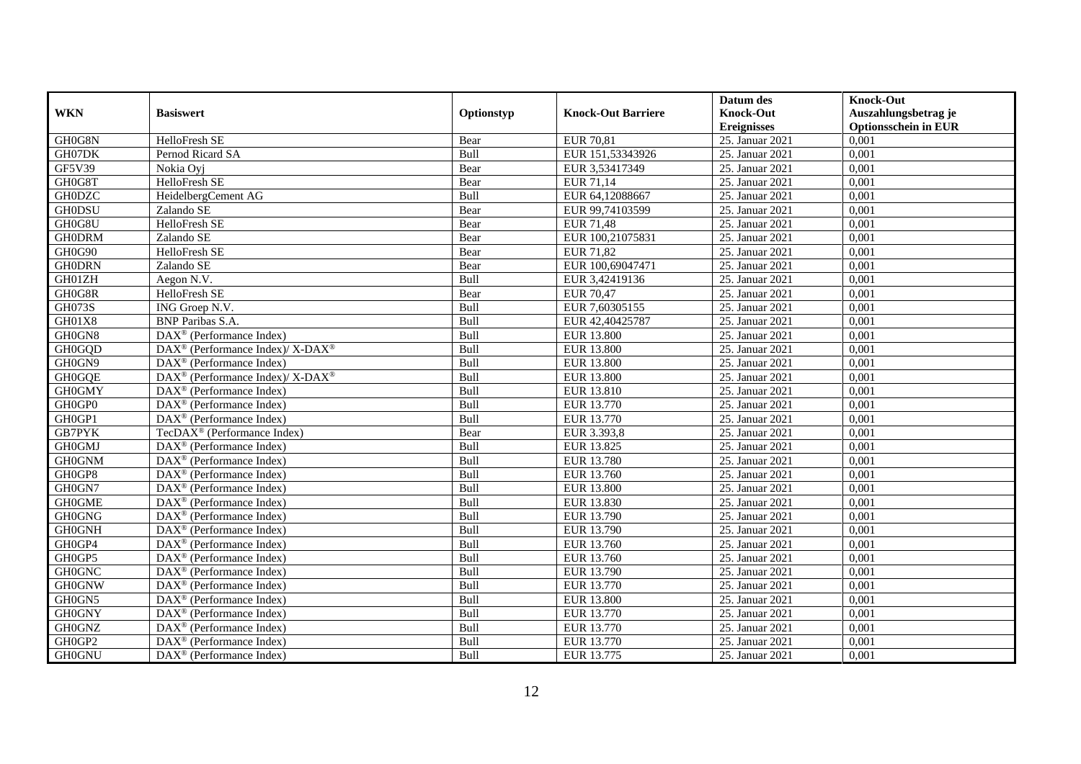|               |                                                                  |             |                           | Datum des          | <b>Knock-Out</b>            |
|---------------|------------------------------------------------------------------|-------------|---------------------------|--------------------|-----------------------------|
| <b>WKN</b>    | <b>Basiswert</b>                                                 | Optionstyp  | <b>Knock-Out Barriere</b> | <b>Knock-Out</b>   | Auszahlungsbetrag je        |
|               |                                                                  |             |                           | <b>Ereignisses</b> | <b>Optionsschein in EUR</b> |
| GH0G8N        | HelloFresh SE                                                    | Bear        | <b>EUR 70,81</b>          | 25. Januar 2021    | 0,001                       |
| GH07DK        | Pernod Ricard SA                                                 | Bull        | EUR 151,53343926          | 25. Januar 2021    | 0,001                       |
| GF5V39        | Nokia Ovi                                                        | Bear        | EUR 3,53417349            | 25. Januar 2021    | 0,001                       |
| GH0G8T        | HelloFresh SE                                                    | Bear        | EUR 71,14                 | 25. Januar 2021    | 0.001                       |
| <b>GH0DZC</b> | HeidelbergCement AG                                              | Bull        | EUR 64,12088667           | 25. Januar 2021    | 0,001                       |
| <b>GH0DSU</b> | Zalando SE                                                       | Bear        | EUR 99,74103599           | 25. Januar 2021    | 0,001                       |
| GH0G8U        | <b>HelloFresh SE</b>                                             | Bear        | <b>EUR 71,48</b>          | 25. Januar 2021    | 0,001                       |
| <b>GH0DRM</b> | Zalando SE                                                       | Bear        | EUR 100,21075831          | 25. Januar 2021    | 0,001                       |
| GH0G90        | HelloFresh SE                                                    | Bear        | <b>EUR 71,82</b>          | 25. Januar 2021    | 0,001                       |
| <b>GH0DRN</b> | Zalando SE                                                       | Bear        | EUR 100,69047471          | 25. Januar 2021    | 0,001                       |
| GH01ZH        | Aegon N.V.                                                       | Bull        | EUR 3,42419136            | 25. Januar 2021    | 0,001                       |
| GH0G8R        | HelloFresh SE                                                    | Bear        | EUR 70,47                 | 25. Januar 2021    | 0,001                       |
| <b>GH073S</b> | ING Groep N.V.                                                   | Bull        | EUR 7,60305155            | 25. Januar 2021    | 0,001                       |
| GH01X8        | <b>BNP</b> Paribas S.A.                                          | Bull        | EUR 42,40425787           | 25. Januar 2021    | 0,001                       |
| GH0GN8        | $\text{DAX}^{\otimes}$ (Performance Index)                       | Bull        | <b>EUR 13.800</b>         | 25. Januar 2021    | 0,001                       |
| <b>GH0GQD</b> | $\text{DAX}^{\circledR}$ (Performance Index)/ X-DAX <sup>®</sup> | Bull        | <b>EUR 13.800</b>         | 25. Januar 2021    | 0,001                       |
| GH0GN9        | DAX <sup>®</sup> (Performance Index)                             | Bull        | <b>EUR 13.800</b>         | 25. Januar 2021    | 0,001                       |
| <b>GH0GQE</b> | $DAX^{\circledcirc}$ (Performance Index)/X-DAX <sup>®</sup>      | <b>Bull</b> | EUR 13.800                | 25. Januar 2021    | 0,001                       |
| <b>GH0GMY</b> | $\overline{\text{DAX}}^{\textcirc}$ (Performance Index)          | Bull        | EUR 13.810                | 25. Januar 2021    | 0,001                       |
| GH0GP0        | DAX <sup>®</sup> (Performance Index)                             | Bull        | EUR 13.770                | 25. Januar 2021    | 0,001                       |
| GH0GP1        | DAX <sup>®</sup> (Performance Index)                             | Bull        | EUR 13.770                | 25. Januar 2021    | 0,001                       |
| <b>GB7PYK</b> | $TecDAX^{\circledast}$ (Performance Index)                       | Bear        | EUR 3.393,8               | 25. Januar 2021    | 0,001                       |
| GH0GMJ        | DAX <sup>®</sup> (Performance Index)                             | Bull        | EUR 13.825                | 25. Januar 2021    | 0,001                       |
| <b>GH0GNM</b> | DAX <sup>®</sup> (Performance Index)                             | Bull        | EUR 13.780                | 25. Januar 2021    | 0,001                       |
| GH0GP8        | $DAX^{\circledR}$ (Performance Index)                            | Bull        | EUR 13.760                | 25. Januar 2021    | 0.001                       |
| GH0GN7        | DAX <sup>®</sup> (Performance Index)                             | Bull        | <b>EUR 13.800</b>         | 25. Januar 2021    | 0,001                       |
| <b>GH0GME</b> | DAX <sup>®</sup> (Performance Index)                             | Bull        | EUR 13.830                | 25. Januar 2021    | 0,001                       |
| <b>GH0GNG</b> | $\text{DAX}^{\textcircled{p}}$ (Performance Index)               | Bull        | EUR 13.790                | 25. Januar 2021    | 0,001                       |
| <b>GH0GNH</b> | $\overline{\text{DAX}^{\otimes}}$ (Performance Index)            | Bull        | EUR 13.790                | 25. Januar 2021    | 0,001                       |
| GH0GP4        | $\text{DAX}^{\circledast}$ (Performance Index)                   | Bull        | EUR 13.760                | 25. Januar 2021    | 0,001                       |
| GH0GP5        | $\text{DAX}^{\textcircled{n}}$ (Performance Index)               | Bull        | EUR 13.760                | 25. Januar 2021    | 0,001                       |
| <b>GH0GNC</b> | $DAX^{\circledR}$ (Performance Index)                            | <b>Bull</b> | EUR 13.790                | 25. Januar 2021    | 0.001                       |
| <b>GH0GNW</b> | $\text{DAX}^{\textcircled{p}}$ (Performance Index)               | Bull        | EUR 13.770                | 25. Januar 2021    | 0,001                       |
| GH0GN5        | DAX <sup>®</sup> (Performance Index)                             | Bull        | <b>EUR 13.800</b>         | 25. Januar 2021    | 0,001                       |
| <b>GH0GNY</b> | DAX <sup>®</sup> (Performance Index)                             | Bull        | EUR 13.770                | 25. Januar 2021    | 0,001                       |
| <b>GH0GNZ</b> | DAX <sup>®</sup> (Performance Index)                             | Bull        | EUR 13.770                | 25. Januar 2021    | 0,001                       |
| GH0GP2        | $\text{DAX}^{\otimes}$ (Performance Index)                       | Bull        | EUR 13.770                | 25. Januar 2021    | 0,001                       |
| <b>GH0GNU</b> | DAX <sup>®</sup> (Performance Index)                             | Bull        | EUR 13.775                | 25. Januar 2021    | 0,001                       |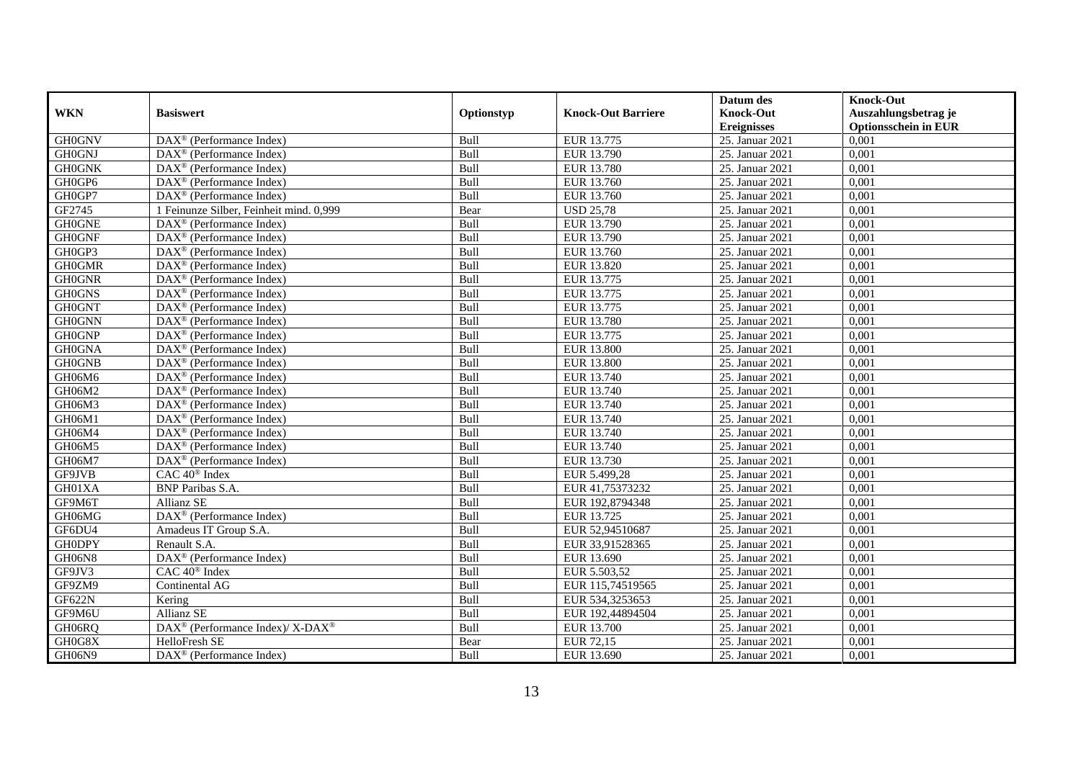|               |                                                                    |             |                           | Datum des          | <b>Knock-Out</b>            |
|---------------|--------------------------------------------------------------------|-------------|---------------------------|--------------------|-----------------------------|
| <b>WKN</b>    | <b>Basiswert</b>                                                   | Optionstyp  | <b>Knock-Out Barriere</b> | <b>Knock-Out</b>   | Auszahlungsbetrag je        |
|               |                                                                    |             |                           | <b>Ereignisses</b> | <b>Optionsschein in EUR</b> |
| <b>GH0GNV</b> | $\overline{\text{DAX}}^{\textcirc}$ (Performance Index)            | Bull        | EUR 13.775                | 25. Januar 2021    | 0,001                       |
| <b>GH0GNJ</b> | $\text{DAX}^{\textcircled{p}}$ (Performance Index)                 | Bull        | EUR 13.790                | 25. Januar 2021    | 0,001                       |
| <b>GH0GNK</b> | DAX <sup>®</sup> (Performance Index)                               | Bull        | EUR 13.780                | 25. Januar 2021    | 0,001                       |
| GH0GP6        | $\text{DAX}^{\circledast}$ (Performance Index)                     | Bull        | EUR 13.760                | 25. Januar 2021    | 0,001                       |
| GH0GP7        | DAX <sup>®</sup> (Performance Index)                               | Bull        | EUR 13.760                | 25. Januar 2021    | 0,001                       |
| GF2745        | 1 Feinunze Silber, Feinheit mind. 0,999                            | Bear        | <b>USD 25,78</b>          | 25. Januar 2021    | 0,001                       |
| <b>GH0GNE</b> | $\text{DAX}^{\textcircled{n}}$ (Performance Index)                 | Bull        | EUR 13.790                | 25. Januar 2021    | 0,001                       |
| <b>GH0GNF</b> | $DAX^{\otimes}$ (Performance Index)                                | Bull        | EUR 13.790                | 25. Januar 2021    | 0,001                       |
| GH0GP3        | $\text{DAX}^{\textcircled{p}}$ (Performance Index)                 | Bull        | EUR 13.760                | 25. Januar 2021    | 0,001                       |
| <b>GH0GMR</b> | $DAX^{\otimes}$ (Performance Index)                                | Bull        | EUR 13.820                | 25. Januar 2021    | 0,001                       |
| <b>GH0GNR</b> | $\overline{\text{DAX}}^{\textcircled{}}$ (Performance Index)       | Bull        | EUR 13.775                | 25. Januar 2021    | 0,001                       |
| <b>GH0GNS</b> | $\overline{\text{DAX}^{\otimes}}$ (Performance Index)              | Bull        | EUR 13.775                | 25. Januar 2021    | 0,001                       |
| <b>GH0GNT</b> | $\text{DAX}^{\circledast}$ (Performance Index)                     | Bull        | EUR 13.775                | 25. Januar 2021    | 0,001                       |
| <b>GH0GNN</b> | DAX <sup>®</sup> (Performance Index)                               | Bull        | EUR 13.780                | 25. Januar 2021    | 0,001                       |
| <b>GH0GNP</b> | $\text{DAX}^{\circledast}$ (Performance Index)                     | Bull        | EUR 13.775                | 25. Januar 2021    | 0,001                       |
| <b>GH0GNA</b> | DAX <sup>®</sup> (Performance Index)                               | Bull        | <b>EUR 13.800</b>         | 25. Januar 2021    | 0,001                       |
| <b>GH0GNB</b> | DAX <sup>®</sup> (Performance Index)                               | Bull        | <b>EUR 13.800</b>         | 25. Januar 2021    | 0,001                       |
| GH06M6        | $DAX^{\circledR}$ (Performance Index)                              | <b>Bull</b> | EUR 13.740                | 25. Januar 2021    | 0,001                       |
| GH06M2        | $\overline{\text{DAX}}^{\textcircled{}}$ (Performance Index)       | Bull        | EUR 13.740                | 25. Januar 2021    | 0,001                       |
| GH06M3        | DAX <sup>®</sup> (Performance Index)                               | Bull        | EUR 13.740                | 25. Januar 2021    | 0,001                       |
| GH06M1        | DAX <sup>®</sup> (Performance Index)                               | Bull        | EUR 13.740                | 25. Januar 2021    | 0,001                       |
| GH06M4        | $\overline{\text{DAX}^{\otimes}}$ (Performance Index)              | Bull        | EUR 13.740                | 25. Januar 2021    | 0,001                       |
| GH06M5        | $\overline{\text{DAX}^{\otimes}}$ (Performance Index)              | Bull        | EUR 13.740                | 25. Januar 2021    | 0,001                       |
| GH06M7        | DAX <sup>®</sup> (Performance Index)                               | Bull        | EUR 13.730                | 25. Januar 2021    | 0,001                       |
| GF9JVB        | CAC 40 <sup>®</sup> Index                                          | Bull        | EUR 5.499,28              | 25. Januar 2021    | 0,001                       |
| GH01XA        | <b>BNP</b> Paribas S.A.                                            | Bull        | EUR 41,75373232           | 25. Januar 2021    | 0,001                       |
| GF9M6T        | Allianz SE                                                         | Bull        | EUR 192,8794348           | 25. Januar 2021    | 0,001                       |
| GH06MG        | DAX <sup>®</sup> (Performance Index)                               | Bull        | EUR 13.725                | 25. Januar 2021    | 0.001                       |
| GF6DU4        | Amadeus IT Group S.A.                                              | Bull        | EUR 52,94510687           | 25. Januar 2021    | 0,001                       |
| <b>GH0DPY</b> | Renault S.A.                                                       | Bull        | EUR 33,91528365           | 25. Januar 2021    | 0,001                       |
| GH06N8        | DAX <sup>®</sup> (Performance Index)                               | Bull        | EUR 13.690                | 25. Januar 2021    | 0,001                       |
| GF9JV3        | CAC 40 <sup>®</sup> Index                                          | Bull        | EUR 5.503,52              | 25. Januar 2021    | 0.001                       |
| GF9ZM9        | Continental AG                                                     | Bull        | EUR 115,74519565          | 25. Januar 2021    | 0,001                       |
| <b>GF622N</b> | Kering                                                             | Bull        | EUR 534,3253653           | 25. Januar 2021    | 0,001                       |
| GF9M6U        | Allianz SE                                                         | Bull        | EUR 192,44894504          | 25. Januar 2021    | 0,001                       |
| GH06RQ        | $\text{DAX}^{\circledast}$ (Performance Index)/ X-DAX <sup>®</sup> | Bull        | EUR 13.700                | 25. Januar 2021    | 0,001                       |
| GH0G8X        | HelloFresh SE                                                      | Bear        | EUR 72,15                 | 25. Januar 2021    | 0,001                       |
| GH06N9        | $\overline{\text{DAX}}^{\textcircled{}}$ (Performance Index)       | Bull        | EUR 13.690                | 25. Januar 2021    | 0,001                       |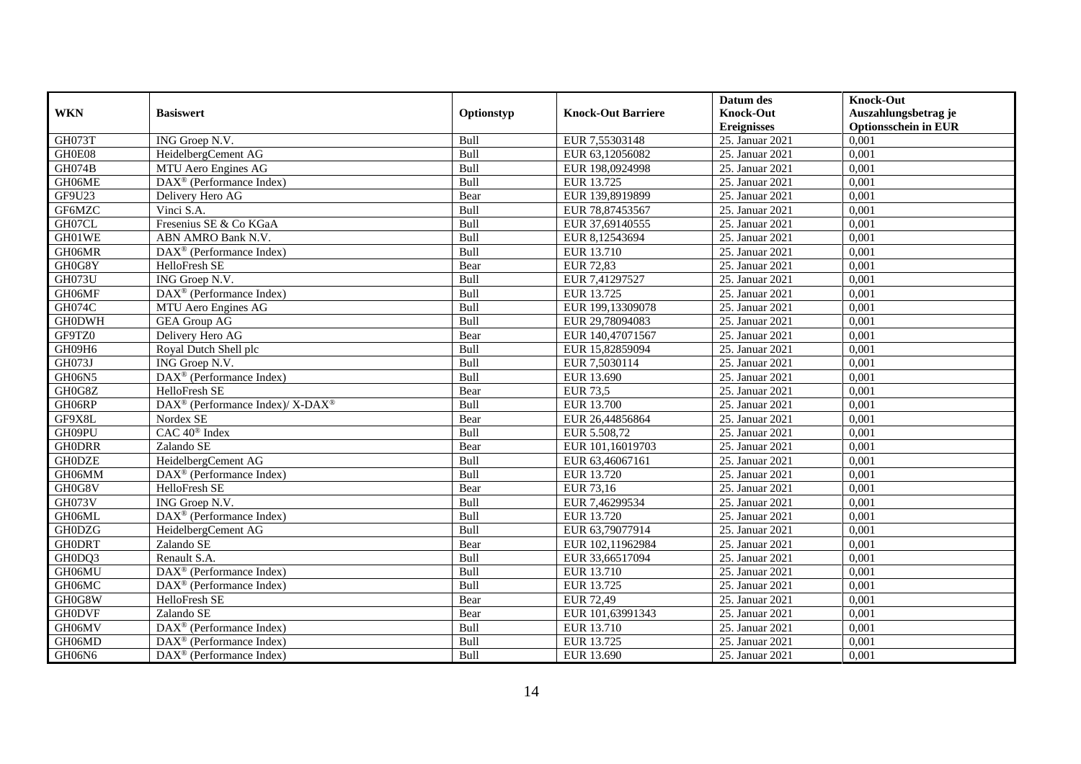|               |                                                                  |            |                           | Datum des          | <b>Knock-Out</b>            |
|---------------|------------------------------------------------------------------|------------|---------------------------|--------------------|-----------------------------|
| <b>WKN</b>    | <b>Basiswert</b>                                                 | Optionstyp | <b>Knock-Out Barriere</b> | <b>Knock-Out</b>   | Auszahlungsbetrag je        |
|               |                                                                  |            |                           | <b>Ereignisses</b> | <b>Optionsschein in EUR</b> |
| GH073T        | ING Groep N.V.                                                   | Bull       | EUR 7,55303148            | 25. Januar 2021    | 0,001                       |
| GH0E08        | HeidelbergCement AG                                              | Bull       | EUR 63,12056082           | 25. Januar 2021    | 0,001                       |
| GH074B        | MTU Aero Engines AG                                              | Bull       | EUR 198,0924998           | 25. Januar 2021    | 0,001                       |
| GH06ME        | $\text{DAX}^{\textcircled{n}}$ (Performance Index)               | Bull       | EUR 13.725                | 25. Januar 2021    | 0,001                       |
| GF9U23        | Delivery Hero AG                                                 | Bear       | EUR 139,8919899           | 25. Januar 2021    | 0,001                       |
| GF6MZC        | Vinci S.A.                                                       | Bull       | EUR 78,87453567           | 25. Januar 2021    | 0,001                       |
| GH07CL        | Fresenius SE & Co KGaA                                           | Bull       | EUR 37,69140555           | 25. Januar 2021    | 0,001                       |
| GH01WE        | ABN AMRO Bank N.V.                                               | Bull       | EUR 8,12543694            | 25. Januar 2021    | 0,001                       |
| GH06MR        | $\text{DAX}^{\textcircled{D}}$ (Performance Index)               | Bull       | EUR 13.710                | 25. Januar 2021    | 0,001                       |
| GH0G8Y        | HelloFresh SE                                                    | Bear       | <b>EUR 72,83</b>          | 25. Januar 2021    | 0,001                       |
| <b>GH073U</b> | ING Groep N.V.                                                   | Bull       | EUR 7,41297527            | 25. Januar 2021    | 0,001                       |
| GH06MF        | DAX <sup>®</sup> (Performance Index)                             | Bull       | EUR 13.725                | 25. Januar 2021    | 0,001                       |
| <b>GH074C</b> | MTU Aero Engines AG                                              | Bull       | EUR 199,13309078          | 25. Januar 2021    | 0,001                       |
| <b>GH0DWH</b> | <b>GEA Group AG</b>                                              | Bull       | EUR 29,78094083           | 25. Januar 2021    | 0,001                       |
| GF9TZ0        | Delivery Hero AG                                                 | Bear       | EUR 140,47071567          | 25. Januar 2021    | 0,001                       |
| GH09H6        | Royal Dutch Shell plc                                            | Bull       | EUR 15,82859094           | 25. Januar 2021    | 0,001                       |
| GH073J        | ING Groep N.V.                                                   | Bull       | EUR 7,5030114             | 25. Januar 2021    | 0,001                       |
| <b>GH06N5</b> | $\text{DAX}^{\textcircled{p}}$ (Performance Index)               | Bull       | EUR 13.690                | 25. Januar 2021    | 0,001                       |
| GH0G8Z        | HelloFresh SE                                                    | Bear       | <b>EUR 73,5</b>           | 25. Januar 2021    | 0,001                       |
| GH06RP        | $\text{DAX}^{\circledR}$ (Performance Index)/ X-DAX <sup>®</sup> | Bull       | EUR 13.700                | 25. Januar 2021    | 0,001                       |
| GF9X8L        | Nordex SE                                                        | Bear       | EUR 26,44856864           | 25. Januar 2021    | 0,001                       |
| GH09PU        | CAC 40 <sup>®</sup> Index                                        | Bull       | EUR 5.508,72              | 25. Januar 2021    | 0,001                       |
| <b>GHODRR</b> | Zalando SE                                                       | Bear       | EUR 101,16019703          | 25. Januar 2021    | 0,001                       |
| <b>GH0DZE</b> | HeidelbergCement AG                                              | Bull       | EUR 63,46067161           | 25. Januar 2021    | 0,001                       |
| GH06MM        | $\overline{\text{DAX}^{\otimes}}$ (Performance Index)            | Bull       | EUR 13.720                | 25. Januar 2021    | 0,001                       |
| GH0G8V        | HelloFresh SE                                                    | Bear       | EUR 73,16                 | 25. Januar 2021    | 0,001                       |
| GH073V        | ING Groep N.V.                                                   | Bull       | EUR 7,46299534            | 25. Januar 2021    | 0,001                       |
| GH06ML        | DAX <sup>®</sup> (Performance Index)                             | Bull       | EUR 13.720                | 25. Januar 2021    | 0.001                       |
| <b>GH0DZG</b> | HeidelbergCement AG                                              | Bull       | EUR 63,79077914           | 25. Januar 2021    | 0,001                       |
| <b>GHODRT</b> | Zalando SE                                                       | Bear       | EUR 102,11962984          | 25. Januar 2021    | 0,001                       |
| GH0DQ3        | Renault S.A.                                                     | Bull       | EUR 33,66517094           | 25. Januar 2021    | 0,001                       |
| GH06MU        | DAX <sup>®</sup> (Performance Index)                             | Bull       | EUR 13.710                | 25. Januar 2021    | 0,001                       |
| GH06MC        | $\overline{\text{DAX}^{\otimes}}$ (Performance Index)            | Bull       | EUR 13.725                | 25. Januar 2021    | 0,001                       |
| GH0G8W        | HelloFresh SE                                                    | Bear       | EUR 72,49                 | 25. Januar 2021    | 0,001                       |
| <b>GH0DVF</b> | Zalando SE                                                       | Bear       | EUR 101,63991343          | 25. Januar 2021    | 0,001                       |
| GH06MV        | DAX <sup>®</sup> (Performance Index)                             | Bull       | EUR 13.710                | 25. Januar 2021    | 0,001                       |
| GH06MD        | $\text{DAX}^{\textcircled{n}}$ (Performance Index)               | Bull       | EUR 13.725                | 25. Januar 2021    | 0,001                       |
| GH06N6        | $\text{DAX}^{\textcircled{n}}$ (Performance Index)               | Bull       | EUR 13.690                | 25. Januar 2021    | 0,001                       |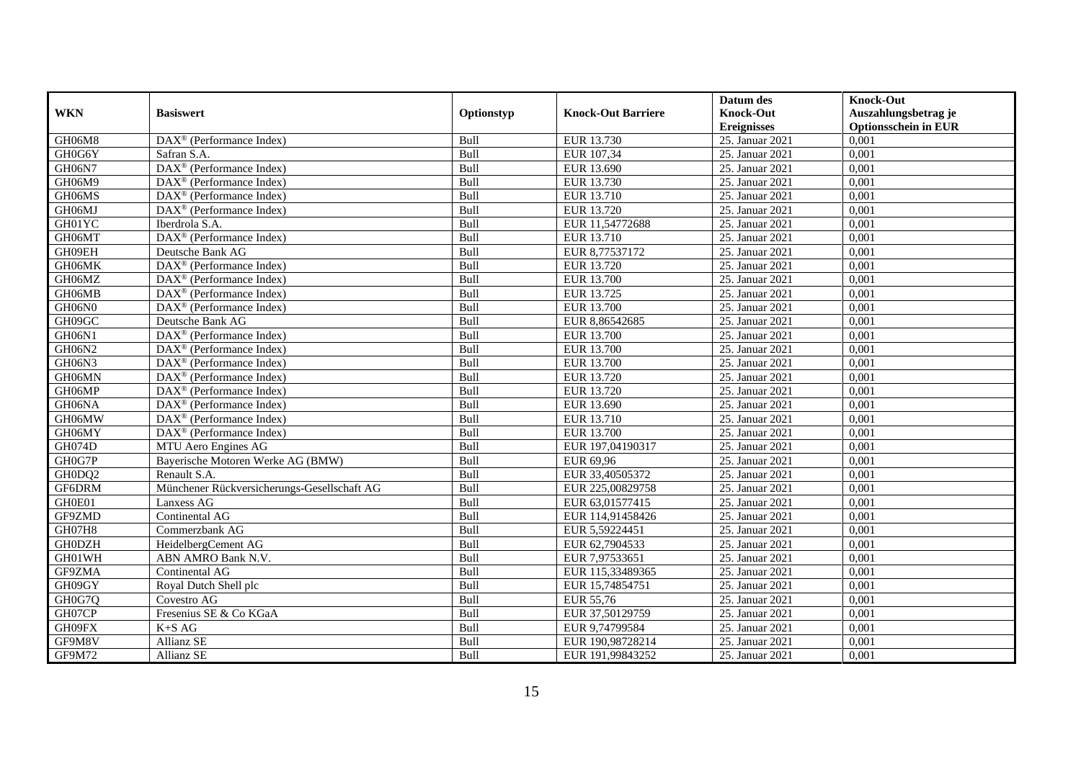|               |                                                              |             |                           | Datum des          | <b>Knock-Out</b>            |
|---------------|--------------------------------------------------------------|-------------|---------------------------|--------------------|-----------------------------|
| <b>WKN</b>    | <b>Basiswert</b>                                             | Optionstyp  | <b>Knock-Out Barriere</b> | <b>Knock-Out</b>   | Auszahlungsbetrag je        |
|               |                                                              |             |                           | <b>Ereignisses</b> | <b>Optionsschein in EUR</b> |
| GH06M8        | DAX <sup>®</sup> (Performance Index)                         | Bull        | EUR 13.730                | 25. Januar 2021    | 0,001                       |
| GH0G6Y        | Safran S.A.                                                  | Bull        | EUR 107,34                | 25. Januar 2021    | 0,001                       |
| GH06N7        | $\overline{\text{DAX}^{\otimes}}$ (Performance Index)        | Bull        | EUR 13.690                | 25. Januar 2021    | 0,001                       |
| GH06M9        | DAX <sup>®</sup> (Performance Index)                         | Bull        | EUR 13.730                | 25. Januar 2021    | 0,001                       |
| GH06MS        | $\overline{\text{DAX}}^{\textcircled{}}$ (Performance Index) | Bull        | EUR 13.710                | 25. Januar 2021    | 0,001                       |
| GH06MJ        | $\overline{\text{DAX}^{\otimes}}$ (Performance Index)        | Bull        | EUR 13.720                | 25. Januar 2021    | 0,001                       |
| GH01YC        | Iberdrola S.A.                                               | Bull        | EUR 11,54772688           | 25. Januar 2021    | 0,001                       |
| GH06MT        | DAX <sup>®</sup> (Performance Index)                         | Bull        | EUR 13.710                | 25. Januar 2021    | 0,001                       |
| GH09EH        | Deutsche Bank AG                                             | Bull        | EUR 8,77537172            | 25. Januar 2021    | 0,001                       |
| GH06MK        | DAX <sup>®</sup> (Performance Index)                         | Bull        | <b>EUR 13.720</b>         | 25. Januar 2021    | 0,001                       |
| GH06MZ        | $\overline{\text{DAX}^{\otimes}}$ (Performance Index)        | Bull        | EUR 13.700                | 25. Januar 2021    | 0,001                       |
| GH06MB        | DAX <sup>®</sup> (Performance Index)                         | Bull        | EUR 13.725                | 25. Januar 2021    | 0,001                       |
| GH06N0        | $\text{DAX}^{\textcircled{n}}$ (Performance Index)           | Bull        | EUR 13.700                | 25. Januar 2021    | 0,001                       |
| GH09GC        | Deutsche Bank AG                                             | Bull        | EUR 8,86542685            | 25. Januar 2021    | 0.001                       |
| GH06N1        | $\overline{\text{DAX}}^{\textcirc}$ (Performance Index)      | Bull        | EUR 13.700                | 25. Januar 2021    | 0,001                       |
| GH06N2        | DAX <sup>®</sup> (Performance Index)                         | Bull        | EUR 13.700                | 25. Januar 2021    | 0,001                       |
| GH06N3        | DAX <sup>®</sup> (Performance Index)                         | Bull        | EUR 13.700                | 25. Januar 2021    | 0,001                       |
| GH06MN        | DAX <sup>®</sup> (Performance Index)                         | Bull        | EUR 13.720                | 25. Januar 2021    | 0,001                       |
| GH06MP        | $\text{DAX}^{\circledast}$ (Performance Index)               | Bull        | EUR 13.720                | 25. Januar 2021    | 0,001                       |
| GH06NA        | $\text{DAX}^{\circledast}$ (Performance Index)               | Bull        | EUR 13.690                | 25. Januar 2021    | 0,001                       |
| GH06MW        | DAX <sup>®</sup> (Performance Index)                         | Bull        | EUR 13.710                | 25. Januar 2021    | 0,001                       |
| GH06MY        | $\overline{\text{DAX}}^{\textcircled{}}$ (Performance Index) | <b>Bull</b> | EUR 13.700                | 25. Januar 2021    | 0,001                       |
| <b>GH074D</b> | MTU Aero Engines AG                                          | Bull        | EUR 197,04190317          | 25. Januar 2021    | 0,001                       |
| GH0G7P        | Bayerische Motoren Werke AG (BMW)                            | Bull        | EUR 69,96                 | 25. Januar 2021    | 0,001                       |
| GH0DQ2        | Renault S.A.                                                 | Bull        | EUR 33,40505372           | 25. Januar 2021    | 0,001                       |
| GF6DRM        | Münchener Rückversicherungs-Gesellschaft AG                  | Bull        | EUR 225,00829758          | 25. Januar 2021    | 0,001                       |
| GH0E01        | Lanxess AG                                                   | Bull        | EUR 63,01577415           | 25. Januar 2021    | 0,001                       |
| GF9ZMD        | Continental AG                                               | Bull        | EUR 114,91458426          | 25. Januar 2021    | 0,001                       |
| GH07H8        | Commerzbank AG                                               | Bull        | EUR 5,59224451            | 25. Januar 2021    | 0,001                       |
| <b>GH0DZH</b> | HeidelbergCement AG                                          | Bull        | EUR 62,7904533            | 25. Januar 2021    | 0,001                       |
| GH01WH        | ABN AMRO Bank N.V.                                           | Bull        | EUR 7,97533651            | 25. Januar 2021    | 0,001                       |
| GF9ZMA        | Continental AG                                               | Bull        | EUR 115,33489365          | 25. Januar 2021    | 0,001                       |
| GH09GY        | Royal Dutch Shell plc                                        | Bull        | EUR 15,74854751           | 25. Januar 2021    | 0,001                       |
| GH0G7Q        | Covestro AG                                                  | Bull        | EUR 55,76                 | 25. Januar 2021    | 0,001                       |
| GH07CP        | Fresenius SE & Co KGaA                                       | Bull        | EUR 37,50129759           | 25. Januar 2021    | 0,001                       |
| GH09FX        | $K+SAG$                                                      | Bull        | EUR 9,74799584            | 25. Januar 2021    | 0,001                       |
| GF9M8V        | Allianz SE                                                   | Bull        | EUR 190,98728214          | 25. Januar 2021    | 0,001                       |
| GF9M72        | Allianz SE                                                   | Bull        | EUR 191,99843252          | 25. Januar 2021    | 0,001                       |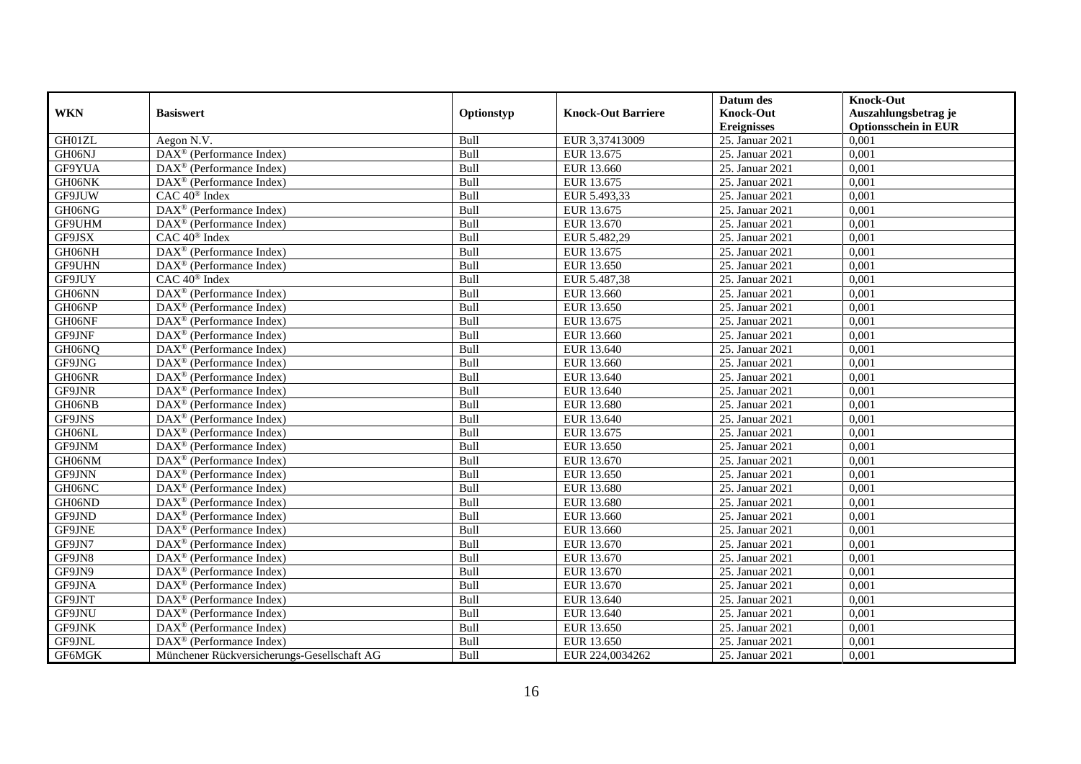|            |                                                             |            |                           | Datum des          | <b>Knock-Out</b>            |
|------------|-------------------------------------------------------------|------------|---------------------------|--------------------|-----------------------------|
| <b>WKN</b> | <b>Basiswert</b>                                            | Optionstyp | <b>Knock-Out Barriere</b> | <b>Knock-Out</b>   | Auszahlungsbetrag je        |
|            |                                                             |            |                           | <b>Ereignisses</b> | <b>Optionsschein in EUR</b> |
| GH01ZL     | Aegon N.V.                                                  | Bull       | EUR 3,37413009            | 25. Januar 2021    | 0,001                       |
| GH06NJ     | DAX <sup>®</sup> (Performance Index)                        | Bull       | EUR 13.675                | 25. Januar 2021    | 0,001                       |
| GF9YUA     | $\text{DAX}^{\circledast}$ (Performance Index)              | Bull       | EUR 13.660                | 25. Januar 2021    | 0,001                       |
| GH06NK     | DAX <sup>®</sup> (Performance Index)                        | Bull       | EUR 13.675                | 25. Januar 2021    | 0,001                       |
| GF9JUW     | CAC 40 <sup>®</sup> Index                                   | Bull       | EUR 5.493,33              | 25. Januar 2021    | 0,001                       |
| GH06NG     | DAX <sup>®</sup> (Performance Index)                        | Bull       | EUR 13.675                | 25. Januar 2021    | 0,001                       |
| GF9UHM     | $\overline{\text{DAX}}^{\textcirc}$ (Performance Index)     | Bull       | EUR 13.670                | 25. Januar 2021    | 0,001                       |
| GF9JSX     | CAC 40 <sup>®</sup> Index                                   | Bull       | EUR 5.482,29              | 25. Januar 2021    | 0,001                       |
| GH06NH     | $\text{DAX}^{\circledast}$ (Performance Index)              | Bull       | EUR 13.675                | 25. Januar 2021    | 0,001                       |
| GF9UHN     | $DAX^{\circledast}$ (Performance Index)                     | Bull       | EUR 13.650                | 25. Januar 2021    | 0,001                       |
| GF9JUY     | CAC 40 <sup>®</sup> Index                                   | Bull       | EUR 5.487,38              | 25. Januar 2021    | 0,001                       |
| GH06NN     | DAX <sup>®</sup> (Performance Index)                        | Bull       | EUR 13.660                | 25. Januar 2021    | 0,001                       |
| GH06NP     | $\text{DAX}^{\textcircled{}}$ (Performance Index)           | Bull       | EUR 13.650                | 25. Januar 2021    | 0,001                       |
| GH06NF     | $DAX^{\circledR}$ (Performance Index)                       | Bull       | EUR 13.675                | 25. Januar 2021    | 0,001                       |
| GF9JNF     | DAX <sup>®</sup> (Performance Index)                        | Bull       | EUR 13.660                | 25. Januar 2021    | 0,001                       |
| GH06NQ     | DAX <sup>®</sup> (Performance Index)                        | Bull       | EUR 13.640                | 25. Januar 2021    | 0,001                       |
| GF9JNG     | $\text{DAX}^{\circledast}$ (Performance Index)              | Bull       | EUR 13.660                | 25. Januar 2021    | 0,001                       |
| GH06NR     | DAX <sup>®</sup> (Performance Index)                        | Bull       | EUR 13.640                | 25. Januar 2021    | 0,001                       |
| GF9JNR     | $\text{DAX}^{\circledast}$ (Performance Index)              | Bull       | EUR 13.640                | 25. Januar 2021    | 0,001                       |
| GH06NB     | $\text{DAX}^{\textcircled{}}$ (Performance Index)           | Bull       | EUR 13.680                | 25. Januar 2021    | 0,001                       |
| GF9JNS     | DAX <sup>®</sup> (Performance Index)                        | Bull       | EUR 13.640                | 25. Januar 2021    | 0,001                       |
| GH06NL     | $DAX^{\circledR}$ (Performance Index)                       | Bull       | EUR 13.675                | 25. Januar 2021    | 0.001                       |
| GF9JNM     | $\overline{\text{DAX}}^{\textcirc}$ (Performance Index)     | Bull       | EUR 13.650                | 25. Januar 2021    | 0,001                       |
| GH06NM     | $DAX^{\circledR}$ (Performance Index)                       | Bull       | EUR 13.670                | 25. Januar 2021    | 0,001                       |
| GF9JNN     | $\text{DAX}^{\textcircled{}}$ (Performance Index)           | Bull       | EUR 13.650                | 25. Januar 2021    | 0,001                       |
| GH06NC     | $\text{DAX}^{\otimes}$ (Performance Index)                  | Bull       | EUR 13.680                | 25. Januar 2021    | 0,001                       |
| GH06ND     | DAX <sup>®</sup> (Performance Index)                        | Bull       | EUR 13.680                | 25. Januar 2021    | 0,001                       |
| GF9JND     | $\overline{\text{DAX}^{\otimes}}$ (Performance Index)       | Bull       | EUR 13.660                | 25. Januar 2021    | 0,001                       |
| GF9JNE     | DAX <sup>®</sup> (Performance Index)                        | Bull       | EUR 13.660                | 25. Januar 2021    | 0,001                       |
| GF9JN7     | $DAX^{\circledR}$ (Performance Index)                       | Bull       | EUR 13.670                | 25. Januar 2021    | 0.001                       |
| GF9JN8     | $\text{DAX}^{\textcircled{}}$ (Performance Index)           | Bull       | EUR 13.670                | 25. Januar 2021    | 0,001                       |
| GF9JN9     | DAX <sup>®</sup> (Performance Index)                        | Bull       | EUR 13.670                | 25. Januar 2021    | 0,001                       |
| GF9JNA     | $\text{DAX}^{\textcircled{}}$ (Performance Index)           | Bull       | EUR 13.670                | 25. Januar 2021    | 0,001                       |
| GF9JNT     | $\overline{\text{DAX}^{\otimes}(\text{Performance Index})}$ | Bull       | EUR 13.640                | 25. Januar 2021    | 0,001                       |
| GF9JNU     | $\text{DAX}^{\textcircled{}}$ (Performance Index)           | Bull       | EUR 13.640                | 25. Januar 2021    | 0,001                       |
| GF9JNK     | DAX <sup>®</sup> (Performance Index)                        | Bull       | EUR 13.650                | 25. Januar 2021    | 0,001                       |
| GF9JNL     | $DAX^{\circledast}$ (Performance Index)                     | Bull       | EUR 13.650                | 25. Januar 2021    | 0,001                       |
| GF6MGK     | Münchener Rückversicherungs-Gesellschaft AG                 | Bull       | EUR 224,0034262           | 25. Januar 2021    | 0,001                       |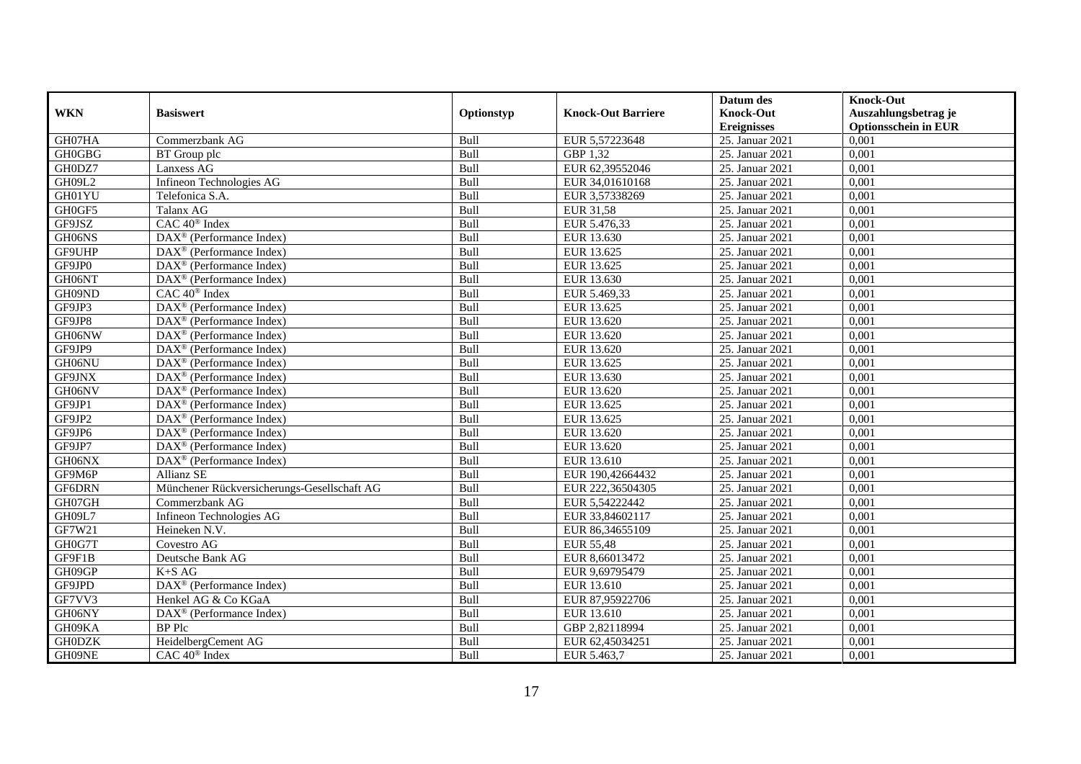|               |                                                         |             |                           | Datum des          | <b>Knock-Out</b>            |
|---------------|---------------------------------------------------------|-------------|---------------------------|--------------------|-----------------------------|
| <b>WKN</b>    | <b>Basiswert</b>                                        | Optionstyp  | <b>Knock-Out Barriere</b> | <b>Knock-Out</b>   | Auszahlungsbetrag je        |
|               |                                                         |             |                           | <b>Ereignisses</b> | <b>Optionsschein in EUR</b> |
| GH07HA        | Commerzbank AG                                          | Bull        | EUR 5,57223648            | 25. Januar 2021    | 0,001                       |
| <b>GH0GBG</b> | BT Group plc                                            | Bull        | GBP 1,32                  | 25. Januar 2021    | 0,001                       |
| GH0DZ7        | Lanxess AG                                              | Bull        | EUR 62,39552046           | 25. Januar 2021    | 0,001                       |
| GH09L2        | Infineon Technologies AG                                | Bull        | EUR 34,01610168           | 25. Januar 2021    | 0,001                       |
| GH01YU        | Telefonica S.A.                                         | Bull        | EUR 3,57338269            | 25. Januar 2021    | 0,001                       |
| GH0GF5        | Talanx AG                                               | Bull        | EUR 31,58                 | 25. Januar 2021    | 0,001                       |
| GF9JSZ        | CAC 40 <sup>®</sup> Index                               | Bull        | EUR 5.476,33              | 25. Januar 2021    | 0,001                       |
| GH06NS        | DAX <sup>®</sup> (Performance Index)                    | Bull        | EUR 13.630                | 25. Januar 2021    | 0,001                       |
| GF9UHP        | $\text{DAX}^{\textcircled{n}}$ (Performance Index)      | Bull        | EUR 13.625                | 25. Januar 2021    | 0,001                       |
| GF9JP0        | $\text{DAX}^{\textcircled{}}$ (Performance Index)       | Bull        | EUR 13.625                | 25. Januar 2021    | 0,001                       |
| GH06NT        | $\overline{\text{DAX}^{\otimes}}$ (Performance Index)   | Bull        | EUR 13.630                | 25. Januar 2021    | 0,001                       |
| GH09ND        | CAC 40 <sup>®</sup> Index                               | Bull        | EUR 5.469,33              | 25. Januar 2021    | 0,001                       |
| GF9JP3        | $\text{DAX}^{\textcircled{n}}$ (Performance Index)      | Bull        | EUR 13.625                | 25. Januar 2021    | 0,001                       |
| GF9JP8        | $DAX^{\circledR}$ (Performance Index)                   | Bull        | EUR 13.620                | 25. Januar 2021    | 0.001                       |
| GH06NW        | $DAX^{\otimes}$ (Performance Index)                     | Bull        | EUR 13.620                | 25. Januar 2021    | 0,001                       |
| GF9JP9        | DAX <sup>®</sup> (Performance Index)                    | Bull        | EUR 13.620                | 25. Januar 2021    | 0,001                       |
| GH06NU        | DAX <sup>®</sup> (Performance Index)                    | Bull        | EUR 13.625                | 25. Januar 2021    | 0,001                       |
| GF9JNX        | DAX <sup>®</sup> (Performance Index)                    | Bull        | EUR 13.630                | 25. Januar 2021    | 0,001                       |
| GH06NV        | $\text{DAX}^{\textcircled{n}}$ (Performance Index)      | Bull        | EUR 13.620                | 25. Januar 2021    | 0,001                       |
| GF9JP1        | DAX <sup>®</sup> (Performance Index)                    | Bull        | EUR 13.625                | 25. Januar 2021    | 0,001                       |
| GF9JP2        | DAX <sup>®</sup> (Performance Index)                    | Bull        | EUR 13.625                | 25. Januar 2021    | 0,001                       |
| GF9JP6        | $\text{DAX}^{\textcircled{p}}$ (Performance Index)      | <b>Bull</b> | EUR 13.620                | 25. Januar 2021    | 0,001                       |
| GF9JP7        | $\text{DAX}^{\textcircled{p}}$ (Performance Index)      | Bull        | EUR 13.620                | 25. Januar 2021    | 0,001                       |
| GH06NX        | $\overline{\text{DAX}}^{\textcirc}$ (Performance Index) | Bull        | EUR 13.610                | 25. Januar 2021    | 0,001                       |
| GF9M6P        | Allianz SE                                              | Bull        | EUR 190,42664432          | 25. Januar 2021    | 0,001                       |
| GF6DRN        | Münchener Rückversicherungs-Gesellschaft AG             | Bull        | EUR 222,36504305          | 25. Januar 2021    | 0,001                       |
| GH07GH        | Commerzbank AG                                          | Bull        | EUR 5,54222442            | 25. Januar 2021    | 0,001                       |
| GH09L7        | Infineon Technologies AG                                | Bull        | EUR 33,84602117           | 25. Januar 2021    | 0,001                       |
| GF7W21        | Heineken N.V.                                           | Bull        | EUR 86,34655109           | 25. Januar 2021    | 0,001                       |
| GH0G7T        | Covestro AG                                             | Bull        | <b>EUR 55,48</b>          | 25. Januar 2021    | 0,001                       |
| GF9F1B        | Deutsche Bank AG                                        | Bull        | EUR 8,66013472            | 25. Januar 2021    | 0,001                       |
| GH09GP        | $K+SAG$                                                 | Bull        | EUR 9,69795479            | 25. Januar 2021    | 0,001                       |
| GF9JPD        | $\overline{\text{DAX}^{\otimes}}$ (Performance Index)   | Bull        | EUR 13.610                | 25. Januar 2021    | 0,001                       |
| GF7VV3        | Henkel AG & Co KGaA                                     | Bull        | EUR 87,95922706           | 25. Januar 2021    | 0,001                       |
| GH06NY        | $\text{DAX}^{\textcircled{n}}$ (Performance Index)      | Bull        | EUR 13.610                | 25. Januar 2021    | 0,001                       |
| GH09KA        | <b>BP</b> Plc                                           | Bull        | GBP 2,82118994            | 25. Januar 2021    | 0,001                       |
| <b>GH0DZK</b> | HeidelbergCement AG                                     | Bull        | EUR 62,45034251           | 25. Januar 2021    | 0,001                       |
| GH09NE        | CAC 40 <sup>®</sup> Index                               | Bull        | EUR 5.463,7               | 25. Januar 2021    | 0,001                       |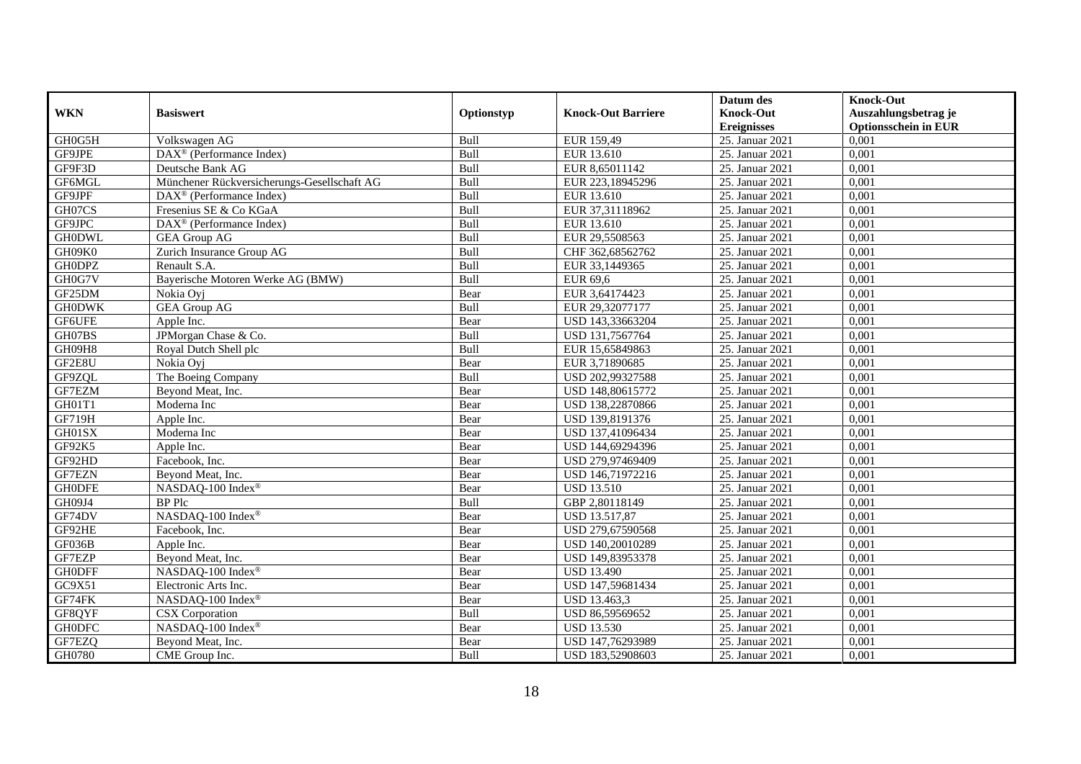|               |                                                              |            |                           | Datum des          | <b>Knock-Out</b>            |
|---------------|--------------------------------------------------------------|------------|---------------------------|--------------------|-----------------------------|
| <b>WKN</b>    | <b>Basiswert</b>                                             | Optionstyp | <b>Knock-Out Barriere</b> | <b>Knock-Out</b>   | Auszahlungsbetrag je        |
|               |                                                              |            |                           | <b>Ereignisses</b> | <b>Optionsschein in EUR</b> |
| GH0G5H        | Volkswagen AG                                                | Bull       | EUR 159,49                | 25. Januar 2021    | 0,001                       |
| GF9JPE        | $\overline{\text{DAX}^{\otimes}}$ (Performance Index)        | Bull       | EUR 13.610                | 25. Januar 2021    | 0,001                       |
| GF9F3D        | Deutsche Bank AG                                             | Bull       | EUR 8,65011142            | 25. Januar 2021    | 0,001                       |
| GF6MGL        | Münchener Rückversicherungs-Gesellschaft AG                  | Bull       | EUR 223,18945296          | 25. Januar 2021    | 0,001                       |
| GF9JPF        | DAX <sup>®</sup> (Performance Index)                         | Bull       | EUR 13.610                | 25. Januar 2021    | 0,001                       |
| GH07CS        | Fresenius SE & Co KGaA                                       | Bull       | EUR 37,31118962           | 25. Januar 2021    | 0,001                       |
| GF9JPC        | $\overline{\text{DAX}}^{\textcircled{}}$ (Performance Index) | Bull       | EUR 13.610                | 25. Januar 2021    | 0,001                       |
| <b>GH0DWL</b> | <b>GEA Group AG</b>                                          | Bull       | EUR 29,5508563            | 25. Januar 2021    | 0,001                       |
| GH09K0        | Zurich Insurance Group AG                                    | Bull       | CHF 362,68562762          | 25. Januar 2021    | 0,001                       |
| <b>GH0DPZ</b> | Renault S.A.                                                 | Bull       | EUR 33,1449365            | 25. Januar 2021    | 0,001                       |
| GH0G7V        | Bayerische Motoren Werke AG (BMW)                            | Bull       | EUR 69,6                  | 25. Januar 2021    | 0,001                       |
| GF25DM        | Nokia Oyj                                                    | Bear       | EUR 3,64174423            | 25. Januar 2021    | 0,001                       |
| <b>GH0DWK</b> | <b>GEA Group AG</b>                                          | Bull       | EUR 29,32077177           | 25. Januar 2021    | 0,001                       |
| GF6UFE        | Apple Inc.                                                   | Bear       | USD 143,33663204          | 25. Januar 2021    | 0,001                       |
| GH07BS        | JPMorgan Chase & Co.                                         | Bull       | USD 131,7567764           | 25. Januar 2021    | 0,001                       |
| GH09H8        | Royal Dutch Shell plc                                        | Bull       | EUR 15,65849863           | 25. Januar 2021    | 0,001                       |
| GF2E8U        | Nokia Ovi                                                    | Bear       | EUR 3,71890685            | 25. Januar 2021    | 0,001                       |
| GF9ZQL        | The Boeing Company                                           | Bull       | USD 202,99327588          | 25. Januar 2021    | 0,001                       |
| GF7EZM        | Beyond Meat, Inc.                                            | Bear       | USD 148,80615772          | 25. Januar 2021    | 0,001                       |
| GH01T1        | Moderna Inc                                                  | Bear       | USD 138,22870866          | 25. Januar 2021    | 0,001                       |
| <b>GF719H</b> | Apple Inc.                                                   | Bear       | USD 139,8191376           | 25. Januar 2021    | 0,001                       |
| GH01SX        | Moderna Inc                                                  | Bear       | USD 137,41096434          | 25. Januar 2021    | 0,001                       |
| GF92K5        | Apple Inc.                                                   | Bear       | USD 144,69294396          | 25. Januar 2021    | 0,001                       |
| GF92HD        | Facebook, Inc.                                               | Bear       | USD 279,97469409          | 25. Januar 2021    | 0,001                       |
| <b>GF7EZN</b> | Beyond Meat, Inc.                                            | Bear       | USD 146,71972216          | 25. Januar 2021    | 0,001                       |
| <b>GHODFE</b> | NASDAQ-100 Index®                                            | Bear       | <b>USD 13.510</b>         | 25. Januar 2021    | 0,001                       |
| GH09J4        | <b>BP</b> Plc                                                | Bull       | GBP 2,80118149            | 25. Januar 2021    | 0,001                       |
| GF74DV        | NASDAQ-100 Index®                                            | Bear       | <b>USD 13.517,87</b>      | 25. Januar 2021    | 0.001                       |
| GF92HE        | Facebook, Inc.                                               | Bear       | USD 279,67590568          | 25. Januar 2021    | 0,001                       |
| GF036B        | Apple Inc.                                                   | Bear       | USD 140,20010289          | 25. Januar 2021    | 0,001                       |
| GF7EZP        | Beyond Meat, Inc.                                            | Bear       | USD 149,83953378          | 25. Januar 2021    | 0,001                       |
| <b>GH0DFF</b> | NASDAQ-100 Index®                                            | Bear       | <b>USD 13.490</b>         | 25. Januar 2021    | 0,001                       |
| GC9X51        | Electronic Arts Inc.                                         | Bear       | USD 147,59681434          | 25. Januar 2021    | 0,001                       |
| GF74FK        | NASDAQ-100 Index®                                            | Bear       | USD 13.463,3              | 25. Januar 2021    | 0,001                       |
| GF8QYF        | CSX Corporation                                              | Bull       | USD 86,59569652           | 25. Januar 2021    | 0,001                       |
| <b>GH0DFC</b> | NASDAQ-100 Index®                                            | Bear       | <b>USD 13.530</b>         | 25. Januar 2021    | 0,001                       |
| GF7EZQ        | Beyond Meat, Inc.                                            | Bear       | USD 147,76293989          | 25. Januar 2021    | 0,001                       |
| GH0780        | CME Group Inc.                                               | Bull       | USD 183,52908603          | 25. Januar 2021    | 0,001                       |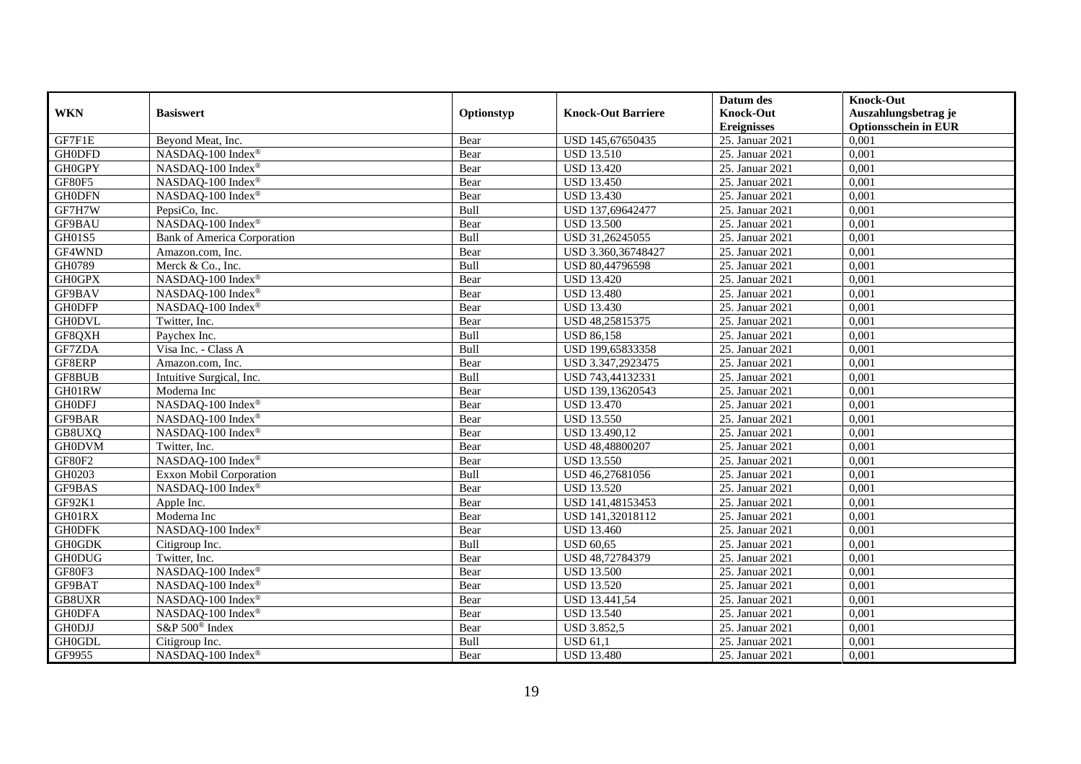|               |                                    |             |                           | Datum des          | <b>Knock-Out</b>            |
|---------------|------------------------------------|-------------|---------------------------|--------------------|-----------------------------|
| <b>WKN</b>    | <b>Basiswert</b>                   | Optionstyp  | <b>Knock-Out Barriere</b> | <b>Knock-Out</b>   | Auszahlungsbetrag je        |
|               |                                    |             |                           | <b>Ereignisses</b> | <b>Optionsschein in EUR</b> |
| GF7F1E        | Beyond Meat, Inc.                  | Bear        | USD 145,67650435          | 25. Januar 2021    | 0,001                       |
| <b>GH0DFD</b> | NASDAQ-100 Index®                  | Bear        | <b>USD 13.510</b>         | 25. Januar 2021    | 0,001                       |
| <b>GH0GPY</b> | NASDAQ-100 Index®                  | Bear        | <b>USD 13.420</b>         | 25. Januar 2021    | 0,001                       |
| <b>GF80F5</b> | NASDAQ-100 Index®                  | Bear        | <b>USD 13.450</b>         | 25. Januar 2021    | 0,001                       |
| <b>GH0DFN</b> | NASDAQ-100 Index®                  | Bear        | <b>USD 13.430</b>         | 25. Januar 2021    | 0,001                       |
| GF7H7W        | PepsiCo, Inc.                      | Bull        | USD 137,69642477          | 25. Januar 2021    | 0,001                       |
| <b>GF9BAU</b> | NASDAQ-100 Index®                  | Bear        | <b>USD 13.500</b>         | 25. Januar 2021    | 0,001                       |
| GH01S5        | <b>Bank of America Corporation</b> | Bull        | USD 31,26245055           | 25. Januar 2021    | 0,001                       |
| GF4WND        | Amazon.com, Inc.                   | Bear        | USD 3.360,36748427        | 25. Januar 2021    | 0,001                       |
| GH0789        | Merck & Co., Inc.                  | Bull        | USD 80,44796598           | 25. Januar 2021    | 0,001                       |
| <b>GH0GPX</b> | NASDAQ-100 Index®                  | Bear        | <b>USD 13.420</b>         | 25. Januar 2021    | 0,001                       |
| GF9BAV        | NASDAQ-100 Index®                  | Bear        | <b>USD 13.480</b>         | 25. Januar 2021    | 0,001                       |
| <b>GHODFP</b> | NASDAQ-100 Index®                  | Bear        | <b>USD 13.430</b>         | 25. Januar 2021    | 0,001                       |
| <b>GH0DVL</b> | Twitter, Inc.                      | Bear        | USD 48,25815375           | 25. Januar 2021    | 0,001                       |
| GF8QXH        | Paychex Inc.                       | <b>Bull</b> | <b>USD 86,158</b>         | 25. Januar 2021    | 0,001                       |
| GF7ZDA        | Visa Inc. - Class A                | Bull        | USD 199,65833358          | 25. Januar 2021    | 0,001                       |
| GF8ERP        | Amazon.com, Inc.                   | Bear        | USD 3.347,2923475         | 25. Januar 2021    | 0,001                       |
| <b>GF8BUB</b> | Intuitive Surgical, Inc.           | Bull        | USD 743,44132331          | 25. Januar 2021    | 0.001                       |
| GH01RW        | Moderna Inc                        | Bear        | USD 139,13620543          | 25. Januar 2021    | 0,001                       |
| <b>GH0DFJ</b> | NASDAQ-100 Index®                  | Bear        | <b>USD 13.470</b>         | 25. Januar 2021    | 0,001                       |
| GF9BAR        | NASDAQ-100 Index®                  | Bear        | <b>USD 13.550</b>         | 25. Januar 2021    | 0,001                       |
| GB8UXQ        | NASDAQ-100 Index®                  | Bear        | USD 13.490,12             | 25. Januar 2021    | 0,001                       |
| <b>GH0DVM</b> | Twitter, Inc.                      | Bear        | USD 48,48800207           | 25. Januar 2021    | 0,001                       |
| GF80F2        | NASDAQ-100 Index®                  | Bear        | <b>USD 13.550</b>         | 25. Januar 2021    | 0,001                       |
| GH0203        | Exxon Mobil Corporation            | Bull        | USD 46,27681056           | 25. Januar 2021    | 0,001                       |
| GF9BAS        | NASDAQ-100 Index®                  | Bear        | <b>USD 13.520</b>         | 25. Januar 2021    | 0,001                       |
| GF92K1        | Apple Inc.                         | Bear        | USD 141,48153453          | 25. Januar 2021    | 0,001                       |
| GH01RX        | Moderna Inc                        | Bear        | USD 141,32018112          | 25. Januar 2021    | 0,001                       |
| <b>GHODFK</b> | NASDAQ-100 Index®                  | Bear        | <b>USD 13.460</b>         | 25. Januar 2021    | 0,001                       |
| <b>GH0GDK</b> | Citigroup Inc.                     | Bull        | <b>USD 60.65</b>          | 25. Januar 2021    | 0,001                       |
| <b>GH0DUG</b> | Twitter, Inc.                      | Bear        | USD 48,72784379           | 25. Januar 2021    | 0,001                       |
| GF80F3        | NASDAQ-100 Index®                  | Bear        | <b>USD 13.500</b>         | 25. Januar 2021    | 0,001                       |
| GF9BAT        | NASDAQ-100 Index®                  | Bear        | <b>USD 13.520</b>         | 25. Januar 2021    | 0,001                       |
| <b>GB8UXR</b> | NASDAQ-100 Index®                  | Bear        | USD 13.441,54             | 25. Januar 2021    | 0,001                       |
| <b>GH0DFA</b> | NASDAQ-100 Index®                  | Bear        | <b>USD 13.540</b>         | 25. Januar 2021    | 0,001                       |
| <b>GHODJJ</b> | S&P 500 <sup>®</sup> Index         | Bear        | <b>USD 3.852,5</b>        | 25. Januar 2021    | 0,001                       |
| <b>GH0GDL</b> | Citigroup Inc.                     | Bull        | <b>USD 61,1</b>           | 25. Januar 2021    | 0,001                       |
| GF9955        | NASDAQ-100 Index®                  | Bear        | <b>USD 13.480</b>         | 25. Januar 2021    | 0,001                       |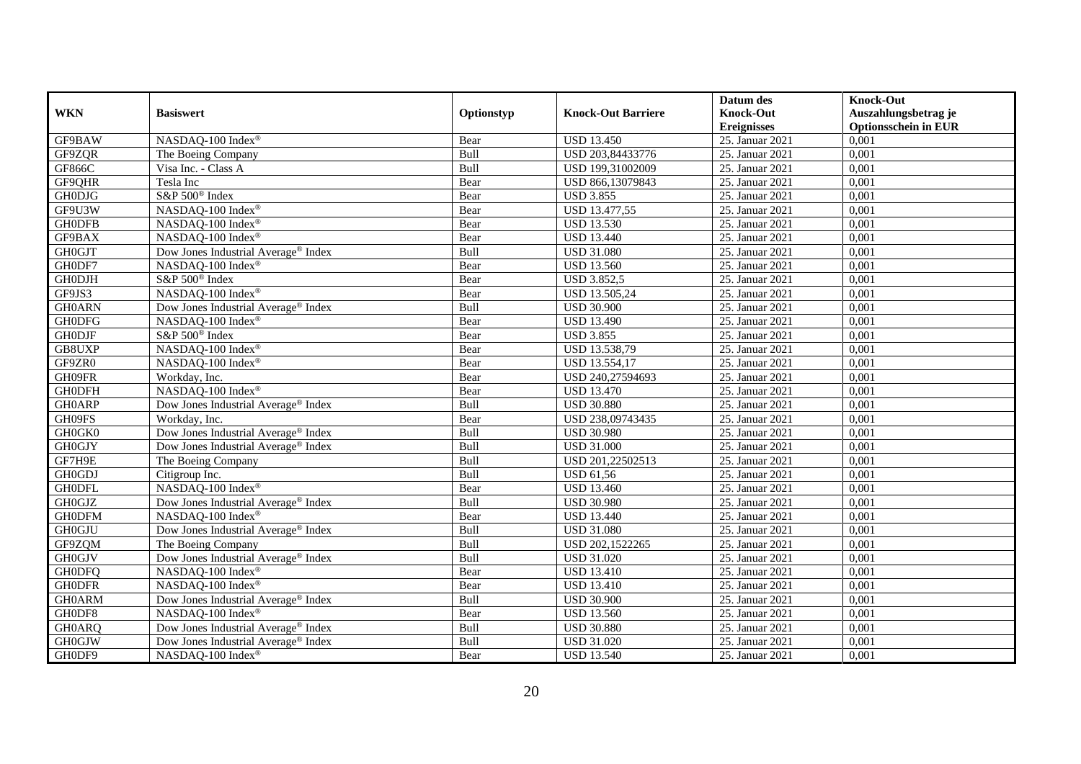|               |                                                 |            |                           | Datum des          | <b>Knock-Out</b>            |
|---------------|-------------------------------------------------|------------|---------------------------|--------------------|-----------------------------|
| <b>WKN</b>    | <b>Basiswert</b>                                | Optionstyp | <b>Knock-Out Barriere</b> | <b>Knock-Out</b>   | Auszahlungsbetrag je        |
|               |                                                 |            |                           | <b>Ereignisses</b> | <b>Optionsschein in EUR</b> |
| GF9BAW        | NASDAQ-100 Index®                               | Bear       | <b>USD 13.450</b>         | 25. Januar 2021    | 0,001                       |
| GF9ZQR        | The Boeing Company                              | Bull       | USD 203,84433776          | 25. Januar 2021    | 0,001                       |
| <b>GF866C</b> | Visa Inc. - Class A                             | Bull       | USD 199,31002009          | 25. Januar 2021    | 0,001                       |
| GF9QHR        | Tesla Inc                                       | Bear       | USD 866,13079843          | 25. Januar 2021    | 0,001                       |
| <b>GH0DJG</b> | S&P 500 <sup>®</sup> Index                      | Bear       | <b>USD 3.855</b>          | 25. Januar 2021    | 0,001                       |
| GF9U3W        | NASDAQ-100 Index®                               | Bear       | <b>USD 13.477,55</b>      | 25. Januar 2021    | 0,001                       |
| <b>GH0DFB</b> | NASDAQ-100 Index®                               | Bear       | <b>USD 13.530</b>         | 25. Januar 2021    | 0,001                       |
| GF9BAX        | NASDAQ-100 Index®                               | Bear       | <b>USD 13.440</b>         | 25. Januar 2021    | 0,001                       |
| <b>GH0GJT</b> | Dow Jones Industrial Average® Index             | Bull       | <b>USD 31.080</b>         | 25. Januar 2021    | 0,001                       |
| GH0DF7        | NASDAQ-100 Index®                               | Bear       | <b>USD 13.560</b>         | 25. Januar 2021    | 0,001                       |
| <b>GH0DJH</b> | S&P 500 <sup>®</sup> Index                      | Bear       | <b>USD 3.852,5</b>        | 25. Januar 2021    | 0,001                       |
| GF9JS3        | NASDAQ-100 Index®                               | Bear       | USD 13.505,24             | 25. Januar 2021    | 0,001                       |
| <b>GH0ARN</b> | Dow Jones Industrial Average® Index             | Bull       | <b>USD 30.900</b>         | 25. Januar 2021    | 0,001                       |
| <b>GH0DFG</b> | NASDAQ-100 Index®                               | Bear       | <b>USD 13.490</b>         | 25. Januar 2021    | 0,001                       |
| <b>GH0DJF</b> | S&P 500 <sup>®</sup> Index                      | Bear       | <b>USD 3.855</b>          | 25. Januar 2021    | 0,001                       |
| GB8UXP        | NASDAQ-100 Index®                               | Bear       | USD 13.538,79             | 25. Januar 2021    | 0,001                       |
| GF9ZR0        | NASDAQ-100 Index®                               | Bear       | USD 13.554,17             | 25. Januar 2021    | 0,001                       |
| GH09FR        | Workday, Inc.                                   | Bear       | USD 240,27594693          | 25. Januar 2021    | 0,001                       |
| <b>GH0DFH</b> | NASDAQ-100 Index®                               | Bear       | <b>USD 13.470</b>         | 25. Januar 2021    | 0,001                       |
| <b>GH0ARP</b> | Dow Jones Industrial Average® Index             | Bull       | <b>USD 30.880</b>         | 25. Januar 2021    | 0,001                       |
| GH09FS        | Workday, Inc.                                   | Bear       | USD 238,09743435          | 25. Januar 2021    | 0,001                       |
| GH0GK0        | Dow Jones Industrial Average® Index             | Bull       | <b>USD 30.980</b>         | 25. Januar 2021    | 0,001                       |
| <b>GH0GJY</b> | Dow Jones Industrial Average® Index             | Bull       | <b>USD 31.000</b>         | 25. Januar 2021    | 0,001                       |
| GF7H9E        | The Boeing Company                              | Bull       | USD 201,22502513          | 25. Januar 2021    | 0,001                       |
| <b>GH0GDJ</b> | Citigroup Inc.                                  | Bull       | <b>USD 61,56</b>          | 25. Januar 2021    | 0,001                       |
| <b>GH0DFL</b> | NASDAQ-100 Index®                               | Bear       | <b>USD 13.460</b>         | 25. Januar 2021    | 0,001                       |
| <b>GH0GJZ</b> | Dow Jones Industrial Average <sup>®</sup> Index | Bull       | <b>USD 30.980</b>         | 25. Januar 2021    | 0,001                       |
| <b>GH0DFM</b> | NASDAQ-100 Index®                               | Bear       | <b>USD 13.440</b>         | 25. Januar 2021    | 0,001                       |
| <b>GH0GJU</b> | Dow Jones Industrial Average® Index             | Bull       | <b>USD 31.080</b>         | 25. Januar 2021    | 0,001                       |
| GF9ZQM        | The Boeing Company                              | Bull       | USD 202,1522265           | 25. Januar 2021    | 0,001                       |
| <b>GH0GJV</b> | Dow Jones Industrial Average® Index             | Bull       | <b>USD 31.020</b>         | 25. Januar 2021    | 0,001                       |
| <b>GHODFQ</b> | NASDAQ-100 Index®                               | Bear       | <b>USD 13.410</b>         | 25. Januar 2021    | 0,001                       |
| <b>GH0DFR</b> | NASDAQ-100 Index®                               | Bear       | <b>USD 13.410</b>         | 25. Januar 2021    | 0,001                       |
| <b>GH0ARM</b> | Dow Jones Industrial Average® Index             | Bull       | <b>USD 30.900</b>         | 25. Januar 2021    | 0,001                       |
| GH0DF8        | NASDAQ-100 Index®                               | Bear       | <b>USD 13.560</b>         | 25. Januar 2021    | 0,001                       |
| <b>GH0ARQ</b> | Dow Jones Industrial Average® Index             | Bull       | <b>USD 30.880</b>         | 25. Januar 2021    | 0,001                       |
| <b>GH0GJW</b> | Dow Jones Industrial Average® Index             | Bull       | <b>USD 31.020</b>         | 25. Januar 2021    | 0,001                       |
| GH0DF9        | NASDAQ-100 Index®                               | Bear       | <b>USD 13.540</b>         | 25. Januar 2021    | 0,001                       |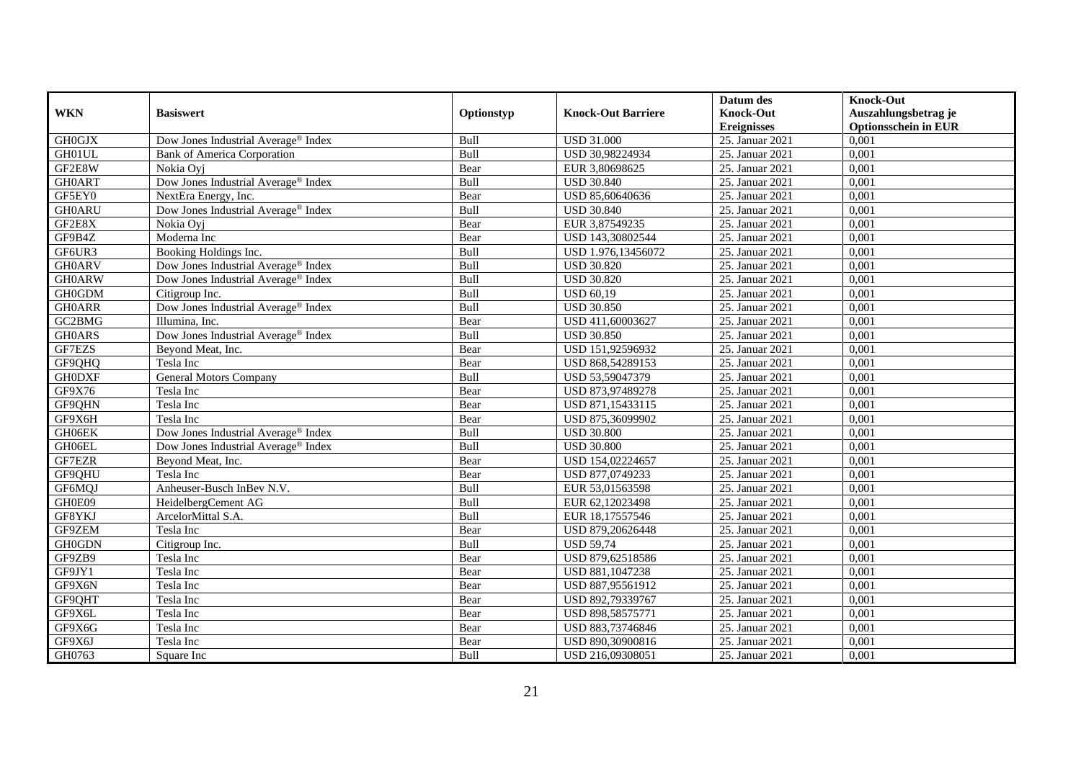|               |                                                 |            |                           | Datum des          | <b>Knock-Out</b>            |
|---------------|-------------------------------------------------|------------|---------------------------|--------------------|-----------------------------|
| <b>WKN</b>    | <b>Basiswert</b>                                | Optionstyp | <b>Knock-Out Barriere</b> | <b>Knock-Out</b>   | Auszahlungsbetrag je        |
|               |                                                 |            |                           | <b>Ereignisses</b> | <b>Optionsschein in EUR</b> |
| <b>GH0GJX</b> | Dow Jones Industrial Average® Index             | Bull       | <b>USD 31.000</b>         | 25. Januar 2021    | 0,001                       |
| GH01UL        | <b>Bank of America Corporation</b>              | Bull       | USD 30,98224934           | 25. Januar 2021    | 0,001                       |
| GF2E8W        | Nokia Ovi                                       | Bear       | EUR 3,80698625            | 25. Januar 2021    | 0,001                       |
| <b>GH0ART</b> | Dow Jones Industrial Average® Index             | Bull       | <b>USD 30.840</b>         | 25. Januar 2021    | 0,001                       |
| GF5EY0        | NextEra Energy, Inc.                            | Bear       | USD 85,60640636           | 25. Januar 2021    | 0,001                       |
| <b>GH0ARU</b> | Dow Jones Industrial Average <sup>®</sup> Index | Bull       | <b>USD 30.840</b>         | 25. Januar 2021    | 0,001                       |
| GF2E8X        | Nokia Ovi                                       | Bear       | EUR 3,87549235            | 25. Januar 2021    | 0,001                       |
| GF9B4Z        | Moderna Inc                                     | Bear       | USD 143,30802544          | 25. Januar 2021    | 0,001                       |
| GF6UR3        | Booking Holdings Inc.                           | Bull       | USD 1.976,13456072        | 25. Januar 2021    | 0,001                       |
| <b>GH0ARV</b> | Dow Jones Industrial Average <sup>®</sup> Index | Bull       | <b>USD 30.820</b>         | 25. Januar 2021    | 0,001                       |
| <b>GH0ARW</b> | Dow Jones Industrial Average <sup>®</sup> Index | Bull       | <b>USD 30.820</b>         | 25. Januar 2021    | 0,001                       |
| <b>GH0GDM</b> | Citigroup Inc.                                  | Bull       | <b>USD 60,19</b>          | 25. Januar 2021    | 0,001                       |
| <b>GH0ARR</b> | Dow Jones Industrial Average® Index             | Bull       | <b>USD 30.850</b>         | 25. Januar 2021    | 0,001                       |
| GC2BMG        | Illumina, Inc.                                  | Bear       | USD 411,60003627          | 25. Januar 2021    | 0,001                       |
| <b>GHOARS</b> | Dow Jones Industrial Average® Index             | Bull       | <b>USD 30.850</b>         | 25. Januar 2021    | 0,001                       |
| GF7EZS        | Beyond Meat, Inc.                               | Bear       | USD 151,92596932          | 25. Januar 2021    | 0,001                       |
| GF9QHQ        | Tesla Inc                                       | Bear       | USD 868,54289153          | 25. Januar 2021    | 0,001                       |
| <b>GH0DXF</b> | <b>General Motors Company</b>                   | Bull       | USD 53,59047379           | 25. Januar 2021    | 0,001                       |
| GF9X76        | Tesla Inc                                       | Bear       | USD 873,97489278          | 25. Januar 2021    | 0,001                       |
| GF9QHN        | Tesla Inc                                       | Bear       | USD 871,15433115          | 25. Januar 2021    | 0,001                       |
| GF9X6H        | Tesla Inc                                       | Bear       | USD 875,36099902          | 25. Januar 2021    | 0,001                       |
| GH06EK        | Dow Jones Industrial Average® Index             | Bull       | <b>USD 30.800</b>         | 25. Januar 2021    | 0,001                       |
| GH06EL        | Dow Jones Industrial Average® Index             | Bull       | <b>USD 30.800</b>         | 25. Januar 2021    | 0,001                       |
| GF7EZR        | Beyond Meat, Inc.                               | Bear       | USD 154,02224657          | 25. Januar 2021    | 0,001                       |
| GF9QHU        | Tesla Inc                                       | Bear       | USD 877,0749233           | 25. Januar 2021    | 0.001                       |
| GF6MQJ        | Anheuser-Busch InBev N.V.                       | Bull       | EUR 53,01563598           | 25. Januar 2021    | 0,001                       |
| GH0E09        | HeidelbergCement AG                             | Bull       | EUR 62,12023498           | 25. Januar 2021    | 0,001                       |
| GF8YKJ        | ArcelorMittal S.A.                              | Bull       | EUR 18,17557546           | 25. Januar 2021    | 0,001                       |
| GF9ZEM        | Tesla Inc                                       | Bear       | USD 879,20626448          | 25. Januar 2021    | 0,001                       |
| <b>GH0GDN</b> | Citigroup Inc.                                  | Bull       | <b>USD 59,74</b>          | 25. Januar 2021    | 0,001                       |
| GF9ZB9        | Tesla Inc                                       | Bear       | USD 879,62518586          | 25. Januar 2021    | 0,001                       |
| GF9JY1        | Tesla Inc                                       | Bear       | USD 881,1047238           | 25. Januar 2021    | 0.001                       |
| GF9X6N        | Tesla Inc                                       | Bear       | USD 887,95561912          | 25. Januar 2021    | 0,001                       |
| GF9QHT        | Tesla Inc                                       | Bear       | USD 892,79339767          | 25. Januar 2021    | 0,001                       |
| GF9X6L        | Tesla Inc                                       | Bear       | USD 898,58575771          | 25. Januar 2021    | 0,001                       |
| GF9X6G        | Tesla Inc                                       | Bear       | USD 883,73746846          | 25. Januar 2021    | 0,001                       |
| GF9X6J        | Tesla Inc                                       | Bear       | USD 890,30900816          | 25. Januar 2021    | 0,001                       |
| GH0763        | Square Inc                                      | Bull       | USD 216,09308051          | 25. Januar 2021    | 0,001                       |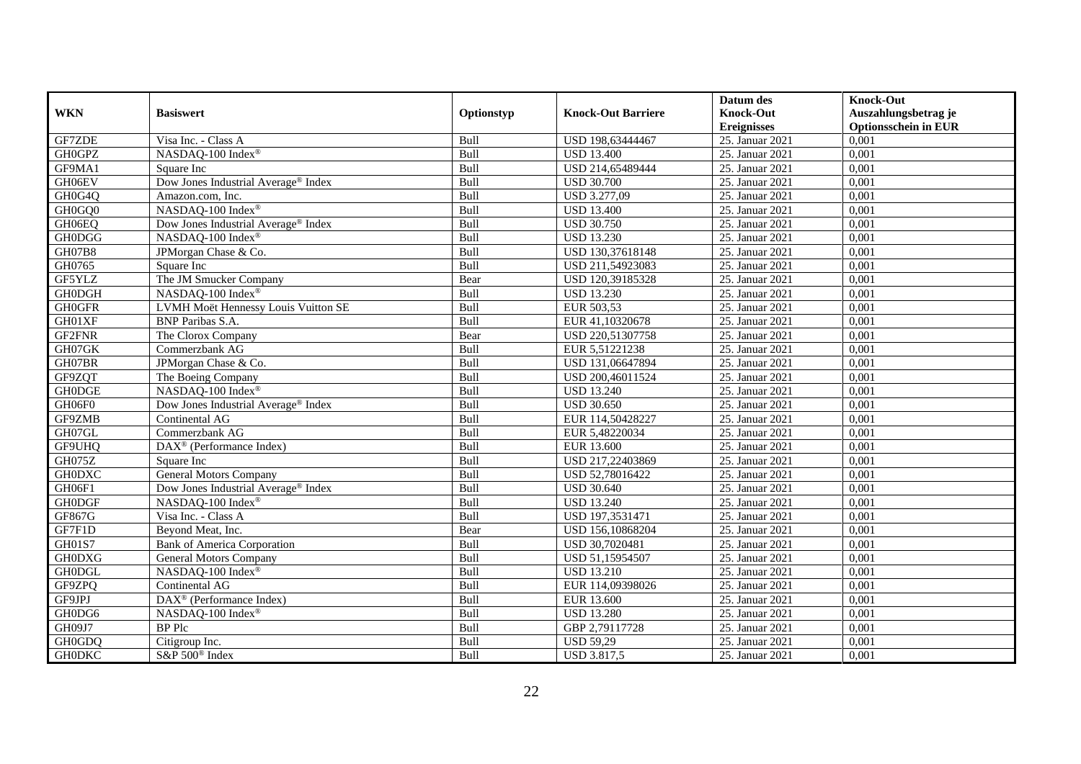|               |                                                 |             |                           | Datum des          | <b>Knock-Out</b>            |
|---------------|-------------------------------------------------|-------------|---------------------------|--------------------|-----------------------------|
| <b>WKN</b>    | <b>Basiswert</b>                                | Optionstyp  | <b>Knock-Out Barriere</b> | <b>Knock-Out</b>   | Auszahlungsbetrag je        |
|               |                                                 |             |                           | <b>Ereignisses</b> | <b>Optionsschein in EUR</b> |
| GF7ZDE        | Visa Inc. - Class A                             | Bull        | USD 198,63444467          | 25. Januar 2021    | 0,001                       |
| GH0GPZ        | NASDAQ-100 Index®                               | Bull        | <b>USD 13.400</b>         | 25. Januar 2021    | 0,001                       |
| GF9MA1        | Square Inc                                      | Bull        | USD 214,65489444          | 25. Januar 2021    | 0,001                       |
| GH06EV        | Dow Jones Industrial Average® Index             | Bull        | <b>USD 30.700</b>         | 25. Januar 2021    | 0,001                       |
| GH0G4Q        | Amazon.com, Inc.                                | Bull        | USD 3.277,09              | 25. Januar 2021    | 0,001                       |
| GH0GQ0        | NASDAQ-100 Index®                               | Bull        | <b>USD 13.400</b>         | 25. Januar 2021    | 0,001                       |
| GH06EQ        | Dow Jones Industrial Average <sup>®</sup> Index | Bull        | <b>USD 30.750</b>         | 25. Januar 2021    | 0,001                       |
| <b>GH0DGG</b> | NASDAQ-100 Index®                               | Bull        | <b>USD 13.230</b>         | 25. Januar 2021    | 0,001                       |
| <b>GH07B8</b> | JPMorgan Chase & Co.                            | Bull        | USD 130,37618148          | 25. Januar 2021    | 0,001                       |
| GH0765        | Square Inc                                      | Bull        | USD 211,54923083          | 25. Januar 2021    | 0,001                       |
| GF5YLZ        | The JM Smucker Company                          | Bear        | USD 120,39185328          | 25. Januar 2021    | 0,001                       |
| <b>GH0DGH</b> | NASDAQ-100 Index®                               | Bull        | <b>USD 13.230</b>         | 25. Januar 2021    | 0,001                       |
| <b>GH0GFR</b> | LVMH Moët Hennessy Louis Vuitton SE             | Bull        | EUR 503,53                | 25. Januar 2021    | 0,001                       |
| GH01XF        | <b>BNP</b> Paribas S.A.                         | <b>Bull</b> | EUR 41,10320678           | 25. Januar 2021    | 0.001                       |
| GF2FNR        | The Clorox Company                              | Bear        | USD 220,51307758          | 25. Januar 2021    | 0,001                       |
| GH07GK        | Commerzbank AG                                  | Bull        | EUR 5,51221238            | 25. Januar 2021    | 0,001                       |
| GH07BR        | JPMorgan Chase & Co.                            | Bull        | USD 131,06647894          | 25. Januar 2021    | 0,001                       |
| GF9ZQT        | The Boeing Company                              | Bull        | USD 200,46011524          | 25. Januar 2021    | 0,001                       |
| <b>GH0DGE</b> | NASDAQ-100 Index®                               | Bull        | <b>USD 13.240</b>         | 25. Januar 2021    | 0,001                       |
| GH06F0        | Dow Jones Industrial Average® Index             | Bull        | <b>USD 30.650</b>         | 25. Januar 2021    | 0,001                       |
| GF9ZMB        | Continental AG                                  | Bull        | EUR 114,50428227          | 25. Januar 2021    | 0,001                       |
| GH07GL        | Commerzbank AG                                  | Bull        | EUR 5,48220034            | 25. Januar 2021    | 0,001                       |
| <b>GF9UHQ</b> | $DAX^{\circledR}$ (Performance Index)           | Bull        | EUR 13.600                | 25. Januar 2021    | 0,001                       |
| GH075Z        | Square Inc                                      | Bull        | USD 217,22403869          | 25. Januar 2021    | 0,001                       |
| <b>GH0DXC</b> | <b>General Motors Company</b>                   | Bull        | USD 52,78016422           | 25. Januar 2021    | 0,001                       |
| GH06F1        | Dow Jones Industrial Average <sup>®</sup> Index | Bull        | <b>USD 30.640</b>         | 25. Januar 2021    | 0,001                       |
| <b>GH0DGF</b> | NASDAQ-100 Index®                               | Bull        | <b>USD 13.240</b>         | 25. Januar 2021    | 0,001                       |
| GF867G        | Visa Inc. - Class A                             | Bull        | USD 197,3531471           | 25. Januar 2021    | 0,001                       |
| GF7F1D        | Beyond Meat, Inc.                               | Bear        | USD 156,10868204          | 25. Januar 2021    | 0,001                       |
| GH01S7        | <b>Bank of America Corporation</b>              | Bull        | USD 30,7020481            | 25. Januar 2021    | 0,001                       |
| <b>GH0DXG</b> | <b>General Motors Company</b>                   | Bull        | USD 51,15954507           | 25. Januar 2021    | 0,001                       |
| <b>GH0DGL</b> | NASDAQ-100 Index®                               | Bull        | <b>USD 13.210</b>         | 25. Januar 2021    | 0,001                       |
| GF9ZPQ        | Continental AG                                  | Bull        | EUR 114,09398026          | 25. Januar 2021    | 0,001                       |
| GF9JPJ        | DAX <sup>®</sup> (Performance Index)            | Bull        | EUR 13.600                | 25. Januar 2021    | 0,001                       |
| GH0DG6        | NASDAQ-100 Index®                               | Bull        | <b>USD 13.280</b>         | 25. Januar 2021    | 0,001                       |
| GH09J7        | <b>BP</b> Plc                                   | Bull        | GBP 2,79117728            | 25. Januar 2021    | 0,001                       |
| GH0GDQ        | Citigroup Inc.                                  | Bull        | <b>USD 59,29</b>          | 25. Januar 2021    | 0,001                       |
| <b>GH0DKC</b> | S&P 500 <sup>®</sup> Index                      | Bull        | <b>USD 3.817,5</b>        | 25. Januar 2021    | 0,001                       |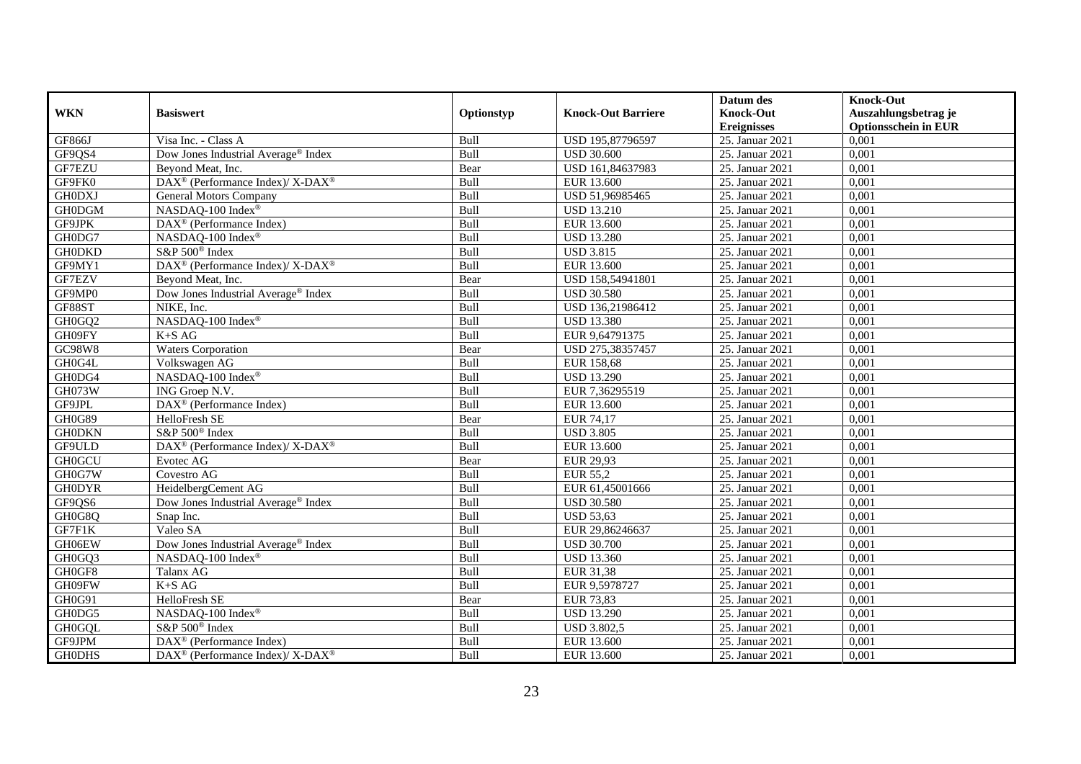|               |                                                                  |            |                           | Datum des          | <b>Knock-Out</b>            |
|---------------|------------------------------------------------------------------|------------|---------------------------|--------------------|-----------------------------|
| <b>WKN</b>    | <b>Basiswert</b>                                                 | Optionstyp | <b>Knock-Out Barriere</b> | <b>Knock-Out</b>   | Auszahlungsbetrag je        |
|               |                                                                  |            |                           | <b>Ereignisses</b> | <b>Optionsschein in EUR</b> |
| <b>GF866J</b> | Visa Inc. - Class A                                              | Bull       | USD 195,87796597          | 25. Januar 2021    | 0,001                       |
| GF9QS4        | Dow Jones Industrial Average® Index                              | Bull       | <b>USD 30.600</b>         | 25. Januar 2021    | 0,001                       |
| GF7EZU        | Beyond Meat, Inc.                                                | Bear       | USD 161,84637983          | 25. Januar 2021    | 0,001                       |
| GF9FK0        | DAX <sup>®</sup> (Performance Index)/ X-DAX <sup>®</sup>         | Bull       | EUR 13.600                | 25. Januar 2021    | 0,001                       |
| <b>GH0DXJ</b> | General Motors Company                                           | Bull       | USD 51,96985465           | 25. Januar 2021    | 0,001                       |
| <b>GH0DGM</b> | NASDAQ-100 Index®                                                | Bull       | <b>USD 13.210</b>         | 25. Januar 2021    | 0,001                       |
| GF9JPK        | DAX <sup>®</sup> (Performance Index)                             | Bull       | EUR 13.600                | 25. Januar 2021    | 0,001                       |
| GH0DG7        | NASDAQ-100 Index®                                                | Bull       | <b>USD 13.280</b>         | 25. Januar 2021    | 0,001                       |
| <b>GH0DKD</b> | S&P 500 <sup>®</sup> Index                                       | Bull       | <b>USD 3.815</b>          | 25. Januar 2021    | 0,001                       |
| GF9MY1        | $\text{DAX}^{\circledR}$ (Performance Index)/ X-DAX <sup>®</sup> | Bull       | EUR 13.600                | 25. Januar 2021    | 0,001                       |
| GF7EZV        | Beyond Meat, Inc.                                                | Bear       | USD 158,54941801          | 25. Januar 2021    | 0,001                       |
| GF9MP0        | Dow Jones Industrial Average <sup>®</sup> Index                  | Bull       | <b>USD 30.580</b>         | 25. Januar 2021    | 0,001                       |
| GF88ST        | NIKE, Inc.                                                       | Bull       | USD 136,21986412          | 25. Januar 2021    | 0,001                       |
| GH0GQ2        | NASDAQ-100 Index®                                                | Bull       | <b>USD 13.380</b>         | 25. Januar 2021    | 0,001                       |
| GH09FY        | $K+SAG$                                                          | Bull       | EUR 9,64791375            | 25. Januar 2021    | 0,001                       |
| GC98W8        | <b>Waters Corporation</b>                                        | Bear       | USD 275,38357457          | 25. Januar 2021    | 0,001                       |
| GH0G4L        | Volkswagen AG                                                    | Bull       | <b>EUR 158,68</b>         | 25. Januar 2021    | 0,001                       |
| GH0DG4        | NASDAQ-100 Index®                                                | Bull       | <b>USD 13.290</b>         | 25. Januar 2021    | 0,001                       |
| GH073W        | ING Groep N.V.                                                   | Bull       | EUR 7,36295519            | 25. Januar 2021    | 0,001                       |
| GF9JPL        | $\overline{\text{DAX}^{\otimes}}$ (Performance Index)            | Bull       | EUR 13.600                | 25. Januar 2021    | 0,001                       |
| GH0G89        | HelloFresh SE                                                    | Bear       | <b>EUR 74,17</b>          | 25. Januar 2021    | 0,001                       |
| <b>GH0DKN</b> | S&P 500 <sup>®</sup> Index                                       | Bull       | <b>USD 3.805</b>          | 25. Januar 2021    | 0,001                       |
| GF9ULD        | DAX <sup>®</sup> (Performance Index)/ X-DAX <sup>®</sup>         | Bull       | EUR 13.600                | 25. Januar 2021    | 0,001                       |
| <b>GH0GCU</b> | Evotec AG                                                        | Bear       | EUR 29,93                 | 25. Januar 2021    | 0,001                       |
| GH0G7W        | Covestro AG                                                      | Bull       | EUR 55,2                  | 25. Januar 2021    | 0,001                       |
| <b>GH0DYR</b> | HeidelbergCement AG                                              | Bull       | EUR 61,45001666           | 25. Januar 2021    | 0,001                       |
| GF9QS6        | Dow Jones Industrial Average® Index                              | Bull       | <b>USD 30.580</b>         | 25. Januar 2021    | 0,001                       |
| GH0G8Q        | Snap Inc.                                                        | Bull       | <b>USD 53,63</b>          | 25. Januar 2021    | 0,001                       |
| GF7F1K        | Valeo SA                                                         | Bull       | EUR 29,86246637           | 25. Januar 2021    | 0,001                       |
| GH06EW        | Dow Jones Industrial Average® Index                              | Bull       | <b>USD 30.700</b>         | 25. Januar 2021    | 0.001                       |
| GH0GQ3        | NASDAQ-100 Index®                                                | Bull       | <b>USD 13.360</b>         | 25. Januar 2021    | 0,001                       |
| GH0GF8        | Talanx AG                                                        | Bull       | EUR 31,38                 | 25. Januar 2021    | 0,001                       |
| GH09FW        | $K+SAG$                                                          | Bull       | EUR 9,5978727             | 25. Januar 2021    | 0,001                       |
| GH0G91        | HelloFresh SE                                                    | Bear       | EUR 73,83                 | 25. Januar 2021    | 0,001                       |
| GH0DG5        | NASDAQ-100 Index®                                                | Bull       | <b>USD 13.290</b>         | 25. Januar 2021    | 0,001                       |
| <b>GH0GQL</b> | S&P 500 <sup>®</sup> Index                                       | Bull       | <b>USD 3.802,5</b>        | 25. Januar 2021    | 0,001                       |
| GF9JPM        | $\text{DAX}^{\otimes}$ (Performance Index)                       | Bull       | EUR 13.600                | 25. Januar 2021    | 0,001                       |
| <b>GH0DHS</b> | $\text{DAX}^{\circledR}$ (Performance Index)/ X-DAX <sup>®</sup> | Bull       | EUR 13.600                | 25. Januar 2021    | 0,001                       |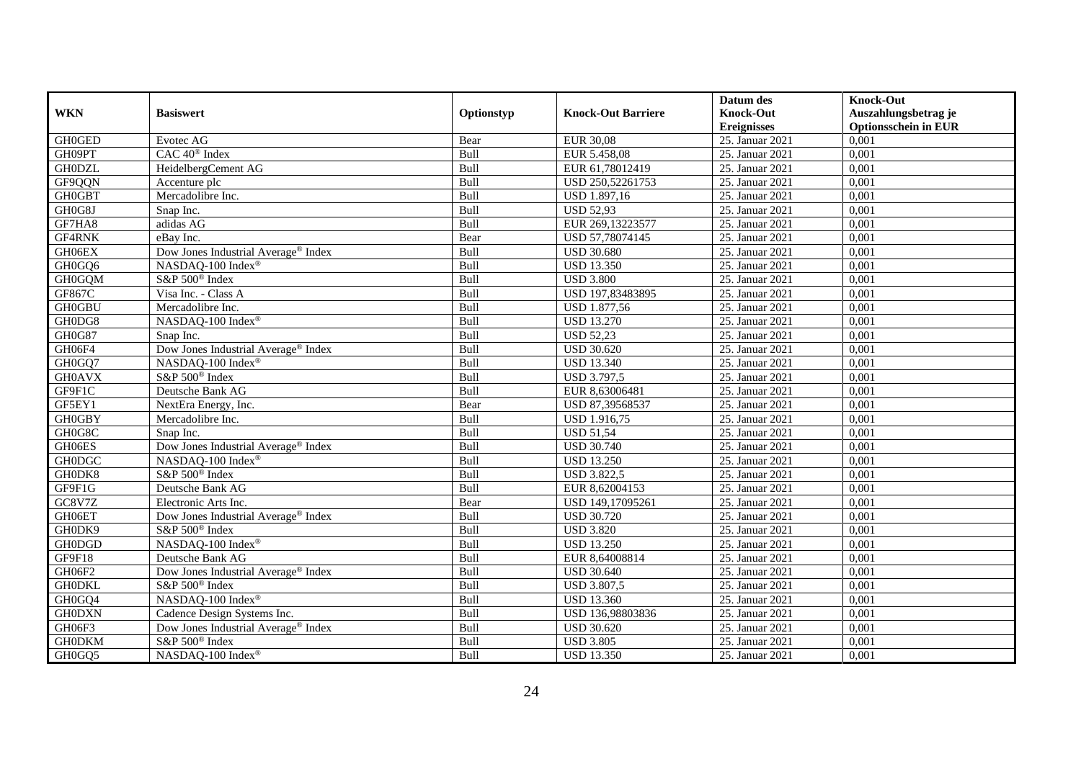|               |                                                 |            |                           | Datum des          | <b>Knock-Out</b>            |
|---------------|-------------------------------------------------|------------|---------------------------|--------------------|-----------------------------|
| <b>WKN</b>    | <b>Basiswert</b>                                | Optionstyp | <b>Knock-Out Barriere</b> | <b>Knock-Out</b>   | Auszahlungsbetrag je        |
|               |                                                 |            |                           | <b>Ereignisses</b> | <b>Optionsschein in EUR</b> |
| <b>GH0GED</b> | Evotec AG                                       | Bear       | <b>EUR 30,08</b>          | 25. Januar 2021    | 0,001                       |
| GH09PT        | CAC 40 <sup>®</sup> Index                       | Bull       | EUR 5.458,08              | 25. Januar 2021    | 0,001                       |
| <b>GH0DZL</b> | HeidelbergCement AG                             | Bull       | EUR 61,78012419           | 25. Januar 2021    | 0,001                       |
| GF9QQN        | Accenture plc                                   | Bull       | USD 250,52261753          | 25. Januar 2021    | 0,001                       |
| <b>GH0GBT</b> | Mercadolibre Inc.                               | Bull       | USD 1.897,16              | 25. Januar 2021    | 0,001                       |
| GH0G8J        | Snap Inc.                                       | Bull       | <b>USD 52,93</b>          | 25. Januar 2021    | 0,001                       |
| GF7HA8        | adidas AG                                       | Bull       | EUR 269,13223577          | 25. Januar 2021    | 0,001                       |
| GF4RNK        | eBav Inc.                                       | Bear       | USD 57,78074145           | 25. Januar 2021    | 0,001                       |
| GH06EX        | Dow Jones Industrial Average® Index             | Bull       | <b>USD 30.680</b>         | 25. Januar 2021    | 0,001                       |
| GH0GQ6        | NASDAQ-100 Index®                               | Bull       | <b>USD 13.350</b>         | 25. Januar 2021    | 0,001                       |
| <b>GH0GQM</b> | S&P 500 <sup>®</sup> Index                      | Bull       | <b>USD 3.800</b>          | 25. Januar 2021    | 0,001                       |
| GF867C        | Visa Inc. - Class A                             | Bull       | USD 197,83483895          | 25. Januar 2021    | 0,001                       |
| <b>GH0GBU</b> | Mercadolibre Inc.                               | Bull       | USD 1.877,56              | 25. Januar 2021    | 0,001                       |
| GH0DG8        | NASDAQ-100 Index®                               | Bull       | <b>USD 13.270</b>         | 25. Januar 2021    | 0,001                       |
| GH0G87        | Snap Inc.                                       | Bull       | <b>USD 52,23</b>          | 25. Januar 2021    | 0,001                       |
| GH06F4        | Dow Jones Industrial Average® Index             | Bull       | <b>USD 30.620</b>         | 25. Januar 2021    | 0,001                       |
| GH0GQ7        | NASDAQ-100 Index®                               | Bull       | <b>USD 13.340</b>         | 25. Januar 2021    | 0,001                       |
| <b>GH0AVX</b> | S&P 500 <sup>®</sup> Index                      | Bull       | <b>USD 3.797,5</b>        | 25. Januar 2021    | 0,001                       |
| GF9F1C        | Deutsche Bank AG                                | Bull       | EUR 8,63006481            | 25. Januar 2021    | 0,001                       |
| GF5EY1        | NextEra Energy, Inc.                            | Bear       | USD 87,39568537           | 25. Januar 2021    | 0,001                       |
| <b>GH0GBY</b> | Mercadolibre Inc.                               | Bull       | USD 1.916,75              | 25. Januar 2021    | 0,001                       |
| GH0G8C        | Snap Inc.                                       | Bull       | <b>USD 51,54</b>          | 25. Januar 2021    | 0,001                       |
| GH06ES        | Dow Jones Industrial Average® Index             | Bull       | <b>USD 30.740</b>         | 25. Januar 2021    | 0,001                       |
| <b>GH0DGC</b> | NASDAQ-100 Index®                               | Bull       | <b>USD 13.250</b>         | 25. Januar 2021    | 0,001                       |
| GH0DK8        | S&P 500 <sup>®</sup> Index                      | Bull       | <b>USD 3.822,5</b>        | 25. Januar 2021    | 0,001                       |
| GF9F1G        | Deutsche Bank AG                                | Bull       | EUR 8,62004153            | 25. Januar 2021    | 0,001                       |
| GC8V7Z        | Electronic Arts Inc.                            | Bear       | USD 149,17095261          | 25. Januar 2021    | 0,001                       |
| GH06ET        | Dow Jones Industrial Average <sup>®</sup> Index | Bull       | <b>USD 30.720</b>         | 25. Januar 2021    | 0,001                       |
| GH0DK9        | S&P 500 <sup>®</sup> Index                      | Bull       | <b>USD 3.820</b>          | 25. Januar 2021    | 0,001                       |
| <b>GH0DGD</b> | NASDAQ-100 Index <sup>®</sup>                   | Bull       | <b>USD 13.250</b>         | 25. Januar 2021    | 0,001                       |
| GF9F18        | Deutsche Bank AG                                | Bull       | EUR 8,64008814            | 25. Januar 2021    | 0,001                       |
| GH06F2        | Dow Jones Industrial Average <sup>®</sup> Index | Bull       | <b>USD 30.640</b>         | 25. Januar 2021    | 0,001                       |
| <b>GH0DKL</b> | S&P 500 <sup>®</sup> Index                      | Bull       | <b>USD 3.807,5</b>        | 25. Januar 2021    | 0,001                       |
| GH0GQ4        | NASDAQ-100 Index®                               | Bull       | <b>USD 13.360</b>         | 25. Januar 2021    | 0,001                       |
| <b>GH0DXN</b> | Cadence Design Systems Inc.                     | Bull       | USD 136,98803836          | 25. Januar 2021    | 0,001                       |
| GH06F3        | Dow Jones Industrial Average <sup>®</sup> Index | Bull       | <b>USD 30.620</b>         | 25. Januar 2021    | 0,001                       |
| <b>GH0DKM</b> | S&P 500 <sup>®</sup> Index                      | Bull       | <b>USD 3.805</b>          | 25. Januar 2021    | 0,001                       |
| GH0GQ5        | NASDAQ-100 Index®                               | Bull       | <b>USD 13.350</b>         | 25. Januar 2021    | 0,001                       |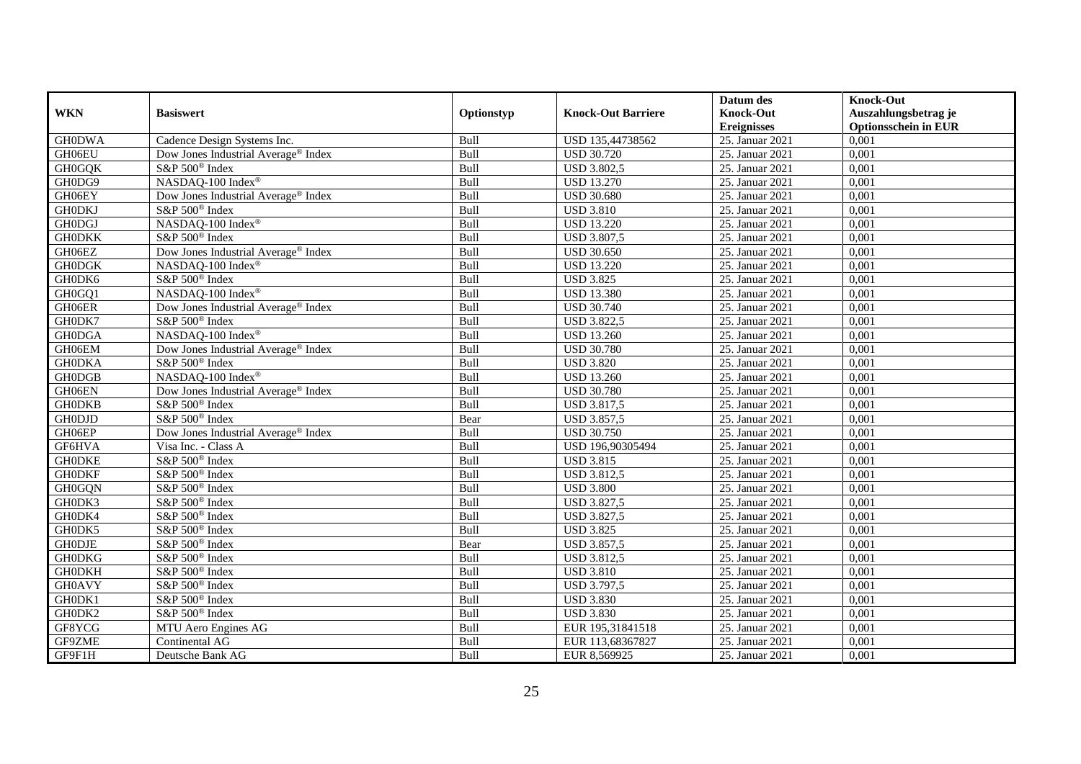|               |                                                 |            |                           | Datum des          | <b>Knock-Out</b>            |
|---------------|-------------------------------------------------|------------|---------------------------|--------------------|-----------------------------|
| <b>WKN</b>    | <b>Basiswert</b>                                | Optionstyp | <b>Knock-Out Barriere</b> | <b>Knock-Out</b>   | Auszahlungsbetrag je        |
|               |                                                 |            |                           | <b>Ereignisses</b> | <b>Optionsschein in EUR</b> |
| <b>GH0DWA</b> | Cadence Design Systems Inc.                     | Bull       | USD 135,44738562          | 25. Januar 2021    | 0,001                       |
| GH06EU        | Dow Jones Industrial Average® Index             | Bull       | <b>USD 30.720</b>         | 25. Januar 2021    | 0,001                       |
| <b>GH0GQK</b> | S&P 500 <sup>®</sup> Index                      | Bull       | <b>USD 3.802,5</b>        | 25. Januar 2021    | 0,001                       |
| GH0DG9        | NASDAQ-100 Index®                               | Bull       | <b>USD 13.270</b>         | 25. Januar 2021    | 0,001                       |
| GH06EY        | Dow Jones Industrial Average <sup>®</sup> Index | Bull       | <b>USD 30.680</b>         | 25. Januar 2021    | 0,001                       |
| <b>GH0DKJ</b> | S&P 500 <sup>®</sup> Index                      | Bull       | <b>USD 3.810</b>          | 25. Januar 2021    | 0,001                       |
| <b>GH0DGJ</b> | NASDAQ-100 Index®                               | Bull       | <b>USD 13.220</b>         | 25. Januar 2021    | 0,001                       |
| <b>GH0DKK</b> | S&P 500 <sup>®</sup> Index                      | Bull       | <b>USD 3.807,5</b>        | 25. Januar 2021    | 0,001                       |
| GH06EZ        | Dow Jones Industrial Average® Index             | Bull       | <b>USD 30.650</b>         | 25. Januar 2021    | 0,001                       |
| <b>GH0DGK</b> | NASDAQ-100 Index®                               | Bull       | <b>USD 13.220</b>         | 25. Januar 2021    | 0,001                       |
| GH0DK6        | S&P 500 <sup>®</sup> Index                      | Bull       | <b>USD 3.825</b>          | 25. Januar 2021    | 0,001                       |
| GH0GQ1        | NASDAQ-100 Index®                               | Bull       | <b>USD 13.380</b>         | 25. Januar 2021    | 0,001                       |
| GH06ER        | Dow Jones Industrial Average® Index             | Bull       | <b>USD 30.740</b>         | 25. Januar 2021    | 0,001                       |
| GH0DK7        | S&P 500 <sup>®</sup> Index                      | Bull       | <b>USD 3.822,5</b>        | 25. Januar 2021    | 0.001                       |
| <b>GH0DGA</b> | NASDAQ-100 Index®                               | Bull       | <b>USD 13.260</b>         | 25. Januar 2021    | 0,001                       |
| GH06EM        | Dow Jones Industrial Average <sup>®</sup> Index | Bull       | <b>USD 30.780</b>         | 25. Januar 2021    | 0,001                       |
| <b>GH0DKA</b> | S&P 500 <sup>®</sup> Index                      | Bull       | <b>USD 3.820</b>          | 25. Januar 2021    | 0,001                       |
| <b>GH0DGB</b> | NASDAQ-100 Index®                               | Bull       | <b>USD 13.260</b>         | 25. Januar 2021    | 0,001                       |
| GH06EN        | Dow Jones Industrial Average® Index             | Bull       | <b>USD 30.780</b>         | 25. Januar 2021    | 0,001                       |
| <b>GH0DKB</b> | S&P 500 <sup>®</sup> Index                      | Bull       | USD 3.817,5               | 25. Januar 2021    | 0,001                       |
| <b>GH0DJD</b> | S&P 500 <sup>®</sup> Index                      | Bear       | <b>USD 3.857,5</b>        | 25. Januar 2021    | 0,001                       |
| GH06EP        | Dow Jones Industrial Average® Index             | Bull       | <b>USD 30.750</b>         | 25. Januar 2021    | 0,001                       |
| GF6HVA        | Visa Inc. - Class A                             | Bull       | USD 196,90305494          | 25. Januar 2021    | 0,001                       |
| <b>GHODKE</b> | S&P 500 <sup>®</sup> Index                      | Bull       | <b>USD 3.815</b>          | 25. Januar 2021    | 0,001                       |
| <b>GHODKF</b> | S&P 500 <sup>®</sup> Index                      | Bull       | <b>USD 3.812,5</b>        | 25. Januar 2021    | 0,001                       |
| <b>GH0GQN</b> | S&P 500 <sup>®</sup> Index                      | Bull       | <b>USD 3.800</b>          | 25. Januar 2021    | 0,001                       |
| GH0DK3        | S&P 500 <sup>®</sup> Index                      | Bull       | <b>USD 3.827,5</b>        | 25. Januar 2021    | 0,001                       |
| GH0DK4        | S&P 500 <sup>®</sup> Index                      | Bull       | <b>USD 3.827,5</b>        | 25. Januar 2021    | 0,001                       |
| GH0DK5        | S&P 500 <sup>®</sup> Index                      | Bull       | <b>USD 3.825</b>          | 25. Januar 2021    | 0,001                       |
| <b>GH0DJE</b> | S&P 500 <sup>®</sup> Index                      | Bear       | <b>USD 3.857,5</b>        | 25. Januar 2021    | 0,001                       |
| <b>GH0DKG</b> | S&P 500 <sup>®</sup> Index                      | Bull       | <b>USD 3.812,5</b>        | 25. Januar 2021    | 0,001                       |
| <b>GH0DKH</b> | S&P 500 <sup>®</sup> Index                      | Bull       | <b>USD 3.810</b>          | 25. Januar 2021    | 0,001                       |
| <b>GH0AVY</b> | S&P 500 <sup>®</sup> Index                      | Bull       | <b>USD 3.797,5</b>        | 25. Januar 2021    | 0,001                       |
| GH0DK1        | S&P 500 <sup>®</sup> Index                      | Bull       | <b>USD 3.830</b>          | 25. Januar 2021    | 0,001                       |
| GH0DK2        | S&P 500 <sup>®</sup> Index                      | Bull       | <b>USD 3.830</b>          | 25. Januar 2021    | 0,001                       |
| GF8YCG        | MTU Aero Engines AG                             | Bull       | EUR 195,31841518          | 25. Januar 2021    | 0,001                       |
| GF9ZME        | Continental AG                                  | Bull       | EUR 113,68367827          | 25. Januar 2021    | 0,001                       |
| GF9F1H        | Deutsche Bank AG                                | Bull       | EUR 8,569925              | 25. Januar 2021    | 0,001                       |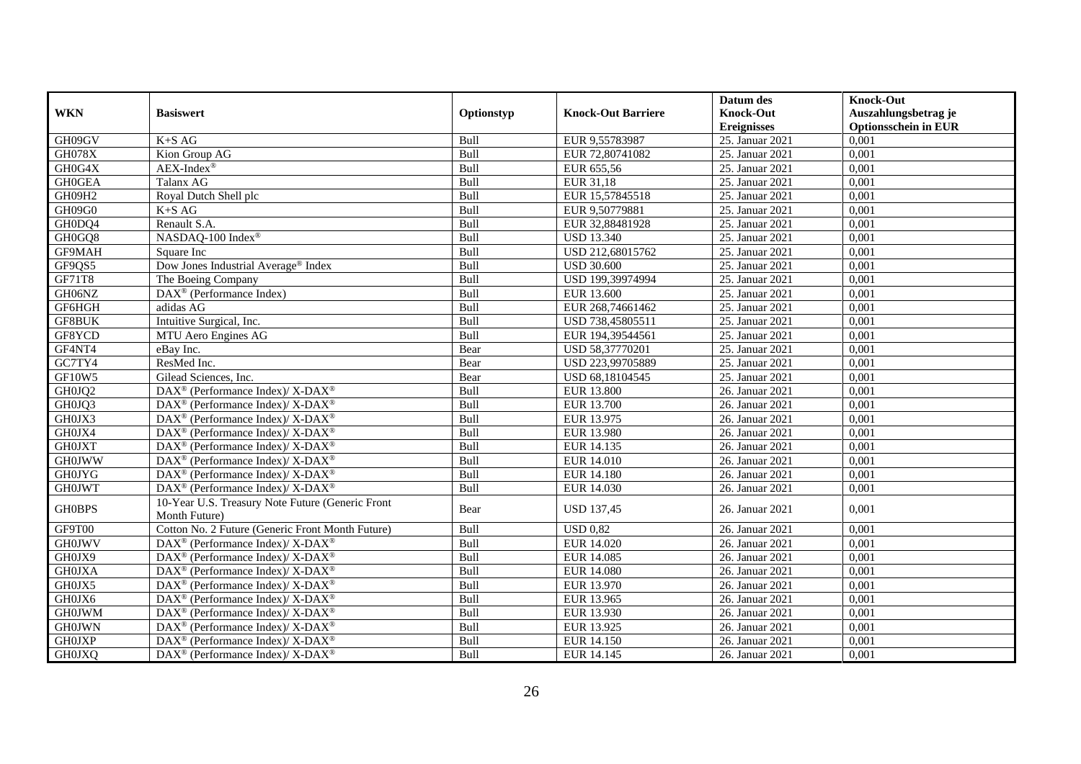| <b>WKN</b>    | <b>Basiswert</b>                                                  | Optionstyp  | <b>Knock-Out Barriere</b> | Datum des<br><b>Knock-Out</b> | <b>Knock-Out</b><br>Auszahlungsbetrag je |
|---------------|-------------------------------------------------------------------|-------------|---------------------------|-------------------------------|------------------------------------------|
|               |                                                                   |             |                           | <b>Ereignisses</b>            | <b>Optionsschein in EUR</b>              |
| GH09GV        | $K+SAG$                                                           | Bull        | EUR 9,55783987            | 25. Januar 2021               | 0,001                                    |
| <b>GH078X</b> | Kion Group AG                                                     | <b>Bull</b> | EUR 72,80741082           | 25. Januar 2021               | 0,001                                    |
| GH0G4X        | $AEX-Index^{\circledR}$                                           | Bull        | EUR 655,56                | 25. Januar 2021               | 0,001                                    |
| <b>GH0GEA</b> | Talanx AG                                                         | Bull        | EUR 31,18                 | 25. Januar 2021               | 0,001                                    |
| GH09H2        | Royal Dutch Shell plc                                             | Bull        | EUR 15,57845518           | 25. Januar 2021               | 0,001                                    |
| GH09G0        | $K+SAG$                                                           | Bull        | EUR 9,50779881            | 25. Januar 2021               | 0,001                                    |
| GH0DQ4        | Renault S.A.                                                      | Bull        | EUR 32,88481928           | 25. Januar 2021               | 0,001                                    |
| GH0GQ8        | NASDAQ-100 Index®                                                 | Bull        | <b>USD 13.340</b>         | 25. Januar 2021               | 0,001                                    |
| GF9MAH        | Square Inc                                                        | Bull        | USD 212,68015762          | 25. Januar 2021               | 0,001                                    |
| GF9QS5        | Dow Jones Industrial Average® Index                               | Bull        | <b>USD 30.600</b>         | 25. Januar 2021               | 0,001                                    |
| GF71T8        | The Boeing Company                                                | Bull        | USD 199,39974994          | 25. Januar 2021               | 0.001                                    |
| GH06NZ        | DAX <sup>®</sup> (Performance Index)                              | Bull        | EUR 13.600                | 25. Januar 2021               | 0,001                                    |
| GF6HGH        | adidas AG                                                         | Bull        | EUR 268,74661462          | 25. Januar 2021               | 0,001                                    |
| GF8BUK        | Intuitive Surgical, Inc.                                          | Bull        | USD 738,45805511          | 25. Januar 2021               | 0,001                                    |
| GF8YCD        | MTU Aero Engines AG                                               | Bull        | EUR 194,39544561          | 25. Januar 2021               | 0,001                                    |
| GF4NT4        | eBay Inc.                                                         | Bear        | USD 58,37770201           | 25. Januar 2021               | 0,001                                    |
| GC7TY4        | ResMed Inc.                                                       | Bear        | USD 223,99705889          | 25. Januar 2021               | 0,001                                    |
| GF10W5        | Gilead Sciences, Inc.                                             | Bear        | USD 68,18104545           | 25. Januar 2021               | 0,001                                    |
| GH0JQ2        | DAX <sup>®</sup> (Performance Index)/ X-DAX <sup>®</sup>          | Bull        | <b>EUR 13.800</b>         | 26. Januar 2021               | 0,001                                    |
| GH0JQ3        | $DAX^{\circledast}$ (Performance Index)/ X-DAX <sup>®</sup>       | Bull        | <b>EUR 13.700</b>         | 26. Januar 2021               | 0,001                                    |
| GH0JX3        | DAX <sup>®</sup> (Performance Index)/ X-DAX <sup>®</sup>          | Bull        | EUR 13.975                | 26. Januar 2021               | 0,001                                    |
| GH0JX4        | DAX <sup>®</sup> (Performance Index)/ X-DAX <sup>®</sup>          | Bull        | <b>EUR 13.980</b>         | 26. Januar 2021               | 0,001                                    |
| <b>GH0JXT</b> | DAX <sup>®</sup> (Performance Index)/ X-DAX <sup>®</sup>          | Bull        | EUR 14.135                | 26. Januar 2021               | 0,001                                    |
| <b>GH0JWW</b> | DAX <sup>®</sup> (Performance Index)/ X-DAX <sup>®</sup>          | Bull        | <b>EUR 14.010</b>         | 26. Januar 2021               | 0,001                                    |
| <b>GH0JYG</b> | $DAX^{\circledcirc}$ (Performance Index)/X-DAX <sup>®</sup>       | Bull        | <b>EUR 14.180</b>         | 26. Januar 2021               | 0.001                                    |
| <b>GH0JWT</b> | DAX <sup>®</sup> (Performance Index)/ X-DAX <sup>®</sup>          | Bull        | EUR 14.030                | 26. Januar 2021               | 0,001                                    |
| <b>GH0BPS</b> | 10-Year U.S. Treasury Note Future (Generic Front<br>Month Future) | Bear        | <b>USD 137,45</b>         | 26. Januar 2021               | 0,001                                    |
| GF9T00        | Cotton No. 2 Future (Generic Front Month Future)                  | Bull        | <b>USD 0.82</b>           | 26. Januar 2021               | 0.001                                    |
| <b>GH0JWV</b> | DAX <sup>®</sup> (Performance Index)/ X-DAX <sup>®</sup>          | Bull        | <b>EUR 14.020</b>         | 26. Januar 2021               | 0,001                                    |
| GH0JX9        | DAX <sup>®</sup> (Performance Index)/ X-DAX <sup>®</sup>          | Bull        | <b>EUR 14.085</b>         | 26. Januar 2021               | 0,001                                    |
| <b>GH0JXA</b> | DAX <sup>®</sup> (Performance Index)/ X-DAX <sup>®</sup>          | Bull        | <b>EUR 14.080</b>         | 26. Januar 2021               | 0,001                                    |
| GH0JX5        | DAX <sup>®</sup> (Performance Index)/ X-DAX <sup>®</sup>          | Bull        | EUR 13.970                | 26. Januar 2021               | 0,001                                    |
| GH0JX6        | $DAX^{\circledast}$ (Performance Index)/ X-DAX <sup>®</sup>       | Bull        | EUR 13.965                | 26. Januar 2021               | 0,001                                    |
| <b>GH0JWM</b> | DAX <sup>®</sup> (Performance Index)/ X-DAX <sup>®</sup>          | Bull        | EUR 13.930                | 26. Januar 2021               | 0,001                                    |
| <b>GH0JWN</b> | DAX <sup>®</sup> (Performance Index)/ X-DAX <sup>®</sup>          | Bull        | EUR 13.925                | 26. Januar 2021               | 0,001                                    |
| <b>GH0JXP</b> | $DAX^{\circledast}$ (Performance Index)/ X-DAX <sup>®</sup>       | Bull        | EUR 14.150                | 26. Januar 2021               | 0,001                                    |
| <b>GH0JXQ</b> | DAX <sup>®</sup> (Performance Index)/ X-DAX <sup>®</sup>          | Bull        | EUR 14.145                | 26. Januar 2021               | 0,001                                    |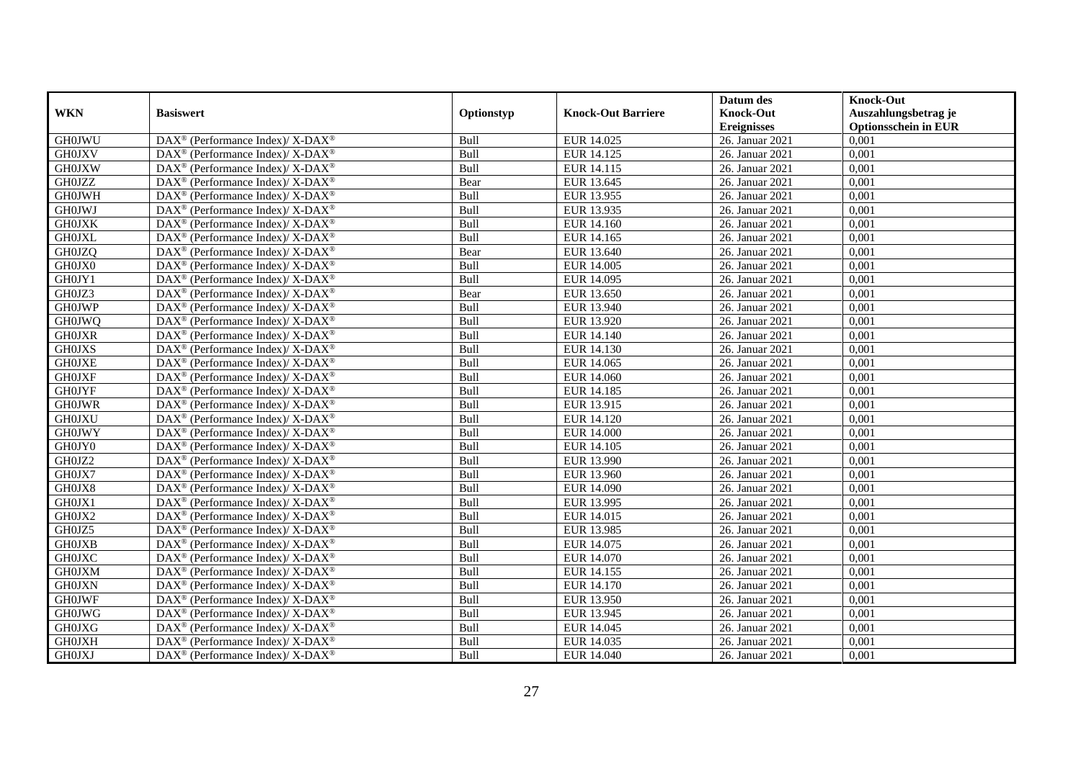|               |                                                                          |            |                           | Datum des          | <b>Knock-Out</b>            |
|---------------|--------------------------------------------------------------------------|------------|---------------------------|--------------------|-----------------------------|
| <b>WKN</b>    | <b>Basiswert</b>                                                         | Optionstyp | <b>Knock-Out Barriere</b> | <b>Knock-Out</b>   | Auszahlungsbetrag je        |
|               |                                                                          |            |                           | <b>Ereignisses</b> | <b>Optionsschein in EUR</b> |
| <b>GH0JWU</b> | DAX <sup>®</sup> (Performance Index)/X-DAX <sup>®</sup>                  | Bull       | EUR 14.025                | 26. Januar 2021    | 0,001                       |
| <b>GH0JXV</b> | $\text{DAX}^{\circledast}$ (Performance Index)/ X-DAX <sup>®</sup>       | Bull       | EUR 14.125                | 26. Januar 2021    | 0,001                       |
| <b>GH0JXW</b> | $DAX^{\circledcirc}$ (Performance Index)/X-DAX <sup>®</sup>              | Bull       | EUR 14.115                | 26. Januar 2021    | 0,001                       |
| <b>GH0JZZ</b> | $\text{DAX}^{\circledR}$ (Performance Index)/ X-DAX <sup>®</sup>         | Bear       | EUR 13.645                | 26. Januar 2021    | 0,001                       |
| <b>GH0JWH</b> | DAX <sup>®</sup> (Performance Index)/ X-DAX <sup>®</sup>                 | Bull       | EUR 13.955                | 26. Januar 2021    | 0,001                       |
| <b>GH0JWJ</b> | DAX <sup>®</sup> (Performance Index)/ X-DAX <sup>®</sup>                 | Bull       | EUR 13.935                | 26. Januar 2021    | 0,001                       |
| <b>GH0JXK</b> | $\text{DAX}^{\circledR}$ (Performance Index)/ X-DAX <sup>®</sup>         | Bull       | EUR 14.160                | 26. Januar 2021    | 0,001                       |
| <b>GH0JXL</b> | DAX <sup>®</sup> (Performance Index)/ X-DAX <sup>®</sup>                 | Bull       | EUR 14.165                | 26. Januar 2021    | 0,001                       |
| <b>GH0JZQ</b> | $DAX^{\circledcirc}$ (Performance Index)/X-DAX <sup>®</sup>              | Bear       | EUR 13.640                | 26. Januar 2021    | 0.001                       |
| GH0JX0        | $\overline{\text{DAX}^{\otimes}}$ (Performance Index)/X-DAX <sup>®</sup> | Bull       | <b>EUR 14.005</b>         | 26. Januar 2021    | 0,001                       |
| GH0JY1        | $\text{DAX}^{\circledast}$ (Performance Index)/ X-DAX <sup>®</sup>       | Bull       | EUR 14.095                | 26. Januar 2021    | 0,001                       |
| GH0JZ3        | $\text{DAX}^{\circledR}$ (Performance Index)/ X-DAX <sup>®</sup>         | Bear       | EUR 13.650                | 26. Januar 2021    | 0,001                       |
| <b>GH0JWP</b> | $\text{DAX}^{\circledast}$ (Performance Index)/ X-DAX <sup>®</sup>       | Bull       | EUR 13.940                | 26. Januar 2021    | 0,001                       |
| <b>GH0JWQ</b> | $\text{DAX}^{\circledast}$ (Performance Index)/ X-DAX <sup>®</sup>       | Bull       | EUR 13.920                | 26. Januar 2021    | 0,001                       |
| <b>GH0JXR</b> | DAX <sup>®</sup> (Performance Index)/ X-DAX <sup>®</sup>                 | Bull       | EUR 14.140                | 26. Januar 2021    | 0,001                       |
| <b>GH0JXS</b> | DAX <sup>®</sup> (Performance Index)/ X-DAX <sup>®</sup>                 | Bull       | <b>EUR 14.130</b>         | 26. Januar 2021    | 0,001                       |
| <b>GH0JXE</b> | $DAX^{\circledcirc}$ (Performance Index)/ X-DAX <sup>®</sup>             | Bull       | EUR 14.065                | 26. Januar 2021    | 0,001                       |
| <b>GH0JXF</b> | $\text{DAX}^{\circledast}$ (Performance Index)/ X-DAX <sup>®</sup>       | Bull       | <b>EUR 14.060</b>         | 26. Januar 2021    | 0,001                       |
| <b>GH0JYF</b> | $\text{DAX}^{\circledast}$ (Performance Index)/ X-DAX <sup>®</sup>       | Bull       | EUR 14.185                | 26. Januar 2021    | 0,001                       |
| <b>GH0JWR</b> | $\text{DAX}^{\circledast}$ (Performance Index)/ X-DAX <sup>®</sup>       | Bull       | EUR 13.915                | 26. Januar 2021    | 0,001                       |
| <b>GH0JXU</b> | DAX <sup>®</sup> (Performance Index)/ X-DAX <sup>®</sup>                 | Bull       | EUR 14.120                | 26. Januar 2021    | 0.001                       |
| <b>GH0JWY</b> | $\text{DAX}^{\circledast}$ (Performance Index)/ X-DAX <sup>®</sup>       | Bull       | <b>EUR 14.000</b>         | 26. Januar 2021    | 0,001                       |
| GH0JY0        | $\text{DAX}^{\circledR}$ (Performance Index)/ X-DAX <sup>®</sup>         | Bull       | EUR 14.105                | 26. Januar 2021    | 0,001                       |
| GH0JZ2        | $\text{DAX}^{\circledast}$ (Performance Index)/X-DAX <sup>®</sup>        | Bull       | EUR 13.990                | 26. Januar 2021    | 0,001                       |
| GH0JX7        | $\text{DAX}^{\circledast}$ (Performance Index)/ X-DAX <sup>®</sup>       | Bull       | EUR 13.960                | 26. Januar 2021    | 0,001                       |
| GH0JX8        | DAX <sup>®</sup> (Performance Index)/ X-DAX <sup>®</sup>                 | Bull       | <b>EUR 14.090</b>         | 26. Januar 2021    | 0,001                       |
| GH0JX1        | $\text{DAX}^{\circledast}$ (Performance Index)/ X-DAX <sup>®</sup>       | Bull       | EUR 13.995                | 26. Januar 2021    | 0.001                       |
| GH0JX2        | DAX <sup>®</sup> (Performance Index)/ X-DAX <sup>®</sup>                 | Bull       | EUR 14.015                | 26. Januar 2021    | 0,001                       |
| GH0JZ5        | $\text{DAX}^{\circledast}$ (Performance Index)/X-DAX <sup>®</sup>        | Bull       | EUR 13.985                | 26. Januar 2021    | 0,001                       |
| <b>GH0JXB</b> | DAX <sup>®</sup> (Performance Index)/ X-DAX <sup>®</sup>                 | Bull       | EUR 14.075                | 26. Januar 2021    | 0,001                       |
| <b>GH0JXC</b> | $\text{DAX}^{\circledast}$ (Performance Index)/ X-DAX <sup>®</sup>       | Bull       | EUR 14.070                | 26. Januar 2021    | 0,001                       |
| <b>GH0JXM</b> | DAX <sup>®</sup> (Performance Index)/ X-DAX <sup>®</sup>                 | Bull       | EUR 14.155                | 26. Januar 2021    | 0,001                       |
| <b>GH0JXN</b> | $\text{DAX}^{\circledast}$ (Performance Index)/ X-DAX <sup>®</sup>       | Bull       | EUR 14.170                | 26. Januar 2021    | 0,001                       |
| <b>GH0JWF</b> | DAX <sup>®</sup> (Performance Index)/ X-DAX <sup>®</sup>                 | Bull       | EUR 13.950                | 26. Januar 2021    | 0,001                       |
| <b>GH0JWG</b> | $\text{DAX}^{\circledR}$ (Performance Index)/ X-DAX <sup>®</sup>         | Bull       | EUR 13.945                | 26. Januar 2021    | 0,001                       |
| <b>GH0JXG</b> | DAX <sup>®</sup> (Performance Index)/ X-DAX <sup>®</sup>                 | Bull       | EUR 14.045                | 26. Januar 2021    | 0,001                       |
| <b>GH0JXH</b> | DAX <sup>®</sup> (Performance Index)/ X-DAX <sup>®</sup>                 | Bull       | EUR 14.035                | 26. Januar 2021    | 0,001                       |
| <b>GH0JXJ</b> | $\text{DAX}^{\circledast}$ (Performance Index)/ X-DAX <sup>®</sup>       | Bull       | EUR 14.040                | 26. Januar 2021    | 0,001                       |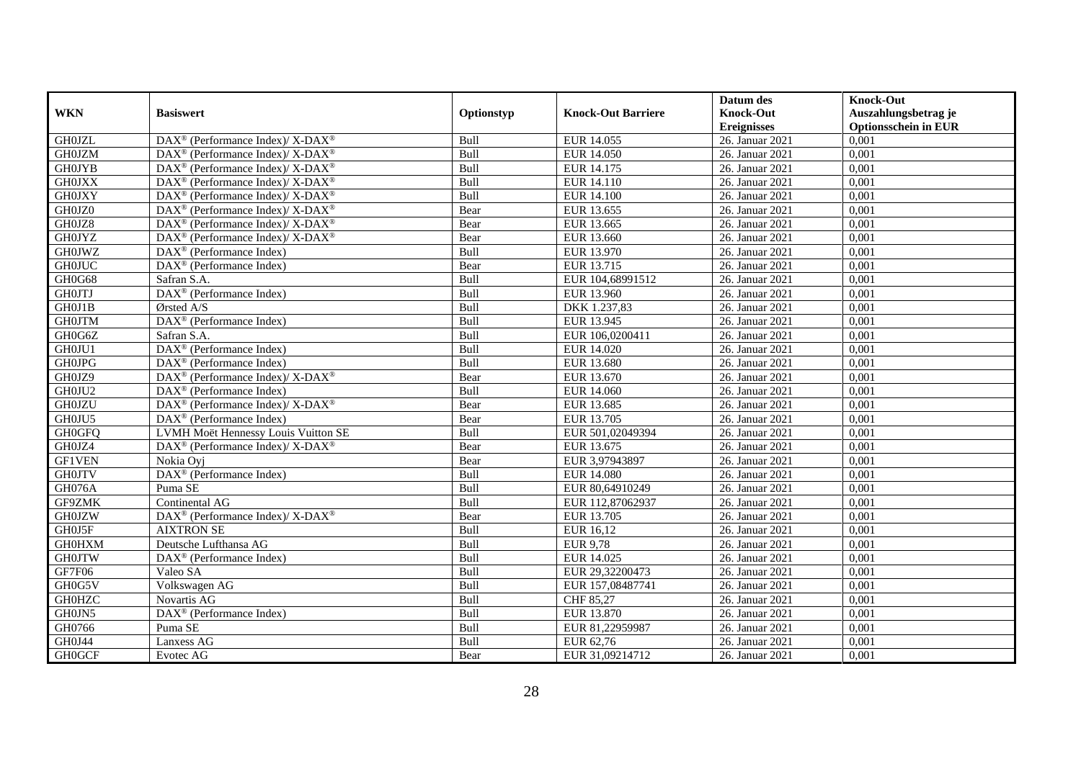|               |                                                                    |            |                           | Datum des          | <b>Knock-Out</b>            |
|---------------|--------------------------------------------------------------------|------------|---------------------------|--------------------|-----------------------------|
| <b>WKN</b>    | <b>Basiswert</b>                                                   | Optionstyp | <b>Knock-Out Barriere</b> | <b>Knock-Out</b>   | Auszahlungsbetrag je        |
|               |                                                                    |            |                           | <b>Ereignisses</b> | <b>Optionsschein in EUR</b> |
| <b>GH0JZL</b> | DAX <sup>®</sup> (Performance Index)/ X-DAX <sup>®</sup>           | Bull       | EUR 14.055                | 26. Januar 2021    | 0,001                       |
| <b>GH0JZM</b> | $DAX^{\circledcirc}$ (Performance Index)/X-DAX <sup>®</sup>        | Bull       | <b>EUR 14.050</b>         | 26. Januar 2021    | 0,001                       |
| <b>GH0JYB</b> | $\text{DAX}^{\circledast}$ (Performance Index)/X-DAX <sup>®</sup>  | Bull       | EUR 14.175                | 26. Januar 2021    | 0,001                       |
| <b>GH0JXX</b> | $\text{DAX}^{\circledast}$ (Performance Index)/ X-DAX <sup>®</sup> | Bull       | EUR 14.110                | 26. Januar 2021    | 0,001                       |
| <b>GH0JXY</b> | DAX <sup>®</sup> (Performance Index)/ X-DAX <sup>®</sup>           | Bull       | EUR 14.100                | 26. Januar 2021    | 0,001                       |
| GH0JZ0        | $DAX^{\circledcirc}$ (Performance Index)/ X-DAX <sup>®</sup>       | Bear       | EUR 13.655                | 26. Januar 2021    | 0,001                       |
| GH0JZ8        | $DAX^{\circledcirc}$ (Performance Index)/ X-DAX <sup>®</sup>       | Bear       | EUR 13.665                | 26. Januar 2021    | 0,001                       |
| <b>GH0JYZ</b> | $\text{DAX}^{\circledast}$ (Performance Index)/ X-DAX <sup>®</sup> | Bear       | EUR 13.660                | 26. Januar 2021    | 0,001                       |
| <b>GH0JWZ</b> | $\text{DAX}^{\textcircled{n}}$ (Performance Index)                 | Bull       | EUR 13.970                | 26. Januar 2021    | 0,001                       |
| <b>GH0JUC</b> | DAX <sup>®</sup> (Performance Index)                               | Bear       | EUR 13.715                | 26. Januar 2021    | 0,001                       |
| GH0G68        | Safran S.A.                                                        | Bull       | EUR 104,68991512          | 26. Januar 2021    | 0,001                       |
| <b>GH0JTJ</b> | DAX <sup>®</sup> (Performance Index)                               | Bull       | EUR 13.960                | 26. Januar 2021    | 0,001                       |
| GH0J1B        | Ørsted A/S                                                         | Bull       | DKK 1.237,83              | 26. Januar 2021    | 0,001                       |
| <b>GH0JTM</b> | $DAX^{\circledR}$ (Performance Index)                              | Bull       | EUR 13.945                | 26. Januar 2021    | 0.001                       |
| GH0G6Z        | Safran S.A.                                                        | Bull       | EUR 106,0200411           | 26. Januar 2021    | 0,001                       |
| GH0JU1        | DAX <sup>®</sup> (Performance Index)                               | Bull       | EUR 14.020                | 26. Januar 2021    | 0,001                       |
| <b>GH0JPG</b> | DAX <sup>®</sup> (Performance Index)                               | Bull       | EUR 13.680                | 26. Januar 2021    | 0,001                       |
| GH0JZ9        | $\text{DAX}^{\circledR}$ (Performance Index)/ X-DAX <sup>®</sup>   | Bear       | EUR 13.670                | 26. Januar 2021    | 0,001                       |
| GH0JU2        | $\text{DAX}^{\circledast}$ (Performance Index)                     | Bull       | EUR 14.060                | 26. Januar 2021    | 0,001                       |
| <b>GH0JZU</b> | $\text{DAX}^{\circledast}$ (Performance Index)/X-DAX <sup>®</sup>  | Bear       | EUR 13.685                | 26. Januar 2021    | 0,001                       |
| GH0JU5        | DAX <sup>®</sup> (Performance Index)                               | Bear       | EUR 13.705                | 26. Januar 2021    | 0,001                       |
| <b>GH0GFO</b> | LVMH Moët Hennessy Louis Vuitton SE                                | Bull       | EUR 501,02049394          | 26. Januar 2021    | 0,001                       |
| GH0JZ4        | $\text{DAX}^{\circledR}$ (Performance Index)/ X-DAX <sup>®</sup>   | Bear       | EUR 13.675                | 26. Januar 2021    | 0,001                       |
| <b>GF1VEN</b> | Nokia Ovi                                                          | Bear       | EUR 3,97943897            | 26. Januar 2021    | 0,001                       |
| <b>GH0JTV</b> | $\text{DAX}^{\textcircled{p}}$ (Performance Index)                 | Bull       | <b>EUR 14.080</b>         | 26. Januar 2021    | 0,001                       |
| GH076A        | Puma SE                                                            | Bull       | EUR 80,64910249           | 26. Januar 2021    | 0,001                       |
| GF9ZMK        | Continental AG                                                     | Bull       | EUR 112,87062937          | 26. Januar 2021    | 0,001                       |
| <b>GH0JZW</b> | DAX <sup>®</sup> (Performance Index)/X-DAX <sup>®</sup>            | Bear       | EUR 13.705                | 26. Januar 2021    | 0,001                       |
| GH0J5F        | <b>AIXTRON SE</b>                                                  | Bull       | EUR 16,12                 | 26. Januar 2021    | 0,001                       |
| <b>GH0HXM</b> | Deutsche Lufthansa AG                                              | Bull       | <b>EUR 9,78</b>           | 26. Januar 2021    | 0,001                       |
| <b>GH0JTW</b> | DAX <sup>®</sup> (Performance Index)                               | Bull       | EUR 14.025                | 26. Januar 2021    | 0,001                       |
| GF7F06        | Valeo SA                                                           | Bull       | EUR 29,32200473           | 26. Januar 2021    | 0,001                       |
| GH0G5V        | Volkswagen AG                                                      | Bull       | EUR 157,08487741          | 26. Januar 2021    | 0,001                       |
| <b>GH0HZC</b> | Novartis AG                                                        | Bull       | CHF 85,27                 | 26. Januar 2021    | 0,001                       |
| GH0JN5        | $\text{DAX}^{\circledast}$ (Performance Index)                     | Bull       | EUR 13.870                | 26. Januar 2021    | 0,001                       |
| GH0766        | Puma SE                                                            | Bull       | EUR 81,22959987           | 26. Januar 2021    | 0,001                       |
| GH0J44        | Lanxess AG                                                         | Bull       | EUR 62,76                 | 26. Januar 2021    | 0,001                       |
| <b>GH0GCF</b> | Evotec AG                                                          | Bear       | EUR 31,09214712           | 26. Januar 2021    | 0,001                       |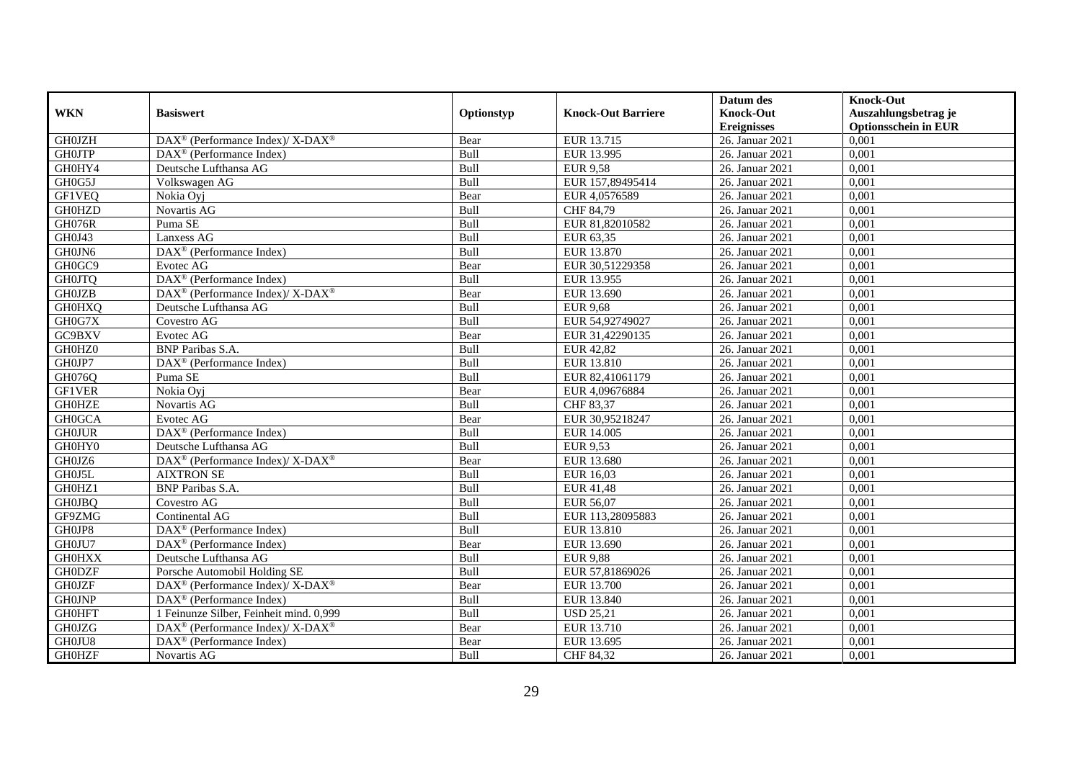|               |                                                                                         |             |                           | Datum des          | <b>Knock-Out</b>            |
|---------------|-----------------------------------------------------------------------------------------|-------------|---------------------------|--------------------|-----------------------------|
| <b>WKN</b>    | <b>Basiswert</b>                                                                        | Optionstyp  | <b>Knock-Out Barriere</b> | <b>Knock-Out</b>   | Auszahlungsbetrag je        |
|               |                                                                                         |             |                           | <b>Ereignisses</b> | <b>Optionsschein in EUR</b> |
| <b>GH0JZH</b> | $\text{DAX}^{\circledR}$ (Performance Index)/ X-DAX <sup>®</sup>                        | Bear        | EUR 13.715                | 26. Januar 2021    | 0,001                       |
| <b>GH0JTP</b> | $\overline{\text{DAX}^{\otimes}}$ (Performance Index)                                   | Bull        | EUR 13.995                | 26. Januar 2021    | 0,001                       |
| GH0HY4        | Deutsche Lufthansa AG                                                                   | Bull        | <b>EUR</b> 9,58           | 26. Januar 2021    | 0,001                       |
| GH0G5J        | Volkswagen AG                                                                           | Bull        | EUR 157,89495414          | 26. Januar 2021    | 0.001                       |
| <b>GF1VEQ</b> | Nokia Oyj                                                                               | Bear        | EUR 4,0576589             | 26. Januar 2021    | 0,001                       |
| <b>GH0HZD</b> | Novartis AG                                                                             | Bull        | CHF 84,79                 | 26. Januar 2021    | 0,001                       |
| <b>GH076R</b> | Puma SE                                                                                 | Bull        | EUR 81,82010582           | 26. Januar 2021    | 0,001                       |
| GH0J43        | Lanxess AG                                                                              | Bull        | EUR 63,35                 | 26. Januar 2021    | 0,001                       |
| GH0JN6        | DAX <sup>®</sup> (Performance Index)                                                    | Bull        | EUR 13.870                | 26. Januar 2021    | 0,001                       |
| GH0GC9        | Evotec AG                                                                               | Bear        | EUR 30,51229358           | 26. Januar 2021    | 0,001                       |
| <b>GH0JTQ</b> | DAX <sup>®</sup> (Performance Index)                                                    | Bull        | EUR 13.955                | 26. Januar 2021    | 0,001                       |
| <b>GH0JZB</b> | DAX <sup>®</sup> (Performance Index)/ X-DAX <sup>®</sup>                                | Bear        | EUR 13.690                | 26. Januar 2021    | 0,001                       |
| <b>GH0HXQ</b> | Deutsche Lufthansa AG                                                                   | Bull        | <b>EUR 9,68</b>           | 26. Januar 2021    | 0,001                       |
| GH0G7X        | Covestro AG                                                                             | Bull        | EUR 54,92749027           | 26. Januar 2021    | 0,001                       |
| GC9BXV        | Evotec AG                                                                               | Bear        | EUR 31,42290135           | 26. Januar 2021    | 0,001                       |
| GH0HZ0        | <b>BNP</b> Paribas S.A.                                                                 | Bull        | <b>EUR 42,82</b>          | 26. Januar 2021    | 0,001                       |
| GH0JP7        | DAX <sup>®</sup> (Performance Index)                                                    | Bull        | EUR 13.810                | 26. Januar 2021    | 0,001                       |
| GH076Q        | Puma SE                                                                                 | <b>Bull</b> | EUR 82,41061179           | 26. Januar 2021    | 0,001                       |
| <b>GF1VER</b> | Nokia Oyj                                                                               | Bear        | EUR 4,09676884            | 26. Januar 2021    | 0,001                       |
| <b>GH0HZE</b> | Novartis AG                                                                             | Bull        | CHF 83,37                 | 26. Januar 2021    | 0,001                       |
| <b>GH0GCA</b> | Evotec AG                                                                               | Bear        | EUR 30,95218247           | 26. Januar 2021    | 0,001                       |
| <b>GH0JUR</b> | DAX <sup>®</sup> (Performance Index)                                                    | Bull        | <b>EUR 14.005</b>         | 26. Januar 2021    | 0,001                       |
| GH0HY0        | Deutsche Lufthansa AG                                                                   | Bull        | <b>EUR 9,53</b>           | 26. Januar 2021    | 0,001                       |
| GH0JZ6        | $\text{DAX}^{\circledR}$ (Performance Index)/ X-DAX <sup>®</sup>                        | Bear        | <b>EUR 13.680</b>         | 26. Januar 2021    | 0,001                       |
| GH0J5L        | <b>AIXTRON SE</b>                                                                       | Bull        | EUR 16,03                 | 26. Januar 2021    | 0.001                       |
| GH0HZ1        | <b>BNP</b> Paribas S.A.                                                                 | Bull        | EUR 41,48                 | 26. Januar 2021    | 0,001                       |
| <b>GH0JBQ</b> | Covestro AG                                                                             | Bull        | EUR 56,07                 | 26. Januar 2021    | 0,001                       |
| GF9ZMG        | Continental AG                                                                          | Bull        | EUR 113,28095883          | 26. Januar 2021    | 0,001                       |
| GH0JP8        | DAX <sup>®</sup> (Performance Index)                                                    | Bull        | <b>EUR 13.810</b>         | 26. Januar 2021    | 0,001                       |
| GH0JU7        | $\text{DAX}^{\otimes}$ (Performance Index)                                              | Bear        | EUR 13.690                | 26. Januar 2021    | 0,001                       |
| <b>GH0HXX</b> | Deutsche Lufthansa AG                                                                   | Bull        | <b>EUR 9,88</b>           | 26. Januar 2021    | 0,001                       |
| <b>GH0DZF</b> | Porsche Automobil Holding SE                                                            | Bull        | EUR 57,81869026           | 26. Januar 2021    | 0,001                       |
| <b>GH0JZF</b> | $\text{DAX}^{\textcircled{\tiny{\textcircled{\tiny \dag}}}}$ (Performance Index)/X-DAX® | Bear        | <b>EUR 13.700</b>         | 26. Januar 2021    | 0,001                       |
| <b>GH0JNP</b> | DAX <sup>®</sup> (Performance Index)                                                    | Bull        | EUR 13.840                | 26. Januar 2021    | 0,001                       |
| <b>GH0HFT</b> | 1 Feinunze Silber, Feinheit mind. 0,999                                                 | Bull        | <b>USD 25,21</b>          | 26. Januar 2021    | 0,001                       |
| <b>GH0JZG</b> | DAX <sup>®</sup> (Performance Index)/X-DAX <sup>®</sup>                                 | Bear        | EUR 13.710                | 26. Januar 2021    | 0,001                       |
| GH0JU8        | $DAX^{\circledast}$ (Performance Index)                                                 | Bear        | EUR 13.695                | 26. Januar 2021    | 0,001                       |
| <b>GH0HZF</b> | Novartis AG                                                                             | Bull        | CHF 84,32                 | 26. Januar 2021    | 0,001                       |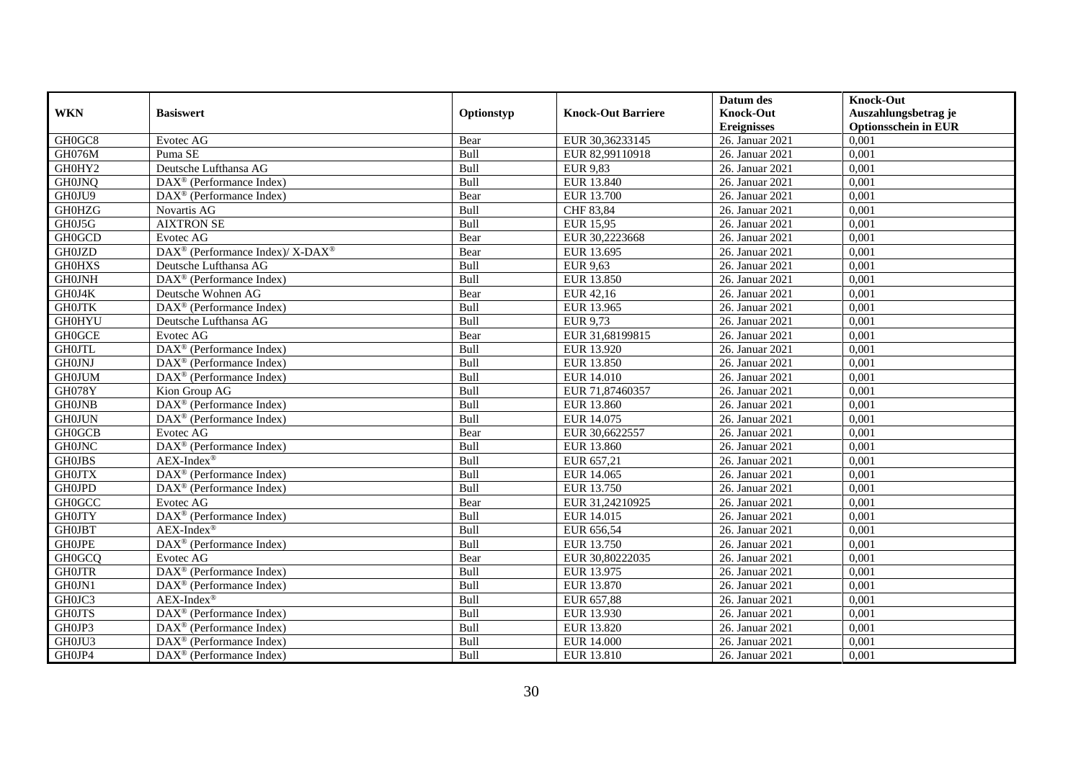|               |                                                              |            |                           | Datum des          | <b>Knock-Out</b>            |
|---------------|--------------------------------------------------------------|------------|---------------------------|--------------------|-----------------------------|
| <b>WKN</b>    | <b>Basiswert</b>                                             | Optionstyp | <b>Knock-Out Barriere</b> | <b>Knock-Out</b>   | Auszahlungsbetrag je        |
|               |                                                              |            |                           | <b>Ereignisses</b> | <b>Optionsschein in EUR</b> |
| GH0GC8        | Evotec AG                                                    | Bear       | EUR 30,36233145           | 26. Januar 2021    | 0,001                       |
| GH076M        | Puma SE                                                      | Bull       | EUR 82,99110918           | 26. Januar 2021    | 0,001                       |
| GH0HY2        | Deutsche Lufthansa AG                                        | Bull       | <b>EUR 9,83</b>           | 26. Januar 2021    | 0,001                       |
| <b>GH0JNQ</b> | DAX <sup>®</sup> (Performance Index)                         | Bull       | EUR 13.840                | 26. Januar 2021    | 0,001                       |
| GH0JU9        | $\overline{\text{DAX}}^{\textcircled{}}$ (Performance Index) | Bear       | EUR 13.700                | 26. Januar 2021    | 0,001                       |
| <b>GH0HZG</b> | Novartis AG                                                  | Bull       | CHF 83,84                 | 26. Januar 2021    | 0,001                       |
| GH0J5G        | <b>AIXTRON SE</b>                                            | Bull       | <b>EUR 15,95</b>          | 26. Januar 2021    | 0,001                       |
| <b>GH0GCD</b> | Evotec AG                                                    | Bear       | EUR 30,2223668            | 26. Januar 2021    | 0,001                       |
| <b>GH0JZD</b> | DAX <sup>®</sup> (Performance Index)/ X-DAX <sup>®</sup>     | Bear       | EUR 13.695                | 26. Januar 2021    | 0,001                       |
| <b>GH0HXS</b> | Deutsche Lufthansa AG                                        | Bull       | EUR 9,63                  | 26. Januar 2021    | 0,001                       |
| <b>GH0JNH</b> | $\overline{\text{DAX}^{\otimes}}$ (Performance Index)        | Bull       | EUR 13.850                | 26. Januar 2021    | 0,001                       |
| GH0J4K        | Deutsche Wohnen AG                                           | Bear       | EUR 42,16                 | 26. Januar 2021    | 0,001                       |
| <b>GH0JTK</b> | $\text{DAX}^{\textcircled{n}}$ (Performance Index)           | Bull       | EUR 13.965                | 26. Januar 2021    | 0,001                       |
| <b>GH0HYU</b> | Deutsche Lufthansa AG                                        | Bull       | EUR 9,73                  | 26. Januar 2021    | 0.001                       |
| <b>GH0GCE</b> | Evotec AG                                                    | Bear       | EUR 31,68199815           | 26. Januar 2021    | 0,001                       |
| <b>GH0JTL</b> | $\overline{\text{DAX}^{\otimes}}$ (Performance Index)        | Bull       | EUR 13.920                | 26. Januar 2021    | 0,001                       |
| <b>GH0JNJ</b> | DAX <sup>®</sup> (Performance Index)                         | Bull       | EUR 13.850                | 26. Januar 2021    | 0,001                       |
| <b>GH0JUM</b> | DAX <sup>®</sup> (Performance Index)                         | Bull       | <b>EUR 14.010</b>         | 26. Januar 2021    | 0,001                       |
| <b>GH078Y</b> | Kion Group AG                                                | Bull       | EUR 71,87460357           | 26. Januar 2021    | 0,001                       |
| <b>GH0JNB</b> | DAX <sup>®</sup> (Performance Index)                         | Bull       | EUR 13.860                | 26. Januar 2021    | 0,001                       |
| <b>GH0JUN</b> | DAX <sup>®</sup> (Performance Index)                         | Bull       | EUR 14.075                | 26. Januar 2021    | 0,001                       |
| <b>GH0GCB</b> | Evotec AG                                                    | Bear       | EUR 30,6622557            | 26. Januar 2021    | 0,001                       |
| <b>GH0JNC</b> | $\overline{\text{DAX}}^{\textcircled{}}$ (Performance Index) | Bull       | EUR 13.860                | 26. Januar 2021    | 0,001                       |
| <b>GH0JBS</b> | AEX-Index®                                                   | Bull       | EUR 657,21                | 26. Januar 2021    | 0,001                       |
| <b>GH0JTX</b> | $\text{DAX}^{\textcircled{p}}$ (Performance Index)           | Bull       | EUR 14.065                | 26. Januar 2021    | 0,001                       |
| <b>GH0JPD</b> | $\overline{\text{DAX}^{\otimes}}$ (Performance Index)        | Bull       | EUR 13.750                | 26. Januar 2021    | 0,001                       |
| <b>GH0GCC</b> | Evotec $\overline{AG}$                                       | Bear       | EUR 31,24210925           | 26. Januar 2021    | 0,001                       |
| <b>GH0JTY</b> | DAX <sup>®</sup> (Performance Index)                         | Bull       | EUR 14.015                | 26. Januar 2021    | 0,001                       |
| <b>GH0JBT</b> | $AEX-Index^{\circledR}$                                      | Bull       | EUR 656,54                | 26. Januar 2021    | 0,001                       |
| <b>GHOJPE</b> | DAX <sup>®</sup> (Performance Index)                         | Bull       | EUR 13.750                | 26. Januar 2021    | 0,001                       |
| <b>GH0GCQ</b> | Evotec AG                                                    | Bear       | EUR 30,80222035           | 26. Januar 2021    | 0,001                       |
| <b>GH0JTR</b> | DAX <sup>®</sup> (Performance Index)                         | Bull       | EUR 13.975                | 26. Januar 2021    | 0,001                       |
| GH0JN1        | DAX <sup>®</sup> (Performance Index)                         | Bull       | <b>EUR 13.870</b>         | 26. Januar 2021    | 0,001                       |
| GH0JC3        | $AEX-Index^{\circledR}$                                      | Bull       | EUR 657,88                | 26. Januar 2021    | 0,001                       |
| <b>GH0JTS</b> | $\overline{\text{DAX}}^{\textcirc}$ (Performance Index)      | Bull       | EUR 13.930                | 26. Januar 2021    | 0,001                       |
| GH0JP3        | DAX <sup>®</sup> (Performance Index)                         | Bull       | EUR 13.820                | 26. Januar 2021    | 0,001                       |
| GH0JU3        | $\text{DAX}^{\otimes}$ (Performance Index)                   | Bull       | <b>EUR 14.000</b>         | 26. Januar 2021    | 0,001                       |
| GH0JP4        | $\text{DAX}^{\textcircled{n}}$ (Performance Index)           | Bull       | EUR 13.810                | 26. Januar 2021    | 0,001                       |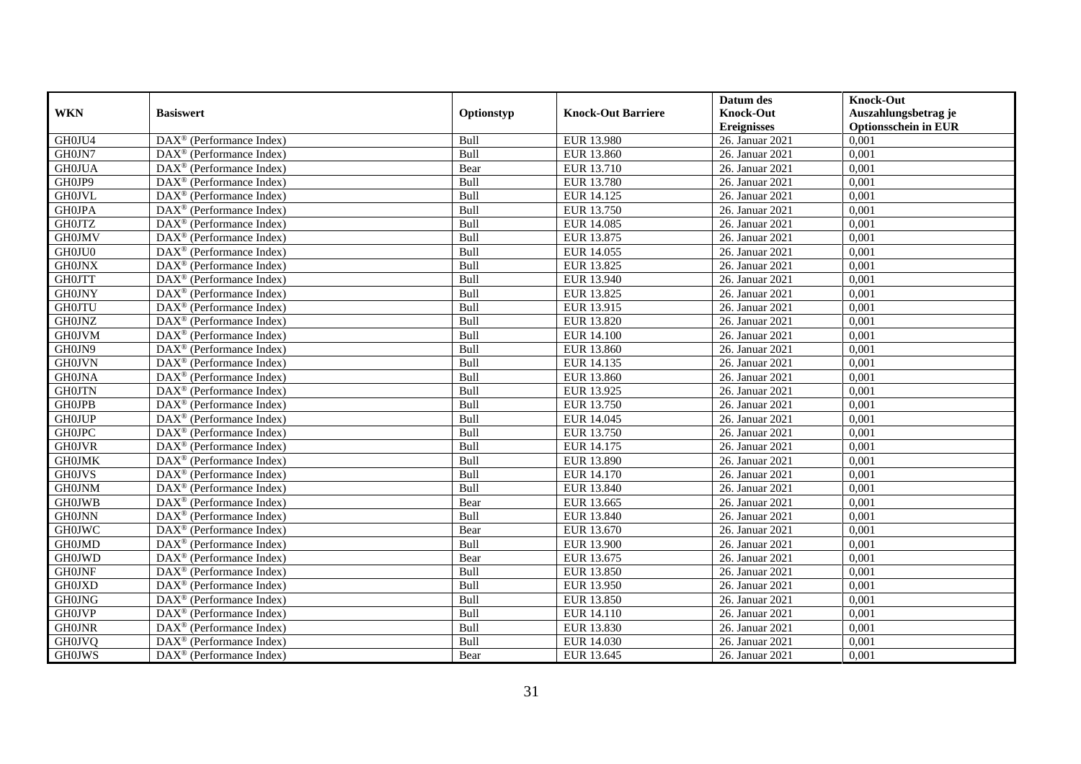|               |                                                         |            |                           | Datum des          | <b>Knock-Out</b>            |
|---------------|---------------------------------------------------------|------------|---------------------------|--------------------|-----------------------------|
| <b>WKN</b>    | <b>Basiswert</b>                                        | Optionstyp | <b>Knock-Out Barriere</b> | <b>Knock-Out</b>   | Auszahlungsbetrag je        |
|               |                                                         |            |                           | <b>Ereignisses</b> | <b>Optionsschein in EUR</b> |
| GH0JU4        | DAX <sup>®</sup> (Performance Index)                    | Bull       | EUR 13.980                | 26. Januar 2021    | 0,001                       |
| GH0JN7        | $DAX^{\circledR}$ (Performance Index)                   | Bull       | <b>EUR 13.860</b>         | 26. Januar 2021    | 0,001                       |
| <b>GH0JUA</b> | DAX <sup>®</sup> (Performance Index)                    | Bear       | EUR 13.710                | 26. Januar 2021    | 0,001                       |
| GH0JP9        | $\text{DAX}^{\otimes}$ (Performance Index)              | Bull       | <b>EUR 13.780</b>         | 26. Januar 2021    | 0,001                       |
| <b>GH0JVL</b> | DAX <sup>®</sup> (Performance Index)                    | Bull       | EUR 14.125                | 26. Januar 2021    | 0,001                       |
| <b>GH0JPA</b> | $\text{DAX}^{\circledast}$ (Performance Index)          | Bull       | EUR 13.750                | 26. Januar 2021    | 0,001                       |
| <b>GH0JTZ</b> | $\text{DAX}^{\textcircled{n}}$ (Performance Index)      | Bull       | EUR 14.085                | 26. Januar 2021    | 0,001                       |
| <b>GH0JMV</b> | $\text{DAX}^{\textcircled{}}$ (Performance Index)       | Bull       | EUR 13.875                | 26. Januar 2021    | 0,001                       |
| GH0JU0        | $\text{DAX}^{\textcircled{D}}$ (Performance Index)      | Bull       | EUR 14.055                | 26. Januar 2021    | 0,001                       |
| <b>GH0JNX</b> | $DAX^{\otimes}$ (Performance Index)                     | Bull       | EUR 13.825                | 26. Januar 2021    | 0,001                       |
| <b>GH0JTT</b> | DAX <sup>®</sup> (Performance Index)                    | Bull       | EUR 13.940                | 26. Januar 2021    | 0,001                       |
| <b>GH0JNY</b> | $\overline{\text{DAX}^{\otimes}}$ (Performance Index)   | Bull       | EUR 13.825                | 26. Januar 2021    | 0,001                       |
| <b>GH0JTU</b> | $\text{DAX}^{\circledast}$ (Performance Index)          | Bull       | EUR 13.915                | 26. Januar 2021    | 0,001                       |
| <b>GH0JNZ</b> | DAX <sup>®</sup> (Performance Index)                    | Bull       | EUR 13.820                | 26. Januar 2021    | 0,001                       |
| <b>GH0JVM</b> | DAX <sup>®</sup> (Performance Index)                    | Bull       | <b>EUR 14.100</b>         | 26. Januar 2021    | 0,001                       |
| GH0JN9        | DAX <sup>®</sup> (Performance Index)                    | Bull       | EUR 13.860                | 26. Januar 2021    | 0,001                       |
| <b>GH0JVN</b> | DAX <sup>®</sup> (Performance Index)                    | Bull       | EUR 14.135                | 26. Januar 2021    | 0,001                       |
| <b>GH0JNA</b> | $\overline{\text{DAX}}^{\textcirc}$ (Performance Index) | Bull       | EUR 13.860                | 26. Januar 2021    | 0,001                       |
| <b>GH0JTN</b> | DAX <sup>®</sup> (Performance Index)                    | Bull       | EUR 13.925                | 26. Januar 2021    | 0,001                       |
| <b>GH0JPB</b> | DAX <sup>®</sup> (Performance Index)                    | Bull       | EUR 13.750                | 26. Januar 2021    | 0,001                       |
| <b>GH0JUP</b> | DAX <sup>®</sup> (Performance Index)                    | Bull       | EUR 14.045                | 26. Januar 2021    | 0,001                       |
| <b>GH0JPC</b> | $\overline{\text{DAX}^{\otimes}}$ (Performance Index)   | Bull       | EUR 13.750                | 26. Januar 2021    | 0,001                       |
| <b>GH0JVR</b> | $\text{DAX}^{\circledast}$ (Performance Index)          | Bull       | EUR 14.175                | 26. Januar 2021    | 0,001                       |
| <b>GH0JMK</b> | DAX <sup>®</sup> (Performance Index)                    | Bull       | EUR 13.890                | 26. Januar 2021    | 0,001                       |
| <b>GH0JVS</b> | DAX <sup>®</sup> (Performance Index)                    | Bull       | EUR 14.170                | 26. Januar 2021    | 0,001                       |
| <b>GH0JNM</b> | $\text{DAX}^{\otimes}$ (Performance Index)              | Bull       | EUR 13.840                | 26. Januar 2021    | 0,001                       |
| <b>GH0JWB</b> | $\text{DAX}^{\circledast}$ (Performance Index)          | Bear       | EUR 13.665                | 26. Januar 2021    | 0,001                       |
| <b>GH0JNN</b> | $\text{DAX}^{\textcircled{p}}$ (Performance Index)      | Bull       | EUR 13.840                | 26. Januar 2021    | 0.001                       |
| <b>GH0JWC</b> | $\text{DAX}^{\textcircled{p}}$ (Performance Index)      | Bear       | EUR 13.670                | 26. Januar 2021    | 0,001                       |
| <b>GH0JMD</b> | $DAX^{\otimes}$ (Performance Index)                     | Bull       | <b>EUR 13.900</b>         | 26. Januar 2021    | 0,001                       |
| <b>GH0JWD</b> | DAX <sup>®</sup> (Performance Index)                    | Bear       | EUR 13.675                | 26. Januar 2021    | 0,001                       |
| <b>GH0JNF</b> | DAX <sup>®</sup> (Performance Index)                    | Bull       | <b>EUR 13.850</b>         | 26. Januar 2021    | 0.001                       |
| <b>GH0JXD</b> | $\overline{\text{DAX}^{\otimes}}$ (Performance Index)   | Bull       | EUR 13.950                | 26. Januar 2021    | 0,001                       |
| <b>GH0JNG</b> | DAX <sup>®</sup> (Performance Index)                    | Bull       | EUR 13.850                | 26. Januar 2021    | 0,001                       |
| <b>GH0JVP</b> | $\text{DAX}^{\textcircled{n}}$ (Performance Index)      | Bull       | EUR 14.110                | 26. Januar 2021    | 0,001                       |
| <b>GH0JNR</b> | $\text{DAX}^{\textcircled{n}}$ (Performance Index)      | Bull       | EUR 13.830                | 26. Januar 2021    | 0,001                       |
| <b>GH0JVQ</b> | $\text{DAX}^{\otimes}$ (Performance Index)              | Bull       | EUR 14.030                | 26. Januar 2021    | 0,001                       |
| <b>GH0JWS</b> | $\overline{\text{DAX}}^{\textcirc}$ (Performance Index) | Bear       | EUR 13.645                | 26. Januar 2021    | 0,001                       |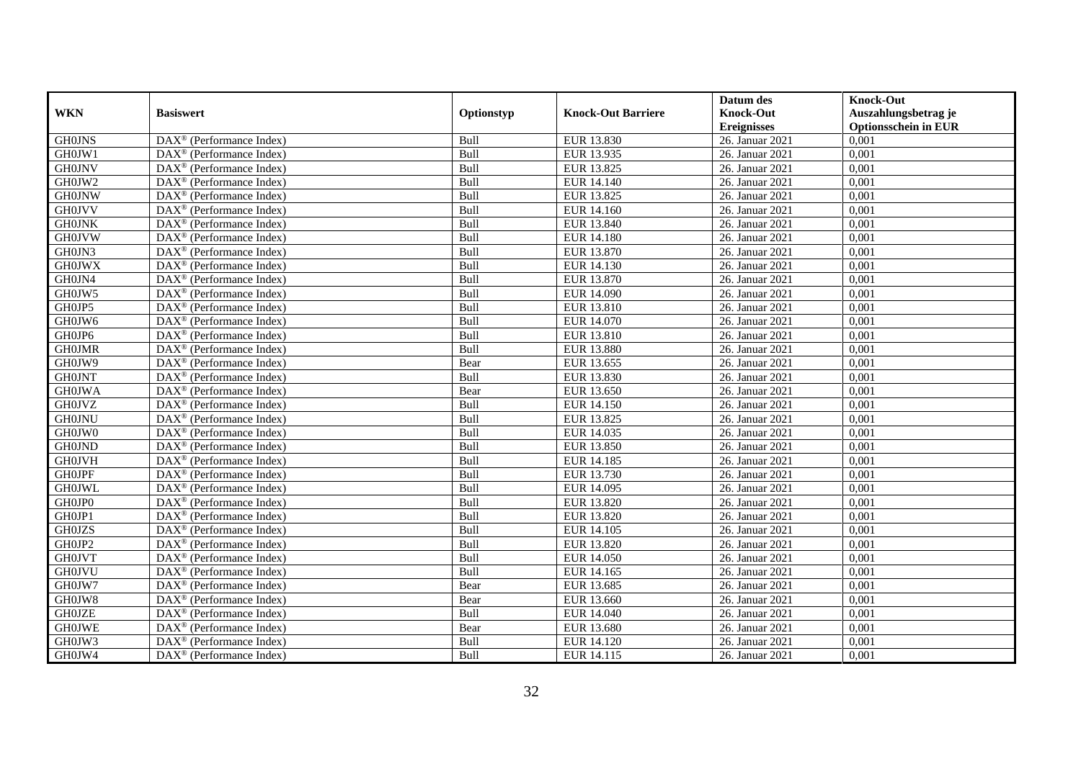|               |                                                         |            |                           | Datum des          | <b>Knock-Out</b>            |
|---------------|---------------------------------------------------------|------------|---------------------------|--------------------|-----------------------------|
| <b>WKN</b>    | <b>Basiswert</b>                                        | Optionstyp | <b>Knock-Out Barriere</b> | <b>Knock-Out</b>   | Auszahlungsbetrag je        |
|               |                                                         |            |                           | <b>Ereignisses</b> | <b>Optionsschein in EUR</b> |
| <b>GH0JNS</b> | DAX <sup>®</sup> (Performance Index)                    | Bull       | EUR 13.830                | 26. Januar 2021    | 0,001                       |
| GH0JW1        | $DAX^{\circledR}$ (Performance Index)                   | Bull       | EUR 13.935                | 26. Januar 2021    | 0,001                       |
| <b>GH0JNV</b> | DAX <sup>®</sup> (Performance Index)                    | Bull       | EUR 13.825                | 26. Januar 2021    | 0,001                       |
| GH0JW2        | $\text{DAX}^{\otimes}$ (Performance Index)              | Bull       | EUR 14.140                | 26. Januar 2021    | 0,001                       |
| <b>GH0JNW</b> | DAX <sup>®</sup> (Performance Index)                    | Bull       | EUR 13.825                | 26. Januar 2021    | 0,001                       |
| <b>GH0JVV</b> | $\text{DAX}^{\circledast}$ (Performance Index)          | Bull       | EUR 14.160                | 26. Januar 2021    | 0,001                       |
| <b>GH0JNK</b> | $\text{DAX}^{\textcircled{n}}$ (Performance Index)      | Bull       | EUR 13.840                | 26. Januar 2021    | 0,001                       |
| <b>GH0JVW</b> | $\text{DAX}^{\textcircled{}}$ (Performance Index)       | Bull       | <b>EUR 14.180</b>         | 26. Januar 2021    | 0,001                       |
| GH0JN3        | $\text{DAX}^{\textcircled{p}}$ (Performance Index)      | Bull       | EUR 13.870                | 26. Januar 2021    | 0,001                       |
| <b>GH0JWX</b> | $DAX^{\otimes}$ (Performance Index)                     | Bull       | EUR 14.130                | 26. Januar 2021    | 0,001                       |
| GH0JN4        | DAX <sup>®</sup> (Performance Index)                    | Bull       | EUR 13.870                | 26. Januar 2021    | 0,001                       |
| GH0JW5        | $\overline{\text{DAX}^{\otimes}}$ (Performance Index)   | Bull       | <b>EUR 14.090</b>         | 26. Januar 2021    | 0,001                       |
| GH0JP5        | $\text{DAX}^{\circledast}$ (Performance Index)          | Bull       | EUR 13.810                | 26. Januar 2021    | 0,001                       |
| GH0JW6        | DAX <sup>®</sup> (Performance Index)                    | Bull       | EUR 14.070                | 26. Januar 2021    | 0,001                       |
| GH0JP6        | DAX <sup>®</sup> (Performance Index)                    | Bull       | EUR 13.810                | 26. Januar 2021    | 0,001                       |
| <b>GH0JMR</b> | DAX <sup>®</sup> (Performance Index)                    | Bull       | <b>EUR 13.880</b>         | 26. Januar 2021    | 0,001                       |
| GH0JW9        | DAX <sup>®</sup> (Performance Index)                    | Bear       | EUR 13.655                | 26. Januar 2021    | 0,001                       |
| <b>GH0JNT</b> | $\overline{\text{DAX}}^{\textcirc}$ (Performance Index) | Bull       | EUR 13.830                | 26. Januar 2021    | 0,001                       |
| <b>GH0JWA</b> | DAX <sup>®</sup> (Performance Index)                    | Bear       | EUR 13.650                | 26. Januar 2021    | 0,001                       |
| <b>GH0JVZ</b> | DAX <sup>®</sup> (Performance Index)                    | Bull       | EUR 14.150                | 26. Januar 2021    | 0,001                       |
| <b>GH0JNU</b> | DAX <sup>®</sup> (Performance Index)                    | Bull       | EUR 13.825                | 26. Januar 2021    | 0,001                       |
| GH0JW0        | $\overline{\text{DAX}^{\otimes}}$ (Performance Index)   | Bull       | EUR 14.035                | 26. Januar 2021    | 0,001                       |
| <b>GH0JND</b> | $\text{DAX}^{\circledast}$ (Performance Index)          | Bull       | EUR 13.850                | 26. Januar 2021    | 0,001                       |
| <b>GH0JVH</b> | DAX <sup>®</sup> (Performance Index)                    | Bull       | EUR 14.185                | 26. Januar 2021    | 0,001                       |
| <b>GH0JPF</b> | DAX <sup>®</sup> (Performance Index)                    | Bull       | EUR 13.730                | 26. Januar 2021    | 0,001                       |
| <b>GH0JWL</b> | $\text{DAX}^{\otimes}$ (Performance Index)              | Bull       | EUR 14.095                | 26. Januar 2021    | 0,001                       |
| GH0JP0        | $\text{DAX}^{\circledast}$ (Performance Index)          | Bull       | EUR 13.820                | 26. Januar 2021    | 0,001                       |
| GH0JP1        | $\text{DAX}^{\textcircled{p}}$ (Performance Index)      | Bull       | EUR 13.820                | 26. Januar 2021    | 0.001                       |
| <b>GH0JZS</b> | $\text{DAX}^{\textcircled{p}}$ (Performance Index)      | Bull       | EUR 14.105                | 26. Januar 2021    | 0,001                       |
| GH0JP2        | $\text{DAX}^{\textcircled{p}}$ (Performance Index)      | Bull       | EUR 13.820                | 26. Januar 2021    | 0,001                       |
| <b>GH0JVT</b> | DAX <sup>®</sup> (Performance Index)                    | Bull       | <b>EUR 14.050</b>         | 26. Januar 2021    | 0,001                       |
| <b>GH0JVU</b> | DAX <sup>®</sup> (Performance Index)                    | Bull       | EUR 14.165                | 26. Januar 2021    | 0.001                       |
| GH0JW7        | $\overline{\text{DAX}^{\otimes}}$ (Performance Index)   | Bear       | EUR 13.685                | 26. Januar 2021    | 0,001                       |
| GH0JW8        | DAX <sup>®</sup> (Performance Index)                    | Bear       | EUR 13.660                | 26. Januar 2021    | 0,001                       |
| <b>GH0JZE</b> | $\text{DAX}^{\textcircled{n}}$ (Performance Index)      | Bull       | EUR 14.040                | 26. Januar 2021    | 0,001                       |
| <b>GH0JWE</b> | $\text{DAX}^{\textcircled{n}}$ (Performance Index)      | Bear       | EUR 13.680                | 26. Januar 2021    | 0,001                       |
| GH0JW3        | $\text{DAX}^{\otimes}$ (Performance Index)              | Bull       | EUR 14.120                | 26. Januar 2021    | 0,001                       |
| GH0JW4        | $\overline{\text{DAX}}^{\textcirc}$ (Performance Index) | Bull       | EUR 14.115                | 26. Januar 2021    | 0,001                       |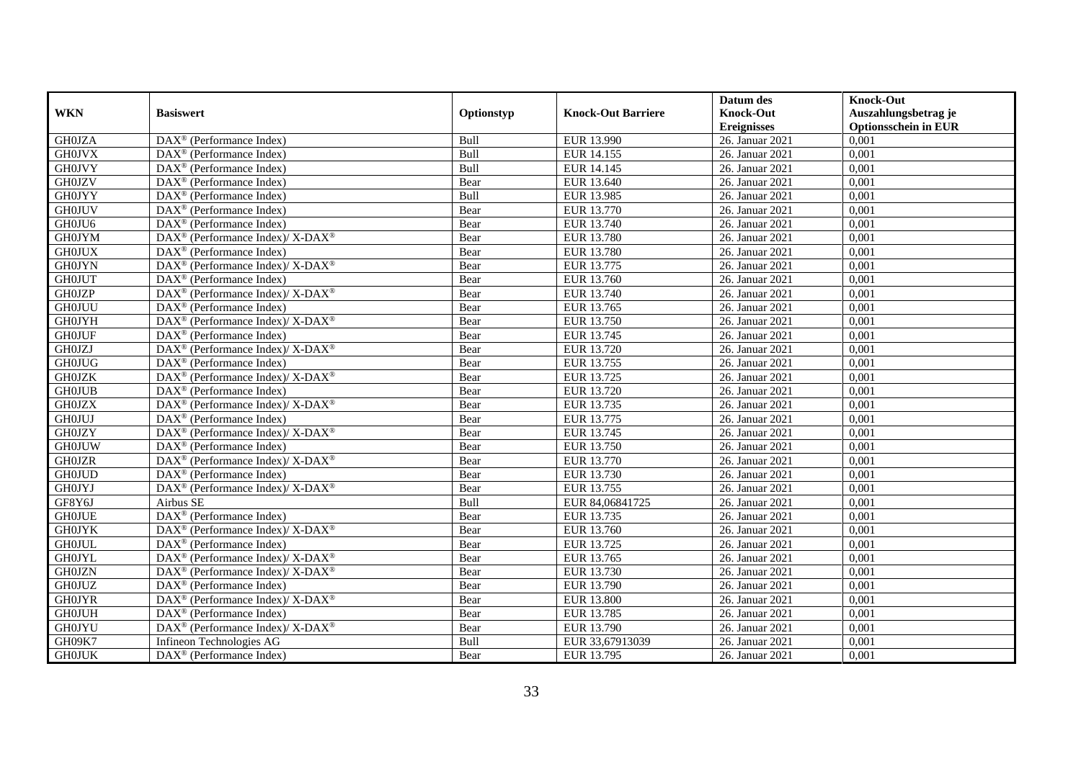|               |                                                                    |            |                           | Datum des          | <b>Knock-Out</b>            |
|---------------|--------------------------------------------------------------------|------------|---------------------------|--------------------|-----------------------------|
| <b>WKN</b>    | <b>Basiswert</b>                                                   | Optionstyp | <b>Knock-Out Barriere</b> | <b>Knock-Out</b>   | Auszahlungsbetrag je        |
|               |                                                                    |            |                           | <b>Ereignisses</b> | <b>Optionsschein in EUR</b> |
| <b>GH0JZA</b> | $\overline{\text{DAX}}^{\textcirc}$ (Performance Index)            | Bull       | EUR 13.990                | 26. Januar 2021    | 0,001                       |
| <b>GH0JVX</b> | $DAX^{\circledR}$ (Performance Index)                              | Bull       | EUR 14.155                | 26. Januar 2021    | 0,001                       |
| <b>GH0JVY</b> | DAX <sup>®</sup> (Performance Index)                               | Bull       | EUR 14.145                | 26. Januar 2021    | 0,001                       |
| <b>GH0JZV</b> | $\text{DAX}^{\textcircled{n}}$ (Performance Index)                 | Bear       | EUR 13.640                | 26. Januar 2021    | 0,001                       |
| <b>GH0JYY</b> | DAX <sup>®</sup> (Performance Index)                               | Bull       | EUR 13.985                | 26. Januar 2021    | 0,001                       |
| <b>GH0JUV</b> | DAX <sup>®</sup> (Performance Index)                               | Bear       | EUR 13.770                | 26. Januar 2021    | 0,001                       |
| GH0JU6        | $\text{DAX}^{\textcircled{n}}$ (Performance Index)                 | Bear       | EUR 13.740                | 26. Januar 2021    | 0,001                       |
| <b>GH0JYM</b> | $DAX^{\circledcirc}$ (Performance Index)/ X-DAX <sup>®</sup>       | Bear       | <b>EUR 13.780</b>         | 26. Januar 2021    | 0,001                       |
| <b>GH0JUX</b> | $DAX^{\circledR}$ (Performance Index)                              | Bear       | EUR 13.780                | 26. Januar 2021    | 0,001                       |
| <b>GH0JYN</b> | DAX <sup>®</sup> (Performance Index)/ X-DAX <sup>®</sup>           | Bear       | EUR 13.775                | 26. Januar 2021    | 0,001                       |
| <b>GH0JUT</b> | $\overline{\text{DAX}}^{\textcirc}$ (Performance Index)            | Bear       | EUR 13.760                | 26. Januar 2021    | 0,001                       |
| <b>GH0JZP</b> | $\text{DAX}^{\circledR}$ (Performance Index)/ X-DAX <sup>®</sup>   | Bear       | EUR 13.740                | 26. Januar 2021    | 0,001                       |
| <b>GH0JUU</b> | $\text{DAX}^{\circledast}$ (Performance Index)                     | Bear       | EUR 13.765                | 26. Januar 2021    | 0,001                       |
| <b>GH0JYH</b> | $\text{DAX}^{\circledast}$ (Performance Index)/ X-DAX <sup>®</sup> | Bear       | EUR 13.750                | 26. Januar 2021    | 0,001                       |
| <b>GH0JUF</b> | $\text{DAX}^{\circledast}$ (Performance Index)                     | Bear       | EUR 13.745                | 26. Januar 2021    | 0,001                       |
| <b>GH0JZJ</b> | DAX <sup>®</sup> (Performance Index)/ X-DAX <sup>®</sup>           | Bear       | EUR 13.720                | 26. Januar 2021    | 0,001                       |
| <b>GH0JUG</b> | DAX <sup>®</sup> (Performance Index)                               | Bear       | EUR 13.755                | 26. Januar 2021    | 0,001                       |
| <b>GH0JZK</b> | $DAX^{\circledcirc}$ (Performance Index)/X-DAX <sup>®</sup>        | Bear       | EUR 13.725                | 26. Januar 2021    | 0,001                       |
| <b>GH0JUB</b> | $\text{DAX}^{\textcircled{n}}$ (Performance Index)                 | Bear       | EUR 13.720                | 26. Januar 2021    | 0,001                       |
| <b>GH0JZX</b> | $\text{DAX}^{\circledR}$ (Performance Index)/ X-DAX <sup>®</sup>   | Bear       | EUR 13.735                | 26. Januar 2021    | 0,001                       |
| <b>GH0JUJ</b> | DAX <sup>®</sup> (Performance Index)                               | Bear       | EUR 13.775                | 26. Januar 2021    | 0,001                       |
| <b>GH0JZY</b> | $\text{DAX}^{\circledR}$ (Performance Index)/ X-DAX <sup>®</sup>   | Bear       | EUR 13.745                | 26. Januar 2021    | 0,001                       |
| <b>GH0JUW</b> | $\text{DAX}^{\circledast}$ (Performance Index)                     | Bear       | EUR 13.750                | 26. Januar 2021    | 0,001                       |
| <b>GH0JZR</b> | $\text{DAX}^{\circledR}$ (Performance Index)/ X-DAX <sup>®</sup>   | Bear       | EUR 13.770                | 26. Januar 2021    | 0,001                       |
| <b>GH0JUD</b> | $\text{DAX}^{\circledast}$ (Performance Index)                     | Bear       | EUR 13.730                | 26. Januar 2021    | 0,001                       |
| <b>GH0JYJ</b> | DAX <sup>®</sup> (Performance Index)/X-DAX <sup>®</sup>            | Bear       | EUR 13.755                | 26. Januar 2021    | 0,001                       |
| GF8Y6J        | Airbus SE                                                          | Bull       | EUR 84,06841725           | 26. Januar 2021    | 0,001                       |
| <b>GH0JUE</b> | $\text{DAX}^{\textcircled{p}}$ (Performance Index)                 | Bear       | EUR 13.735                | 26. Januar 2021    | 0.001                       |
| <b>GH0JYK</b> | $DAX^{\circledcirc}$ (Performance Index)/ X-DAX <sup>®</sup>       | Bear       | EUR 13.760                | 26. Januar 2021    | 0,001                       |
| <b>GH0JUL</b> | $DAX^{\circledR}$ (Performance Index)                              | Bear       | EUR 13.725                | 26. Januar 2021    | 0,001                       |
| <b>GH0JYL</b> | DAX <sup>®</sup> (Performance Index)/ X-DAX <sup>®</sup>           | Bear       | EUR 13.765                | 26. Januar 2021    | 0,001                       |
| <b>GH0JZN</b> | $\text{DAX}^{\circledast}$ (Performance Index)/X-DAX <sup>®</sup>  | Bear       | EUR 13.730                | 26. Januar 2021    | 0.001                       |
| <b>GH0JUZ</b> | $\text{DAX}^{\textcircled{D}}$ (Performance Index)                 | Bear       | EUR 13.790                | 26. Januar 2021    | 0,001                       |
| <b>GH0JYR</b> | $\text{DAX}^{\circledR}$ (Performance Index)/ X-DAX <sup>®</sup>   | Bear       | <b>EUR 13.800</b>         | 26. Januar 2021    | 0,001                       |
| <b>GH0JUH</b> | $\text{DAX}^{\circledast}$ (Performance Index)                     | Bear       | EUR 13.785                | 26. Januar 2021    | 0,001                       |
| <b>GH0JYU</b> | DAX <sup>®</sup> (Performance Index)/X-DAX <sup>®</sup>            | Bear       | EUR 13.790                | 26. Januar 2021    | 0,001                       |
| GH09K7        | Infineon Technologies AG                                           | Bull       | EUR 33,67913039           | 26. Januar 2021    | 0,001                       |
| <b>GH0JUK</b> | DAX <sup>®</sup> (Performance Index)                               | Bear       | EUR 13.795                | 26. Januar 2021    | 0,001                       |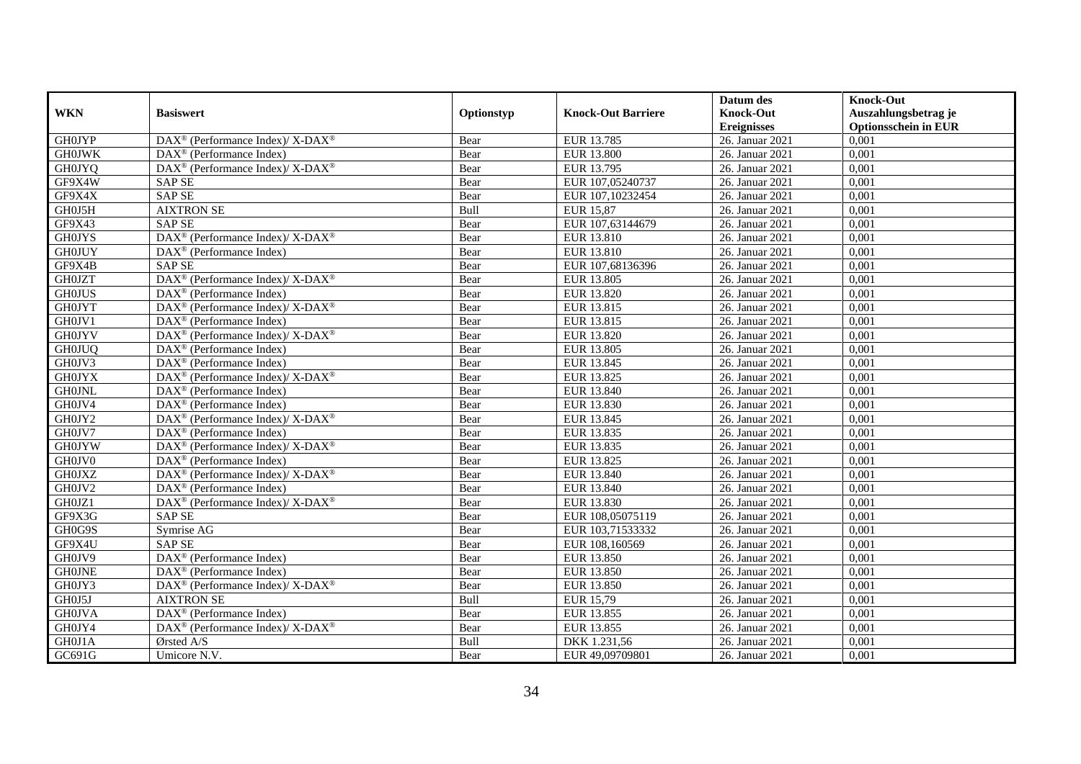|               |                                                                           |            |                           | Datum des          | <b>Knock-Out</b>            |
|---------------|---------------------------------------------------------------------------|------------|---------------------------|--------------------|-----------------------------|
| <b>WKN</b>    | <b>Basiswert</b>                                                          | Optionstyp | <b>Knock-Out Barriere</b> | <b>Knock-Out</b>   | Auszahlungsbetrag je        |
|               |                                                                           |            |                           | <b>Ereignisses</b> | <b>Optionsschein in EUR</b> |
| <b>GH0JYP</b> | DAX <sup>®</sup> (Performance Index)/ X-DAX <sup>®</sup>                  | Bear       | EUR 13.785                | 26. Januar 2021    | 0,001                       |
| <b>GH0JWK</b> | $DAX^{\circledR}$ (Performance Index)                                     | Bear       | <b>EUR 13.800</b>         | 26. Januar 2021    | 0,001                       |
| <b>GH0JYQ</b> | $DAX^{\circledast}$ (Performance Index)/ X-DAX <sup>®</sup>               | Bear       | EUR 13.795                | 26. Januar 2021    | 0,001                       |
| GF9X4W        | <b>SAP SE</b>                                                             | Bear       | EUR 107,05240737          | 26. Januar 2021    | 0,001                       |
| GF9X4X        | SAP <sub>SE</sub>                                                         | Bear       | EUR 107,10232454          | 26. Januar 2021    | 0,001                       |
| GH0J5H        | <b>AIXTRON SE</b>                                                         | Bull       | EUR 15,87                 | 26. Januar 2021    | 0.001                       |
| GF9X43        | <b>SAP SE</b>                                                             | Bear       | EUR 107,63144679          | 26. Januar 2021    | 0,001                       |
| <b>GH0JYS</b> | DAX <sup>®</sup> (Performance Index)/X-DAX <sup>®</sup>                   | Bear       | EUR 13.810                | 26. Januar 2021    | 0,001                       |
| <b>GH0JUY</b> | $\text{DAX}^{\textcircled{}}$ (Performance Index)                         | Bear       | EUR 13.810                | 26. Januar 2021    | 0,001                       |
| GF9X4B        | <b>SAP SE</b>                                                             | Bear       | EUR 107,68136396          | 26. Januar 2021    | 0,001                       |
| <b>GH0JZT</b> | DAX <sup>®</sup> (Performance Index)/ X-DAX <sup>®</sup>                  | Bear       | <b>EUR 13.805</b>         | 26. Januar 2021    | 0,001                       |
| <b>GH0JUS</b> | DAX <sup>®</sup> (Performance Index)                                      | Bear       | EUR 13.820                | 26. Januar 2021    | 0,001                       |
| <b>GH0JYT</b> | DAX <sup>®</sup> (Performance Index)/X-DAX <sup>®</sup>                   | Bear       | EUR 13.815                | 26. Januar 2021    | 0,001                       |
| GH0JV1        | $DAX^{\circledR}$ (Performance Index)                                     | Bear       | EUR 13.815                | 26. Januar 2021    | 0,001                       |
| <b>GH0JYV</b> | DAX <sup>®</sup> (Performance Index)/X-DAX <sup>®</sup>                   | Bear       | EUR 13.820                | 26. Januar 2021    | 0,001                       |
| <b>GH0JUQ</b> | $\text{DAX}^{\textcircled{}}$ (Performance Index)                         | Bear       | EUR 13.805                | 26. Januar 2021    | 0,001                       |
| GH0JV3        | $\text{DAX}^{\textcircled{}}$ (Performance Index)                         | Bear       | EUR 13.845                | 26. Januar 2021    | 0,001                       |
| <b>GH0JYX</b> | $DAX^{\circledast}$ (Performance Index)/ $\overline{X-DAX^{\circledast}}$ | Bear       | EUR 13.825                | 26. Januar 2021    | 0,001                       |
| <b>GH0JNL</b> | $DAX^{\circledR}$ (Performance Index)                                     | Bear       | EUR 13.840                | 26. Januar 2021    | 0,001                       |
| GH0JV4        | $DAX^{\circledR}$ (Performance Index)                                     | Bear       | EUR 13.830                | 26. Januar 2021    | 0,001                       |
| GH0JY2        | $DAX^{\circledast}$ (Performance Index)/ $\overline{X-DAX^{\circledast}}$ | Bear       | EUR 13.845                | 26. Januar 2021    | 0,001                       |
| GH0JV7        | $DAX^{\circledR}$ (Performance Index)                                     | Bear       | EUR 13.835                | 26. Januar 2021    | 0,001                       |
| <b>GH0JYW</b> | DAX <sup>®</sup> (Performance Index)/ X-DAX <sup>®</sup>                  | Bear       | EUR 13.835                | 26. Januar 2021    | 0,001                       |
| GH0JV0        | $\text{DAX}^{\textcircled{n}}$ (Performance Index)                        | Bear       | EUR 13.825                | 26. Januar 2021    | 0,001                       |
| <b>GH0JXZ</b> | $DAX^{\circledast}$ (Performance Index)/ X-DAX <sup>®</sup>               | Bear       | EUR 13.840                | 26. Januar 2021    | 0,001                       |
| GH0JV2        | DAX <sup>®</sup> (Performance Index)                                      | Bear       | EUR 13.840                | 26. Januar 2021    | 0,001                       |
| GH0JZ1        | $DAX^{\circledast}$ (Performance Index)/ X-DAX <sup>®</sup>               | Bear       | EUR 13.830                | 26. Januar 2021    | 0,001                       |
| GF9X3G        | <b>SAP SE</b>                                                             | Bear       | EUR 108,05075119          | 26. Januar 2021    | 0.001                       |
| GH0G9S        | Symrise AG                                                                | Bear       | EUR 103,71533332          | 26. Januar 2021    | 0,001                       |
| GF9X4U        | <b>SAPSE</b>                                                              | Bear       | EUR 108,160569            | 26. Januar 2021    | 0,001                       |
| GH0JV9        | $\text{DAX}^{\circledast}$ (Performance Index)                            | Bear       | EUR 13.850                | 26. Januar 2021    | 0,001                       |
| <b>GHOJNE</b> | $DAX^{\circledR}$ (Performance Index)                                     | Bear       | EUR 13.850                | 26. Januar 2021    | 0.001                       |
| GH0JY3        | DAX <sup>®</sup> (Performance Index)/ X-DAX <sup>®</sup>                  | Bear       | EUR 13.850                | 26. Januar 2021    | 0,001                       |
| GH0J5J        | <b>AIXTRON SE</b>                                                         | Bull       | EUR 15,79                 | 26. Januar 2021    | 0,001                       |
| <b>GH0JVA</b> | $\text{DAX}^{\textcircled{}}$ (Performance Index)                         | Bear       | EUR 13.855                | 26. Januar 2021    | 0,001                       |
| GH0JY4        | DAX <sup>®</sup> (Performance Index)/X-DAX <sup>®</sup>                   | Bear       | EUR 13.855                | 26. Januar 2021    | 0,001                       |
| GH0J1A        | Ørsted A/S                                                                | Bull       | DKK 1.231,56              | 26. Januar 2021    | 0,001                       |
| GC691G        | Umicore N.V.                                                              | Bear       | EUR 49,09709801           | 26. Januar 2021    | 0,001                       |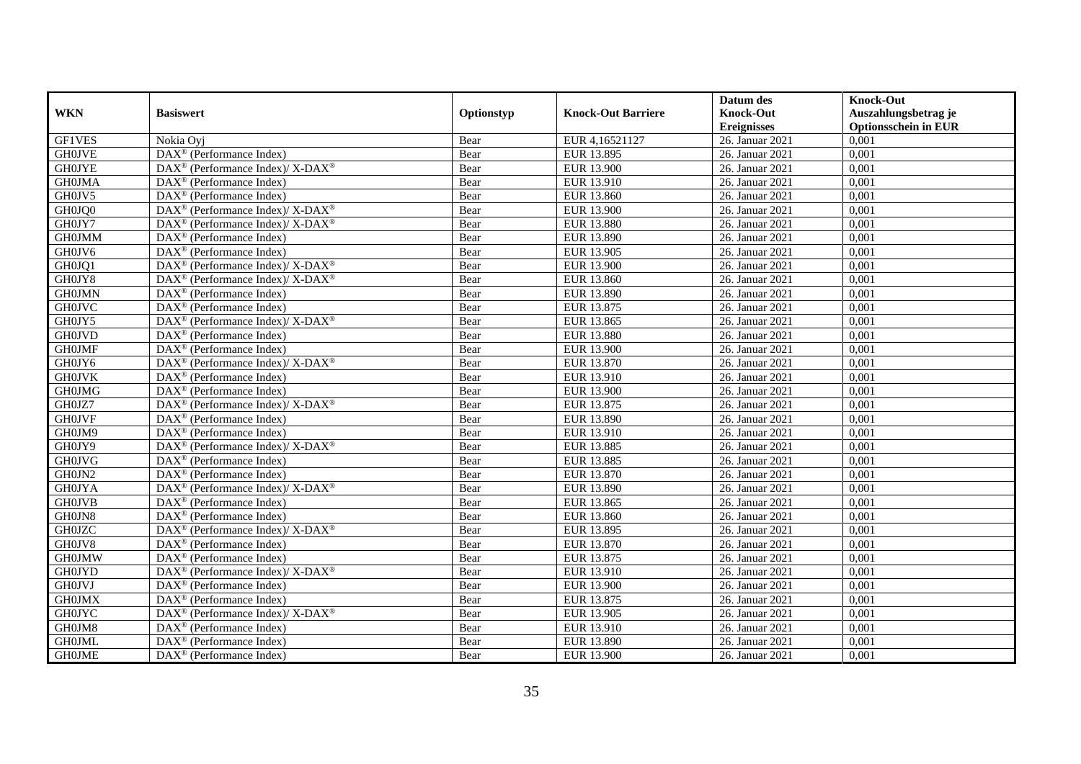|               |                                                                    |            |                           | Datum des          | <b>Knock-Out</b>            |
|---------------|--------------------------------------------------------------------|------------|---------------------------|--------------------|-----------------------------|
| <b>WKN</b>    | <b>Basiswert</b>                                                   | Optionstyp | <b>Knock-Out Barriere</b> | <b>Knock-Out</b>   | Auszahlungsbetrag je        |
|               |                                                                    |            |                           | <b>Ereignisses</b> | <b>Optionsschein in EUR</b> |
| <b>GF1VES</b> | Nokia Oyj                                                          | Bear       | EUR 4,16521127            | 26. Januar 2021    | 0,001                       |
| <b>GH0JVE</b> | $\overline{\text{DAX}^{\otimes}}$ (Performance Index)              | Bear       | EUR 13.895                | 26. Januar 2021    | 0,001                       |
| <b>GH0JYE</b> | DAX <sup>®</sup> (Performance Index)/ X-DAX <sup>®</sup>           | Bear       | EUR 13.900                | 26. Januar 2021    | 0,001                       |
| <b>GH0JMA</b> | $\text{DAX}^{\textcircled{n}}$ (Performance Index)                 | Bear       | EUR 13.910                | 26. Januar 2021    | 0,001                       |
| GH0JV5        | DAX <sup>®</sup> (Performance Index)                               | Bear       | <b>EUR 13.860</b>         | 26. Januar 2021    | 0,001                       |
| GH0JQ0        | DAX <sup>®</sup> (Performance Index)/ X-DAX <sup>®</sup>           | Bear       | EUR 13.900                | 26. Januar 2021    | 0,001                       |
| GH0JY7        | $\text{DAX}^{\circledast}$ (Performance Index)/ X-DAX <sup>®</sup> | Bear       | EUR 13.880                | 26. Januar 2021    | 0,001                       |
| <b>GH0JMM</b> | $\text{DAX}^{\textcircled{D}}$ (Performance Index)                 | Bear       | EUR 13.890                | 26. Januar 2021    | 0,001                       |
| GH0JV6        | $\text{DAX}^{\textcircled{D}}$ (Performance Index)                 | Bear       | EUR 13.905                | 26. Januar 2021    | 0,001                       |
| GH0JQ1        | DAX <sup>®</sup> (Performance Index)/ X-DAX <sup>®</sup>           | Bear       | <b>EUR 13.900</b>         | 26. Januar 2021    | 0,001                       |
| GH0JY8        | DAX <sup>®</sup> (Performance Index)/ X-DAX <sup>®</sup>           | Bear       | <b>EUR 13.860</b>         | 26. Januar 2021    | 0,001                       |
| <b>GH0JMN</b> | $\overline{\text{DAX}^{\otimes}}$ (Performance Index)              | Bear       | EUR 13.890                | 26. Januar 2021    | 0,001                       |
| <b>GH0JVC</b> | $\text{DAX}^{\circledast}$ (Performance Index)                     | Bear       | EUR 13.875                | 26. Januar 2021    | 0,001                       |
| GH0JY5        | DAX <sup>®</sup> (Performance Index)/ X-DAX <sup>®</sup>           | Bear       | EUR 13.865                | 26. Januar 2021    | 0,001                       |
| <b>GH0JVD</b> | $\text{DAX}^{\otimes}$ (Performance Index)                         | Bear       | <b>EUR 13.880</b>         | 26. Januar 2021    | 0,001                       |
| <b>GH0JMF</b> | DAX <sup>®</sup> (Performance Index)                               | Bear       | <b>EUR 13.900</b>         | 26. Januar 2021    | 0,001                       |
| GH0JY6        | DAX <sup>®</sup> (Performance Index)/X-DAX <sup>®</sup>            | Bear       | EUR 13.870                | 26. Januar 2021    | 0,001                       |
| <b>GH0JVK</b> | $DAX^{\circledR}$ (Performance Index)                              | Bear       | EUR 13.910                | 26. Januar 2021    | 0,001                       |
| <b>GH0JMG</b> | DAX <sup>®</sup> (Performance Index)                               | Bear       | <b>EUR 13.900</b>         | 26. Januar 2021    | 0,001                       |
| GH0JZ7        | $\text{DAX}^{\circledR}$ (Performance Index)/ X-DAX <sup>®</sup>   | Bear       | EUR 13.875                | 26. Januar 2021    | 0,001                       |
| <b>GH0JVF</b> | DAX <sup>®</sup> (Performance Index)                               | Bear       | EUR 13.890                | 26. Januar 2021    | 0,001                       |
| GH0JM9        | $\overline{\text{DAX}^{\otimes}}$ (Performance Index)              | Bear       | EUR 13.910                | 26. Januar 2021    | 0,001                       |
| GH0JY9        | DAX <sup>®</sup> (Performance Index)/ X-DAX <sup>®</sup>           | Bear       | EUR 13.885                | 26. Januar 2021    | 0,001                       |
| <b>GH0JVG</b> | DAX <sup>®</sup> (Performance Index)                               | Bear       | EUR 13.885                | 26. Januar 2021    | 0,001                       |
| GH0JN2        | $\overline{\text{DAX}^{\otimes}}$ (Performance Index)              | Bear       | EUR 13.870                | 26. Januar 2021    | 0,001                       |
| <b>GH0JYA</b> | $DAX^{\circledast}$ (Performance Index)/ X-DAX <sup>®</sup>        | Bear       | EUR 13.890                | 26. Januar 2021    | 0,001                       |
| <b>GH0JVB</b> | DAX <sup>®</sup> (Performance Index)                               | Bear       | EUR 13.865                | 26. Januar 2021    | 0,001                       |
| GH0JN8        | $\text{DAX}^{\textcircled{p}}$ (Performance Index)                 | Bear       | EUR 13.860                | 26. Januar 2021    | 0.001                       |
| <b>GH0JZC</b> | $DAX^{\circledcirc}$ (Performance Index)/X-DAX <sup>®</sup>        | Bear       | EUR 13.895                | 26. Januar 2021    | 0,001                       |
| GH0JV8        | $\text{DAX}^{\textcircled{p}}$ (Performance Index)                 | Bear       | EUR 13.870                | 26. Januar 2021    | 0,001                       |
| <b>GH0JMW</b> | $\text{DAX}^{\textcircled{p}}$ (Performance Index)                 | Bear       | EUR 13.875                | 26. Januar 2021    | 0,001                       |
| <b>GH0JYD</b> | DAX <sup>®</sup> (Performance Index)/ X-DAX <sup>®</sup>           | Bear       | EUR 13.910                | 26. Januar 2021    | 0,001                       |
| <b>GH0JVJ</b> | $\overline{\text{DAX}^{\otimes}}$ (Performance Index)              | Bear       | <b>EUR 13.900</b>         | 26. Januar 2021    | 0,001                       |
| <b>GH0JMX</b> | DAX <sup>®</sup> (Performance Index)                               | Bear       | EUR 13.875                | 26. Januar 2021    | 0,001                       |
| <b>GH0JYC</b> | $\text{DAX}^{\circledast}$ (Performance Index)/ X-DAX <sup>®</sup> | Bear       | EUR 13.905                | 26. Januar 2021    | 0,001                       |
| GH0JM8        | DAX <sup>®</sup> (Performance Index)                               | Bear       | EUR 13.910                | 26. Januar 2021    | 0,001                       |
| <b>GH0JML</b> | $\text{DAX}^{\otimes}$ (Performance Index)                         | Bear       | EUR 13.890                | 26. Januar 2021    | 0,001                       |
| <b>GH0JME</b> | $\text{DAX}^{\textcircled{n}}$ (Performance Index)                 | Bear       | EUR 13.900                | 26. Januar 2021    | 0,001                       |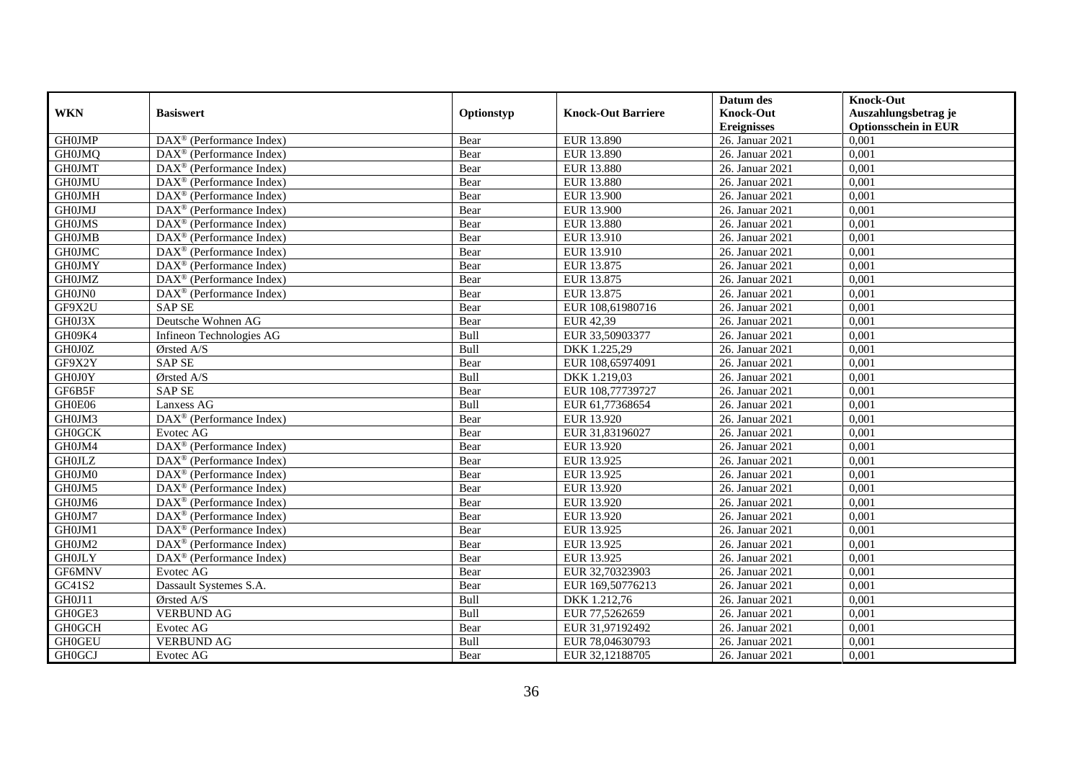|               |                                                              |            |                           | Datum des          | <b>Knock-Out</b>            |
|---------------|--------------------------------------------------------------|------------|---------------------------|--------------------|-----------------------------|
| <b>WKN</b>    | <b>Basiswert</b>                                             | Optionstyp | <b>Knock-Out Barriere</b> | <b>Knock-Out</b>   | Auszahlungsbetrag je        |
|               |                                                              |            |                           | <b>Ereignisses</b> | <b>Optionsschein in EUR</b> |
| <b>GH0JMP</b> | $\overline{\text{DAX}}^{\textcirc}$ (Performance Index)      | Bear       | <b>EUR 13.890</b>         | 26. Januar 2021    | 0,001                       |
| <b>GH0JMQ</b> | $DAX^{\circledast}$ (Performance Index)                      | Bear       | EUR 13.890                | 26. Januar 2021    | 0,001                       |
| <b>GH0JMT</b> | $DAX^{\circledR}$ (Performance Index)                        | Bear       | <b>EUR 13.880</b>         | 26. Januar 2021    | 0,001                       |
| <b>GH0JMU</b> | $DAX^{\circledast}$ (Performance Index)                      | Bear       | EUR 13.880                | 26. Januar 2021    | 0,001                       |
| <b>GH0JMH</b> | $DAX^{\circledast}$ (Performance Index)                      | Bear       | EUR 13.900                | 26. Januar 2021    | 0,001                       |
| <b>GH0JMJ</b> | $\text{DAX}^{\circledast}$ (Performance Index)               | Bear       | <b>EUR 13.900</b>         | 26. Januar 2021    | 0,001                       |
| <b>GH0JMS</b> | $DAX^{\circledR}$ (Performance Index)                        | Bear       | EUR 13.880                | 26. Januar 2021    | 0,001                       |
| <b>GH0JMB</b> | $DAX^{\circledR}$ (Performance Index)                        | Bear       | EUR 13.910                | 26. Januar 2021    | 0,001                       |
| <b>GH0JMC</b> | $DAX^{\circledast}$ (Performance Index)                      | Bear       | EUR 13.910                | 26. Januar 2021    | 0,001                       |
| <b>GH0JMY</b> | DAX <sup>®</sup> (Performance Index)                         | Bear       | EUR 13.875                | 26. Januar 2021    | 0.001                       |
| <b>GH0JMZ</b> | $DAX^{\circledR}$ (Performance Index)                        | Bear       | EUR 13.875                | 26. Januar 2021    | 0,001                       |
| GH0JN0        | $\overline{\text{DAX}}^{\textcircled{}}$ (Performance Index) | Bear       | EUR 13.875                | 26. Januar 2021    | 0,001                       |
| GF9X2U        | <b>SAP SE</b>                                                | Bear       | EUR 108,61980716          | 26. Januar 2021    | 0,001                       |
| GH0J3X        | Deutsche Wohnen AG                                           | Bear       | EUR 42,39                 | 26. Januar 2021    | 0.001                       |
| GH09K4        | Infineon Technologies AG                                     | Bull       | EUR 33,50903377           | 26. Januar 2021    | 0,001                       |
| GH0J0Z        | Ørsted A/S                                                   | Bull       | DKK 1.225,29              | 26. Januar 2021    | 0,001                       |
| GF9X2Y        | <b>SAP SE</b>                                                | Bear       | EUR 108,65974091          | 26. Januar 2021    | 0,001                       |
| GH0J0Y        | Ørsted A/S                                                   | Bull       | DKK 1.219,03              | 26. Januar 2021    | 0,001                       |
| GF6B5F        | <b>SAP SE</b>                                                | Bear       | EUR 108,77739727          | 26. Januar 2021    | 0,001                       |
| GH0E06        | Lanxess AG                                                   | Bull       | EUR 61,77368654           | 26. Januar 2021    | 0,001                       |
| GH0JM3        | DAX <sup>®</sup> (Performance Index)                         | Bear       | EUR 13.920                | 26. Januar 2021    | 0,001                       |
| <b>GH0GCK</b> | Evotec AG                                                    | Bear       | EUR 31,83196027           | 26. Januar 2021    | 0,001                       |
| GH0JM4        | $\overline{\text{DAX}^{\otimes}}$ (Performance Index)        | Bear       | EUR 13.920                | 26. Januar 2021    | 0,001                       |
| <b>GH0JLZ</b> | $DAX^{\circledR}$ (Performance Index)                        | Bear       | EUR 13.925                | 26. Januar 2021    | 0,001                       |
| GH0JM0        | $DAX^{\circledR}$ (Performance Index)                        | Bear       | EUR 13.925                | 26. Januar 2021    | 0,001                       |
| GH0JM5        | DAX <sup>®</sup> (Performance Index)                         | Bear       | EUR 13.920                | 26. Januar 2021    | 0.001                       |
| GH0JM6        | $\overline{\text{DAX}}^{\textcirc}$ (Performance Index)      | Bear       | EUR 13.920                | 26. Januar 2021    | 0,001                       |
| GH0JM7        | DAX <sup>®</sup> (Performance Index)                         | Bear       | EUR 13.920                | 26. Januar 2021    | 0,001                       |
| GH0JM1        | $DAX^{\circledast}$ (Performance Index)                      | Bear       | EUR 13.925                | 26. Januar 2021    | 0,001                       |
| GH0JM2        | $\overline{\text{DAX}}^{\textcirc}$ (Performance Index)      | Bear       | EUR 13.925                | 26. Januar 2021    | 0,001                       |
| <b>GHOJLY</b> | DAX <sup>®</sup> (Performance Index)                         | Bear       | EUR 13.925                | 26. Januar 2021    | 0,001                       |
| GF6MNV        | Evotec AG                                                    | Bear       | EUR 32,70323903           | 26. Januar 2021    | 0.001                       |
| GC41S2        | Dassault Systemes S.A.                                       | Bear       | EUR 169,50776213          | 26. Januar 2021    | 0,001                       |
| GH0J11        | Ørsted A/S                                                   | Bull       | DKK 1.212,76              | 26. Januar 2021    | 0,001                       |
| GH0GE3        | <b>VERBUND AG</b>                                            | Bull       | EUR 77,5262659            | 26. Januar 2021    | 0,001                       |
| <b>GH0GCH</b> | Evotec AG                                                    | Bear       | EUR 31,97192492           | 26. Januar 2021    | 0,001                       |
| <b>GH0GEU</b> | <b>VERBUND AG</b>                                            | Bull       | EUR 78,04630793           | 26. Januar 2021    | 0,001                       |
| <b>GH0GCJ</b> | Evotec AG                                                    | Bear       | EUR 32,12188705           | 26. Januar 2021    | 0,001                       |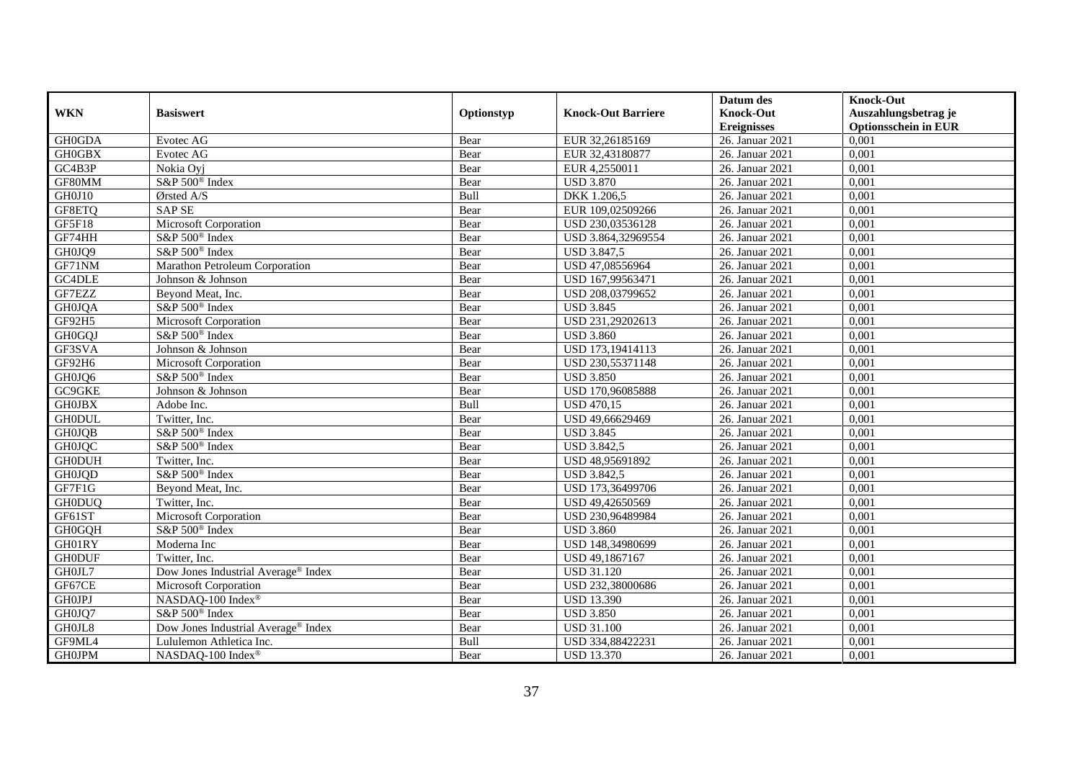|               |                                                 |            |                           | Datum des          | <b>Knock-Out</b>            |
|---------------|-------------------------------------------------|------------|---------------------------|--------------------|-----------------------------|
| <b>WKN</b>    | <b>Basiswert</b>                                | Optionstyp | <b>Knock-Out Barriere</b> | <b>Knock-Out</b>   | Auszahlungsbetrag je        |
|               |                                                 |            |                           | <b>Ereignisses</b> | <b>Optionsschein in EUR</b> |
| GH0GDA        | Evotec AG                                       | Bear       | EUR 32,26185169           | 26. Januar 2021    | 0,001                       |
| <b>GH0GBX</b> | Evotec AG                                       | Bear       | EUR 32,43180877           | 26. Januar 2021    | 0,001                       |
| GC4B3P        | Nokia Ovi                                       | Bear       | EUR 4,2550011             | 26. Januar 2021    | 0,001                       |
| GF80MM        | S&P 500 <sup>®</sup> Index                      | Bear       | <b>USD 3.870</b>          | 26. Januar 2021    | 0,001                       |
| GH0J10        | Ørsted A/S                                      | Bull       | DKK 1.206,5               | 26. Januar 2021    | 0,001                       |
| GF8ETQ        | <b>SAP SE</b>                                   | Bear       | EUR 109,02509266          | 26. Januar 2021    | 0,001                       |
| GF5F18        | Microsoft Corporation                           | Bear       | USD 230,03536128          | 26. Januar 2021    | 0,001                       |
| GF74HH        | $S\&P 500^{\circ}$ Index                        | Bear       | USD 3.864,32969554        | 26. Januar 2021    | 0,001                       |
| GH0JQ9        | S&P 500 <sup>®</sup> Index                      | Bear       | <b>USD 3.847,5</b>        | 26. Januar 2021    | 0,001                       |
| GF71NM        | Marathon Petroleum Corporation                  | Bear       | USD 47,08556964           | 26. Januar 2021    | 0,001                       |
| GC4DLE        | Johnson & Johnson                               | Bear       | USD 167,99563471          | 26. Januar 2021    | 0,001                       |
| GF7EZZ        | Beyond Meat, Inc.                               | Bear       | USD 208,03799652          | 26. Januar 2021    | 0,001                       |
| <b>GH0JQA</b> | S&P 500 <sup>®</sup> Index                      | Bear       | <b>USD 3.845</b>          | 26. Januar 2021    | 0,001                       |
| GF92H5        | Microsoft Corporation                           | Bear       | USD 231,29202613          | 26. Januar 2021    | 0,001                       |
| <b>GH0GQJ</b> | S&P 500 <sup>®</sup> Index                      | Bear       | <b>USD 3.860</b>          | 26. Januar 2021    | 0,001                       |
| GF3SVA        | Johnson & Johnson                               | Bear       | USD 173,19414113          | 26. Januar 2021    | 0,001                       |
| GF92H6        | Microsoft Corporation                           | Bear       | USD 230,55371148          | 26. Januar 2021    | 0,001                       |
| GH0JQ6        | S&P 500 <sup>®</sup> Index                      | Bear       | <b>USD 3.850</b>          | 26. Januar 2021    | 0,001                       |
| GC9GKE        | Johnson & Johnson                               | Bear       | USD 170,96085888          | 26. Januar 2021    | 0,001                       |
| <b>GH0JBX</b> | Adobe Inc.                                      | Bull       | <b>USD 470,15</b>         | 26. Januar 2021    | 0,001                       |
| <b>GH0DUL</b> | Twitter, Inc.                                   | Bear       | USD 49,66629469           | 26. Januar 2021    | 0,001                       |
| <b>GH0JQB</b> | S&P 500 <sup>®</sup> Index                      | Bear       | <b>USD 3.845</b>          | 26. Januar 2021    | 0.001                       |
| <b>GH0JQC</b> | S&P 500 <sup>®</sup> Index                      | Bear       | <b>USD 3.842,5</b>        | 26. Januar 2021    | 0,001                       |
| <b>GH0DUH</b> | Twitter, Inc.                                   | Bear       | USD 48,95691892           | 26. Januar 2021    | 0,001                       |
| <b>GH0JQD</b> | S&P 500 <sup>®</sup> Index                      | Bear       | <b>USD 3.842,5</b>        | 26. Januar 2021    | 0,001                       |
| GF7F1G        | Beyond Meat, Inc.                               | Bear       | USD 173,36499706          | 26. Januar 2021    | 0,001                       |
| <b>GH0DUQ</b> | Twitter, Inc.                                   | Bear       | USD 49,42650569           | 26. Januar 2021    | 0,001                       |
| GF61ST        | Microsoft Corporation                           | Bear       | USD 230,96489984          | 26. Januar 2021    | 0,001                       |
| <b>GH0GQH</b> | S&P 500 <sup>®</sup> Index                      | Bear       | <b>USD 3.860</b>          | 26. Januar 2021    | 0,001                       |
| GH01RY        | Moderna Inc                                     | Bear       | USD 148.34980699          | 26. Januar 2021    | 0.001                       |
| <b>GH0DUF</b> | Twitter, Inc.                                   | Bear       | USD 49,1867167            | 26. Januar 2021    | 0,001                       |
| GH0JL7        | Dow Jones Industrial Average <sup>®</sup> Index | Bear       | <b>USD 31.120</b>         | 26. Januar 2021    | 0,001                       |
| GF67CE        | Microsoft Corporation                           | Bear       | USD 232,38000686          | 26. Januar 2021    | 0,001                       |
| <b>GH0JPJ</b> | NASDAQ-100 Index®                               | Bear       | <b>USD 13.390</b>         | 26. Januar 2021    | 0,001                       |
| GH0JQ7        | S&P 500 <sup>®</sup> Index                      | Bear       | <b>USD 3.850</b>          | 26. Januar 2021    | 0,001                       |
| GH0JL8        | Dow Jones Industrial Average <sup>®</sup> Index | Bear       | <b>USD 31.100</b>         | 26. Januar 2021    | 0,001                       |
| GF9ML4        | Lululemon Athletica Inc.                        | Bull       | USD 334,88422231          | 26. Januar 2021    | 0,001                       |
| <b>GH0JPM</b> | NASDAQ-100 Index®                               | Bear       | <b>USD 13.370</b>         | 26. Januar 2021    | 0,001                       |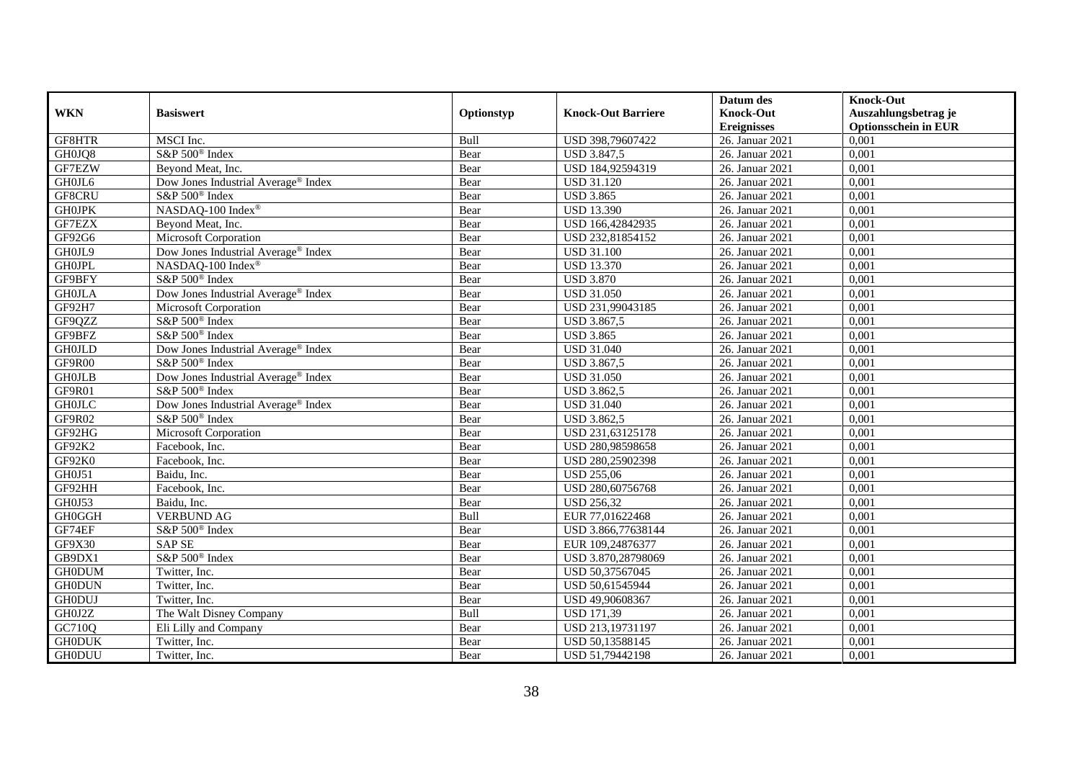|               |                                                 |            |                           | Datum des          | <b>Knock-Out</b>            |
|---------------|-------------------------------------------------|------------|---------------------------|--------------------|-----------------------------|
| <b>WKN</b>    | <b>Basiswert</b>                                | Optionstyp | <b>Knock-Out Barriere</b> | <b>Knock-Out</b>   | Auszahlungsbetrag je        |
|               |                                                 |            |                           | <b>Ereignisses</b> | <b>Optionsschein in EUR</b> |
| GF8HTR        | MSCI Inc.                                       | Bull       | USD 398,79607422          | 26. Januar 2021    | 0,001                       |
| GH0JQ8        | S&P 500 <sup>®</sup> Index                      | Bear       | <b>USD 3.847,5</b>        | 26. Januar 2021    | 0,001                       |
| GF7EZW        | Beyond Meat, Inc.                               | Bear       | USD 184,92594319          | 26. Januar 2021    | 0,001                       |
| GH0JL6        | Dow Jones Industrial Average <sup>®</sup> Index | Bear       | <b>USD 31.120</b>         | 26. Januar 2021    | 0,001                       |
| GF8CRU        | S&P 500 <sup>®</sup> Index                      | Bear       | <b>USD 3.865</b>          | 26. Januar 2021    | 0,001                       |
| <b>GHOJPK</b> | NASDAQ-100 Index®                               | Bear       | <b>USD 13.390</b>         | 26. Januar 2021    | 0,001                       |
| GF7EZX        | Beyond Meat, Inc.                               | Bear       | USD 166,42842935          | 26. Januar 2021    | 0,001                       |
| GF92G6        | Microsoft Corporation                           | Bear       | USD 232,81854152          | 26. Januar 2021    | 0,001                       |
| GH0JL9        | Dow Jones Industrial Average® Index             | Bear       | <b>USD 31.100</b>         | 26. Januar 2021    | 0,001                       |
| <b>GH0JPL</b> | NASDAQ-100 Index <sup>®</sup>                   | Bear       | <b>USD 13.370</b>         | 26. Januar 2021    | 0,001                       |
| GF9BFY        | S&P 500 <sup>®</sup> Index                      | Bear       | <b>USD 3.870</b>          | 26. Januar 2021    | 0,001                       |
| <b>GH0JLA</b> | Dow Jones Industrial Average <sup>®</sup> Index | Bear       | <b>USD 31.050</b>         | 26. Januar 2021    | 0,001                       |
| GF92H7        | Microsoft Corporation                           | Bear       | USD 231,99043185          | 26. Januar 2021    | 0,001                       |
| GF9QZZ        | S&P 500 <sup>®</sup> Index                      | Bear       | USD 3.867,5               | 26. Januar 2021    | 0,001                       |
| GF9BFZ        | S&P 500 <sup>®</sup> Index                      | Bear       | <b>USD 3.865</b>          | 26. Januar 2021    | 0,001                       |
| <b>GH0JLD</b> | Dow Jones Industrial Average® Index             | Bear       | <b>USD 31.040</b>         | 26. Januar 2021    | 0,001                       |
| GF9R00        | S&P 500 <sup>®</sup> Index                      | Bear       | <b>USD 3.867,5</b>        | 26. Januar 2021    | 0,001                       |
| <b>GHOJLB</b> | Dow Jones Industrial Average® Index             | Bear       | <b>USD 31.050</b>         | 26. Januar 2021    | 0,001                       |
| GF9R01        | S&P 500 <sup>®</sup> Index                      | Bear       | <b>USD 3.862,5</b>        | 26. Januar 2021    | 0,001                       |
| <b>GH0JLC</b> | Dow Jones Industrial Average® Index             | Bear       | <b>USD 31.040</b>         | 26. Januar 2021    | 0,001                       |
| GF9R02        | S&P 500 <sup>®</sup> Index                      | Bear       | USD 3.862,5               | 26. Januar 2021    | 0,001                       |
| GF92HG        | Microsoft Corporation                           | Bear       | USD 231,63125178          | 26. Januar 2021    | 0,001                       |
| GF92K2        | Facebook, Inc.                                  | Bear       | USD 280,98598658          | 26. Januar 2021    | 0,001                       |
| GF92K0        | Facebook, Inc.                                  | Bear       | USD 280,25902398          | 26. Januar 2021    | 0,001                       |
| GH0J51        | Baidu, Inc.                                     | Bear       | <b>USD 255,06</b>         | 26. Januar 2021    | 0,001                       |
| GF92HH        | Facebook, Inc.                                  | Bear       | USD 280,60756768          | 26. Januar 2021    | 0,001                       |
| GH0J53        | Baidu, Inc.                                     | Bear       | <b>USD 256,32</b>         | 26. Januar 2021    | 0,001                       |
| <b>GH0GGH</b> | <b>VERBUND AG</b>                               | Bull       | EUR 77,01622468           | 26. Januar 2021    | 0.001                       |
| GF74EF        | S&P 500 <sup>®</sup> Index                      | Bear       | USD 3.866,77638144        | 26. Januar 2021    | 0,001                       |
| GF9X30        | <b>SAP SE</b>                                   | Bear       | EUR 109,24876377          | 26. Januar 2021    | 0,001                       |
| GB9DX1        | S&P 500 <sup>®</sup> Index                      | Bear       | USD 3.870,28798069        | 26. Januar 2021    | 0,001                       |
| <b>GH0DUM</b> | Twitter, Inc.                                   | Bear       | USD 50,37567045           | 26. Januar 2021    | 0,001                       |
| <b>GH0DUN</b> | Twitter, Inc.                                   | Bear       | USD 50,61545944           | 26. Januar 2021    | 0,001                       |
| <b>GH0DUJ</b> | Twitter, Inc.                                   | Bear       | USD 49,90608367           | 26. Januar 2021    | 0,001                       |
| GH0J2Z        | The Walt Disney Company                         | Bull       | <b>USD 171,39</b>         | 26. Januar 2021    | 0,001                       |
| GC710Q        | Eli Lilly and Company                           | Bear       | USD 213,19731197          | 26. Januar 2021    | 0,001                       |
| <b>GH0DUK</b> | Twitter, Inc.                                   | Bear       | USD 50,13588145           | 26. Januar 2021    | 0,001                       |
| <b>GH0DUU</b> | Twitter, Inc.                                   | Bear       | USD 51,79442198           | 26. Januar 2021    | 0,001                       |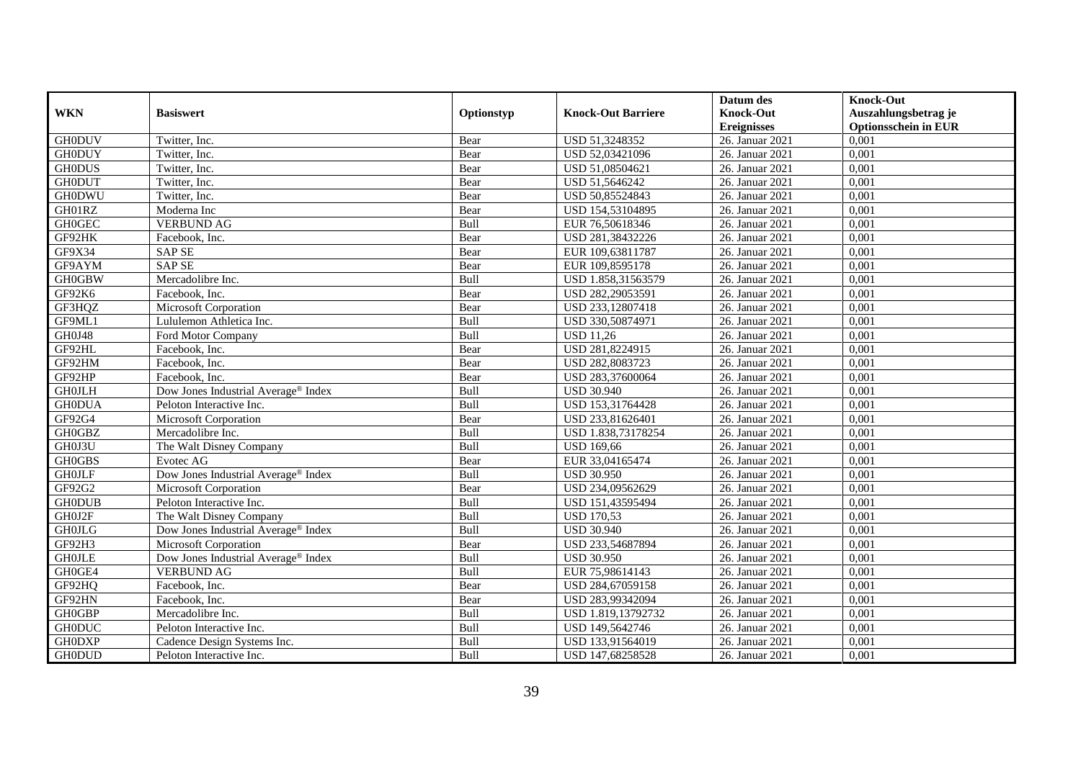|               |                                     |            |                           | Datum des          | <b>Knock-Out</b>            |
|---------------|-------------------------------------|------------|---------------------------|--------------------|-----------------------------|
| <b>WKN</b>    | <b>Basiswert</b>                    | Optionstyp | <b>Knock-Out Barriere</b> | <b>Knock-Out</b>   | Auszahlungsbetrag je        |
|               |                                     |            |                           | <b>Ereignisses</b> | <b>Optionsschein in EUR</b> |
| <b>GH0DUV</b> | Twitter, Inc.                       | Bear       | USD 51,3248352            | 26. Januar 2021    | 0,001                       |
| <b>GH0DUY</b> | Twitter, Inc.                       | Bear       | USD 52,03421096           | 26. Januar 2021    | 0,001                       |
| <b>GH0DUS</b> | Twitter, Inc.                       | Bear       | USD 51,08504621           | 26. Januar 2021    | 0,001                       |
| <b>GH0DUT</b> | Twitter, Inc.                       | Bear       | USD 51,5646242            | 26. Januar 2021    | 0,001                       |
| <b>GH0DWU</b> | Twitter, Inc.                       | Bear       | USD 50,85524843           | 26. Januar 2021    | 0,001                       |
| GH01RZ        | Moderna Inc                         | Bear       | USD 154,53104895          | 26. Januar 2021    | 0,001                       |
| <b>GH0GEC</b> | <b>VERBUND AG</b>                   | Bull       | EUR 76,50618346           | 26. Januar 2021    | 0,001                       |
| GF92HK        | Facebook, Inc.                      | Bear       | USD 281,38432226          | 26. Januar 2021    | 0,001                       |
| GF9X34        | <b>SAP SE</b>                       | Bear       | EUR 109,63811787          | 26. Januar 2021    | 0,001                       |
| GF9AYM        | <b>SAP SE</b>                       | Bear       | EUR 109,8595178           | 26. Januar 2021    | 0,001                       |
| <b>GH0GBW</b> | Mercadolibre Inc.                   | Bull       | USD 1.858,31563579        | 26. Januar 2021    | 0,001                       |
| GF92K6        | Facebook, Inc.                      | Bear       | USD 282,29053591          | 26. Januar 2021    | 0,001                       |
| GF3HQZ        | <b>Microsoft Corporation</b>        | Bear       | USD 233,12807418          | 26. Januar 2021    | 0,001                       |
| GF9ML1        | Lululemon Athletica Inc.            | Bull       | USD 330,50874971          | 26. Januar 2021    | 0,001                       |
| GH0J48        | Ford Motor Company                  | Bull       | <b>USD 11,26</b>          | 26. Januar 2021    | 0,001                       |
| GF92HL        | Facebook, Inc.                      | Bear       | USD 281,8224915           | 26. Januar 2021    | 0,001                       |
| GF92HM        | Facebook, Inc.                      | Bear       | USD 282,8083723           | 26. Januar 2021    | 0,001                       |
| GF92HP        | Facebook. Inc.                      | Bear       | USD 283,37600064          | 26. Januar 2021    | 0,001                       |
| <b>GH0JLH</b> | Dow Jones Industrial Average® Index | Bull       | <b>USD 30.940</b>         | 26. Januar 2021    | 0,001                       |
| <b>GH0DUA</b> | Peloton Interactive Inc.            | Bull       | USD 153,31764428          | 26. Januar 2021    | 0,001                       |
| GF92G4        | Microsoft Corporation               | Bear       | USD 233,81626401          | 26. Januar 2021    | 0,001                       |
| <b>GH0GBZ</b> | Mercadolibre Inc.                   | Bull       | USD 1.838,73178254        | 26. Januar 2021    | 0.001                       |
| GH0J3U        | The Walt Disney Company             | Bull       | <b>USD 169,66</b>         | 26. Januar 2021    | 0,001                       |
| <b>GH0GBS</b> | Evotec AG                           | Bear       | EUR 33,04165474           | 26. Januar 2021    | 0,001                       |
| <b>GHOJLF</b> | Dow Jones Industrial Average® Index | Bull       | <b>USD 30.950</b>         | 26. Januar 2021    | 0,001                       |
| GF92G2        | Microsoft Corporation               | Bear       | USD 234,09562629          | 26. Januar 2021    | 0,001                       |
| <b>GH0DUB</b> | Peloton Interactive Inc.            | Bull       | USD 151,43595494          | 26. Januar 2021    | 0,001                       |
| GH0J2F        | The Walt Disney Company             | Bull       | <b>USD 170,53</b>         | 26. Januar 2021    | 0,001                       |
| <b>GH0JLG</b> | Dow Jones Industrial Average® Index | Bull       | <b>USD 30.940</b>         | 26. Januar 2021    | 0,001                       |
| GF92H3        | <b>Microsoft Corporation</b>        | Bear       | USD 233,54687894          | 26. Januar 2021    | 0.001                       |
| <b>GHOJLE</b> | Dow Jones Industrial Average® Index | Bull       | <b>USD 30.950</b>         | 26. Januar 2021    | 0,001                       |
| GH0GE4        | <b>VERBUND AG</b>                   | Bull       | EUR 75,98614143           | 26. Januar 2021    | 0,001                       |
| GF92HQ        | Facebook, Inc.                      | Bear       | USD 284,67059158          | 26. Januar 2021    | 0,001                       |
| GF92HN        | Facebook, Inc.                      | Bear       | USD 283,99342094          | 26. Januar 2021    | 0,001                       |
| <b>GH0GBP</b> | Mercadolibre Inc.                   | Bull       | USD 1.819,13792732        | 26. Januar 2021    | 0,001                       |
| <b>GH0DUC</b> | Peloton Interactive Inc.            | Bull       | USD 149,5642746           | 26. Januar 2021    | 0,001                       |
| <b>GH0DXP</b> | Cadence Design Systems Inc.         | Bull       | USD 133,91564019          | 26. Januar 2021    | 0,001                       |
| <b>GH0DUD</b> | Peloton Interactive Inc.            | Bull       | USD 147,68258528          | 26. Januar 2021    | 0,001                       |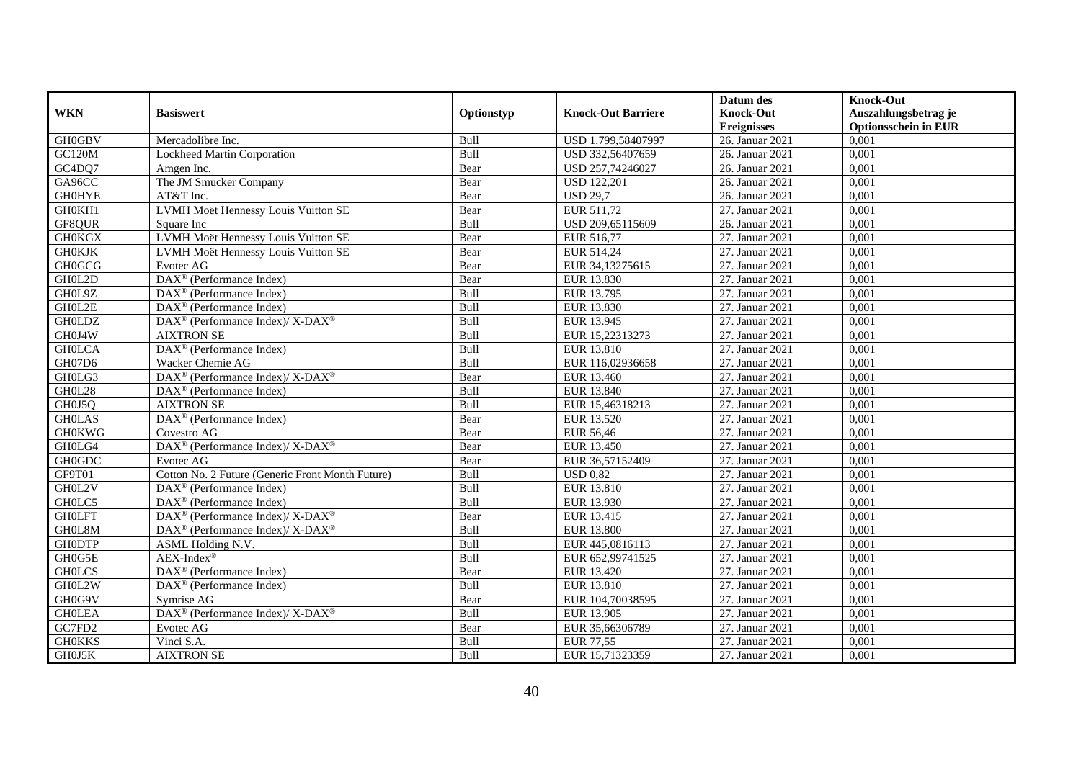|               |                                                                    |            |                           | Datum des          | <b>Knock-Out</b>            |
|---------------|--------------------------------------------------------------------|------------|---------------------------|--------------------|-----------------------------|
| <b>WKN</b>    | <b>Basiswert</b>                                                   | Optionstyp | <b>Knock-Out Barriere</b> | <b>Knock-Out</b>   | Auszahlungsbetrag je        |
|               |                                                                    |            |                           | <b>Ereignisses</b> | <b>Optionsschein in EUR</b> |
| <b>GH0GBV</b> | Mercadolibre Inc.                                                  | Bull       | USD 1.799,58407997        | 26. Januar 2021    | 0,001                       |
| <b>GC120M</b> | Lockheed Martin Corporation                                        | Bull       | USD 332,56407659          | 26. Januar 2021    | 0,001                       |
| GC4DQ7        | Amgen Inc.                                                         | Bear       | USD 257,74246027          | 26. Januar 2021    | 0,001                       |
| GA96CC        | The JM Smucker Company                                             | Bear       | <b>USD 122,201</b>        | 26. Januar 2021    | 0,001                       |
| <b>GHOHYE</b> | AT&T Inc.                                                          | Bear       | <b>USD 29,7</b>           | 26. Januar 2021    | 0,001                       |
| GH0KH1        | LVMH Moët Hennessy Louis Vuitton SE                                | Bear       | EUR 511,72                | 27. Januar 2021    | 0,001                       |
| GF8QUR        | Square Inc                                                         | Bull       | USD 209,65115609          | 26. Januar 2021    | 0,001                       |
| <b>GH0KGX</b> | LVMH Moët Hennessy Louis Vuitton SE                                | Bear       | EUR 516,77                | 27. Januar 2021    | 0,001                       |
| <b>GH0KJK</b> | LVMH Moët Hennessy Louis Vuitton SE                                | Bear       | EUR 514,24                | 27. Januar 2021    | 0,001                       |
| <b>GH0GCG</b> | Evotec AG                                                          | Bear       | EUR 34,13275615           | 27. Januar 2021    | 0,001                       |
| GH0L2D        | $\overline{\text{DAX}^{\circledast}}$ (Performance Index)          | Bear       | EUR 13.830                | 27. Januar 2021    | 0,001                       |
| GH0L9Z        | DAX <sup>®</sup> (Performance Index)                               | Bull       | EUR 13.795                | 27. Januar 2021    | 0,001                       |
| GH0L2E        | $\text{DAX}^{\circledast}$ (Performance Index)                     | Bull       | EUR 13.830                | 27. Januar 2021    | 0,001                       |
| <b>GH0LDZ</b> | $DAX^{\circledcirc}$ (Performance Index)/X-DAX <sup>®</sup>        | Bull       | EUR 13.945                | 27. Januar 2021    | 0.001                       |
| GH0J4W        | <b>AIXTRON SE</b>                                                  | Bull       | EUR 15,22313273           | 27. Januar 2021    | 0,001                       |
| <b>GHOLCA</b> | DAX <sup>®</sup> (Performance Index)                               | Bull       | EUR 13.810                | 27. Januar 2021    | 0,001                       |
| GH07D6        | Wacker Chemie AG                                                   | Bull       | EUR 116,02936658          | 27. Januar 2021    | 0,001                       |
| GH0LG3        | DAX <sup>®</sup> (Performance Index)/X-DAX <sup>®</sup>            | Bear       | EUR 13.460                | 27. Januar 2021    | 0,001                       |
| GH0L28        | $\text{DAX}^{\circledast}$ (Performance Index)                     | Bull       | EUR 13.840                | 27. Januar 2021    | 0,001                       |
| GH0J5Q        | <b>AIXTRON SE</b>                                                  | Bull       | EUR 15,46318213           | 27. Januar 2021    | 0,001                       |
| <b>GHOLAS</b> | DAX <sup>®</sup> (Performance Index)                               | Bear       | <b>EUR 13.520</b>         | 27. Januar 2021    | 0,001                       |
| <b>GH0KWG</b> | Covestro AG                                                        | Bear       | EUR 56.46                 | 27. Januar 2021    | 0.001                       |
| GH0LG4        | DAX <sup>®</sup> (Performance Index)/ X-DAX <sup>®</sup>           | Bear       | EUR 13.450                | 27. Januar 2021    | 0,001                       |
| <b>GH0GDC</b> | Evotec AG                                                          | Bear       | EUR 36,57152409           | 27. Januar 2021    | 0,001                       |
| GF9T01        | Cotton No. 2 Future (Generic Front Month Future)                   | Bull       | <b>USD 0.82</b>           | 27. Januar 2021    | 0,001                       |
| GH0L2V        | DAX <sup>®</sup> (Performance Index)                               | Bull       | EUR 13.810                | 27. Januar 2021    | 0,001                       |
| GH0LC5        | $\overline{\text{DAX}^{\otimes}}$ (Performance Index)              | Bull       | EUR 13.930                | 27. Januar 2021    | 0,001                       |
| <b>GH0LFT</b> | $\text{DAX}^{\circledR}$ (Performance Index)/ X-DAX <sup>®</sup>   | Bear       | EUR 13.415                | 27. Januar 2021    | 0,001                       |
| GH0L8M        | $DAX^{\circledast}$ (Performance Index)/X-DAX <sup>®</sup>         | Bull       | <b>EUR 13.800</b>         | 27. Januar 2021    | 0,001                       |
| <b>GH0DTP</b> | ASML Holding N.V.                                                  | Bull       | EUR 445,0816113           | 27. Januar 2021    | 0,001                       |
| GH0G5E        | $AEX-Index^{\circledR}$                                            | Bull       | EUR 652,99741525          | 27. Januar 2021    | 0,001                       |
| <b>GHOLCS</b> | DAX <sup>®</sup> (Performance Index)                               | Bear       | EUR 13.420                | 27. Januar 2021    | 0,001                       |
| GH0L2W        | $\text{DAX}^{\textcircled{D}}$ (Performance Index)                 | Bull       | EUR 13.810                | 27. Januar 2021    | 0,001                       |
| GH0G9V        | Symrise AG                                                         | Bear       | EUR 104,70038595          | 27. Januar 2021    | 0,001                       |
| <b>GHOLEA</b> | $\text{DAX}^{\circledast}$ (Performance Index)/ X-DAX <sup>®</sup> | Bull       | EUR 13.905                | 27. Januar 2021    | 0,001                       |
| GC7FD2        | Evotec AG                                                          | Bear       | EUR 35,66306789           | 27. Januar 2021    | 0,001                       |
| <b>GH0KKS</b> | Vinci S.A.                                                         | Bull       | <b>EUR 77,55</b>          | 27. Januar 2021    | 0,001                       |
| GH0J5K        | <b>AIXTRON SE</b>                                                  | Bull       | EUR 15,71323359           | 27. Januar 2021    | 0,001                       |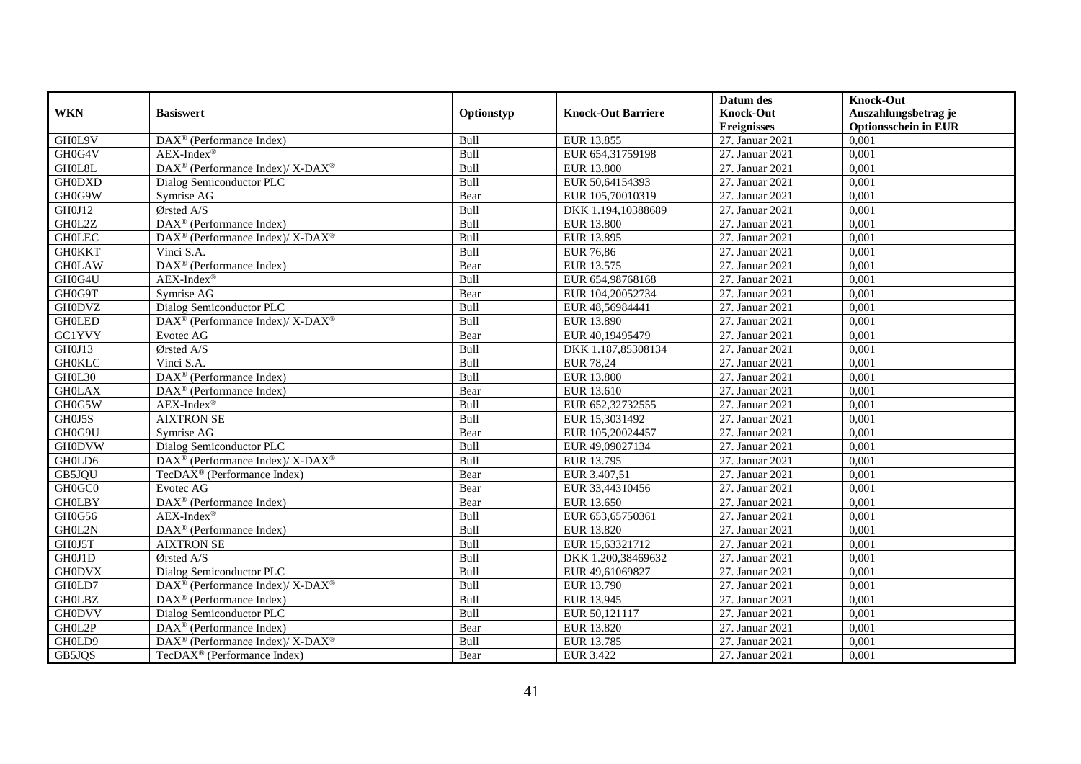|               |                                                             |             |                           | Datum des          | <b>Knock-Out</b>            |
|---------------|-------------------------------------------------------------|-------------|---------------------------|--------------------|-----------------------------|
| <b>WKN</b>    | <b>Basiswert</b>                                            | Optionstyp  | <b>Knock-Out Barriere</b> | <b>Knock-Out</b>   | Auszahlungsbetrag je        |
|               |                                                             |             |                           | <b>Ereignisses</b> | <b>Optionsschein in EUR</b> |
| GH0L9V        | DAX <sup>®</sup> (Performance Index)                        | Bull        | EUR 13.855                | 27. Januar 2021    | 0,001                       |
| GH0G4V        | AEX-Index®                                                  | Bull        | EUR 654,31759198          | 27. Januar 2021    | 0,001                       |
| GH0L8L        | $DAX^{\circledast}$ (Performance Index)/X-DAX <sup>®</sup>  | Bull        | <b>EUR 13.800</b>         | 27. Januar 2021    | 0,001                       |
| <b>GH0DXD</b> | Dialog Semiconductor PLC                                    | Bull        | EUR 50,64154393           | 27. Januar 2021    | 0,001                       |
| GH0G9W        | Symrise AG                                                  | Bear        | EUR 105,70010319          | 27. Januar 2021    | 0,001                       |
| GH0J12        | Ørsted A/S                                                  | Bull        | DKK 1.194,10388689        | 27. Januar 2021    | 0,001                       |
| GH0L2Z        | $DAX^{\circledR}$ (Performance Index)                       | Bull        | EUR 13.800                | 27. Januar 2021    | 0,001                       |
| <b>GHOLEC</b> | DAX <sup>®</sup> (Performance Index)/X-DAX <sup>®</sup>     | Bull        | EUR 13.895                | 27. Januar 2021    | 0,001                       |
| <b>GH0KKT</b> | Vinci S.A.                                                  | Bull        | EUR 76,86                 | 27. Januar 2021    | 0,001                       |
| <b>GH0LAW</b> | DAX <sup>®</sup> (Performance Index)                        | Bear        | EUR 13.575                | 27. Januar 2021    | 0,001                       |
| GH0G4U        | $AEX$ -Index®                                               | Bull        | EUR 654,98768168          | 27. Januar 2021    | 0,001                       |
| GH0G9T        | Symrise AG                                                  | Bear        | EUR 104,20052734          | 27. Januar 2021    | 0,001                       |
| <b>GH0DVZ</b> | Dialog Semiconductor PLC                                    | Bull        | EUR 48,56984441           | 27. Januar 2021    | 0,001                       |
| <b>GH0LED</b> | $DAX^{\circledcirc}$ (Performance Index)/X-DAX <sup>®</sup> | <b>Bull</b> | EUR 13.890                | 27. Januar 2021    | 0.001                       |
| <b>GC1YVY</b> | Evotec AG                                                   | Bear        | EUR 40,19495479           | 27. Januar 2021    | 0.001                       |
| GH0J13        | Ørsted A/S                                                  | Bull        | DKK 1.187,85308134        | 27. Januar 2021    | 0,001                       |
| <b>GH0KLC</b> | Vinci S.A.                                                  | Bull        | <b>EUR 78,24</b>          | 27. Januar 2021    | 0,001                       |
| GH0L30        | $\overline{\text{DAX}^{\otimes}}$ (Performance Index)       | Bull        | <b>EUR 13.800</b>         | 27. Januar 2021    | 0,001                       |
| <b>GH0LAX</b> | $DAX^{\circledast}$ (Performance Index)                     | Bear        | EUR 13.610                | 27. Januar 2021    | 0,001                       |
| GH0G5W        | $AEX-Index^{\circledR}$                                     | Bull        | EUR 652,32732555          | 27. Januar 2021    | 0,001                       |
| GH0J5S        | <b>AIXTRON SE</b>                                           | Bull        | EUR 15,3031492            | 27. Januar 2021    | 0,001                       |
| GH0G9U        | Symrise AG                                                  | Bear        | EUR 105,20024457          | 27. Januar 2021    | 0.001                       |
| <b>GH0DVW</b> | Dialog Semiconductor PLC                                    | Bull        | EUR 49,09027134           | 27. Januar 2021    | 0,001                       |
| GH0LD6        | DAX <sup>®</sup> (Performance Index)/X-DAX <sup>®</sup>     | Bull        | EUR 13.795                | 27. Januar 2021    | 0,001                       |
| GB5JQU        | TecDAX <sup>®</sup> (Performance Index)                     | Bear        | EUR 3.407,51              | 27. Januar 2021    | 0,001                       |
| GH0GC0        | Evotec AG                                                   | Bear        | EUR 33,44310456           | 27. Januar 2021    | 0,001                       |
| <b>GHOLBY</b> | $\overline{\text{DAX}^{\otimes}}$ (Performance Index)       | Bear        | EUR 13.650                | 27. Januar 2021    | 0,001                       |
| GH0G56        | $AEX-Index^{\circledR}$                                     | Bull        | EUR 653,65750361          | 27. Januar 2021    | 0,001                       |
| GH0L2N        | DAX <sup>®</sup> (Performance Index)                        | Bull        | EUR 13.820                | 27. Januar 2021    | 0,001                       |
| GH0J5T        | <b>AIXTRON SE</b>                                           | Bull        | EUR 15,63321712           | 27. Januar 2021    | 0,001                       |
| GH0J1D        | Ørsted A/S                                                  | Bull        | DKK 1.200,38469632        | 27. Januar 2021    | 0,001                       |
| <b>GH0DVX</b> | Dialog Semiconductor PLC                                    | Bull        | EUR 49,61069827           | 27. Januar 2021    | 0,001                       |
| GH0LD7        | DAX <sup>®</sup> (Performance Index)/X-DAX <sup>®</sup>     | Bull        | EUR 13.790                | 27. Januar 2021    | 0,001                       |
| <b>GHOLBZ</b> | $\overline{\text{DAX}^{\otimes}}$ (Performance Index)       | Bull        | EUR 13.945                | 27. Januar 2021    | 0,001                       |
| <b>GH0DVV</b> | Dialog Semiconductor PLC                                    | Bull        | EUR 50,121117             | 27. Januar 2021    | 0,001                       |
| GH0L2P        | DAX <sup>®</sup> (Performance Index)                        | Bear        | EUR 13.820                | 27. Januar 2021    | 0,001                       |
| GH0LD9        | DAX <sup>®</sup> (Performance Index)/ X-DAX <sup>®</sup>    | Bull        | EUR 13.785                | 27. Januar 2021    | 0,001                       |
| GB5JQS        | TecDAX <sup>®</sup> (Performance Index)                     | Bear        | EUR 3.422                 | 27. Januar 2021    | 0,001                       |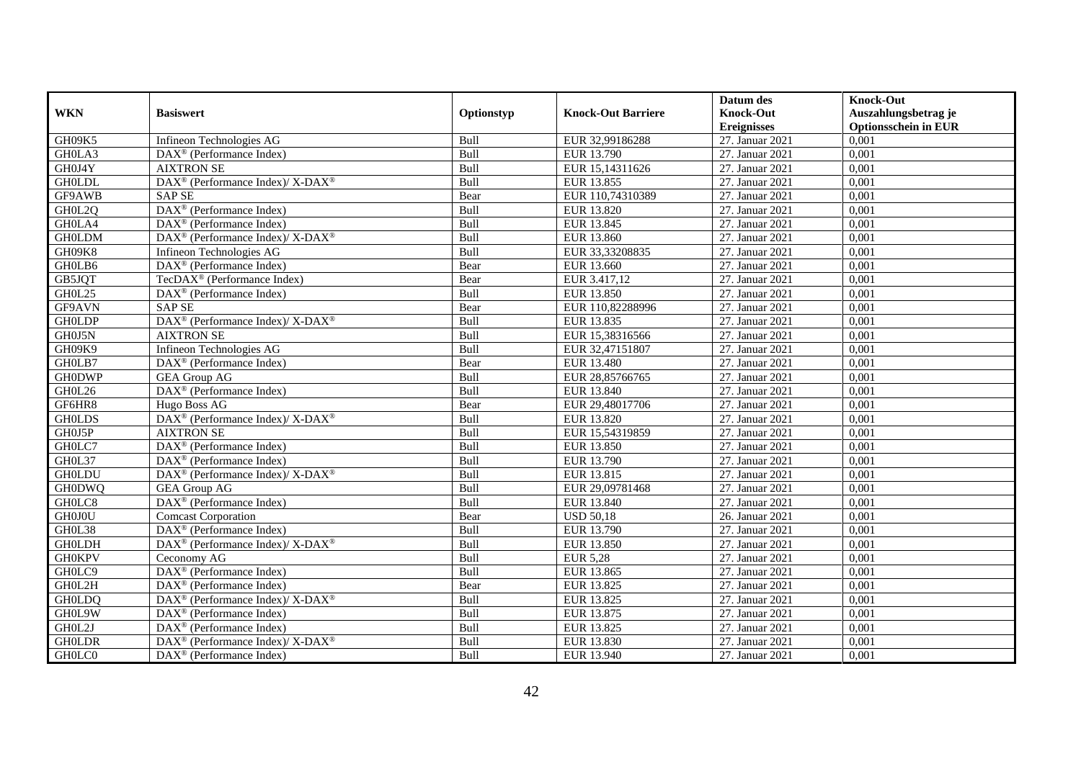|               |                                                                  |             |                           | Datum des          | <b>Knock-Out</b>            |
|---------------|------------------------------------------------------------------|-------------|---------------------------|--------------------|-----------------------------|
| <b>WKN</b>    | <b>Basiswert</b>                                                 | Optionstyp  | <b>Knock-Out Barriere</b> | <b>Knock-Out</b>   | Auszahlungsbetrag je        |
|               |                                                                  |             |                           | <b>Ereignisses</b> | <b>Optionsschein in EUR</b> |
| GH09K5        | Infineon Technologies AG                                         | Bull        | EUR 32,99186288           | 27. Januar 2021    | 0,001                       |
| GH0LA3        | $\overline{\text{DAX}}^{\textcircled{}}$ (Performance Index)     | Bull        | EUR 13.790                | 27. Januar 2021    | 0,001                       |
| GH0J4Y        | <b>AIXTRON SE</b>                                                | Bull        | EUR 15,14311626           | 27. Januar 2021    | 0,001                       |
| <b>GH0LDL</b> | $\text{DAX}^{\circledR}$ (Performance Index)/ X-DAX <sup>®</sup> | Bull        | EUR 13.855                | 27. Januar 2021    | 0,001                       |
| GF9AWB        | <b>SAP SE</b>                                                    | Bear        | EUR 110,74310389          | 27. Januar 2021    | 0,001                       |
| GH0L2Q        | DAX <sup>®</sup> (Performance Index)                             | Bull        | EUR 13.820                | 27. Januar 2021    | 0,001                       |
| GH0LA4        | $\text{DAX}^{\textcircled{D}}$ (Performance Index)               | Bull        | EUR 13.845                | 27. Januar 2021    | 0,001                       |
| <b>GH0LDM</b> | $\text{DAX}^{\circledR}$ (Performance Index)/ X-DAX <sup>®</sup> | Bull        | EUR 13.860                | 27. Januar 2021    | 0,001                       |
| GH09K8        | Infineon Technologies AG                                         | Bull        | EUR 33,33208835           | 27. Januar 2021    | 0,001                       |
| GH0LB6        | DAX <sup>®</sup> (Performance Index)                             | Bear        | EUR 13.660                | 27. Januar 2021    | 0,001                       |
| GB5JQT        | TecDAX <sup>®</sup> (Performance Index)                          | Bear        | EUR 3.417,12              | 27. Januar 2021    | 0,001                       |
| GH0L25        | DAX <sup>®</sup> (Performance Index)                             | Bull        | EUR 13.850                | 27. Januar 2021    | 0,001                       |
| GF9AVN        | <b>SAP SE</b>                                                    | Bear        | EUR 110,82288996          | 27. Januar 2021    | 0,001                       |
| <b>GH0LDP</b> | $DAX^{\circledcirc}$ (Performance Index)/ X-DAX <sup>®</sup>     | Bull        | EUR 13.835                | 27. Januar 2021    | 0.001                       |
| GH0J5N        | <b>AIXTRON SE</b>                                                | Bull        | EUR 15,38316566           | 27. Januar 2021    | 0,001                       |
| GH09K9        | Infineon Technologies AG                                         | Bull        | EUR 32,47151807           | 27. Januar 2021    | 0,001                       |
| GH0LB7        | DAX <sup>®</sup> (Performance Index)                             | Bear        | EUR 13.480                | 27. Januar 2021    | 0,001                       |
| <b>GH0DWP</b> | <b>GEA Group AG</b>                                              | Bull        | EUR 28,85766765           | 27. Januar 2021    | 0,001                       |
| GH0L26        | DAX <sup>®</sup> (Performance Index)                             | Bull        | EUR 13.840                | 27. Januar 2021    | 0,001                       |
| GF6HR8        | Hugo Boss AG                                                     | Bear        | EUR 29,48017706           | 27. Januar 2021    | 0,001                       |
| <b>GH0LDS</b> | DAX <sup>®</sup> (Performance Index)/ X-DAX <sup>®</sup>         | Bull        | EUR 13.820                | 27. Januar 2021    | 0,001                       |
| GH0J5P        | <b>AIXTRON SE</b>                                                | <b>Bull</b> | EUR 15,54319859           | 27. Januar 2021    | 0.001                       |
| GH0LC7        | DAX <sup>®</sup> (Performance Index)                             | Bull        | EUR 13.850                | 27. Januar 2021    | 0,001                       |
| GH0L37        | $\text{DAX}^{\textcircled{D}}$ (Performance Index)               | Bull        | EUR 13.790                | 27. Januar 2021    | 0,001                       |
| <b>GH0LDU</b> | $DAX^{\circledcirc}$ (Performance Index)/ X-DAX <sup>®</sup>     | Bull        | EUR 13.815                | 27. Januar 2021    | 0,001                       |
| <b>GH0DWQ</b> | <b>GEA Group AG</b>                                              | Bull        | EUR 29,09781468           | 27. Januar 2021    | 0,001                       |
| GH0LC8        | DAX <sup>®</sup> (Performance Index)                             | Bull        | EUR 13.840                | 27. Januar 2021    | 0,001                       |
| GH0J0U        | <b>Comcast Corporation</b>                                       | Bear        | <b>USD 50,18</b>          | 26. Januar 2021    | 0,001                       |
| GH0L38        | DAX <sup>®</sup> (Performance Index)                             | Bull        | EUR 13.790                | 27. Januar 2021    | 0,001                       |
| <b>GH0LDH</b> | $\text{DAX}^{\circledR}$ (Performance Index)/ X-DAX <sup>®</sup> | Bull        | EUR 13.850                | 27. Januar 2021    | 0,001                       |
| <b>GH0KPV</b> | Ceconomy AG                                                      | Bull        | <b>EUR 5,28</b>           | 27. Januar 2021    | 0,001                       |
| GH0LC9        | DAX <sup>®</sup> (Performance Index)                             | Bull        | EUR 13.865                | 27. Januar 2021    | 0,001                       |
| GH0L2H        | DAX <sup>®</sup> (Performance Index)                             | Bear        | EUR 13.825                | 27. Januar 2021    | 0,001                       |
| <b>GH0LDQ</b> | $DAX^{\circledcirc}$ (Performance Index)/X-DAX <sup>®</sup>      | Bull        | EUR 13.825                | 27. Januar 2021    | 0,001                       |
| GH0L9W        | $\text{DAX}^{\textcircled{n}}$ (Performance Index)               | Bull        | EUR 13.875                | 27. Januar 2021    | 0,001                       |
| GH0L2J        | DAX <sup>®</sup> (Performance Index)                             | Bull        | EUR 13.825                | 27. Januar 2021    | 0,001                       |
| <b>GH0LDR</b> | DAX <sup>®</sup> (Performance Index)/ X-DAX <sup>®</sup>         | Bull        | EUR 13.830                | 27. Januar 2021    | 0,001                       |
| GH0LC0        | $\text{DAX}^{\textcircled{n}}$ (Performance Index)               | Bull        | EUR 13.940                | 27. Januar 2021    | 0,001                       |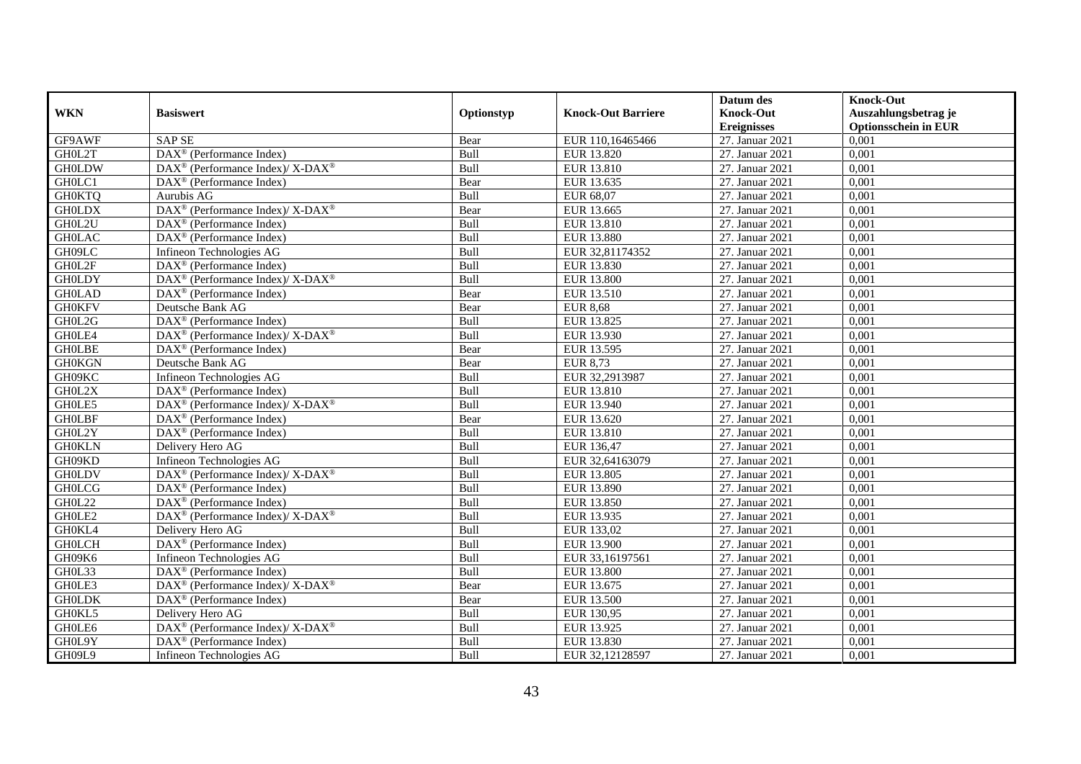|               |                                                                    |             |                           | Datum des          | <b>Knock-Out</b>            |
|---------------|--------------------------------------------------------------------|-------------|---------------------------|--------------------|-----------------------------|
| <b>WKN</b>    | <b>Basiswert</b>                                                   | Optionstyp  | <b>Knock-Out Barriere</b> | <b>Knock-Out</b>   | Auszahlungsbetrag je        |
|               |                                                                    |             |                           | <b>Ereignisses</b> | <b>Optionsschein in EUR</b> |
| GF9AWF        | <b>SAP SE</b>                                                      | Bear        | EUR 110,16465466          | 27. Januar 2021    | 0,001                       |
| GH0L2T        | $\text{DAX}^{\textcircled{p}}$ (Performance Index)                 | Bull        | EUR 13.820                | 27. Januar 2021    | 0,001                       |
| <b>GH0LDW</b> | $\text{DAX}^{\circledR}$ (Performance Index)/ X-DAX <sup>®</sup>   | Bull        | EUR 13.810                | 27. Januar 2021    | 0,001                       |
| GH0LC1        | $\text{DAX}^{\circledast}$ (Performance Index)                     | Bear        | EUR 13.635                | 27. Januar 2021    | 0,001                       |
| <b>GH0KTQ</b> | Aurubis AG                                                         | Bull        | EUR 68,07                 | 27. Januar 2021    | 0,001                       |
| <b>GH0LDX</b> | DAX <sup>®</sup> (Performance Index)/ X-DAX <sup>®</sup>           | Bear        | EUR 13.665                | 27. Januar 2021    | 0,001                       |
| GH0L2U        | $\text{DAX}^{\textcircled{n}}$ (Performance Index)                 | Bull        | EUR 13.810                | 27. Januar 2021    | 0,001                       |
| <b>GH0LAC</b> | $DAX^{\otimes}$ (Performance Index)                                | Bull        | <b>EUR 13.880</b>         | 27. Januar 2021    | 0,001                       |
| GH09LC        | Infineon Technologies AG                                           | Bull        | EUR 32,81174352           | 27. Januar 2021    | 0,001                       |
| GH0L2F        | $\text{DAX}^{\textcircled{D}}$ (Performance Index)                 | Bull        | EUR 13.830                | 27. Januar 2021    | 0,001                       |
| <b>GH0LDY</b> | $\text{DAX}^{\circledR}$ (Performance Index)/ X-DAX <sup>®</sup>   | Bull        | <b>EUR 13.800</b>         | 27. Januar 2021    | 0,001                       |
| <b>GH0LAD</b> | $\overline{\text{DAX}^{\otimes}}$ (Performance Index)              | Bear        | EUR 13.510                | 27. Januar 2021    | 0,001                       |
| <b>GH0KFV</b> | Deutsche Bank AG                                                   | Bear        | <b>EUR 8,68</b>           | 27. Januar 2021    | 0,001                       |
| GH0L2G        | $\text{DAX}^{\circledast}$ (Performance Index)                     | Bull        | EUR 13.825                | 27. Januar 2021    | 0,001                       |
| GH0LE4        | DAX <sup>®</sup> (Performance Index)/ X-DAX <sup>®</sup>           | Bull        | EUR 13.930                | 27. Januar 2021    | 0,001                       |
| <b>GHOLBE</b> | $\text{DAX}^{\circledast}$ (Performance Index)                     | Bear        | EUR 13.595                | 27. Januar 2021    | 0,001                       |
| <b>GH0KGN</b> | Deutsche Bank AG                                                   | Bear        | EUR 8,73                  | 27. Januar 2021    | 0,001                       |
| GH09KC        | Infineon Technologies AG                                           | <b>Bull</b> | EUR 32,2913987            | 27. Januar 2021    | 0,001                       |
| GH0L2X        | $\text{DAX}^{\textcircled{n}}$ (Performance Index)                 | Bull        | EUR 13.810                | 27. Januar 2021    | 0,001                       |
| GH0LE5        | $\text{DAX}^{\circledR}$ (Performance Index)/ X-DAX <sup>®</sup>   | Bull        | EUR 13.940                | 27. Januar 2021    | 0,001                       |
| <b>GHOLBF</b> | $\text{DAX}^{\textcircled{D}}$ (Performance Index)                 | Bear        | EUR 13.620                | 27. Januar 2021    | 0,001                       |
| GH0L2Y        | $\overline{\text{DAX}^{\otimes}}$ (Performance Index)              | Bull        | EUR 13.810                | 27. Januar 2021    | 0,001                       |
| <b>GH0KLN</b> | Delivery Hero AG                                                   | Bull        | EUR 136,47                | 27. Januar 2021    | 0,001                       |
| GH09KD        | Infineon Technologies AG                                           | Bull        | EUR 32,64163079           | 27. Januar 2021    | 0,001                       |
| <b>GH0LDV</b> | $\text{DAX}^{\circledast}$ (Performance Index)/ X-DAX <sup>®</sup> | Bull        | <b>EUR 13.805</b>         | 27. Januar 2021    | 0,001                       |
| <b>GH0LCG</b> | $\text{DAX}^{\otimes}$ (Performance Index)                         | Bull        | EUR 13.890                | 27. Januar 2021    | 0,001                       |
| GH0L22        | DAX <sup>®</sup> (Performance Index)                               | Bull        | <b>EUR 13.850</b>         | 27. Januar 2021    | 0,001                       |
| GH0LE2        | $\text{DAX}^{\circledR}$ (Performance Index)/ X-DAX <sup>®</sup>   | Bull        | EUR 13.935                | 27. Januar 2021    | 0.001                       |
| GH0KL4        | Delivery Hero AG                                                   | Bull        | EUR 133,02                | 27. Januar 2021    | 0,001                       |
| <b>GH0LCH</b> | $\text{DAX}^{\textcircled{D}}$ (Performance Index)                 | Bull        | <b>EUR 13.900</b>         | 27. Januar 2021    | 0,001                       |
| GH09K6        | Infineon Technologies AG                                           | Bull        | EUR 33,16197561           | 27. Januar 2021    | 0,001                       |
| GH0L33        | DAX <sup>®</sup> (Performance Index)                               | Bull        | <b>EUR 13.800</b>         | 27. Januar 2021    | 0,001                       |
| GH0LE3        | $DAX^{\circledcirc}$ (Performance Index)/X-DAX <sup>®</sup>        | Bear        | EUR 13.675                | 27. Januar 2021    | 0,001                       |
| <b>GH0LDK</b> | DAX <sup>®</sup> (Performance Index)                               | Bear        | <b>EUR 13.500</b>         | 27. Januar 2021    | 0,001                       |
| GH0KL5        | Delivery Hero AG                                                   | Bull        | EUR 130,95                | 27. Januar 2021    | 0,001                       |
| GH0LE6        | $\text{DAX}^{\circledR}$ (Performance Index)/ X-DAX <sup>®</sup>   | Bull        | EUR 13.925                | 27. Januar 2021    | 0,001                       |
| GH0L9Y        | DAX <sup>®</sup> (Performance Index)                               | Bull        | EUR 13.830                | 27. Januar 2021    | 0,001                       |
| GH09L9        | Infineon Technologies AG                                           | Bull        | EUR 32,12128597           | 27. Januar 2021    | 0,001                       |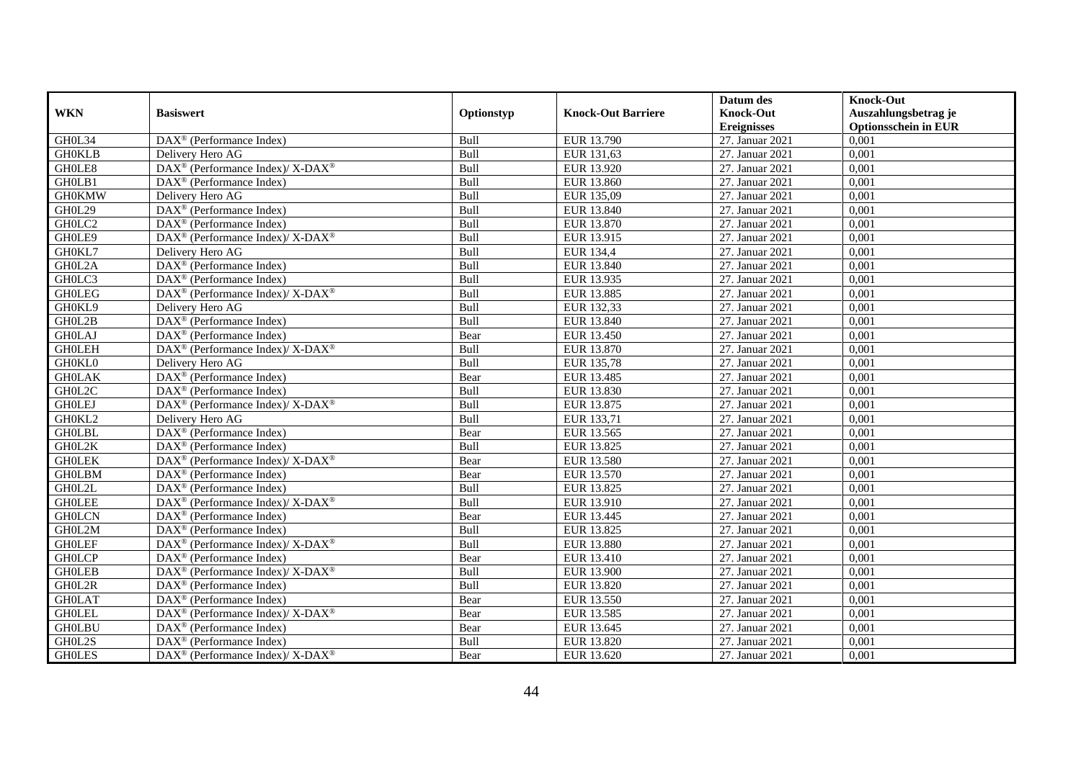|               |                                                                                                 |            |                           | Datum des          | <b>Knock-Out</b>            |
|---------------|-------------------------------------------------------------------------------------------------|------------|---------------------------|--------------------|-----------------------------|
| <b>WKN</b>    | <b>Basiswert</b>                                                                                | Optionstyp | <b>Knock-Out Barriere</b> | <b>Knock-Out</b>   | Auszahlungsbetrag je        |
|               |                                                                                                 |            |                           | <b>Ereignisses</b> | <b>Optionsschein in EUR</b> |
| GH0L34        | $\overline{\text{DAX}}^{\textcircled{}}$ (Performance Index)                                    | Bull       | EUR 13.790                | 27. Januar 2021    | 0,001                       |
| <b>GH0KLB</b> | Delivery Hero AG                                                                                | Bull       | EUR 131,63                | 27. Januar 2021    | 0,001                       |
| GH0LE8        | $\text{DAX}^{\circledR}$ (Performance Index)/ X-DAX <sup>®</sup>                                | Bull       | EUR 13.920                | 27. Januar 2021    | 0,001                       |
| GH0LB1        | $DAX^{\otimes}$ (Performance Index)                                                             | Bull       | EUR 13.860                | 27. Januar 2021    | 0.001                       |
| <b>GH0KMW</b> | Delivery Hero AG                                                                                | Bull       | EUR 135,09                | 27. Januar 2021    | 0,001                       |
| GH0L29        | $\overline{\text{DAX}^{\otimes}}$ (Performance Index)                                           | Bull       | EUR 13.840                | 27. Januar 2021    | 0,001                       |
| GH0LC2        | $\text{DAX}^{\textcircled{D}}$ (Performance Index)                                              | Bull       | EUR 13.870                | 27. Januar 2021    | 0,001                       |
| GH0LE9        | $\text{DAX}^{\circledR}$ (Performance Index)/ X-DAX <sup>®</sup>                                | Bull       | EUR 13.915                | 27. Januar 2021    | 0,001                       |
| GH0KL7        | Delivery Hero AG                                                                                | Bull       | EUR 134,4                 | 27. Januar 2021    | 0,001                       |
| GH0L2A        | DAX <sup>®</sup> (Performance Index)                                                            | Bull       | EUR 13.840                | 27. Januar 2021    | 0,001                       |
| GH0LC3        | $\text{DAX}^{\textcircled{D}}$ (Performance Index)                                              | Bull       | EUR 13.935                | 27. Januar 2021    | 0,001                       |
| <b>GHOLEG</b> | $\text{DAX}^{\circledR}$ (Performance Index)/ X-DAX <sup>®</sup>                                | Bull       | EUR 13.885                | 27. Januar 2021    | 0,001                       |
| GH0KL9        | Delivery Hero AG                                                                                | Bull       | EUR 132,33                | 27. Januar 2021    | 0,001                       |
| GH0L2B        | DAX <sup>®</sup> (Performance Index)                                                            | Bull       | EUR 13.840                | 27. Januar 2021    | 0,001                       |
| <b>GH0LAJ</b> | $\text{DAX}^{\otimes}$ (Performance Index)                                                      | Bear       | EUR 13.450                | 27. Januar 2021    | 0,001                       |
| <b>GHOLEH</b> | DAX <sup>®</sup> (Performance Index)/ X-DAX <sup>®</sup>                                        | Bull       | EUR 13.870                | 27. Januar 2021    | 0,001                       |
| GH0KL0        | Delivery Hero AG                                                                                | Bull       | EUR 135,78                | 27. Januar 2021    | 0,001                       |
| <b>GH0LAK</b> | $\text{DAX}^{\textcircled{p}}$ (Performance Index)                                              | Bear       | EUR 13.485                | 27. Januar 2021    | 0,001                       |
| GH0L2C        | DAX <sup>®</sup> (Performance Index)                                                            | Bull       | EUR 13.830                | 27. Januar 2021    | 0,001                       |
| <b>GHOLEJ</b> | $\text{DAX}^{\circledR}$ (Performance Index)/ X-DAX <sup>®</sup>                                | Bull       | EUR 13.875                | 27. Januar 2021    | 0,001                       |
| GH0KL2        | Delivery Hero AG                                                                                | Bull       | EUR 133,71                | 27. Januar 2021    | 0,001                       |
| <b>GHOLBL</b> | DAX <sup>®</sup> (Performance Index)                                                            | Bear       | EUR 13.565                | 27. Januar 2021    | 0,001                       |
| GH0L2K        | $\overline{\text{DAX}^{\otimes}}$ (Performance Index)                                           | Bull       | EUR 13.825                | 27. Januar 2021    | 0,001                       |
| <b>GHOLEK</b> | $\text{DAX}^{\circledR}$ (Performance Index)/ X-DAX <sup>®</sup>                                | Bear       | EUR 13.580                | 27. Januar 2021    | 0,001                       |
| <b>GH0LBM</b> | $DAX^{\circledR}$ (Performance Index)                                                           | Bear       | EUR 13.570                | 27. Januar 2021    | 0.001                       |
| GH0L2L        | DAX <sup>®</sup> (Performance Index)                                                            | Bull       | EUR 13.825                | 27. Januar 2021    | 0,001                       |
| <b>GHOLEE</b> | DAX <sup>®</sup> (Performance Index)/X-DAX <sup>®</sup>                                         | Bull       | EUR 13.910                | 27. Januar 2021    | 0,001                       |
| <b>GH0LCN</b> | $\text{DAX}^{\textcircled{p}}$ (Performance Index)                                              | Bear       | EUR 13.445                | 27. Januar 2021    | 0,001                       |
| GH0L2M        | $\overline{\text{DAX}^{\otimes}}$ (Performance Index)                                           | Bull       | EUR 13.825                | 27. Januar 2021    | 0,001                       |
| <b>GHOLEF</b> | $\text{DAX}^{\circledast}$ (Performance Index)/ X-DAX <sup>®</sup>                              | Bull       | EUR 13.880                | 27. Januar 2021    | 0,001                       |
| <b>GHOLCP</b> | $\text{DAX}^{\textcircled{n}}$ (Performance Index)                                              | Bear       | EUR 13.410                | 27. Januar 2021    | 0,001                       |
| <b>GHOLEB</b> | $\text{DAX}^{\textcircled{p}}$ (Performance Index)/ $\overline{\text{X-DAX}^{\textcircled{p}}}$ | Bull       | EUR 13.900                | 27. Januar 2021    | 0.001                       |
| GH0L2R        | $\overline{\text{DAX}^{\otimes}}$ (Performance Index)                                           | Bull       | EUR 13.820                | 27. Januar 2021    | 0,001                       |
| <b>GH0LAT</b> | DAX <sup>®</sup> (Performance Index)                                                            | Bear       | EUR 13.550                | 27. Januar 2021    | 0,001                       |
| <b>GHOLEL</b> | $\text{DAX}^{\circledR}$ (Performance Index)/ X-DAX <sup>®</sup>                                | Bear       | EUR 13.585                | 27. Januar 2021    | 0,001                       |
| <b>GH0LBU</b> | $\text{DAX}^{\textcircled{n}}$ (Performance Index)                                              | Bear       | EUR 13.645                | 27. Januar 2021    | 0,001                       |
| GH0L2S        | $\text{DAX}^{\circledast}$ (Performance Index)                                                  | Bull       | EUR 13.820                | 27. Januar 2021    | 0,001                       |
| <b>GHOLES</b> | $\text{DAX}^{\circledR}$ (Performance Index)/ X-DAX <sup>®</sup>                                | Bear       | EUR 13.620                | 27. Januar 2021    | 0,001                       |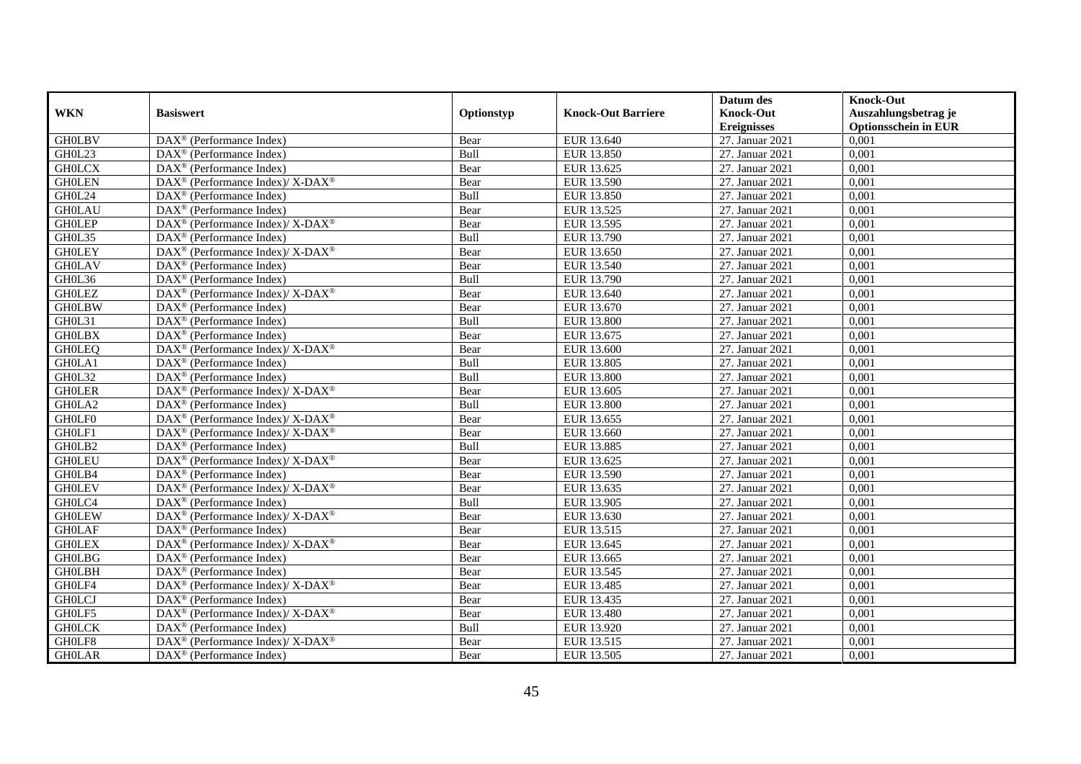|               |                                                                           |             |                           | Datum des          | <b>Knock-Out</b>            |
|---------------|---------------------------------------------------------------------------|-------------|---------------------------|--------------------|-----------------------------|
| <b>WKN</b>    | <b>Basiswert</b>                                                          | Optionstyp  | <b>Knock-Out Barriere</b> | <b>Knock-Out</b>   | Auszahlungsbetrag je        |
|               |                                                                           |             |                           | <b>Ereignisses</b> | <b>Optionsschein in EUR</b> |
| <b>GH0LBV</b> | $\overline{\text{DAX}}^{\textcirc}$ (Performance Index)                   | Bear        | EUR 13.640                | 27. Januar 2021    | 0,001                       |
| GH0L23        | $DAX^{\circledcirc}$ (Performance Index)                                  | Bull        | EUR 13.850                | 27. Januar 2021    | 0,001                       |
| <b>GHOLCX</b> | $DAX^{\circledcirc}$ (Performance Index)                                  | Bear        | EUR 13.625                | 27. Januar 2021    | 0,001                       |
| <b>GHOLEN</b> | DAX <sup>®</sup> (Performance Index)/ X-DAX <sup>®</sup>                  | Bear        | EUR 13.590                | 27. Januar 2021    | 0,001                       |
| GH0L24        | DAX <sup>®</sup> (Performance Index)                                      | Bull        | EUR 13.850                | 27. Januar 2021    | 0,001                       |
| <b>GH0LAU</b> | DAX <sup>®</sup> (Performance Index)                                      | Bear        | EUR 13.525                | 27. Januar 2021    | 0,001                       |
| <b>GHOLEP</b> | DAX <sup>®</sup> (Performance Index)/ X-DAX <sup>®</sup>                  | Bear        | EUR 13.595                | 27. Januar 2021    | 0,001                       |
| GH0L35        | $DAX^{\circledR}$ (Performance Index)                                     | Bull        | EUR 13.790                | 27. Januar 2021    | 0,001                       |
| <b>GHOLEY</b> | DAX <sup>®</sup> (Performance Index)/ X-DAX <sup>®</sup>                  | Bear        | EUR 13.650                | 27. Januar 2021    | 0,001                       |
| <b>GH0LAV</b> | $DAX^{\circledR}$ (Performance Index)                                     | Bear        | EUR 13.540                | 27. Januar 2021    | 0,001                       |
| GH0L36        | DAX <sup>®</sup> (Performance Index)                                      | Bull        | EUR 13.790                | 27. Januar 2021    | 0,001                       |
| <b>GHOLEZ</b> | DAX <sup>®</sup> (Performance Index)/ X-DAX <sup>®</sup>                  | Bear        | EUR 13.640                | 27. Januar 2021    | 0,001                       |
| <b>GH0LBW</b> | DAX <sup>®</sup> (Performance Index)                                      | Bear        | EUR 13.670                | 27. Januar 2021    | 0,001                       |
| GH0L31        | $DAX^{\circledcirc}$ (Performance Index)                                  | Bull        | <b>EUR 13.800</b>         | 27. Januar 2021    | 0,001                       |
| <b>GHOLBX</b> | $DAX^{\circledast}$ (Performance Index)                                   | Bear        | EUR 13.675                | 27. Januar 2021    | 0,001                       |
| <b>GHOLEQ</b> | $DAX^{\circledast}$ (Performance Index)/ X-DAX <sup>®</sup>               | Bear        | EUR 13.600                | 27. Januar 2021    | 0,001                       |
| GH0LA1        | DAX <sup>®</sup> (Performance Index)                                      | Bull        | EUR 13.805                | 27. Januar 2021    | 0,001                       |
| GH0L32        | $DAX^{\circledR}$ (Performance Index)                                     | <b>Bull</b> | EUR 13.800                | 27. Januar 2021    | 0,001                       |
| <b>GHOLER</b> | DAX <sup>®</sup> (Performance Index)/ X-DAX <sup>®</sup>                  | Bear        | EUR 13.605                | 27. Januar 2021    | 0,001                       |
| GH0LA2        | $\overline{\text{DAX}^{\otimes}}$ (Performance Index)                     | Bull        | <b>EUR 13.800</b>         | 27. Januar 2021    | 0,001                       |
| GH0LF0        | DAX <sup>®</sup> (Performance Index)/ X-DAX <sup>®</sup>                  | Bear        | EUR 13.655                | 27. Januar 2021    | 0,001                       |
| GH0LF1        | DAX <sup>®</sup> (Performance Index)/ X-DAX <sup>®</sup>                  | Bear        | EUR 13.660                | 27. Januar 2021    | 0,001                       |
| GH0LB2        | $\text{DAX}^{\textcircled{}}$ (Performance Index)                         | Bull        | EUR 13.885                | 27. Januar 2021    | 0,001                       |
| <b>GH0LEU</b> | DAX <sup>®</sup> (Performance Index)/ X-DAX <sup>®</sup>                  | Bear        | EUR 13.625                | 27. Januar 2021    | 0,001                       |
| GH0LB4        | DAX <sup>®</sup> (Performance Index)                                      | Bear        | EUR 13.590                | 27. Januar 2021    | 0,001                       |
| <b>GHOLEV</b> | DAX <sup>®</sup> (Performance Index)/ X-DAX <sup>®</sup>                  | Bear        | EUR 13.635                | 27. Januar 2021    | 0,001                       |
| GH0LC4        | $DAX^{\circledast}$ (Performance Index)                                   | Bull        | EUR 13.905                | 27. Januar 2021    | 0,001                       |
| <b>GHOLEW</b> | $DAX^{\circledast}$ (Performance Index)/ $\overline{X-DAX^{\circledast}}$ | Bear        | EUR 13.630                | 27. Januar 2021    | 0.001                       |
| <b>GH0LAF</b> | $DAX^{\circledR}$ (Performance Index)                                     | Bear        | EUR 13.515                | 27. Januar 2021    | 0,001                       |
| <b>GHOLEX</b> | $DAX^{\circledast}$ (Performance Index)/X-DAX <sup>®</sup>                | Bear        | EUR 13.645                | 27. Januar 2021    | 0,001                       |
| <b>GH0LBG</b> | DAX <sup>®</sup> (Performance Index)                                      | Bear        | EUR 13.665                | 27. Januar 2021    | 0,001                       |
| <b>GHOLBH</b> | DAX <sup>®</sup> (Performance Index)                                      | Bear        | EUR 13.545                | 27. Januar 2021    | 0.001                       |
| GH0LF4        | DAX <sup>®</sup> (Performance Index)/ X-DAX <sup>®</sup>                  | Bear        | EUR 13.485                | 27. Januar 2021    | 0,001                       |
| <b>GHOLCJ</b> | DAX <sup>®</sup> (Performance Index)                                      | Bear        | EUR 13.435                | 27. Januar 2021    | 0,001                       |
| GH0LF5        | $DAX^{\circledast}$ (Performance Index)/ X-DAX <sup>®</sup>               | Bear        | EUR 13.480                | 27. Januar 2021    | 0,001                       |
| <b>GHOLCK</b> | $DAX^{\circledast}$ (Performance Index)                                   | Bull        | EUR 13.920                | 27. Januar 2021    | 0,001                       |
| GH0LF8        | DAX <sup>®</sup> (Performance Index)/ X-DAX <sup>®</sup>                  | Bear        | EUR 13.515                | 27. Januar 2021    | 0,001                       |
| <b>GH0LAR</b> | $\text{DAX}^{\textcircled{}}$ (Performance Index)                         | Bear        | EUR 13.505                | 27. Januar 2021    | 0,001                       |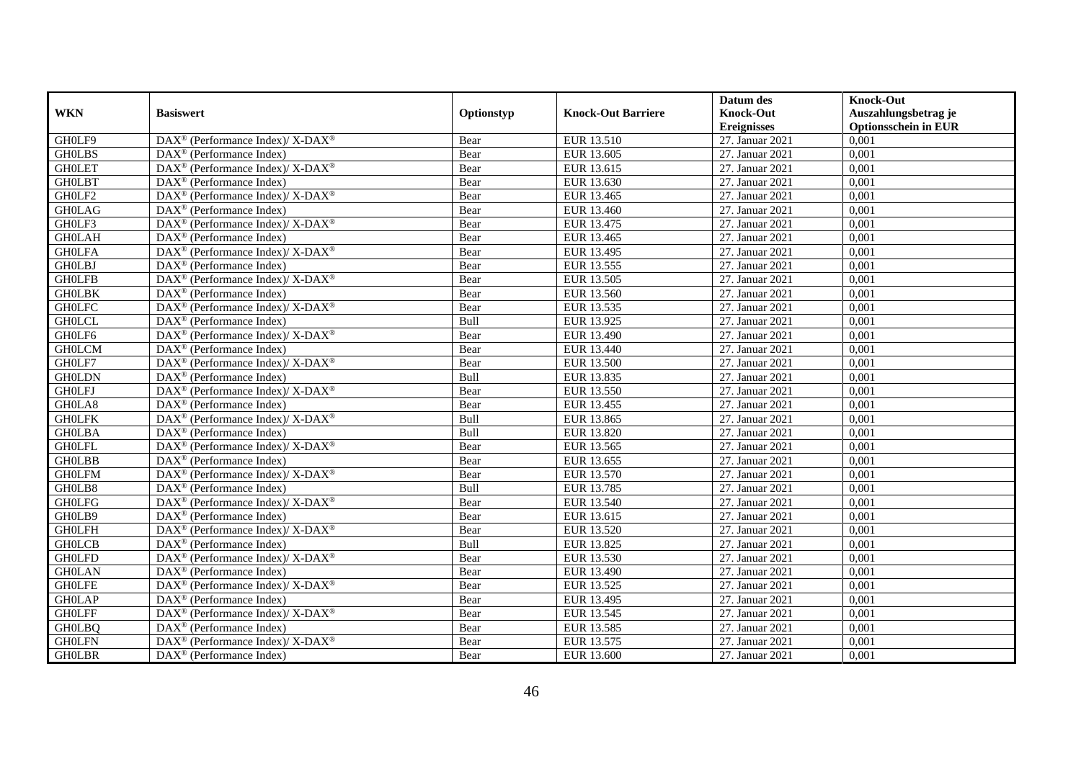|               |                                                                    |            |                           | Datum des          | <b>Knock-Out</b>            |
|---------------|--------------------------------------------------------------------|------------|---------------------------|--------------------|-----------------------------|
| <b>WKN</b>    | <b>Basiswert</b>                                                   | Optionstyp | <b>Knock-Out Barriere</b> | <b>Knock-Out</b>   | Auszahlungsbetrag je        |
|               |                                                                    |            |                           | <b>Ereignisses</b> | <b>Optionsschein in EUR</b> |
| GH0LF9        | DAX <sup>®</sup> (Performance Index)/ X-DAX <sup>®</sup>           | Bear       | EUR 13.510                | 27. Januar 2021    | 0,001                       |
| <b>GHOLBS</b> | $DAX^{\circledR}$ (Performance Index)                              | Bear       | EUR 13.605                | 27. Januar 2021    | 0,001                       |
| <b>GHOLET</b> | $\text{DAX}^{\circledast}$ (Performance Index)/ X-DAX <sup>®</sup> | Bear       | EUR 13.615                | 27. Januar 2021    | 0,001                       |
| <b>GHOLBT</b> | $\text{DAX}^{\circledast}$ (Performance Index)                     | Bear       | EUR 13.630                | 27. Januar 2021    | 0,001                       |
| GH0LF2        | $\text{DAX}^{\circledR}$ (Performance Index)/ X-DAX <sup>®</sup>   | Bear       | EUR 13.465                | 27. Januar 2021    | 0,001                       |
| <b>GH0LAG</b> | $\text{DAX}^{\textcircled{n}}$ (Performance Index)                 | Bear       | EUR 13.460                | 27. Januar 2021    | 0,001                       |
| GH0LF3        | $\text{DAX}^{\circledast}$ (Performance Index)/ X-DAX <sup>®</sup> | Bear       | EUR 13.475                | 27. Januar 2021    | 0,001                       |
| <b>GH0LAH</b> | $\text{DAX}^{\textcircled{p}}$ (Performance Index)                 | Bear       | EUR 13.465                | 27. Januar 2021    | 0,001                       |
| <b>GHOLFA</b> | $\text{DAX}^{\circledR}$ (Performance Index)/ X-DAX <sup>®</sup>   | Bear       | EUR 13.495                | 27. Januar 2021    | 0,001                       |
| <b>GHOLBJ</b> | $\text{DAX}^{\circledR}$ (Performance Index)                       | Bear       | EUR 13.555                | 27. Januar 2021    | 0,001                       |
| <b>GHOLFB</b> | $\text{DAX}^{\circledR}$ (Performance Index)/ X-DAX <sup>®</sup>   | Bear       | EUR 13.505                | 27. Januar 2021    | 0,001                       |
| <b>GHOLBK</b> | $\overline{\text{DAX}^{\otimes}}$ (Performance Index)              | Bear       | EUR 13.560                | 27. Januar 2021    | 0,001                       |
| <b>GH0LFC</b> | $\text{DAX}^{\circledast}$ (Performance Index)/ X-DAX <sup>®</sup> | Bear       | EUR 13.535                | 27. Januar 2021    | 0,001                       |
| <b>GHOLCL</b> | $\text{DAX}^{\circledast}$ (Performance Index)                     | Bull       | EUR 13.925                | 27. Januar 2021    | 0,001                       |
| GH0LF6        | DAX <sup>®</sup> (Performance Index)/X-DAX <sup>®</sup>            | Bear       | EUR 13.490                | 27. Januar 2021    | 0,001                       |
| <b>GH0LCM</b> | DAX <sup>®</sup> (Performance Index)                               | Bear       | EUR 13.440                | 27. Januar 2021    | 0,001                       |
| GH0LF7        | DAX <sup>®</sup> (Performance Index)/X-DAX <sup>®</sup>            | Bear       | EUR 13.500                | 27. Januar 2021    | 0,001                       |
| <b>GH0LDN</b> | $DAX^{\circledR}$ (Performance Index)                              | Bull       | EUR 13.835                | 27. Januar 2021    | 0,001                       |
| <b>GHOLFJ</b> | $\text{DAX}^{\circledR}$ (Performance Index)/ X-DAX <sup>®</sup>   | Bear       | EUR 13.550                | 27. Januar 2021    | 0,001                       |
| GH0LA8        | $\text{DAX}^{\circledast}$ (Performance Index)                     | Bear       | EUR 13.455                | 27. Januar 2021    | 0,001                       |
| <b>GHOLFK</b> | $\text{DAX}^{\circledR}$ (Performance Index)/ X-DAX <sup>®</sup>   | Bull       | EUR 13.865                | 27. Januar 2021    | 0,001                       |
| <b>GHOLBA</b> | $\overline{\text{DAX}^{\otimes}}$ (Performance Index)              | Bull       | EUR 13.820                | 27. Januar 2021    | 0,001                       |
| <b>GHOLFL</b> | $\text{DAX}^{\circledast}$ (Performance Index)/ X-DAX <sup>®</sup> | Bear       | EUR 13.565                | 27. Januar 2021    | 0,001                       |
| <b>GHOLBB</b> | DAX <sup>®</sup> (Performance Index)                               | Bear       | EUR 13.655                | 27. Januar 2021    | 0,001                       |
| <b>GH0LFM</b> | $\text{DAX}^{\circledast}$ (Performance Index)/ X-DAX <sup>®</sup> | Bear       | EUR 13.570                | 27. Januar 2021    | 0,001                       |
| GH0LB8        | $\text{DAX}^{\otimes}$ (Performance Index)                         | Bull       | EUR 13.785                | 27. Januar 2021    | 0,001                       |
| <b>GHOLFG</b> | DAX <sup>®</sup> (Performance Index)/ X-DAX <sup>®</sup>           | Bear       | EUR 13.540                | 27. Januar 2021    | 0,001                       |
| GH0LB9        | $\text{DAX}^{\textcircled{p}}$ (Performance Index)                 | Bear       | EUR 13.615                | 27. Januar 2021    | 0.001                       |
| <b>GHOLFH</b> | $DAX^{\circledcirc}$ (Performance Index)/X-DAX <sup>®</sup>        | Bear       | EUR 13.520                | 27. Januar 2021    | 0,001                       |
| <b>GHOLCB</b> | $DAX^{\circledR}$ (Performance Index)                              | Bull       | EUR 13.825                | 27. Januar 2021    | 0,001                       |
| <b>GH0LFD</b> | $\text{DAX}^{\circledR}$ (Performance Index)/ X-DAX <sup>®</sup>   | Bear       | EUR 13.530                | 27. Januar 2021    | 0,001                       |
| <b>GH0LAN</b> | $\text{DAX}^{\textcircled{n}}$ (Performance Index)                 | Bear       | EUR 13.490                | 27. Januar 2021    | 0.001                       |
| <b>GHOLFE</b> | $\text{DAX}^{\circledR}$ (Performance Index)/ X-DAX <sup>®</sup>   | Bear       | EUR 13.525                | 27. Januar 2021    | 0,001                       |
| <b>GH0LAP</b> | $\text{DAX}^{\circledast}$ (Performance Index)                     | Bear       | EUR 13.495                | 27. Januar 2021    | 0,001                       |
| <b>GHOLFF</b> | $\text{DAX}^{\otimes}$ (Performance Index)/X-DAX <sup>®</sup>      | Bear       | EUR 13.545                | 27. Januar 2021    | 0,001                       |
| <b>GH0LBQ</b> | $\text{DAX}^{\circledast}$ (Performance Index)                     | Bear       | EUR 13.585                | 27. Januar 2021    | 0,001                       |
| <b>GH0LFN</b> | $DAX^{\circledast}$ (Performance Index)/X-DAX <sup>®</sup>         | Bear       | EUR 13.575                | 27. Januar 2021    | 0,001                       |
| <b>GHOLBR</b> | $\text{DAX}^{\textcircled{n}}$ (Performance Index)                 | Bear       | EUR 13.600                | 27. Januar 2021    | 0,001                       |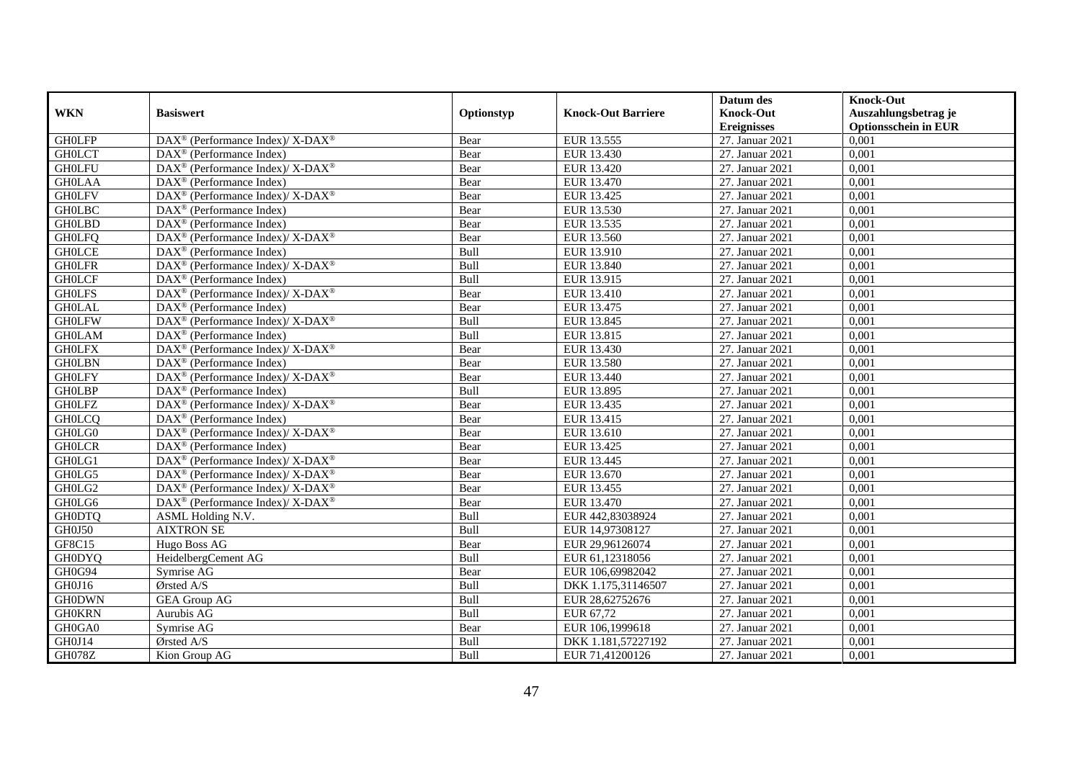|               |                                                                    |            |                           | Datum des          | <b>Knock-Out</b>            |
|---------------|--------------------------------------------------------------------|------------|---------------------------|--------------------|-----------------------------|
| <b>WKN</b>    | <b>Basiswert</b>                                                   | Optionstyp | <b>Knock-Out Barriere</b> | <b>Knock-Out</b>   | Auszahlungsbetrag je        |
|               |                                                                    |            |                           | <b>Ereignisses</b> | <b>Optionsschein in EUR</b> |
| <b>GHOLFP</b> | DAX <sup>®</sup> (Performance Index)/ X-DAX <sup>®</sup>           | Bear       | EUR 13.555                | 27. Januar 2021    | 0,001                       |
| <b>GHOLCT</b> | $DAX^{\circledR}$ (Performance Index)                              | Bear       | EUR 13.430                | 27. Januar 2021    | 0,001                       |
| <b>GH0LFU</b> | $\text{DAX}^{\circledast}$ (Performance Index)/ X-DAX <sup>®</sup> | Bear       | EUR 13.420                | 27. Januar 2021    | 0,001                       |
| <b>GHOLAA</b> | $\text{DAX}^{\circledast}$ (Performance Index)                     | Bear       | EUR 13.470                | 27. Januar 2021    | 0,001                       |
| <b>GH0LFV</b> | DAX <sup>®</sup> (Performance Index)/ X-DAX <sup>®</sup>           | Bear       | EUR 13.425                | 27. Januar 2021    | 0,001                       |
| <b>GH0LBC</b> | $\text{DAX}^{\textcircled{n}}$ (Performance Index)                 | Bear       | EUR 13.530                | 27. Januar 2021    | 0,001                       |
| <b>GH0LBD</b> | $\text{DAX}^{\textcircled{n}}$ (Performance Index)                 | Bear       | EUR 13.535                | 27. Januar 2021    | 0,001                       |
| <b>GH0LFQ</b> | $DAX^{\circledast}$ (Performance Index)/ X-DAX <sup>®</sup>        | Bear       | EUR 13.560                | 27. Januar 2021    | 0,001                       |
| <b>GHOLCE</b> | $DAX^{\circledR}$ (Performance Index)                              | Bull       | EUR 13.910                | 27. Januar 2021    | 0,001                       |
| <b>GH0LFR</b> | $DAX^{\circledcirc}$ (Performance Index)/X-DAX <sup>®</sup>        | Bull       | EUR 13.840                | 27. Januar 2021    | 0,001                       |
| <b>GHOLCF</b> | $\overline{\text{DAX}}^{\textcirc}$ (Performance Index)            | Bull       | EUR 13.915                | 27. Januar 2021    | 0,001                       |
| <b>GHOLFS</b> | DAX <sup>®</sup> (Performance Index)/ X-DAX <sup>®</sup>           | Bear       | EUR 13.410                | 27. Januar 2021    | 0,001                       |
| <b>GH0LAL</b> | $\text{DAX}^{\circledast}$ (Performance Index)                     | Bear       | EUR 13.475                | 27. Januar 2021    | 0,001                       |
| <b>GH0LFW</b> | $\text{DAX}^{\circledast}$ (Performance Index)/ X-DAX <sup>®</sup> | Bull       | EUR 13.845                | 27. Januar 2021    | 0,001                       |
| <b>GH0LAM</b> | $\text{DAX}^{\circledast}$ (Performance Index)                     | Bull       | EUR 13.815                | 27. Januar 2021    | 0,001                       |
| <b>GHOLFX</b> | DAX <sup>®</sup> (Performance Index)/ X-DAX <sup>®</sup>           | Bear       | EUR 13.430                | 27. Januar 2021    | 0,001                       |
| <b>GH0LBN</b> | DAX <sup>®</sup> (Performance Index)                               | Bear       | EUR 13.580                | 27. Januar 2021    | 0,001                       |
| <b>GHOLFY</b> | $DAX^{\circledcirc}$ (Performance Index)/X-DAX <sup>®</sup>        | Bear       | EUR 13.440                | 27. Januar 2021    | 0,001                       |
| <b>GHOLBP</b> | DAX <sup>®</sup> (Performance Index)                               | Bull       | EUR 13.895                | 27. Januar 2021    | 0,001                       |
| <b>GH0LFZ</b> | $\text{DAX}^{\circledR}$ (Performance Index)/ X-DAX <sup>®</sup>   | Bear       | EUR 13.435                | 27. Januar 2021    | 0,001                       |
| <b>GH0LCQ</b> | DAX <sup>®</sup> (Performance Index)                               | Bear       | EUR 13.415                | 27. Januar 2021    | 0,001                       |
| GH0LG0        | DAX <sup>®</sup> (Performance Index)/ X-DAX <sup>®</sup>           | Bear       | EUR 13.610                | 27. Januar 2021    | 0,001                       |
| <b>GHOLCR</b> | $\text{DAX}^{\circledast}$ (Performance Index)                     | Bear       | EUR 13.425                | 27. Januar 2021    | 0,001                       |
| GH0LG1        | DAX <sup>®</sup> (Performance Index)/ X-DAX <sup>®</sup>           | Bear       | EUR 13.445                | 27. Januar 2021    | 0,001                       |
| GH0LG5        | $\text{DAX}^{\circledast}$ (Performance Index)/ X-DAX <sup>®</sup> | Bear       | EUR 13.670                | 27. Januar 2021    | 0,001                       |
| GH0LG2        | DAX <sup>®</sup> (Performance Index)/ X-DAX <sup>®</sup>           | Bear       | EUR 13.455                | 27. Januar 2021    | 0,001                       |
| GH0LG6        | $\text{DAX}^{\circledast}$ (Performance Index)/ X-DAX <sup>®</sup> | Bear       | EUR 13.470                | 27. Januar 2021    | 0,001                       |
| <b>GH0DTQ</b> | ASML Holding N.V.                                                  | Bull       | EUR 442,83038924          | 27. Januar 2021    | 0.001                       |
| GH0J50        | <b>AIXTRON SE</b>                                                  | Bull       | EUR 14,97308127           | 27. Januar 2021    | 0,001                       |
| GF8C15        | Hugo Boss AG                                                       | Bear       | EUR 29,96126074           | 27. Januar 2021    | 0,001                       |
| <b>GH0DYQ</b> | HeidelbergCement AG                                                | Bull       | EUR 61,12318056           | 27. Januar 2021    | 0,001                       |
| GH0G94        | Symrise AG                                                         | Bear       | EUR 106,69982042          | 27. Januar 2021    | 0.001                       |
| GH0J16        | Ørsted A/S                                                         | Bull       | DKK 1.175,31146507        | 27. Januar 2021    | 0,001                       |
| <b>GH0DWN</b> | <b>GEA Group AG</b>                                                | Bull       | EUR 28,62752676           | 27. Januar 2021    | 0,001                       |
| <b>GH0KRN</b> | Aurubis AG                                                         | Bull       | EUR 67,72                 | 27. Januar 2021    | 0,001                       |
| GH0GA0        | Symrise AG                                                         | Bear       | EUR 106,1999618           | 27. Januar 2021    | 0,001                       |
| GH0J14        | Ørsted A/S                                                         | Bull       | DKK 1.181,57227192        | 27. Januar 2021    | 0,001                       |
| GH078Z        | Kion Group AG                                                      | Bull       | EUR 71,41200126           | 27. Januar 2021    | 0,001                       |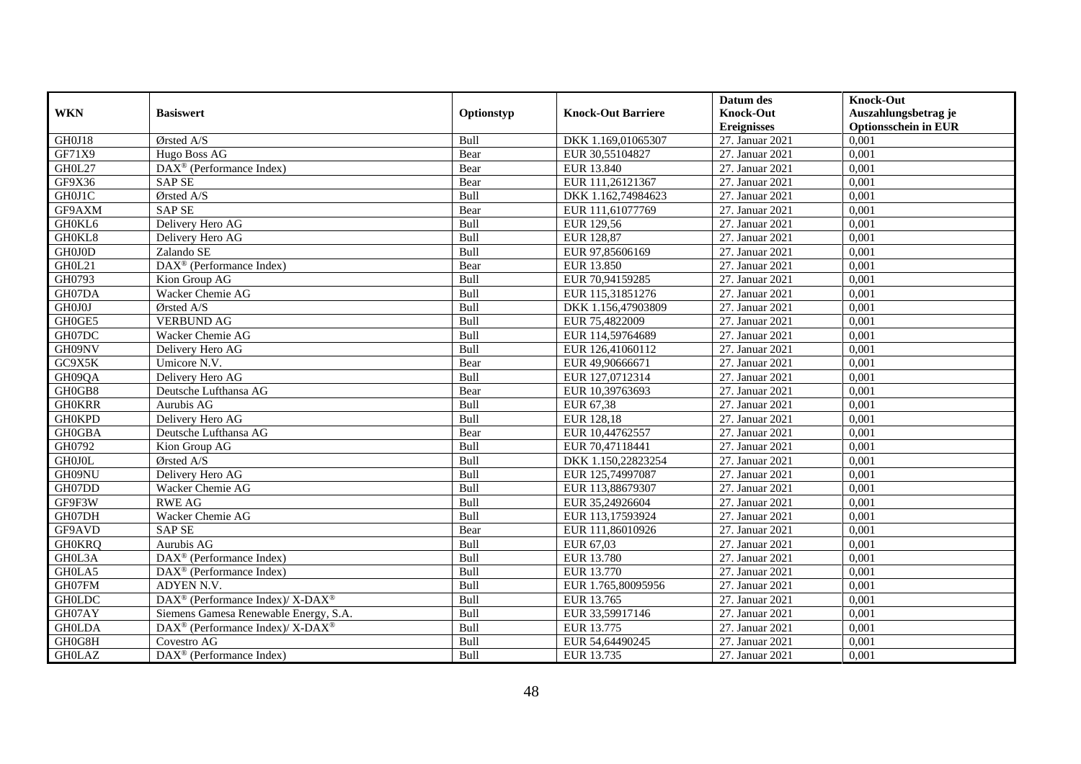|               |                                                                    |            |                           | Datum des          | <b>Knock-Out</b>            |
|---------------|--------------------------------------------------------------------|------------|---------------------------|--------------------|-----------------------------|
| <b>WKN</b>    | <b>Basiswert</b>                                                   | Optionstyp | <b>Knock-Out Barriere</b> | <b>Knock-Out</b>   | Auszahlungsbetrag je        |
|               |                                                                    |            |                           | <b>Ereignisses</b> | <b>Optionsschein in EUR</b> |
| GH0J18        | Ørsted A/S                                                         | Bull       | DKK 1.169,01065307        | 27. Januar 2021    | 0,001                       |
| GF71X9        | Hugo Boss AG                                                       | Bear       | EUR 30,55104827           | 27. Januar 2021    | 0,001                       |
| GH0L27        | $\text{DAX}^{\circledast}$ (Performance Index)                     | Bear       | EUR 13.840                | 27. Januar 2021    | 0,001                       |
| GF9X36        | <b>SAP SE</b>                                                      | Bear       | EUR 111,26121367          | 27. Januar 2021    | 0,001                       |
| GH0J1C        | Ørsted A/S                                                         | Bull       | DKK 1.162,74984623        | 27. Januar 2021    | 0,001                       |
| GF9AXM        | <b>SAP SE</b>                                                      | Bear       | EUR 111,61077769          | 27. Januar 2021    | 0,001                       |
| GH0KL6        | Delivery Hero AG                                                   | Bull       | EUR 129,56                | 27. Januar 2021    | 0,001                       |
| GH0KL8        | Delivery Hero AG                                                   | Bull       | EUR 128,87                | 27. Januar 2021    | 0,001                       |
| GH0J0D        | Zalando SE                                                         | Bull       | EUR 97,85606169           | 27. Januar 2021    | 0,001                       |
| GH0L21        | DAX <sup>®</sup> (Performance Index)                               | Bear       | EUR 13.850                | 27. Januar 2021    | 0,001                       |
| GH0793        | Kion Group AG                                                      | Bull       | EUR 70,94159285           | 27. Januar 2021    | 0,001                       |
| GH07DA        | Wacker Chemie AG                                                   | Bull       | EUR 115,31851276          | 27. Januar 2021    | 0,001                       |
| GH0J0J        | Ørsted A/S                                                         | Bull       | DKK 1.156,47903809        | 27. Januar 2021    | 0,001                       |
| GH0GE5        | <b>VERBUND AG</b>                                                  | Bull       | EUR 75,4822009            | 27. Januar 2021    | 0,001                       |
| GH07DC        | Wacker Chemie AG                                                   | Bull       | EUR 114,59764689          | 27. Januar 2021    | 0,001                       |
| GH09NV        | Delivery Hero AG                                                   | Bull       | EUR 126,41060112          | 27. Januar 2021    | 0,001                       |
| GC9X5K        | Umicore N.V.                                                       | Bear       | EUR 49,90666671           | 27. Januar 2021    | 0,001                       |
| GH09QA        | Delivery Hero AG                                                   | Bull       | EUR 127,0712314           | 27. Januar 2021    | 0,001                       |
| GH0GB8        | Deutsche Lufthansa AG                                              | Bear       | EUR 10,39763693           | 27. Januar 2021    | 0,001                       |
| <b>GH0KRR</b> | Aurubis AG                                                         | Bull       | EUR 67,38                 | 27. Januar 2021    | 0,001                       |
| <b>GH0KPD</b> | Delivery Hero AG                                                   | Bull       | EUR 128,18                | 27. Januar 2021    | 0,001                       |
| <b>GH0GBA</b> | Deutsche Lufthansa AG                                              | Bear       | EUR 10,44762557           | 27. Januar 2021    | 0,001                       |
| GH0792        | Kion Group AG                                                      | Bull       | EUR 70,47118441           | 27. Januar 2021    | 0,001                       |
| <b>GH0J0L</b> | Ørsted A/S                                                         | Bull       | DKK 1.150,22823254        | 27. Januar 2021    | 0,001                       |
| GH09NU        | Delivery Hero AG                                                   | Bull       | EUR 125,74997087          | 27. Januar 2021    | 0,001                       |
| GH07DD        | Wacker Chemie AG                                                   | Bull       | EUR 113,88679307          | 27. Januar 2021    | 0,001                       |
| GF9F3W        | <b>RWE AG</b>                                                      | Bull       | EUR 35,24926604           | 27. Januar 2021    | 0,001                       |
| GH07DH        | Wacker Chemie AG                                                   | Bull       | EUR 113,17593924          | 27. Januar 2021    | 0.001                       |
| GF9AVD        | <b>SAP SE</b>                                                      | Bear       | EUR 111,86010926          | 27. Januar 2021    | 0,001                       |
| <b>GH0KRQ</b> | Aurubis AG                                                         | Bull       | EUR 67,03                 | 27. Januar 2021    | 0,001                       |
| GH0L3A        | $\text{DAX}^{\textcircled{D}}$ (Performance Index)                 | Bull       | EUR 13.780                | 27. Januar 2021    | 0,001                       |
| GH0LA5        | DAX <sup>®</sup> (Performance Index)                               | Bull       | EUR 13.770                | 27. Januar 2021    | 0.001                       |
| GH07FM        | ADYEN N.V.                                                         | Bull       | EUR 1.765,80095956        | 27. Januar 2021    | 0,001                       |
| <b>GH0LDC</b> | DAX <sup>®</sup> (Performance Index)/ X-DAX <sup>®</sup>           | Bull       | EUR 13.765                | 27. Januar 2021    | 0,001                       |
| GH07AY        | Siemens Gamesa Renewable Energy, S.A.                              | Bull       | EUR 33,59917146           | 27. Januar 2021    | 0,001                       |
| <b>GH0LDA</b> | $\text{DAX}^{\circledast}$ (Performance Index)/ X-DAX <sup>®</sup> | Bull       | EUR 13.775                | 27. Januar 2021    | 0,001                       |
| GH0G8H        | Covestro AG                                                        | Bull       | EUR 54,64490245           | 27. Januar 2021    | 0,001                       |
| <b>GH0LAZ</b> | $\overline{\text{DAX}}^{\textcircled{}}$ (Performance Index)       | Bull       | EUR 13.735                | 27. Januar 2021    | 0,001                       |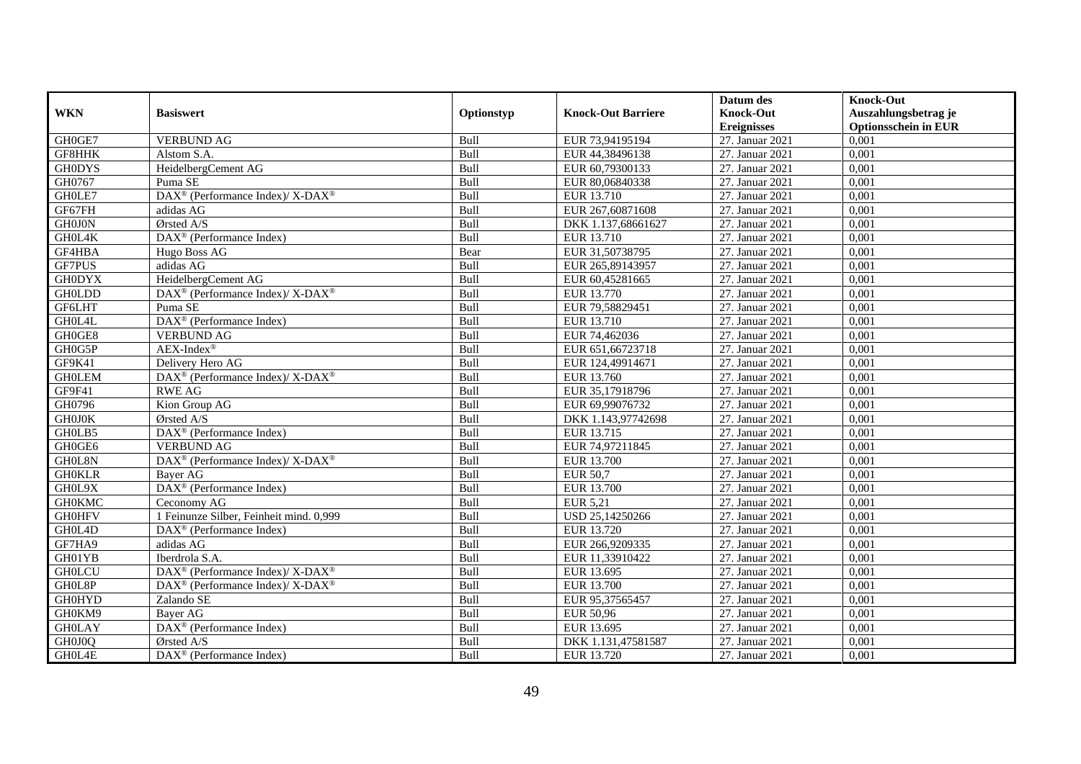|               |                                                                          |             |                           | Datum des          | <b>Knock-Out</b>            |
|---------------|--------------------------------------------------------------------------|-------------|---------------------------|--------------------|-----------------------------|
| <b>WKN</b>    | <b>Basiswert</b>                                                         | Optionstyp  | <b>Knock-Out Barriere</b> | <b>Knock-Out</b>   | Auszahlungsbetrag je        |
|               |                                                                          |             |                           | <b>Ereignisses</b> | <b>Optionsschein in EUR</b> |
| GH0GE7        | <b>VERBUND AG</b>                                                        | Bull        | EUR 73,94195194           | 27. Januar 2021    | 0,001                       |
| GF8HHK        | Alstom S.A.                                                              | Bull        | EUR 44,38496138           | 27. Januar 2021    | 0,001                       |
| <b>GH0DYS</b> | HeidelbergCement AG                                                      | Bull        | EUR 60,79300133           | 27. Januar 2021    | 0,001                       |
| GH0767        | Puma SE                                                                  | Bull        | EUR 80,06840338           | 27. Januar 2021    | 0,001                       |
| GH0LE7        | $\overline{\text{DAX}^{\otimes}}$ (Performance Index)/X-DAX <sup>®</sup> | Bull        | EUR 13.710                | 27. Januar 2021    | 0,001                       |
| GF67FH        | adidas AG                                                                | Bull        | EUR 267,60871608          | 27. Januar 2021    | 0,001                       |
| <b>GH0J0N</b> | Ørsted A/S                                                               | Bull        | DKK 1.137,68661627        | 27. Januar 2021    | 0,001                       |
| GH0L4K        | DAX <sup>®</sup> (Performance Index)                                     | Bull        | EUR 13.710                | 27. Januar 2021    | 0,001                       |
| GF4HBA        | Hugo Boss AG                                                             | Bear        | EUR 31,50738795           | 27. Januar 2021    | 0,001                       |
| <b>GF7PUS</b> | adidas AG                                                                | Bull        | EUR 265,89143957          | 27. Januar 2021    | 0,001                       |
| <b>GH0DYX</b> | HeidelbergCement AG                                                      | Bull        | EUR 60,45281665           | 27. Januar 2021    | 0,001                       |
| <b>GH0LDD</b> | DAX <sup>®</sup> (Performance Index)/X-DAX <sup>®</sup>                  | Bull        | EUR 13.770                | 27. Januar 2021    | 0,001                       |
| <b>GF6LHT</b> | Puma SE                                                                  | Bull        | EUR 79,58829451           | 27. Januar 2021    | 0,001                       |
| GH0L4L        | DAX <sup>®</sup> (Performance Index)                                     | <b>Bull</b> | EUR 13.710                | 27. Januar 2021    | 0.001                       |
| GH0GE8        | <b>VERBUND AG</b>                                                        | Bull        | EUR 74,462036             | 27. Januar 2021    | 0.001                       |
| GH0G5P        | $AEX-Index^{\circledR}$                                                  | Bull        | EUR 651,66723718          | 27. Januar 2021    | 0,001                       |
| GF9K41        | Delivery Hero AG                                                         | Bull        | EUR 124,49914671          | 27. Januar 2021    | 0,001                       |
| <b>GHOLEM</b> | DAX <sup>®</sup> (Performance Index)/X-DAX <sup>®</sup>                  | Bull        | EUR 13.760                | 27. Januar 2021    | 0,001                       |
| GF9F41        | <b>RWE AG</b>                                                            | Bull        | EUR 35,17918796           | 27. Januar 2021    | 0,001                       |
| GH0796        | Kion Group AG                                                            | Bull        | EUR 69,99076732           | 27. Januar 2021    | 0,001                       |
| <b>GH0J0K</b> | Ørsted A/S                                                               | Bull        | DKK 1.143,97742698        | 27. Januar 2021    | 0,001                       |
| GH0LB5        | DAX <sup>®</sup> (Performance Index)                                     | <b>Bull</b> | EUR 13.715                | 27. Januar 2021    | 0.001                       |
| GH0GE6        | <b>VERBUND AG</b>                                                        | Bull        | EUR 74,97211845           | 27. Januar 2021    | 0,001                       |
| GH0L8N        | DAX <sup>®</sup> (Performance Index)/ X-DAX <sup>®</sup>                 | Bull        | <b>EUR 13.700</b>         | 27. Januar 2021    | 0,001                       |
| <b>GH0KLR</b> | <b>Baver AG</b>                                                          | Bull        | <b>EUR 50,7</b>           | 27. Januar 2021    | 0,001                       |
| GH0L9X        | DAX <sup>®</sup> (Performance Index)                                     | Bull        | EUR 13.700                | 27. Januar 2021    | 0,001                       |
| <b>GH0KMC</b> | Ceconomy AG                                                              | Bull        | <b>EUR 5,21</b>           | 27. Januar 2021    | 0,001                       |
| <b>GH0HFV</b> | 1 Feinunze Silber, Feinheit mind. 0,999                                  | Bull        | USD 25,14250266           | 27. Januar 2021    | 0,001                       |
| GH0L4D        | DAX <sup>®</sup> (Performance Index)                                     | Bull        | EUR 13.720                | 27. Januar 2021    | 0,001                       |
| GF7HA9        | adidas AG                                                                | Bull        | EUR 266,9209335           | 27. Januar 2021    | 0,001                       |
| GH01YB        | Iberdrola S.A.                                                           | Bull        | EUR 11,33910422           | 27. Januar 2021    | 0,001                       |
| <b>GH0LCU</b> | DAX <sup>®</sup> (Performance Index)/ X-DAX <sup>®</sup>                 | Bull        | EUR 13.695                | 27. Januar 2021    | 0,001                       |
| GH0L8P        | DAX <sup>®</sup> (Performance Index)/ X-DAX <sup>®</sup>                 | Bull        | EUR 13.700                | 27. Januar 2021    | 0,001                       |
| <b>GH0HYD</b> | Zalando SE                                                               | Bull        | EUR 95,37565457           | 27. Januar 2021    | 0,001                       |
| GH0KM9        | Bayer AG                                                                 | Bull        | EUR 50,96                 | 27. Januar 2021    | 0,001                       |
| <b>GH0LAY</b> | DAX <sup>®</sup> (Performance Index)                                     | Bull        | EUR 13.695                | 27. Januar 2021    | 0,001                       |
| GH0J0Q        | Ørsted A/S                                                               | Bull        | DKK 1.131,47581587        | 27. Januar 2021    | 0,001                       |
| GH0L4E        | DAX <sup>®</sup> (Performance Index)                                     | Bull        | EUR 13.720                | 27. Januar 2021    | 0,001                       |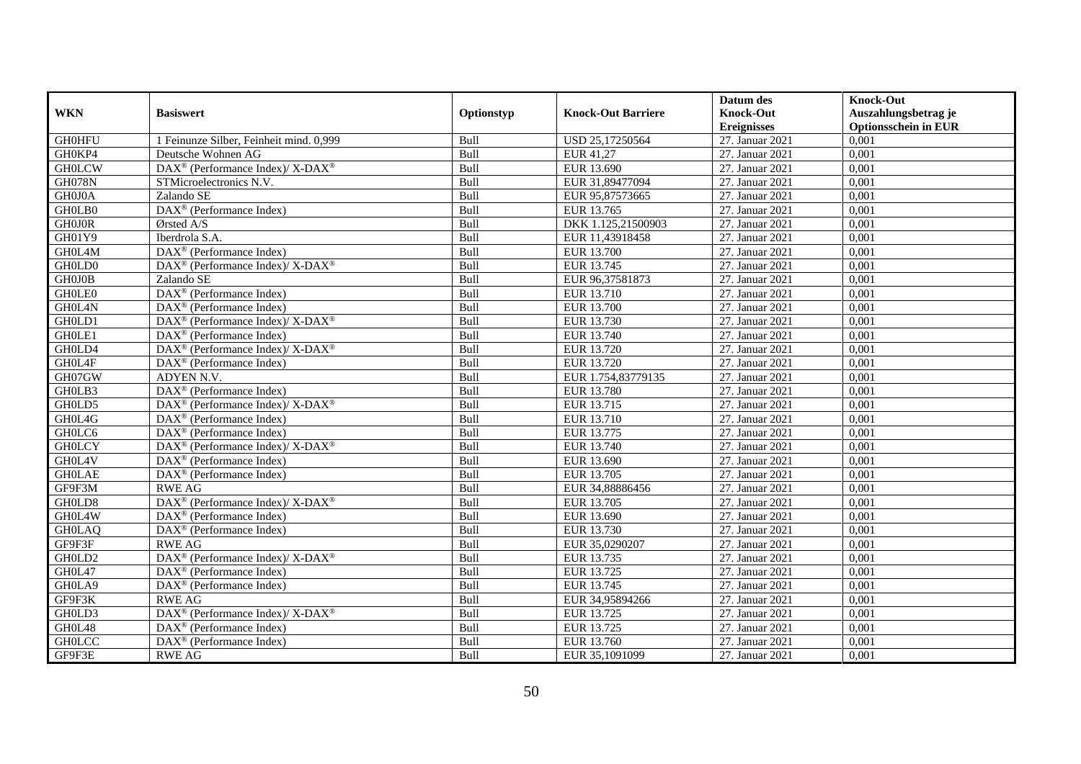|               |                                                                    |             |                           | Datum des          | <b>Knock-Out</b>            |
|---------------|--------------------------------------------------------------------|-------------|---------------------------|--------------------|-----------------------------|
| <b>WKN</b>    | <b>Basiswert</b>                                                   | Optionstyp  | <b>Knock-Out Barriere</b> | <b>Knock-Out</b>   | Auszahlungsbetrag je        |
|               |                                                                    |             |                           | <b>Ereignisses</b> | <b>Optionsschein in EUR</b> |
| <b>GH0HFU</b> | 1 Feinunze Silber, Feinheit mind. 0,999                            | Bull        | USD 25,17250564           | 27. Januar 2021    | 0,001                       |
| GH0KP4        | Deutsche Wohnen AG                                                 | Bull        | EUR 41,27                 | 27. Januar 2021    | 0,001                       |
| <b>GH0LCW</b> | DAX <sup>®</sup> (Performance Index)/ X-DAX <sup>®</sup>           | Bull        | EUR 13.690                | 27. Januar 2021    | 0,001                       |
| <b>GH078N</b> | STMicroelectronics N.V.                                            | Bull        | EUR 31,89477094           | 27. Januar 2021    | 0,001                       |
| GH0J0A        | Zalando SE                                                         | Bull        | EUR 95,87573665           | 27. Januar 2021    | 0,001                       |
| GH0LB0        | DAX <sup>®</sup> (Performance Index)                               | Bull        | EUR 13.765                | 27. Januar 2021    | 0,001                       |
| <b>GH0J0R</b> | $\sigma$ rsted A/S                                                 | Bull        | DKK 1.125,21500903        | 27. Januar 2021    | 0,001                       |
| GH01Y9        | Iberdrola S.A.                                                     | Bull        | EUR 11,43918458           | 27. Januar 2021    | 0,001                       |
| GH0L4M        | DAX <sup>®</sup> (Performance Index)                               | Bull        | <b>EUR 13.700</b>         | 27. Januar 2021    | 0,001                       |
| GH0LD0        | DAX <sup>®</sup> (Performance Index)/ X-DAX <sup>®</sup>           | Bull        | EUR 13.745                | 27. Januar 2021    | 0,001                       |
| GHOJOB        | Zalando SE                                                         | Bull        | EUR 96,37581873           | 27. Januar 2021    | 0,001                       |
| <b>GHOLEO</b> | DAX <sup>®</sup> (Performance Index)                               | Bull        | EUR 13.710                | 27. Januar 2021    | 0,001                       |
| GH0L4N        | $\text{DAX}^{\circledast}$ (Performance Index)                     | Bull        | <b>EUR 13.700</b>         | 27. Januar 2021    | 0,001                       |
| GH0LD1        | $DAX^{\circledcirc}$ (Performance Index)/X-DAX <sup>®</sup>        | Bull        | EUR 13.730                | 27. Januar 2021    | 0.001                       |
| GH0LE1        | $DAX^{\otimes}$ (Performance Index)                                | Bull        | EUR 13.740                | 27. Januar 2021    | 0,001                       |
| GH0LD4        | DAX <sup>®</sup> (Performance Index)/ X-DAX <sup>®</sup>           | Bull        | EUR 13.720                | 27. Januar 2021    | 0,001                       |
| GH0L4F        | DAX <sup>®</sup> (Performance Index)                               | Bull        | EUR 13.720                | 27. Januar 2021    | 0,001                       |
| GH07GW        | ADYEN N.V.                                                         | Bull        | EUR 1.754,83779135        | 27. Januar 2021    | 0,001                       |
| GH0LB3        | DAX <sup>®</sup> (Performance Index)                               | Bull        | EUR 13.780                | 27. Januar 2021    | 0,001                       |
| GH0LD5        | $\text{DAX}^{\circledast}$ (Performance Index)/ X-DAX <sup>®</sup> | Bull        | EUR 13.715                | 27. Januar 2021    | 0,001                       |
| GH0L4G        | DAX <sup>®</sup> (Performance Index)                               | Bull        | EUR 13.710                | 27. Januar 2021    | 0,001                       |
| GH0LC6        | $\text{DAX}^{\textcircled{D}}$ (Performance Index)                 | <b>Bull</b> | EUR 13.775                | 27. Januar 2021    | 0.001                       |
| <b>GHOLCY</b> | $DAX^{\circledcirc}$ (Performance Index)/X-DAX <sup>®</sup>        | Bull        | EUR 13.740                | 27. Januar 2021    | 0,001                       |
| GH0L4V        | $\text{DAX}^{\textcircled{D}}$ (Performance Index)                 | Bull        | EUR 13.690                | 27. Januar 2021    | 0,001                       |
| <b>GH0LAE</b> | $DAX^{\circledR}$ (Performance Index)                              | Bull        | EUR 13.705                | 27. Januar 2021    | 0,001                       |
| GF9F3M        | <b>RWE AG</b>                                                      | Bull        | EUR 34,88886456           | 27. Januar 2021    | 0,001                       |
| GH0LD8        | DAX <sup>®</sup> (Performance Index)/ X-DAX <sup>®</sup>           | Bull        | EUR 13.705                | 27. Januar 2021    | 0,001                       |
| GH0L4W        | DAX <sup>®</sup> (Performance Index)                               | Bull        | EUR 13.690                | 27. Januar 2021    | 0,001                       |
| <b>GH0LAQ</b> | $\text{DAX}^{\textcircled{n}}$ (Performance Index)                 | Bull        | EUR 13.730                | 27. Januar 2021    | 0,001                       |
| GF9F3F        | <b>RWE AG</b>                                                      | Bull        | EUR 35,0290207            | 27. Januar 2021    | 0,001                       |
| GH0LD2        | DAX <sup>®</sup> (Performance Index)/X-DAX <sup>®</sup>            | Bull        | EUR 13.735                | 27. Januar 2021    | 0,001                       |
| GH0L47        | DAX <sup>®</sup> (Performance Index)                               | Bull        | EUR 13.725                | 27. Januar 2021    | 0,001                       |
| GH0LA9        | DAX <sup>®</sup> (Performance Index)                               | Bull        | EUR 13.745                | 27. Januar 2021    | 0,001                       |
| GF9F3K        | <b>RWE AG</b>                                                      | Bull        | EUR 34,95894266           | 27. Januar 2021    | 0,001                       |
| GH0LD3        | DAX <sup>®</sup> (Performance Index)/ X-DAX <sup>®</sup>           | Bull        | EUR 13.725                | 27. Januar 2021    | 0,001                       |
| GH0L48        | DAX <sup>®</sup> (Performance Index)                               | Bull        | EUR 13.725                | 27. Januar 2021    | 0,001                       |
| <b>GHOLCC</b> | $\text{DAX}^{\circledast}$ (Performance Index)                     | Bull        | EUR 13.760                | 27. Januar 2021    | 0,001                       |
| GF9F3E        | <b>RWE AG</b>                                                      | Bull        | EUR 35,1091099            | 27. Januar 2021    | 0,001                       |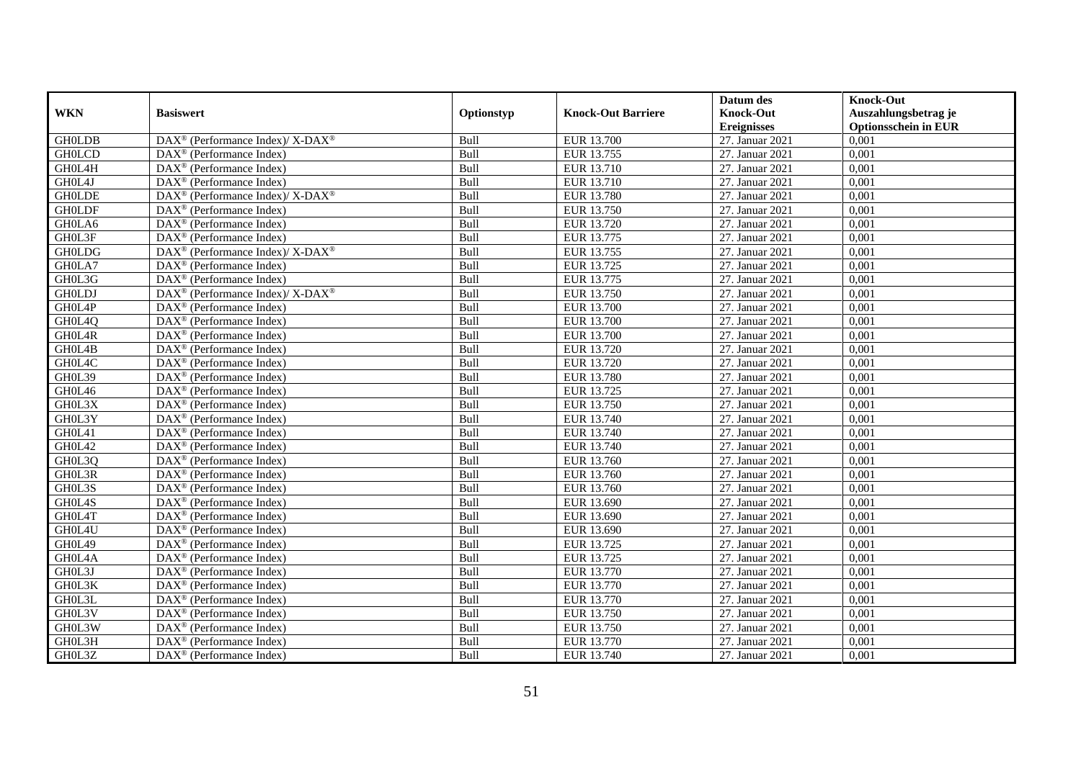|               |                                                          |             |                           | Datum des          | <b>Knock-Out</b>            |
|---------------|----------------------------------------------------------|-------------|---------------------------|--------------------|-----------------------------|
| <b>WKN</b>    | <b>Basiswert</b>                                         | Optionstyp  | <b>Knock-Out Barriere</b> | <b>Knock-Out</b>   | Auszahlungsbetrag je        |
|               |                                                          |             |                           | <b>Ereignisses</b> | <b>Optionsschein in EUR</b> |
| <b>GH0LDB</b> | DAX <sup>®</sup> (Performance Index)/X-DAX <sup>®</sup>  | Bull        | EUR 13.700                | 27. Januar 2021    | 0,001                       |
| <b>GH0LCD</b> | $\text{DAX}^{\circledast}$ (Performance Index)           | Bull        | EUR 13.755                | 27. Januar 2021    | 0,001                       |
| GH0L4H        | DAX <sup>®</sup> (Performance Index)                     | Bull        | EUR 13.710                | 27. Januar 2021    | 0,001                       |
| GH0L4J        | $\text{DAX}^{\otimes}$ (Performance Index)               | Bull        | EUR 13.710                | 27. Januar 2021    | 0,001                       |
| <b>GH0LDE</b> | DAX <sup>®</sup> (Performance Index)/ X-DAX <sup>®</sup> | Bull        | EUR 13.780                | 27. Januar 2021    | 0,001                       |
| <b>GH0LDF</b> | $\text{DAX}^{\textcircled{p}}$ (Performance Index)       | Bull        | EUR 13.750                | 27. Januar 2021    | 0,001                       |
| GH0LA6        | $DAX^{\otimes}$ (Performance Index)                      | Bull        | EUR 13.720                | 27. Januar 2021    | 0,001                       |
| GH0L3F        | $\text{DAX}^{\textcircled{n}}$ (Performance Index)       | Bull        | EUR 13.775                | 27. Januar 2021    | 0,001                       |
| <b>GH0LDG</b> | DAX <sup>®</sup> (Performance Index)/ X-DAX <sup>®</sup> | Bull        | EUR 13.755                | 27. Januar 2021    | 0,001                       |
| GH0LA7        | $\text{DAX}^{\otimes}$ (Performance Index)               | Bull        | EUR 13.725                | 27. Januar 2021    | 0,001                       |
| GH0L3G        | $\overline{\text{DAX}^{\otimes}}$ (Performance Index)    | Bull        | EUR 13.775                | 27. Januar 2021    | 0,001                       |
| <b>GH0LDJ</b> | DAX <sup>®</sup> (Performance Index)/ X-DAX <sup>®</sup> | Bull        | EUR 13.750                | 27. Januar 2021    | 0,001                       |
| GH0L4P        | DAX <sup>®</sup> (Performance Index)                     | Bull        | <b>EUR 13.700</b>         | 27. Januar 2021    | 0,001                       |
| GH0L4Q        | $\text{DAX}^{\textcircled{D}}$ (Performance Index)       | Bull        | <b>EUR 13.700</b>         | 27. Januar 2021    | 0,001                       |
| GH0L4R        | $\text{DAX}^{\otimes}$ (Performance Index)               | Bull        | <b>EUR 13.700</b>         | 27. Januar 2021    | 0,001                       |
| GH0L4B        | DAX <sup>®</sup> (Performance Index)                     | Bull        | EUR 13.720                | 27. Januar 2021    | 0,001                       |
| GH0L4C        | DAX <sup>®</sup> (Performance Index)                     | Bull        | EUR 13.720                | 27. Januar 2021    | 0,001                       |
| GH0L39        | $DAX^{\circledR}$ (Performance Index)                    | Bull        | EUR 13.780                | 27. Januar 2021    | 0,001                       |
| GH0L46        | $\overline{\text{DAX}}^{\textcirc}$ (Performance Index)  | Bull        | EUR 13.725                | 27. Januar 2021    | 0,001                       |
| GH0L3X        | DAX <sup>®</sup> (Performance Index)                     | Bull        | EUR 13.750                | 27. Januar 2021    | 0,001                       |
| GH0L3Y        | DAX <sup>®</sup> (Performance Index)                     | Bull        | EUR 13.740                | 27. Januar 2021    | 0,001                       |
| GH0L41        | $\overline{\text{DAX}^{\otimes}}$ (Performance Index)    | Bull        | EUR 13.740                | 27. Januar 2021    | 0,001                       |
| GH0L42        | DAX <sup>®</sup> (Performance Index)                     | Bull        | EUR 13.740                | 27. Januar 2021    | 0,001                       |
| GH0L3Q        | DAX <sup>®</sup> (Performance Index)                     | Bull        | EUR 13.760                | 27. Januar 2021    | 0,001                       |
| GH0L3R        | $DAX^{\circledR}$ (Performance Index)                    | Bull        | EUR 13.760                | 27. Januar 2021    | 0.001                       |
| GH0L3S        | DAX <sup>®</sup> (Performance Index)                     | Bull        | EUR 13.760                | 27. Januar 2021    | 0,001                       |
| GH0L4S        | DAX <sup>®</sup> (Performance Index)                     | Bull        | EUR 13.690                | 27. Januar 2021    | 0,001                       |
| GH0L4T        | $\text{DAX}^{\textcircled{p}}$ (Performance Index)       | Bull        | EUR 13.690                | 27. Januar 2021    | 0,001                       |
| GH0L4U        | $\overline{\text{DAX}^{\otimes}}$ (Performance Index)    | Bull        | EUR 13.690                | 27. Januar 2021    | 0,001                       |
| GH0L49        | $\text{DAX}^{\circledast}$ (Performance Index)           | Bull        | EUR 13.725                | 27. Januar 2021    | 0,001                       |
| GH0L4A        | $\text{DAX}^{\textcircled{n}}$ (Performance Index)       | Bull        | EUR 13.725                | 27. Januar 2021    | 0,001                       |
| GH0L3J        | $DAX^{\circledR}$ (Performance Index)                    | <b>Bull</b> | EUR 13.770                | 27. Januar 2021    | 0.001                       |
| GH0L3K        | $\overline{\text{DAX}^{\otimes}}$ (Performance Index)    | Bull        | EUR 13.770                | 27. Januar 2021    | 0,001                       |
| GH0L3L        | DAX <sup>®</sup> (Performance Index)                     | Bull        | EUR 13.770                | 27. Januar 2021    | 0,001                       |
| GH0L3V        | DAX <sup>®</sup> (Performance Index)                     | Bull        | EUR 13.750                | 27. Januar 2021    | 0,001                       |
| GH0L3W        | DAX <sup>®</sup> (Performance Index)                     | Bull        | EUR 13.750                | 27. Januar 2021    | 0,001                       |
| GH0L3H        | $\text{DAX}^{\otimes}$ (Performance Index)               | Bull        | EUR 13.770                | 27. Januar 2021    | 0,001                       |
| GH0L3Z        | DAX <sup>®</sup> (Performance Index)                     | Bull        | EUR 13.740                | 27. Januar 2021    | 0,001                       |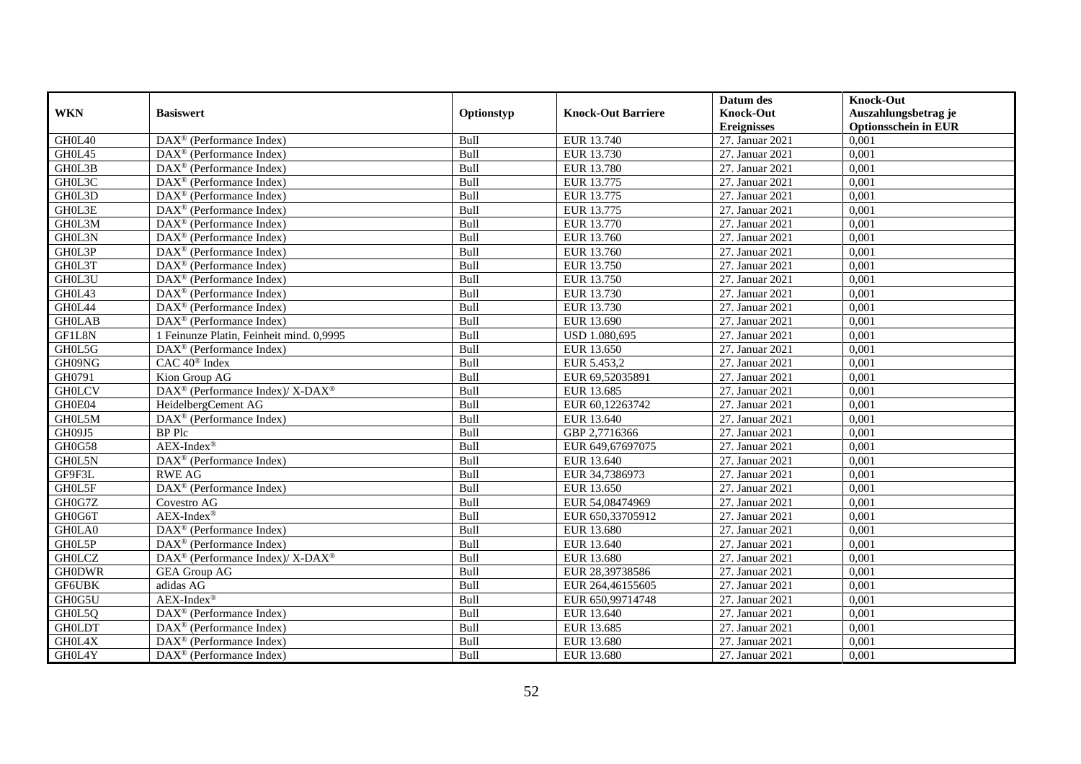|               |                                                              |             |                           | Datum des          | <b>Knock-Out</b>            |
|---------------|--------------------------------------------------------------|-------------|---------------------------|--------------------|-----------------------------|
| <b>WKN</b>    | <b>Basiswert</b>                                             | Optionstyp  | <b>Knock-Out Barriere</b> | <b>Knock-Out</b>   | Auszahlungsbetrag je        |
|               |                                                              |             |                           | <b>Ereignisses</b> | <b>Optionsschein in EUR</b> |
| GH0L40        | $\overline{\text{DAX}}^{\textcirc}$ (Performance Index)      | Bull        | EUR 13.740                | 27. Januar 2021    | 0,001                       |
| GH0L45        | $\text{DAX}^{\textcircled{D}}$ (Performance Index)           | Bull        | EUR 13.730                | 27. Januar 2021    | 0,001                       |
| GH0L3B        | DAX <sup>®</sup> (Performance Index)                         | Bull        | EUR 13.780                | 27. Januar 2021    | 0,001                       |
| GH0L3C        | $\text{DAX}^{\circledast}$ (Performance Index)               | Bull        | EUR 13.775                | 27. Januar 2021    | 0,001                       |
| GH0L3D        | DAX <sup>®</sup> (Performance Index)                         | Bull        | EUR 13.775                | 27. Januar 2021    | 0,001                       |
| GH0L3E        | DAX <sup>®</sup> (Performance Index)                         | Bull        | EUR 13.775                | 27. Januar 2021    | 0,001                       |
| GH0L3M        | $\text{DAX}^{\textcircled{n}}$ (Performance Index)           | Bull        | EUR 13.770                | 27. Januar 2021    | 0,001                       |
| GH0L3N        | $\text{DAX}^{\textcircled{p}}$ (Performance Index)           | Bull        | EUR 13.760                | 27. Januar 2021    | 0,001                       |
| GH0L3P        | $\text{DAX}^{\textcircled{D}}$ (Performance Index)           | Bull        | EUR 13.760                | 27. Januar 2021    | 0,001                       |
| GH0L3T        | $DAX^{\otimes}$ (Performance Index)                          | Bull        | EUR 13.750                | 27. Januar 2021    | 0,001                       |
| GH0L3U        | $\overline{\text{DAX}}^{\textcirc}$ (Performance Index)      | Bull        | EUR 13.750                | 27. Januar 2021    | 0,001                       |
| GH0L43        | $\overline{\text{DAX}^{\otimes}}$ (Performance Index)        | Bull        | EUR 13.730                | 27. Januar 2021    | 0,001                       |
| GH0L44        | DAX <sup>®</sup> (Performance Index)                         | Bull        | EUR 13.730                | 27. Januar 2021    | 0,001                       |
| <b>GH0LAB</b> | $\text{DAX}^{\circledast}$ (Performance Index)               | Bull        | EUR 13.690                | 27. Januar 2021    | 0,001                       |
| GF1L8N        | 1 Feinunze Platin, Feinheit mind. 0,9995                     | Bull        | USD 1.080,695             | 27. Januar 2021    | 0,001                       |
| GH0L5G        | DAX <sup>®</sup> (Performance Index)                         | Bull        | EUR 13.650                | 27. Januar 2021    | 0,001                       |
| GH09NG        | CAC 40 <sup>®</sup> Index                                    | Bull        | EUR 5.453,2               | 27. Januar 2021    | 0,001                       |
| GH0791        | Kion Group AG                                                | <b>Bull</b> | EUR 69.52035891           | 27. Januar 2021    | 0,001                       |
| <b>GHOLCV</b> | DAX <sup>®</sup> (Performance Index)/ X-DAX <sup>®</sup>     | Bull        | EUR 13.685                | 27. Januar 2021    | 0,001                       |
| GH0E04        | HeidelbergCement AG                                          | Bull        | EUR 60,12263742           | 27. Januar 2021    | 0,001                       |
| GH0L5M        | DAX <sup>®</sup> (Performance Index)                         | Bull        | EUR 13.640                | 27. Januar 2021    | 0,001                       |
| GH09J5        | <b>BP</b> Plc                                                | Bull        | GBP 2,7716366             | 27. Januar 2021    | 0,001                       |
| <b>GH0G58</b> | $AEX-Index^{\circledR}$                                      | Bull        | EUR 649,67697075          | 27. Januar 2021    | 0,001                       |
| GH0L5N        | DAX <sup>®</sup> (Performance Index)                         | Bull        | EUR 13.640                | 27. Januar 2021    | 0,001                       |
| GF9F3L        | <b>RWE AG</b>                                                | Bull        | EUR 34,7386973            | 27. Januar 2021    | 0,001                       |
| GH0L5F        | DAX <sup>®</sup> (Performance Index)                         | Bull        | EUR 13.650                | 27. Januar 2021    | 0,001                       |
| GH0G7Z        | Covestro AG                                                  | Bull        | EUR 54,08474969           | 27. Januar 2021    | 0,001                       |
| GH0G6T        | $AEX-Index^{\circledR}$                                      | Bull        | EUR 650,33705912          | 27. Januar 2021    | 0.001                       |
| GH0LA0        | $\text{DAX}^{\textcircled{D}}$ (Performance Index)           | Bull        | EUR 13.680                | 27. Januar 2021    | 0,001                       |
| GH0L5P        | $\text{DAX}^{\textcircled{D}}$ (Performance Index)           | Bull        | EUR 13.640                | 27. Januar 2021    | 0,001                       |
| <b>GHOLCZ</b> | DAX <sup>®</sup> (Performance Index)/ X-DAX <sup>®</sup>     | Bull        | EUR 13.680                | 27. Januar 2021    | 0,001                       |
| <b>GH0DWR</b> | <b>GEA Group AG</b>                                          | Bull        | EUR 28,39738586           | 27. Januar 2021    | 0.001                       |
| <b>GF6UBK</b> | adidas AG                                                    | Bull        | EUR 264,46155605          | 27. Januar 2021    | 0,001                       |
| GH0G5U        | $AEX-Index^{\circledR}$                                      | Bull        | EUR 650,99714748          | 27. Januar 2021    | 0,001                       |
| GH0L5Q        | $\text{DAX}^{\textcircled{n}}$ (Performance Index)           | Bull        | EUR 13.640                | 27. Januar 2021    | 0,001                       |
| <b>GHOLDT</b> | DAX <sup>®</sup> (Performance Index)                         | Bull        | EUR 13.685                | 27. Januar 2021    | 0,001                       |
| GH0L4X        | $\text{DAX}^{\textcircled{n}}$ (Performance Index)           | Bull        | EUR 13.680                | 27. Januar 2021    | 0,001                       |
| GH0L4Y        | $\overline{\text{DAX}}^{\textcircled{}}$ (Performance Index) | Bull        | EUR 13.680                | 27. Januar 2021    | 0,001                       |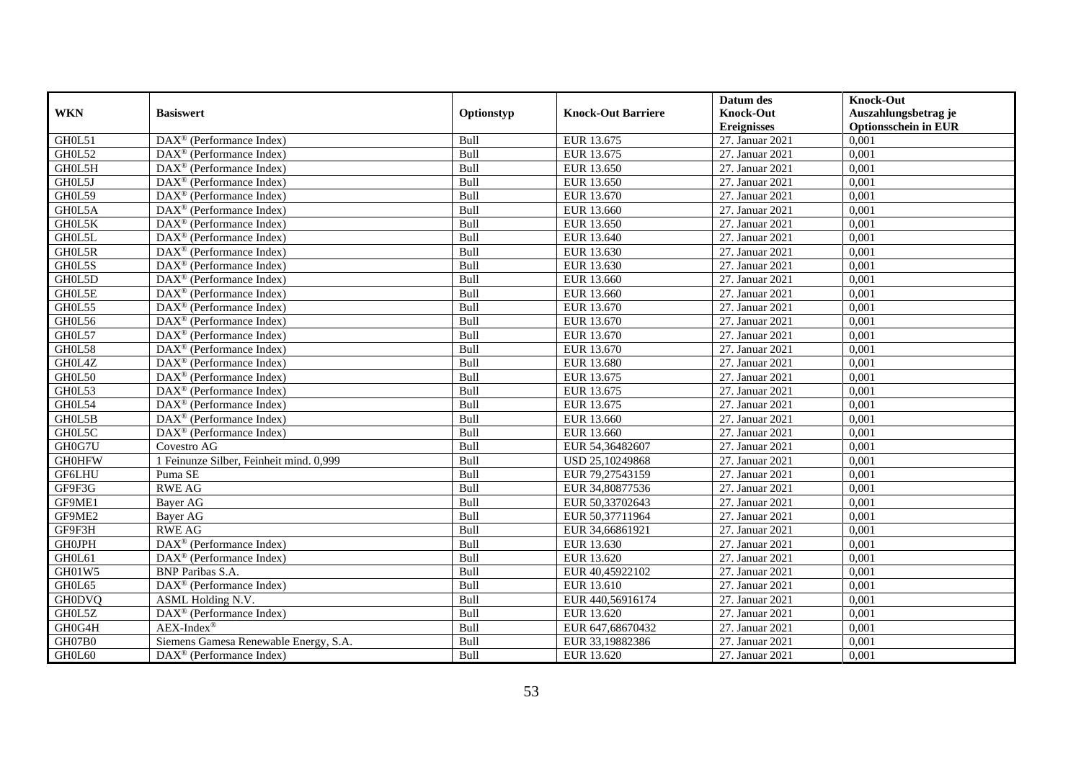|               |                                                         |             |                           | Datum des          | <b>Knock-Out</b>            |
|---------------|---------------------------------------------------------|-------------|---------------------------|--------------------|-----------------------------|
| <b>WKN</b>    | <b>Basiswert</b>                                        | Optionstyp  | <b>Knock-Out Barriere</b> | <b>Knock-Out</b>   | Auszahlungsbetrag je        |
|               |                                                         |             |                           | <b>Ereignisses</b> | <b>Optionsschein in EUR</b> |
| GH0L51        | DAX <sup>®</sup> (Performance Index)                    | Bull        | EUR 13.675                | 27. Januar 2021    | 0,001                       |
| GH0L52        | $DAX^{\circledR}$ (Performance Index)                   | Bull        | EUR 13.675                | 27. Januar 2021    | 0,001                       |
| GH0L5H        | $\text{DAX}^{\textcircled{D}}$ (Performance Index)      | Bull        | EUR 13.650                | 27. Januar 2021    | 0,001                       |
| GH0L5J        | DAX <sup>®</sup> (Performance Index)                    | Bull        | EUR 13.650                | 27. Januar 2021    | 0,001                       |
| GH0L59        | DAX <sup>®</sup> (Performance Index)                    | Bull        | EUR 13.670                | 27. Januar 2021    | 0,001                       |
| GH0L5A        | DAX <sup>®</sup> (Performance Index)                    | Bull        | EUR 13.660                | 27. Januar 2021    | 0,001                       |
| GH0L5K        | $\text{DAX}^{\textcircled{D}}$ (Performance Index)      | Bull        | EUR 13.650                | 27. Januar 2021    | 0,001                       |
| GH0L5L        | $\overline{\text{DAX}}^{\textcirc}$ (Performance Index) | Bull        | EUR 13.640                | 27. Januar 2021    | 0,001                       |
| GH0L5R        | DAX <sup>®</sup> (Performance Index)                    | Bull        | EUR 13.630                | 27. Januar 2021    | 0,001                       |
| GH0L5S        | DAX <sup>®</sup> (Performance Index)                    | Bull        | EUR 13.630                | 27. Januar 2021    | 0,001                       |
| GH0L5D        | $\overline{\text{DAX}^{\otimes}}$ (Performance Index)   | Bull        | EUR 13.660                | 27. Januar 2021    | 0,001                       |
| GH0L5E        | DAX <sup>®</sup> (Performance Index)                    | Bull        | EUR 13.660                | 27. Januar 2021    | 0,001                       |
| GH0L55        | $\text{DAX}^{\textcircled{n}}$ (Performance Index)      | Bull        | EUR 13.670                | 27. Januar 2021    | 0,001                       |
| GH0L56        | DAX <sup>®</sup> (Performance Index)                    | Bull        | EUR 13.670                | 27. Januar 2021    | 0.001                       |
| GH0L57        | $\overline{\text{DAX}^{\otimes}}$ (Performance Index)   | Bull        | EUR 13.670                | 27. Januar 2021    | 0,001                       |
| GH0L58        | DAX <sup>®</sup> (Performance Index)                    | Bull        | EUR 13.670                | 27. Januar 2021    | 0,001                       |
| GH0L4Z        | $\text{DAX}^{\textcircled{D}}$ (Performance Index)      | Bull        | EUR 13.680                | 27. Januar 2021    | 0,001                       |
| GH0L50        | DAX <sup>®</sup> (Performance Index)                    | Bull        | EUR 13.675                | 27. Januar 2021    | 0,001                       |
| GH0L53        | $\text{DAX}^{\textcircled{n}}$ (Performance Index)      | Bull        | EUR 13.675                | 27. Januar 2021    | 0,001                       |
| GH0L54        | $\text{DAX}^{\otimes}$ (Performance Index)              | Bull        | EUR 13.675                | 27. Januar 2021    | 0,001                       |
| GH0L5B        | DAX <sup>®</sup> (Performance Index)                    | Bull        | EUR 13.660                | 27. Januar 2021    | 0,001                       |
| GH0L5C        | $DAX^{\circledR}$ (Performance Index)                   | <b>Bull</b> | EUR 13.660                | 27. Januar 2021    | 0,001                       |
| GH0G7U        | Covestro AG                                             | Bull        | EUR 54,36482607           | 27. Januar 2021    | 0,001                       |
| <b>GH0HFW</b> | 1 Feinunze Silber, Feinheit mind. 0,999                 | Bull        | USD 25,10249868           | 27. Januar 2021    | 0,001                       |
| <b>GF6LHU</b> | Puma SE                                                 | Bull        | EUR 79,27543159           | 27. Januar 2021    | 0,001                       |
| GF9F3G        | <b>RWE AG</b>                                           | Bull        | EUR 34,80877536           | 27. Januar 2021    | 0,001                       |
| GF9ME1        | Bayer AG                                                | Bull        | EUR 50,33702643           | 27. Januar 2021    | 0,001                       |
| GF9ME2        | Bayer AG                                                | Bull        | EUR 50,37711964           | 27. Januar 2021    | 0,001                       |
| GF9F3H        | <b>RWE AG</b>                                           | Bull        | EUR 34,66861921           | 27. Januar 2021    | 0,001                       |
| <b>GH0JPH</b> | $\overline{\text{DAX}^{\otimes}}$ (Performance Index)   | Bull        | EUR 13.630                | 27. Januar 2021    | 0,001                       |
| GH0L61        | DAX <sup>®</sup> (Performance Index)                    | Bull        | EUR 13.620                | 27. Januar 2021    | 0,001                       |
| GH01W5        | <b>BNP</b> Paribas S.A.                                 | Bull        | EUR 40,45922102           | 27. Januar 2021    | 0,001                       |
| GH0L65        | DAX <sup>®</sup> (Performance Index)                    | Bull        | EUR 13.610                | 27. Januar 2021    | 0,001                       |
| <b>GH0DVQ</b> | ASML Holding N.V.                                       | Bull        | EUR 440,56916174          | 27. Januar 2021    | 0,001                       |
| GH0L5Z        | DAX <sup>®</sup> (Performance Index)                    | Bull        | EUR 13.620                | 27. Januar 2021    | 0,001                       |
| GH0G4H        | $AEX-Index^{\circledR}$                                 | Bull        | EUR 647,68670432          | 27. Januar 2021    | 0,001                       |
| GH07B0        | Siemens Gamesa Renewable Energy, S.A.                   | Bull        | EUR 33,19882386           | 27. Januar 2021    | 0,001                       |
| GH0L60        | DAX <sup>®</sup> (Performance Index)                    | Bull        | EUR 13.620                | 27. Januar 2021    | 0,001                       |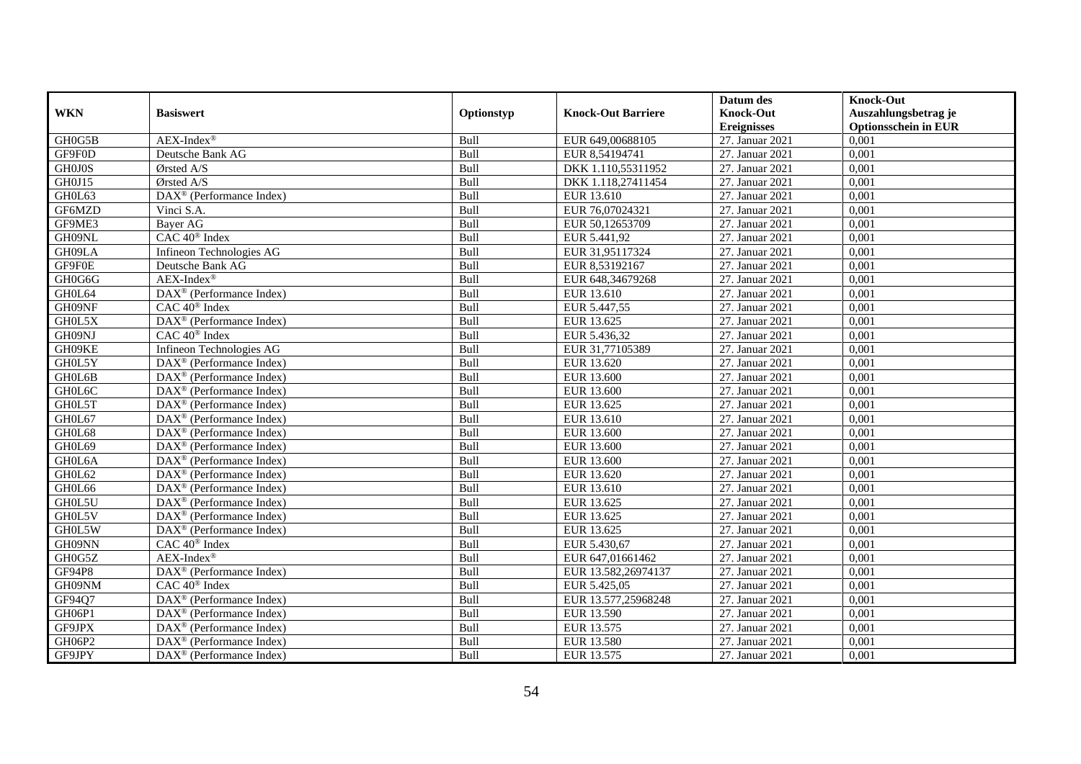|               |                                                              |             |                           | Datum des          | <b>Knock-Out</b>            |
|---------------|--------------------------------------------------------------|-------------|---------------------------|--------------------|-----------------------------|
| <b>WKN</b>    | <b>Basiswert</b>                                             | Optionstyp  | <b>Knock-Out Barriere</b> | <b>Knock-Out</b>   | Auszahlungsbetrag je        |
|               |                                                              |             |                           | <b>Ereignisses</b> | <b>Optionsschein in EUR</b> |
| GH0G5B        | $AEX-Index^{\circledR}$                                      | Bull        | EUR 649,00688105          | 27. Januar 2021    | 0,001                       |
| GF9F0D        | Deutsche Bank AG                                             | Bull        | EUR 8,54194741            | 27. Januar 2021    | 0,001                       |
| <b>GH0J0S</b> | Ørsted A/S                                                   | Bull        | DKK 1.110,55311952        | 27. Januar 2021    | 0,001                       |
| GH0J15        | Ørsted A/S                                                   | Bull        | DKK 1.118,27411454        | 27. Januar 2021    | 0,001                       |
| GH0L63        | DAX <sup>®</sup> (Performance Index)                         | Bull        | EUR 13.610                | 27. Januar 2021    | 0,001                       |
| GF6MZD        | Vinci S.A.                                                   | Bull        | EUR 76,07024321           | 27. Januar 2021    | 0,001                       |
| GF9ME3        | Bayer AG                                                     | Bull        | EUR 50,12653709           | 27. Januar 2021    | 0,001                       |
| GH09NL        | CAC 40 <sup>®</sup> Index                                    | Bull        | EUR 5.441,92              | 27. Januar 2021    | 0,001                       |
| GH09LA        | Infineon Technologies AG                                     | Bull        | EUR 31,95117324           | 27. Januar 2021    | 0,001                       |
| GF9F0E        | Deutsche Bank AG                                             | Bull        | EUR 8,53192167            | 27. Januar 2021    | 0,001                       |
| GH0G6G        | $AEX-Index^{\circledR}$                                      | Bull        | EUR 648,34679268          | 27. Januar 2021    | 0,001                       |
| GH0L64        | DAX <sup>®</sup> (Performance Index)                         | Bull        | EUR 13.610                | 27. Januar 2021    | 0,001                       |
| GH09NF        | $CAC 40^{\circledast}$ Index                                 | Bull        | EUR 5.447,55              | 27. Januar 2021    | 0,001                       |
| GH0L5X        | DAX <sup>®</sup> (Performance Index)                         | Bull        | EUR 13.625                | 27. Januar 2021    | 0,001                       |
| GH09NJ        | $CAC 40^{\circledast}$ Index                                 | Bull        | EUR 5.436,32              | 27. Januar 2021    | 0,001                       |
| GH09KE        | Infineon Technologies AG                                     | Bull        | EUR 31,77105389           | 27. Januar 2021    | 0,001                       |
| GH0L5Y        | DAX <sup>®</sup> (Performance Index)                         | Bull        | EUR 13.620                | 27. Januar 2021    | 0,001                       |
| GH0L6B        | $DAX^{\circledR}$ (Performance Index)                        | <b>Bull</b> | EUR 13.600                | 27. Januar 2021    | 0,001                       |
| GH0L6C        | $\overline{\text{DAX}}^{\textcircled{}}$ (Performance Index) | Bull        | EUR 13.600                | 27. Januar 2021    | 0,001                       |
| GH0L5T        | DAX <sup>®</sup> (Performance Index)                         | Bull        | EUR 13.625                | 27. Januar 2021    | 0,001                       |
| GH0L67        | DAX <sup>®</sup> (Performance Index)                         | Bull        | EUR 13.610                | 27. Januar 2021    | 0,001                       |
| GH0L68        | $\overline{\text{DAX}^{\otimes}}$ (Performance Index)        | Bull        | EUR 13.600                | 27. Januar 2021    | 0,001                       |
| GH0L69        | $\overline{\text{DAX}^{\otimes}}$ (Performance Index)        | Bull        | EUR 13.600                | 27. Januar 2021    | 0,001                       |
| GH0L6A        | DAX <sup>®</sup> (Performance Index)                         | Bull        | EUR 13.600                | 27. Januar 2021    | 0,001                       |
| GH0L62        | DAX <sup>®</sup> (Performance Index)                         | Bull        | EUR 13.620                | 27. Januar 2021    | 0,001                       |
| GH0L66        | $\text{DAX}^{\otimes}$ (Performance Index)                   | Bull        | EUR 13.610                | 27. Januar 2021    | 0,001                       |
| GH0L5U        | DAX <sup>®</sup> (Performance Index)                         | Bull        | EUR 13.625                | 27. Januar 2021    | 0,001                       |
| GH0L5V        | $\text{DAX}^{\textcircled{D}}$ (Performance Index)           | Bull        | EUR 13.625                | 27. Januar 2021    | 0.001                       |
| GH0L5W        | $\overline{\text{DAX}}^{\textcirc}$ (Performance Index)      | Bull        | EUR 13.625                | 27. Januar 2021    | 0,001                       |
| GH09NN        | $CAC 40$ <sup>®</sup> Index                                  | Bull        | EUR 5.430,67              | 27. Januar 2021    | 0,001                       |
| GH0G5Z        | $AEX-Index^{\circledR}$                                      | Bull        | EUR 647,01661462          | 27. Januar 2021    | 0,001                       |
| <b>GF94P8</b> | DAX <sup>®</sup> (Performance Index)                         | Bull        | EUR 13.582,26974137       | 27. Januar 2021    | 0.001                       |
| GH09NM        | CAC 40 <sup>®</sup> Index                                    | Bull        | EUR 5.425,05              | 27. Januar 2021    | 0,001                       |
| GF94Q7        | DAX <sup>®</sup> (Performance Index)                         | Bull        | EUR 13.577,25968248       | 27. Januar 2021    | 0,001                       |
| GH06P1        | $\text{DAX}^{\textcircled{n}}$ (Performance Index)           | Bull        | EUR 13.590                | 27. Januar 2021    | 0,001                       |
| GF9JPX        | DAX <sup>®</sup> (Performance Index)                         | Bull        | EUR 13.575                | 27. Januar 2021    | 0,001                       |
| GH06P2        | $\text{DAX}^{\otimes}$ (Performance Index)                   | Bull        | <b>EUR 13.580</b>         | 27. Januar 2021    | 0,001                       |
| GF9JPY        | $\overline{\text{DAX}}^{\textcircled{}}$ (Performance Index) | Bull        | EUR 13.575                | 27. Januar 2021    | 0,001                       |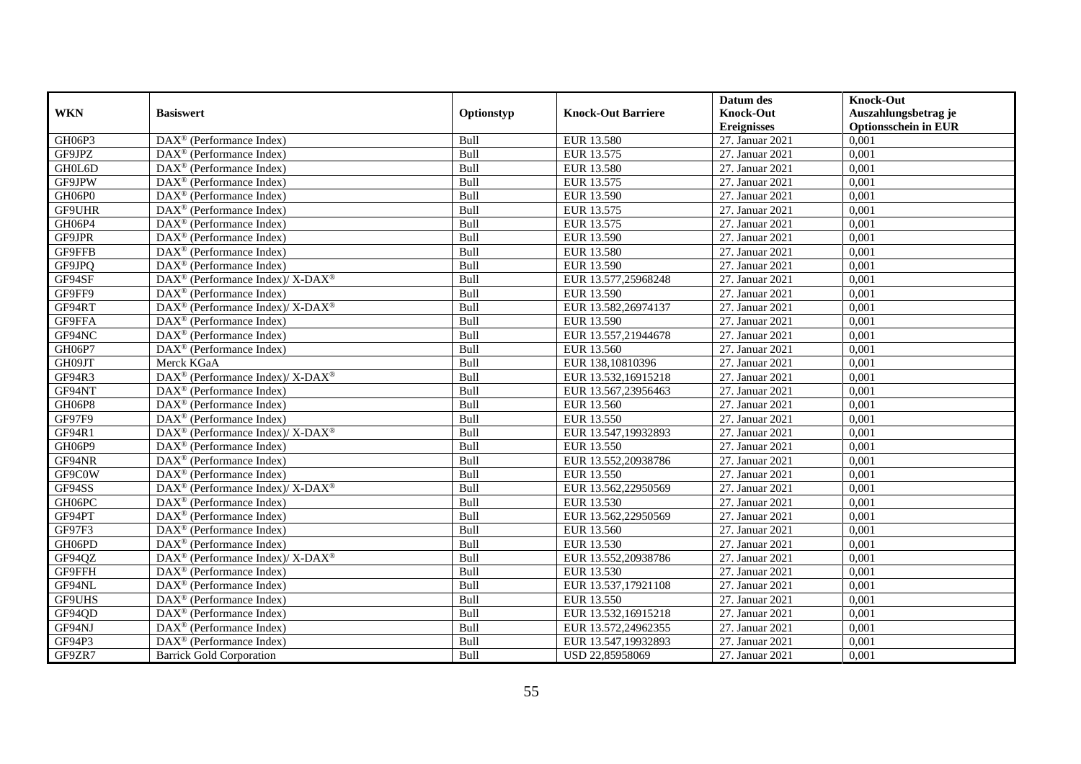|               |                                                                    |             |                           | Datum des          | <b>Knock-Out</b>            |
|---------------|--------------------------------------------------------------------|-------------|---------------------------|--------------------|-----------------------------|
| <b>WKN</b>    | <b>Basiswert</b>                                                   | Optionstyp  | <b>Knock-Out Barriere</b> | <b>Knock-Out</b>   | Auszahlungsbetrag je        |
|               |                                                                    |             |                           | <b>Ereignisses</b> | <b>Optionsschein in EUR</b> |
| GH06P3        | DAX <sup>®</sup> (Performance Index)                               | Bull        | EUR 13.580                | 27. Januar 2021    | 0,001                       |
| GF9JPZ        | $\text{DAX}^{\circledast}$ (Performance Index)                     | Bull        | EUR 13.575                | 27. Januar 2021    | 0,001                       |
| GH0L6D        | DAX <sup>®</sup> (Performance Index)                               | Bull        | EUR 13.580                | 27. Januar 2021    | 0,001                       |
| GF9JPW        | $\text{DAX}^{\textcircled{n}}$ (Performance Index)                 | Bull        | EUR 13.575                | 27. Januar 2021    | 0.001                       |
| GH06P0        | DAX <sup>®</sup> (Performance Index)                               | Bull        | EUR 13.590                | 27. Januar 2021    | 0,001                       |
| GF9UHR        | $\text{DAX}^{\textcircled{p}}$ (Performance Index)                 | Bull        | EUR 13.575                | 27. Januar 2021    | 0,001                       |
| GH06P4        | $\text{DAX}^{\textcircled{D}}$ (Performance Index)                 | Bull        | EUR 13.575                | 27. Januar 2021    | 0,001                       |
| GF9JPR        | $\text{DAX}^{\textcircled{n}}$ (Performance Index)                 | Bull        | EUR 13.590                | 27. Januar 2021    | 0,001                       |
| GF9FFB        | $\text{DAX}^{\textcircled{n}}$ (Performance Index)                 | Bull        | <b>EUR 13.580</b>         | 27. Januar 2021    | 0,001                       |
| GF9JPQ        | $\text{DAX}^{\textcircled{n}}$ (Performance Index)                 | Bull        | EUR 13.590                | 27. Januar 2021    | 0,001                       |
| GF94SF        | $\text{DAX}^{\circledast}$ (Performance Index)/ X-DAX <sup>®</sup> | Bull        | EUR 13.577,25968248       | 27. Januar 2021    | 0,001                       |
| GF9FF9        | $\overline{\text{DAX}}^{\textcirc}$ (Performance Index)            | Bull        | EUR 13.590                | 27. Januar 2021    | 0,001                       |
| GF94RT        | DAX <sup>®</sup> (Performance Index)/ X-DAX <sup>®</sup>           | Bull        | EUR 13.582,26974137       | 27. Januar 2021    | 0,001                       |
| GF9FFA        | $DAX^{\circledR}$ (Performance Index)                              | Bull        | <b>EUR 13.590</b>         | 27. Januar 2021    | 0,001                       |
| GF94NC        | $\text{DAX}^{\otimes}$ (Performance Index)                         | Bull        | EUR 13.557,21944678       | 27. Januar 2021    | 0,001                       |
| GH06P7        | DAX <sup>®</sup> (Performance Index)                               | Bull        | EUR 13.560                | 27. Januar 2021    | 0,001                       |
| GH09JT        | Merck KGaA                                                         | Bull        | EUR 138,10810396          | 27. Januar 2021    | 0,001                       |
| GF94R3        | $DAX^{\circledcirc}$ (Performance Index)/X-DAX <sup>®</sup>        | Bull        | EUR 13.532,16915218       | 27. Januar 2021    | 0,001                       |
| GF94NT        | $\overline{\text{DAX}}^{\textcirc}$ (Performance Index)            | Bull        | EUR 13.567,23956463       | 27. Januar 2021    | 0,001                       |
| GH06P8        | DAX <sup>®</sup> (Performance Index)                               | Bull        | EUR 13.560                | 27. Januar 2021    | 0,001                       |
| GF97F9        | $\text{DAX}^{\textcircled{D}}$ (Performance Index)                 | Bull        | EUR 13.550                | 27. Januar 2021    | 0,001                       |
| GF94R1        | DAX <sup>®</sup> (Performance Index)/ X-DAX <sup>®</sup>           | Bull        | EUR 13.547,19932893       | 27. Januar 2021    | 0,001                       |
| GH06P9        | DAX <sup>®</sup> (Performance Index)                               | Bull        | EUR 13.550                | 27. Januar 2021    | 0,001                       |
| GF94NR        | DAX <sup>®</sup> (Performance Index)                               | Bull        | EUR 13.552,20938786       | 27. Januar 2021    | 0,001                       |
| GF9C0W        | DAX <sup>®</sup> (Performance Index)                               | Bull        | EUR 13.550                | 27. Januar 2021    | 0.001                       |
| GF94SS        | $\text{DAX}^{\circledR}$ (Performance Index)/ X-DAX <sup>®</sup>   | Bull        | EUR 13.562,22950569       | 27. Januar 2021    | 0,001                       |
| GH06PC        | DAX <sup>®</sup> (Performance Index)                               | Bull        | EUR 13.530                | 27. Januar 2021    | 0,001                       |
| GF94PT        | $\text{DAX}^{\textcircled{D}}$ (Performance Index)                 | Bull        | EUR 13.562,22950569       | 27. Januar 2021    | 0,001                       |
| GF97F3        | DAX <sup>®</sup> (Performance Index)                               | Bull        | EUR 13.560                | 27. Januar 2021    | 0,001                       |
| GH06PD        | $\text{DAX}^{\circledast}$ (Performance Index)                     | Bull        | EUR 13.530                | 27. Januar 2021    | 0,001                       |
| GF94QZ        | $\text{DAX}^{\circledast}$ (Performance Index)/ X-DAX <sup>®</sup> | Bull        | EUR 13.552,20938786       | 27. Januar 2021    | 0,001                       |
| GF9FFH        | $DAX^{\circledR}$ (Performance Index)                              | <b>Bull</b> | EUR 13.530                | 27. Januar 2021    | 0.001                       |
| GF94NL        | $\overline{\text{DAX}^{\otimes}}$ (Performance Index)              | Bull        | EUR 13.537,17921108       | 27. Januar 2021    | 0,001                       |
| <b>GF9UHS</b> | DAX <sup>®</sup> (Performance Index)                               | Bull        | EUR 13.550                | 27. Januar 2021    | 0,001                       |
| GF94QD        | DAX <sup>®</sup> (Performance Index)                               | Bull        | EUR 13.532,16915218       | 27. Januar 2021    | 0,001                       |
| GF94NJ        | DAX <sup>®</sup> (Performance Index)                               | Bull        | EUR 13.572,24962355       | 27. Januar 2021    | 0,001                       |
| GF94P3        | $\text{DAX}^{\otimes}$ (Performance Index)                         | Bull        | EUR 13.547,19932893       | 27. Januar 2021    | 0,001                       |
| GF9ZR7        | <b>Barrick Gold Corporation</b>                                    | Bull        | USD 22,85958069           | 27. Januar 2021    | 0,001                       |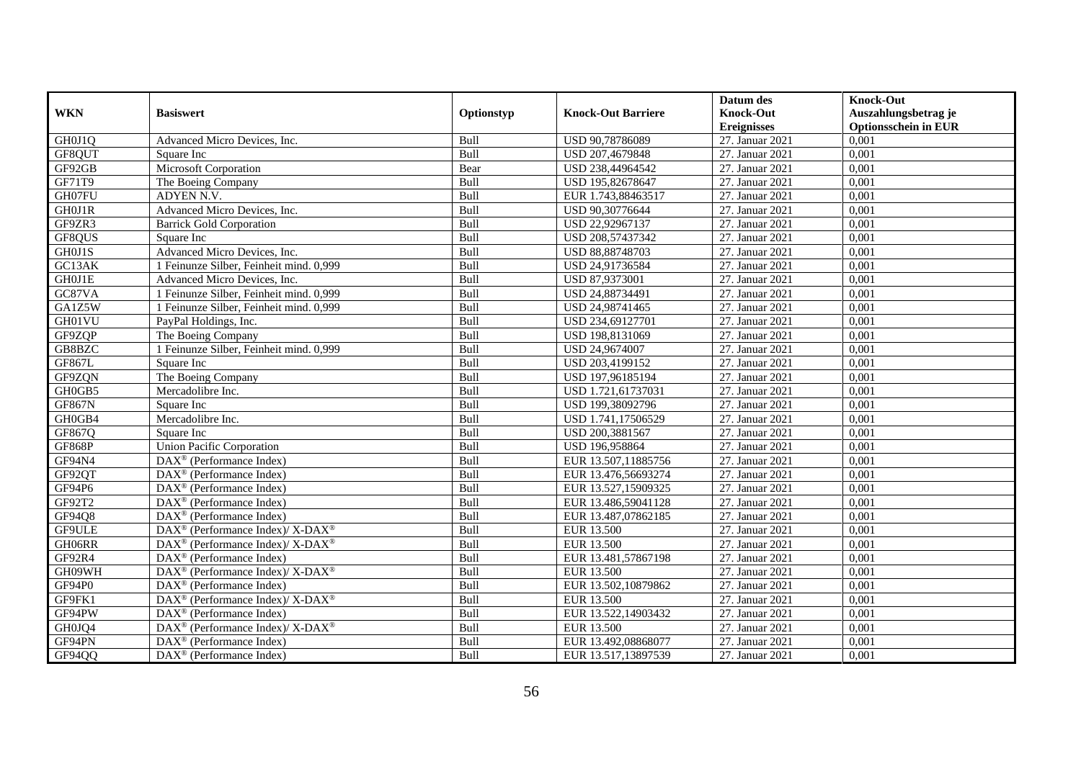|               |                                                            |            |                           | Datum des          | <b>Knock-Out</b>            |
|---------------|------------------------------------------------------------|------------|---------------------------|--------------------|-----------------------------|
| <b>WKN</b>    | <b>Basiswert</b>                                           | Optionstyp | <b>Knock-Out Barriere</b> | <b>Knock-Out</b>   | Auszahlungsbetrag je        |
|               |                                                            |            |                           | <b>Ereignisses</b> | <b>Optionsschein in EUR</b> |
| GH0J1Q        | Advanced Micro Devices, Inc.                               | Bull       | USD 90,78786089           | 27. Januar 2021    | 0,001                       |
| GF8QUT        | Square Inc                                                 | Bull       | USD 207,4679848           | 27. Januar 2021    | 0,001                       |
| GF92GB        | Microsoft Corporation                                      | Bear       | USD 238,44964542          | 27. Januar 2021    | 0,001                       |
| GF71T9        | The Boeing Company                                         | Bull       | USD 195,82678647          | 27. Januar 2021    | 0,001                       |
| GH07FU        | ADYEN N.V.                                                 | Bull       | EUR 1.743,88463517        | 27. Januar 2021    | 0,001                       |
| GH0J1R        | Advanced Micro Devices, Inc.                               | Bull       | USD 90,30776644           | 27. Januar 2021    | 0,001                       |
| GF9ZR3        | <b>Barrick Gold Corporation</b>                            | Bull       | USD 22,92967137           | 27. Januar 2021    | 0,001                       |
| GF8QUS        | Square Inc                                                 | Bull       | USD 208,57437342          | 27. Januar 2021    | 0,001                       |
| GH0J1S        | Advanced Micro Devices, Inc.                               | Bull       | USD 88,88748703           | 27. Januar 2021    | 0,001                       |
| GC13AK        | 1 Feinunze Silber, Feinheit mind. 0,999                    | Bull       | USD 24,91736584           | 27. Januar 2021    | 0,001                       |
| GH0J1E        | Advanced Micro Devices, Inc.                               | Bull       | USD 87,9373001            | 27. Januar 2021    | 0,001                       |
| GC87VA        | 1 Feinunze Silber, Feinheit mind. 0,999                    | Bull       | USD 24,88734491           | 27. Januar 2021    | 0,001                       |
| GA1Z5W        | 1 Feinunze Silber, Feinheit mind. 0,999                    | Bull       | USD 24,98741465           | 27. Januar 2021    | 0.001                       |
| GH01VU        | PayPal Holdings, Inc.                                      | Bull       | USD 234,69127701          | 27. Januar 2021    | 0,001                       |
| GF9ZQP        | The Boeing Company                                         | Bull       | USD 198,8131069           | 27. Januar 2021    | 0,001                       |
| GB8BZC        | 1 Feinunze Silber, Feinheit mind. 0,999                    | Bull       | USD 24,9674007            | 27. Januar 2021    | 0,001                       |
| GF867L        | Square Inc                                                 | Bull       | USD 203,4199152           | 27. Januar 2021    | 0,001                       |
| GF9ZQN        | The Boeing Company                                         | Bull       | USD 197,96185194          | 27. Januar 2021    | 0,001                       |
| GH0GB5        | Mercadolibre Inc.                                          | Bull       | USD 1.721,61737031        | 27. Januar 2021    | 0,001                       |
| <b>GF867N</b> | Square Inc                                                 | Bull       | USD 199,38092796          | 27. Januar 2021    | 0,001                       |
| GH0GB4        | Mercadolibre Inc.                                          | Bull       | USD 1.741,17506529        | 27. Januar 2021    | 0,001                       |
| GF867Q        | Square Inc                                                 | Bull       | USD 200,3881567           | 27. Januar 2021    | 0,001                       |
| <b>GF868P</b> | <b>Union Pacific Corporation</b>                           | Bull       | USD 196,958864            | 27. Januar 2021    | 0,001                       |
| GF94N4        | DAX <sup>®</sup> (Performance Index)                       | Bull       | EUR 13.507,11885756       | 27. Januar 2021    | 0,001                       |
| GF92QT        | $\text{DAX}^{\textcircled{}}$ (Performance Index)          | Bull       | EUR 13.476,56693274       | 27. Januar 2021    | 0,001                       |
| GF94P6        | $\text{DAX}^{\otimes}$ (Performance Index)                 | Bull       | EUR 13.527,15909325       | 27. Januar 2021    | 0,001                       |
| GF92T2        | DAX <sup>®</sup> (Performance Index)                       | Bull       | EUR 13.486,59041128       | 27. Januar 2021    | 0,001                       |
| GF94Q8        | $DAX^{\circledR}$ (Performance Index)                      | Bull       | EUR 13.487,07862185       | 27. Januar 2021    | 0.001                       |
| <b>GF9ULE</b> | $DAX^{\circledast}$ (Performance Index)/X-DAX <sup>®</sup> | Bull       | EUR 13.500                | 27. Januar 2021    | 0,001                       |
| GH06RR        | $DAX^{\circledast}$ (Performance Index)/X-DAX <sup>®</sup> | Bull       | EUR 13.500                | 27. Januar 2021    | 0,001                       |
| GF92R4        | $DAX^{\circledast}$ (Performance Index)                    | Bull       | EUR 13.481,57867198       | 27. Januar 2021    | 0,001                       |
| GH09WH        | DAX <sup>®</sup> (Performance Index)/ X-DAX <sup>®</sup>   | Bull       | EUR 13.500                | 27. Januar 2021    | 0.001                       |
| GF94P0        | $DAX^{\circledR}$ (Performance Index)                      | Bull       | EUR 13.502,10879862       | 27. Januar 2021    | 0,001                       |
| GF9FK1        | DAX <sup>®</sup> (Performance Index)/ X-DAX <sup>®</sup>   | Bull       | EUR 13.500                | 27. Januar 2021    | 0,001                       |
| GF94PW        | $\text{DAX}^{\textcircled{}}$ (Performance Index)          | Bull       | EUR 13.522,14903432       | 27. Januar 2021    | 0,001                       |
| GH0JQ4        | DAX <sup>®</sup> (Performance Index)/ X-DAX <sup>®</sup>   | Bull       | EUR 13.500                | 27. Januar 2021    | 0,001                       |
| GF94PN        | DAX <sup>®</sup> (Performance Index)                       | Bull       | EUR 13.492,08868077       | 27. Januar 2021    | 0,001                       |
| GF94QQ        | $\text{DAX}^{\circledast}$ (Performance Index)             | Bull       | EUR 13.517,13897539       | 27. Januar 2021    | 0,001                       |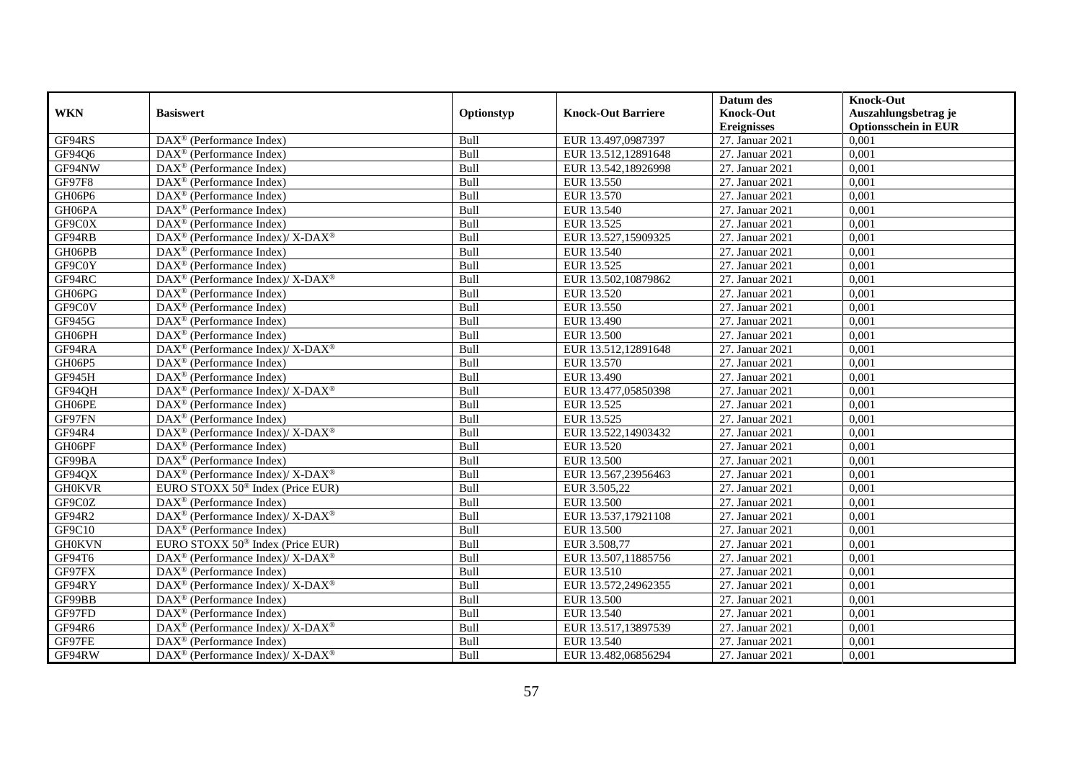|               |                                                                                         |            |                           | Datum des          | <b>Knock-Out</b>            |
|---------------|-----------------------------------------------------------------------------------------|------------|---------------------------|--------------------|-----------------------------|
| <b>WKN</b>    | <b>Basiswert</b>                                                                        | Optionstyp | <b>Knock-Out Barriere</b> | <b>Knock-Out</b>   | Auszahlungsbetrag je        |
|               |                                                                                         |            |                           | <b>Ereignisses</b> | <b>Optionsschein in EUR</b> |
| GF94RS        | $\overline{\text{DAX}}^{\textcircled{}}$ (Performance Index)                            | Bull       | EUR 13.497,0987397        | 27. Januar 2021    | 0,001                       |
| GF94Q6        | $DAX^{\circledR}$ (Performance Index)                                                   | Bull       | EUR 13.512,12891648       | 27. Januar 2021    | 0,001                       |
| GF94NW        | DAX <sup>®</sup> (Performance Index)                                                    | Bull       | EUR 13.542,18926998       | 27. Januar 2021    | 0,001                       |
| GF97F8        | $\text{DAX}^{\textcircled{n}}$ (Performance Index)                                      | Bull       | EUR 13.550                | 27. Januar 2021    | 0,001                       |
| GH06P6        | DAX <sup>®</sup> (Performance Index)                                                    | Bull       | EUR 13.570                | 27. Januar 2021    | 0,001                       |
| GH06PA        | $\text{DAX}^{\textcircled{p}}$ (Performance Index)                                      | Bull       | EUR 13.540                | 27. Januar 2021    | 0,001                       |
| GF9C0X        | $\overline{\text{DAX}}^{\textcirc}$ (Performance Index)                                 | Bull       | EUR 13.525                | 27. Januar 2021    | 0,001                       |
| GF94RB        | $\text{DAX}^{\circledR}$ (Performance Index)/ X-DAX <sup>®</sup>                        | Bull       | EUR 13.527,15909325       | 27. Januar 2021    | 0,001                       |
| GH06PB        | $\text{DAX}^{\textcircled{n}}$ (Performance Index)                                      | Bull       | EUR 13.540                | 27. Januar 2021    | 0,001                       |
| GF9C0Y        | DAX <sup>®</sup> (Performance Index)                                                    | Bull       | EUR 13.525                | 27. Januar 2021    | 0,001                       |
| GF94RC        | DAX <sup>®</sup> (Performance Index)/ X-DAX <sup>®</sup>                                | Bull       | EUR 13.502,10879862       | 27. Januar 2021    | 0,001                       |
| GH06PG        | DAX <sup>®</sup> (Performance Index)                                                    | Bull       | EUR 13.520                | 27. Januar 2021    | 0,001                       |
| GF9C0V        | $\text{DAX}^{\circledast}$ (Performance Index)                                          | Bull       | EUR 13.550                | 27. Januar 2021    | 0,001                       |
| GF945G        | DAX <sup>®</sup> (Performance Index)                                                    | Bull       | EUR 13.490                | 27. Januar 2021    | 0,001                       |
| GH06PH        | DAX <sup>®</sup> (Performance Index)                                                    | Bull       | <b>EUR 13.500</b>         | 27. Januar 2021    | 0,001                       |
| GF94RA        | $\text{DAX}^{\textcircled{\tiny{\textcircled{\tiny \dag}}}}$ (Performance Index)/X-DAX® | Bull       | EUR 13.512,12891648       | 27. Januar 2021    | 0,001                       |
| GH06P5        | $\text{DAX}^{\textcircled{p}}$ (Performance Index)                                      | Bull       | EUR 13.570                | 27. Januar 2021    | 0,001                       |
| GF945H        | $\text{DAX}^{\textcircled{p}}$ (Performance Index)                                      | Bull       | EUR 13.490                | 27. Januar 2021    | 0,001                       |
| GF94QH        | $\text{DAX}^{\circledast}$ (Performance Index)/ X-DAX <sup>®</sup>                      | Bull       | EUR 13.477,05850398       | 27. Januar 2021    | 0,001                       |
| GH06PE        | $\text{DAX}^{\textcircled{n}}$ (Performance Index)                                      | Bull       | EUR 13.525                | 27. Januar 2021    | 0,001                       |
| GF97FN        | DAX <sup>®</sup> (Performance Index)                                                    | Bull       | EUR 13.525                | 27. Januar 2021    | 0,001                       |
| GF94R4        | $\text{DAX}^{\circledast}$ (Performance Index)/X-DAX <sup>®</sup>                       | Bull       | EUR 13.522,14903432       | 27. Januar 2021    | 0,001                       |
| GH06PF        | $\overline{\text{DAX}^{\otimes}}$ (Performance Index)                                   | Bull       | EUR 13.520                | 27. Januar 2021    | 0,001                       |
| GF99BA        | $\text{DAX}^{\textcircled{p}}$ (Performance Index)                                      | Bull       | <b>EUR 13.500</b>         | 27. Januar 2021    | 0,001                       |
| GF94QX        | $DAX^{\circledcirc}$ (Performance Index)/ X-DAX <sup>®</sup>                            | Bull       | EUR 13.567,23956463       | 27. Januar 2021    | 0,001                       |
| <b>GH0KVR</b> | EURO STOXX 50 <sup>®</sup> Index (Price EUR)                                            | Bull       | EUR 3.505,22              | 27. Januar 2021    | 0,001                       |
| GF9C0Z        | DAX <sup>®</sup> (Performance Index)                                                    | Bull       | <b>EUR 13.500</b>         | 27. Januar 2021    | 0,001                       |
| GF94R2        | DAX <sup>®</sup> (Performance Index)/ X-DAX <sup>®</sup>                                | Bull       | EUR 13.537,17921108       | 27. Januar 2021    | 0,001                       |
| GF9C10        | $\text{DAX}^{\circledast}$ (Performance Index)                                          | Bull       | <b>EUR 13.500</b>         | 27. Januar 2021    | 0,001                       |
| <b>GH0KVN</b> | EURO STOXX $50^{\circ}$ Index (Price EUR)                                               | Bull       | EUR 3.508.77              | 27. Januar 2021    | 0.001                       |
| GF94T6        | $DAX^{\circledcirc}$ (Performance Index)/X-DAX <sup>®</sup>                             | Bull       | EUR 13.507,11885756       | 27. Januar 2021    | 0,001                       |
| GF97FX        | $\text{DAX}^{\textcircled{p}}$ (Performance Index)                                      | Bull       | EUR 13.510                | 27. Januar 2021    | 0,001                       |
| GF94RY        | DAX <sup>®</sup> (Performance Index)/ X-DAX <sup>®</sup>                                | Bull       | EUR 13.572,24962355       | 27. Januar 2021    | 0,001                       |
| GF99BB        | DAX <sup>®</sup> (Performance Index)                                                    | Bull       | <b>EUR 13.500</b>         | 27. Januar 2021    | 0,001                       |
| GF97FD        | DAX <sup>®</sup> (Performance Index)                                                    | Bull       | EUR 13.540                | 27. Januar 2021    | 0,001                       |
| GF94R6        | $\text{DAX}^{\otimes}$ (Performance Index)/X-DAX <sup>®</sup>                           | Bull       | EUR 13.517,13897539       | 27. Januar 2021    | 0,001                       |
| GF97FE        | $\text{DAX}^{\circledast}$ (Performance Index)                                          | Bull       | EUR 13.540                | 27. Januar 2021    | 0,001                       |
| GF94RW        | $\text{DAX}^{\circledast}$ (Performance Index)/ X-DAX <sup>®</sup>                      | Bull       | EUR 13.482,06856294       | 27. Januar 2021    | 0,001                       |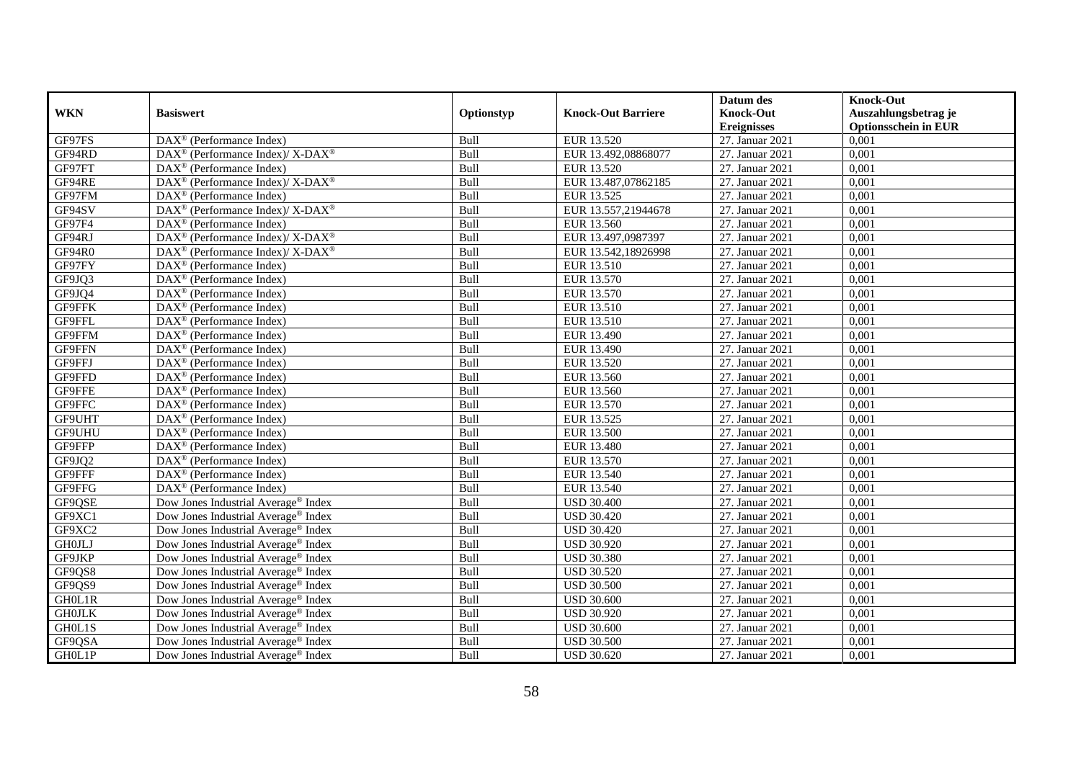|               |                                                                  |            |                           | Datum des          | <b>Knock-Out</b>            |
|---------------|------------------------------------------------------------------|------------|---------------------------|--------------------|-----------------------------|
| <b>WKN</b>    | <b>Basiswert</b>                                                 | Optionstyp | <b>Knock-Out Barriere</b> | <b>Knock-Out</b>   | Auszahlungsbetrag je        |
|               |                                                                  |            |                           | <b>Ereignisses</b> | <b>Optionsschein in EUR</b> |
| GF97FS        | DAX <sup>®</sup> (Performance Index)                             | Bull       | EUR 13.520                | 27. Januar 2021    | 0,001                       |
| GF94RD        | $\text{DAX}^{\circledR}$ (Performance Index)/ X-DAX <sup>®</sup> | Bull       | EUR 13.492,08868077       | 27. Januar 2021    | 0,001                       |
| GF97FT        | DAX <sup>®</sup> (Performance Index)                             | Bull       | EUR 13.520                | 27. Januar 2021    | 0,001                       |
| GF94RE        | $DAX^{\circledcirc}$ (Performance Index)/X-DAX <sup>®</sup>      | Bull       | EUR 13.487,07862185       | 27. Januar 2021    | 0,001                       |
| GF97FM        | DAX <sup>®</sup> (Performance Index)                             | Bull       | EUR 13.525                | 27. Januar 2021    | 0,001                       |
| GF94SV        | DAX <sup>®</sup> (Performance Index)/X-DAX <sup>®</sup>          | Bull       | EUR 13.557,21944678       | 27. Januar 2021    | 0,001                       |
| GF97F4        | $\text{DAX}^{\textcircled{p}}$ (Performance Index)               | Bull       | EUR 13.560                | 27. Januar 2021    | 0,001                       |
| GF94RJ        | $\text{DAX}^{\circledR}$ (Performance Index)/ X-DAX <sup>®</sup> | Bull       | EUR 13.497,0987397        | 27. Januar 2021    | 0,001                       |
| GF94R0        | DAX <sup>®</sup> (Performance Index)/ X-DAX <sup>®</sup>         | Bull       | EUR 13.542,18926998       | 27. Januar 2021    | 0,001                       |
| GF97FY        | $\text{DAX}^{\otimes}$ (Performance Index)                       | Bull       | EUR 13.510                | 27. Januar 2021    | 0,001                       |
| GF9JQ3        | $\text{DAX}^{\textcircled{n}}$ (Performance Index)               | Bull       | EUR 13.570                | 27. Januar 2021    | 0,001                       |
| GF9JQ4        | DAX <sup>®</sup> (Performance Index)                             | Bull       | EUR 13.570                | 27. Januar 2021    | 0,001                       |
| GF9FFK        | $\text{DAX}^{\textcircled{n}}$ (Performance Index)               | Bull       | EUR 13.510                | 27. Januar 2021    | 0,001                       |
| GF9FFL        | $DAX^{\circledR}$ (Performance Index)                            | Bull       | EUR 13.510                | 27. Januar 2021    | 0,001                       |
| GF9FFM        | $\text{DAX}^{\otimes}$ (Performance Index)                       | Bull       | EUR 13.490                | 27. Januar 2021    | 0,001                       |
| GF9FFN        | DAX <sup>®</sup> (Performance Index)                             | Bull       | EUR 13.490                | 27. Januar 2021    | 0,001                       |
| GF9FFJ        | DAX <sup>®</sup> (Performance Index)                             | Bull       | EUR 13.520                | 27. Januar 2021    | 0,001                       |
| GF9FFD        | $DAX^{\circledR}$ (Performance Index)                            | Bull       | EUR 13.560                | 27. Januar 2021    | 0,001                       |
| GF9FFE        | DAX <sup>®</sup> (Performance Index)                             | Bull       | EUR 13.560                | 27. Januar 2021    | 0,001                       |
| GF9FFC        | DAX <sup>®</sup> (Performance Index)                             | Bull       | EUR 13.570                | 27. Januar 2021    | 0,001                       |
| GF9UHT        | DAX <sup>®</sup> (Performance Index)                             | Bull       | EUR 13.525                | 27. Januar 2021    | 0,001                       |
| <b>GF9UHU</b> | $\overline{\text{DAX}^{\otimes}}$ (Performance Index)            | Bull       | EUR 13.500                | 27. Januar 2021    | 0,001                       |
| GF9FFP        | DAX <sup>®</sup> (Performance Index)                             | Bull       | EUR 13.480                | 27. Januar 2021    | 0,001                       |
| GF9JQ2        | $\text{DAX}^{\circledast}$ (Performance Index)                   | Bull       | EUR 13.570                | 27. Januar 2021    | 0,001                       |
| GF9FFF        | DAX <sup>®</sup> (Performance Index)                             | Bull       | EUR 13.540                | 27. Januar 2021    | 0.001                       |
| GF9FFG        | DAX <sup>®</sup> (Performance Index)                             | Bull       | EUR 13.540                | 27. Januar 2021    | 0,001                       |
| GF9QSE        | Dow Jones Industrial Average® Index                              | Bull       | <b>USD 30.400</b>         | 27. Januar 2021    | 0,001                       |
| GF9XC1        | Dow Jones Industrial Average <sup>®</sup> Index                  | Bull       | <b>USD 30.420</b>         | 27. Januar 2021    | 0,001                       |
| GF9XC2        | Dow Jones Industrial Average® Index                              | Bull       | <b>USD 30.420</b>         | 27. Januar 2021    | 0,001                       |
| <b>GH0JLJ</b> | Dow Jones Industrial Average <sup>®</sup> Index                  | Bull       | <b>USD 30.920</b>         | 27. Januar 2021    | 0,001                       |
| GF9JKP        | Dow Jones Industrial Average <sup>®</sup> Index                  | Bull       | <b>USD 30.380</b>         | 27. Januar 2021    | 0,001                       |
| GF9QS8        | Dow Jones Industrial Average <sup>®</sup> Index                  | Bull       | <b>USD 30.520</b>         | 27. Januar 2021    | 0.001                       |
| GF9QS9        | Dow Jones Industrial Average <sup>®</sup> Index                  | Bull       | <b>USD 30.500</b>         | 27. Januar 2021    | 0,001                       |
| GH0L1R        | Dow Jones Industrial Average® Index                              | Bull       | <b>USD 30.600</b>         | 27. Januar 2021    | 0,001                       |
| <b>GHOJLK</b> | Dow Jones Industrial Average <sup>®</sup> Index                  | Bull       | <b>USD 30.920</b>         | 27. Januar 2021    | 0,001                       |
| GH0L1S        | Dow Jones Industrial Average <sup>®</sup> Index                  | Bull       | <b>USD 30.600</b>         | 27. Januar 2021    | 0,001                       |
| GF9QSA        | Dow Jones Industrial Average® Index                              | Bull       | <b>USD 30.500</b>         | 27. Januar 2021    | 0,001                       |
| GH0L1P        | Dow Jones Industrial Average <sup>®</sup> Index                  | Bull       | <b>USD 30.620</b>         | 27. Januar 2021    | 0,001                       |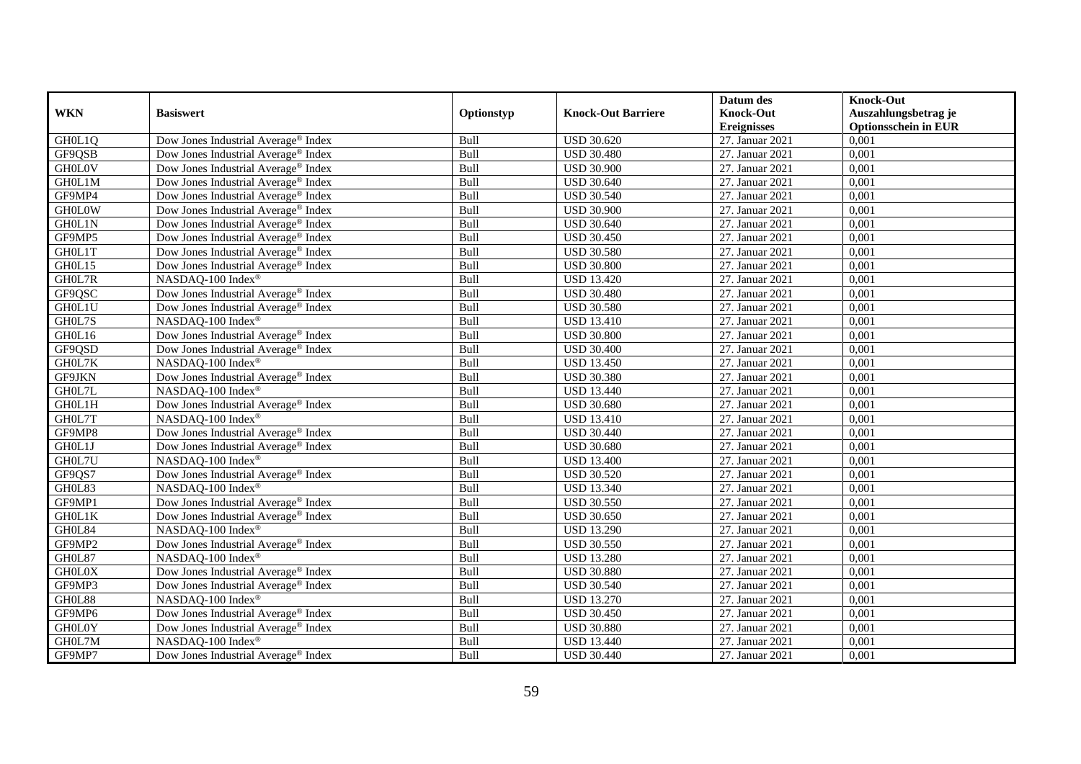|               |                                                 |            |                           | Datum des          | <b>Knock-Out</b>            |
|---------------|-------------------------------------------------|------------|---------------------------|--------------------|-----------------------------|
| <b>WKN</b>    | <b>Basiswert</b>                                | Optionstyp | <b>Knock-Out Barriere</b> | <b>Knock-Out</b>   | Auszahlungsbetrag je        |
|               |                                                 |            |                           | <b>Ereignisses</b> | <b>Optionsschein in EUR</b> |
| GH0L1Q        | Dow Jones Industrial Average® Index             | Bull       | <b>USD 30.620</b>         | 27. Januar 2021    | 0,001                       |
| GF9QSB        | Dow Jones Industrial Average <sup>®</sup> Index | Bull       | <b>USD 30.480</b>         | 27. Januar 2021    | 0,001                       |
| <b>GH0L0V</b> | Dow Jones Industrial Average® Index             | Bull       | <b>USD 30.900</b>         | 27. Januar 2021    | 0,001                       |
| GH0L1M        | Dow Jones Industrial Average <sup>®</sup> Index | Bull       | <b>USD 30.640</b>         | 27. Januar 2021    | 0,001                       |
| GF9MP4        | Dow Jones Industrial Average® Index             | Bull       | <b>USD 30.540</b>         | 27. Januar 2021    | 0,001                       |
| <b>GH0L0W</b> | Dow Jones Industrial Average <sup>®</sup> Index | Bull       | <b>USD 30.900</b>         | 27. Januar 2021    | 0,001                       |
| GH0L1N        | Dow Jones Industrial Average <sup>®</sup> Index | Bull       | <b>USD 30.640</b>         | 27. Januar 2021    | 0,001                       |
| GF9MP5        | Dow Jones Industrial Average® Index             | Bull       | <b>USD 30.450</b>         | 27. Januar 2021    | 0,001                       |
| GH0L1T        | Dow Jones Industrial Average® Index             | Bull       | <b>USD 30.580</b>         | 27. Januar 2021    | 0,001                       |
| GH0L15        | Dow Jones Industrial Average® Index             | Bull       | <b>USD 30.800</b>         | 27. Januar 2021    | 0,001                       |
| GH0L7R        | NASDAQ-100 Index <sup>®</sup>                   | Bull       | <b>USD 13.420</b>         | 27. Januar 2021    | 0,001                       |
| GF9QSC        | Dow Jones Industrial Average® Index             | Bull       | <b>USD 30.480</b>         | 27. Januar 2021    | 0,001                       |
| GH0L1U        | Dow Jones Industrial Average <sup>®</sup> Index | Bull       | <b>USD 30.580</b>         | 27. Januar 2021    | 0,001                       |
| GH0L7S        | NASDAQ-100 Index®                               | Bull       | <b>USD 13.410</b>         | 27. Januar 2021    | 0,001                       |
| GH0L16        | Dow Jones Industrial Average <sup>®</sup> Index | Bull       | <b>USD 30.800</b>         | 27. Januar 2021    | 0,001                       |
| GF9QSD        | Dow Jones Industrial Average® Index             | Bull       | <b>USD 30.400</b>         | 27. Januar 2021    | 0,001                       |
| GH0L7K        | NASDAQ-100 Index®                               | Bull       | <b>USD 13.450</b>         | 27. Januar 2021    | 0,001                       |
| <b>GF9JKN</b> | Dow Jones Industrial Average <sup>®</sup> Index | Bull       | <b>USD 30.380</b>         | 27. Januar 2021    | 0,001                       |
| GH0L7L        | NASDAQ-100 Index®                               | Bull       | <b>USD 13.440</b>         | 27. Januar 2021    | 0,001                       |
| GH0L1H        | Dow Jones Industrial Average® Index             | Bull       | <b>USD 30.680</b>         | 27. Januar 2021    | 0,001                       |
| GH0L7T        | NASDAQ-100 Index®                               | Bull       | <b>USD 13.410</b>         | 27. Januar 2021    | 0,001                       |
| GF9MP8        | Dow Jones Industrial Average <sup>®</sup> Index | Bull       | <b>USD 30.440</b>         | 27. Januar 2021    | 0,001                       |
| GH0L1J        | Dow Jones Industrial Average® Index             | Bull       | <b>USD 30.680</b>         | 27. Januar 2021    | 0,001                       |
| GH0L7U        | NASDAQ-100 Index®                               | Bull       | <b>USD 13.400</b>         | 27. Januar 2021    | 0,001                       |
| GF9QS7        | Dow Jones Industrial Average <sup>®</sup> Index | Bull       | <b>USD 30.520</b>         | 27. Januar 2021    | 0.001                       |
| GH0L83        | NASDAQ-100 Index®                               | Bull       | <b>USD 13.340</b>         | 27. Januar 2021    | 0,001                       |
| GF9MP1        | Dow Jones Industrial Average <sup>®</sup> Index | Bull       | <b>USD 30.550</b>         | 27. Januar 2021    | 0,001                       |
| GH0L1K        | Dow Jones Industrial Average® Index             | Bull       | <b>USD 30.650</b>         | 27. Januar 2021    | 0,001                       |
| GH0L84        | NASDAQ-100 Index®                               | Bull       | <b>USD 13.290</b>         | 27. Januar 2021    | 0,001                       |
| GF9MP2        | Dow Jones Industrial Average <sup>®</sup> Index | Bull       | <b>USD 30.550</b>         | 27. Januar 2021    | 0,001                       |
| GH0L87        | NASDAQ-100 Index®                               | Bull       | <b>USD 13.280</b>         | 27. Januar 2021    | 0,001                       |
| <b>GH0L0X</b> | Dow Jones Industrial Average <sup>®</sup> Index | Bull       | <b>USD 30.880</b>         | 27. Januar 2021    | 0.001                       |
| GF9MP3        | Dow Jones Industrial Average® Index             | Bull       | <b>USD 30.540</b>         | 27. Januar 2021    | 0,001                       |
| GH0L88        | NASDAQ-100 Index®                               | Bull       | <b>USD 13.270</b>         | 27. Januar 2021    | 0,001                       |
| GF9MP6        | Dow Jones Industrial Average® Index             | Bull       | <b>USD 30.450</b>         | 27. Januar 2021    | 0,001                       |
| <b>GH0L0Y</b> | Dow Jones Industrial Average <sup>®</sup> Index | Bull       | <b>USD 30.880</b>         | 27. Januar 2021    | 0,001                       |
| GH0L7M        | NASDAQ-100 Index®                               | Bull       | <b>USD 13.440</b>         | 27. Januar 2021    | 0,001                       |
| GF9MP7        | Dow Jones Industrial Average <sup>®</sup> Index | Bull       | <b>USD 30.440</b>         | 27. Januar 2021    | 0,001                       |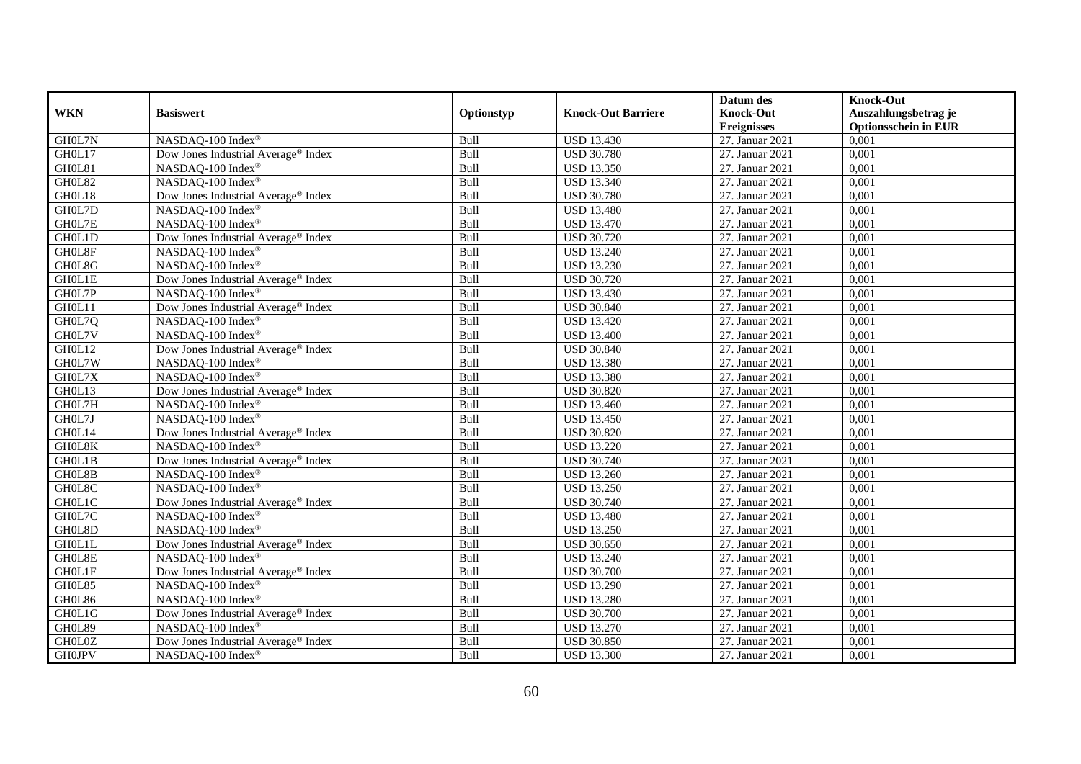|                         |                                                 |             |                           | Datum des          | <b>Knock-Out</b>            |
|-------------------------|-------------------------------------------------|-------------|---------------------------|--------------------|-----------------------------|
| <b>WKN</b>              | <b>Basiswert</b>                                | Optionstyp  | <b>Knock-Out Barriere</b> | <b>Knock-Out</b>   | Auszahlungsbetrag je        |
|                         |                                                 |             |                           | <b>Ereignisses</b> | <b>Optionsschein in EUR</b> |
| GH0L7N                  | NASDAQ-100 Index®                               | Bull        | <b>USD 13.430</b>         | 27. Januar 2021    | 0,001                       |
| GH0L17                  | Dow Jones Industrial Average® Index             | Bull        | <b>USD 30.780</b>         | 27. Januar 2021    | 0,001                       |
| GH0L81                  | NASDAQ-100 Index®                               | Bull        | <b>USD 13.350</b>         | 27. Januar 2021    | 0,001                       |
| GH0L82                  | NASDAQ-100 Index®                               | Bull        | <b>USD 13.340</b>         | 27. Januar 2021    | 0,001                       |
| GH0L18                  | Dow Jones Industrial Average <sup>®</sup> Index | Bull        | <b>USD 30.780</b>         | 27. Januar 2021    | 0,001                       |
| GH0L7D                  | NASDAQ-100 Index®                               | Bull        | <b>USD 13.480</b>         | 27. Januar 2021    | 0,001                       |
| GH0L7E                  | NASDAQ-100 Index®                               | Bull        | <b>USD</b> 13.470         | 27. Januar 2021    | 0,001                       |
| GH0L1D                  | Dow Jones Industrial Average® Index             | Bull        | <b>USD 30.720</b>         | 27. Januar 2021    | 0,001                       |
| GH0L8F                  | NASDAQ-100 Index®                               | Bull        | <b>USD 13.240</b>         | 27. Januar 2021    | 0,001                       |
| GH0L8G                  | NASDAQ-100 Index®                               | Bull        | <b>USD 13.230</b>         | 27. Januar 2021    | 0,001                       |
| <b>GHOL1E</b>           | Dow Jones Industrial Average® Index             | Bull        | <b>USD 30.720</b>         | 27. Januar 2021    | 0,001                       |
| GH0L7P                  | NASDAQ-100 Index®                               | Bull        | <b>USD 13.430</b>         | 27. Januar 2021    | 0,001                       |
| GH0L11                  | Dow Jones Industrial Average® Index             | Bull        | <b>USD 30.840</b>         | 27. Januar 2021    | 0,001                       |
| GH0L7Q                  | NASDAQ-100 Index®                               | Bull        | <b>USD 13.420</b>         | 27. Januar 2021    | 0,001                       |
| GH0L7V                  | NASDAQ-100 Index®                               | Bull        | <b>USD 13.400</b>         | 27. Januar 2021    | 0,001                       |
| GH0L12                  | Dow Jones Industrial Average <sup>®</sup> Index | Bull        | <b>USD 30.840</b>         | 27. Januar 2021    | 0,001                       |
| GH0L7W                  | NASDAQ-100 Index®                               | Bull        | <b>USD 13.380</b>         | 27. Januar 2021    | 0,001                       |
| GH0L7X                  | NASDAO-100 Index®                               | <b>Bull</b> | <b>USD 13.380</b>         | 27. Januar 2021    | 0,001                       |
| GH0L13                  | Dow Jones Industrial Average <sup>®</sup> Index | Bull        | <b>USD 30.820</b>         | 27. Januar 2021    | 0,001                       |
| GH0L7H                  | NASDAQ-100 Index®                               | Bull        | <b>USD 13.460</b>         | 27. Januar 2021    | 0,001                       |
| GH0L7J                  | NASDAQ-100 Index®                               | Bull        | <b>USD 13.450</b>         | 27. Januar 2021    | 0,001                       |
| GH0L14                  | Dow Jones Industrial Average® Index             | Bull        | <b>USD 30.820</b>         | 27. Januar 2021    | 0,001                       |
| GH0L8K                  | NASDAQ-100 Index®                               | Bull        | <b>USD 13.220</b>         | 27. Januar 2021    | 0,001                       |
| GH0L1B                  | Dow Jones Industrial Average® Index             | Bull        | <b>USD 30.740</b>         | 27. Januar 2021    | 0,001                       |
| GH0L8B                  | NASDAQ-100 Index®                               | Bull        | <b>USD 13.260</b>         | 27. Januar 2021    | 0,001                       |
| GH0L8C                  | NASDAQ-100 Index®                               | Bull        | <b>USD 13.250</b>         | 27. Januar 2021    | 0,001                       |
| GH0L1C                  | Dow Jones Industrial Average <sup>®</sup> Index | Bull        | <b>USD 30.740</b>         | 27. Januar 2021    | 0,001                       |
| GH0L7C                  | NASDAQ-100 Index®                               | Bull        | <b>USD</b> 13.480         | 27. Januar 2021    | 0,001                       |
| GH0L8D                  | NASDAQ-100 Index®                               | Bull        | <b>USD 13.250</b>         | 27. Januar 2021    | 0,001                       |
| GH0L1L                  | Dow Jones Industrial Average <sup>®</sup> Index | Bull        | <b>USD 30.650</b>         | 27. Januar 2021    | 0,001                       |
| $\mbox{GHOL8E}$         | NASDAQ-100 Index®                               | Bull        | <b>USD 13.240</b>         | 27. Januar 2021    | 0,001                       |
| GH0L1F                  | Dow Jones Industrial Average <sup>®</sup> Index | Bull        | <b>USD 30.700</b>         | 27. Januar 2021    | 0,001                       |
| GH0L85                  | NASDAQ-100 Index®                               | Bull        | <b>USD 13.290</b>         | 27. Januar 2021    | 0,001                       |
| GH0L86                  | NASDAQ-100 Index®                               | Bull        | <b>USD 13.280</b>         | 27. Januar 2021    | 0,001                       |
| GH0L1G                  | Dow Jones Industrial Average® Index             | Bull        | <b>USD 30.700</b>         | 27. Januar 2021    | 0,001                       |
| GH0L89                  | NASDAQ-100 Index®                               | Bull        | <b>USD 13.270</b>         | 27. Januar 2021    | 0,001                       |
| $\operatorname{GHOLOZ}$ | Dow Jones Industrial Average <sup>®</sup> Index | Bull        | <b>USD 30.850</b>         | 27. Januar 2021    | 0,001                       |
| <b>GH0JPV</b>           | NASDAQ-100 Index®                               | Bull        | <b>USD 13.300</b>         | 27. Januar 2021    | 0,001                       |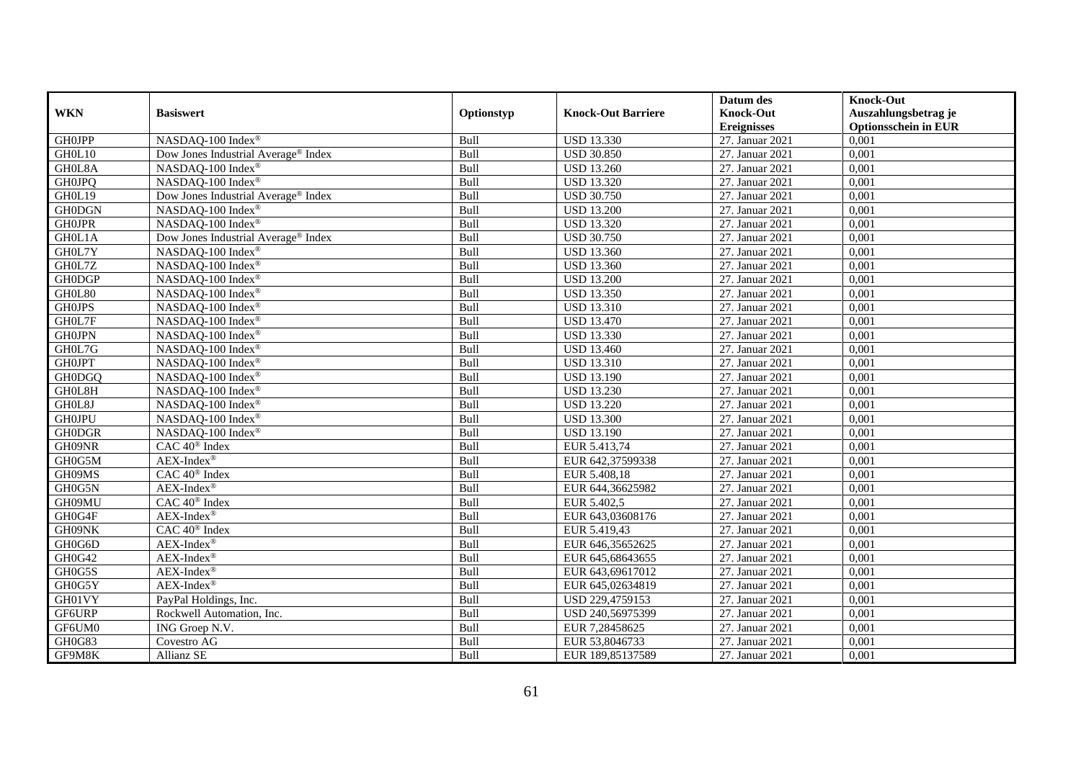|                   |                                                 |            |                           | Datum des          | <b>Knock-Out</b>            |
|-------------------|-------------------------------------------------|------------|---------------------------|--------------------|-----------------------------|
| <b>WKN</b>        | <b>Basiswert</b>                                | Optionstyp | <b>Knock-Out Barriere</b> | <b>Knock-Out</b>   | Auszahlungsbetrag je        |
|                   |                                                 |            |                           | <b>Ereignisses</b> | <b>Optionsschein in EUR</b> |
| <b>GHOJPP</b>     | NASDAQ-100 Index®                               | Bull       | <b>USD 13.330</b>         | 27. Januar 2021    | 0,001                       |
| GH0L10            | Dow Jones Industrial Average® Index             | Bull       | <b>USD 30.850</b>         | 27. Januar 2021    | 0,001                       |
| GH0L8A            | NASDAQ-100 Index®                               | Bull       | <b>USD 13.260</b>         | 27. Januar 2021    | 0,001                       |
| <b>GH0JPQ</b>     | NASDAQ-100 Index®                               | Bull       | <b>USD 13.320</b>         | 27. Januar 2021    | 0,001                       |
| GH0L19            | Dow Jones Industrial Average <sup>®</sup> Index | Bull       | <b>USD 30.750</b>         | 27. Januar 2021    | 0,001                       |
| <b>GH0DGN</b>     | NASDAQ-100 Index®                               | Bull       | <b>USD 13.200</b>         | 27. Januar 2021    | 0,001                       |
| <b>GH0JPR</b>     | NASDAQ-100 Index®                               | Bull       | <b>USD 13.320</b>         | 27. Januar 2021    | 0,001                       |
| GH0L1A            | Dow Jones Industrial Average® Index             | Bull       | <b>USD 30.750</b>         | 27. Januar 2021    | 0,001                       |
| GH0L7Y            | NASDAQ-100 Index®                               | Bull       | <b>USD 13.360</b>         | 27. Januar 2021    | 0,001                       |
| GH0L7Z            | NASDAQ-100 Index®                               | Bull       | <b>USD 13.360</b>         | 27. Januar 2021    | 0,001                       |
| <b>GH0DGP</b>     | NASDAQ-100 Index®                               | Bull       | <b>USD 13.200</b>         | 27. Januar 2021    | 0,001                       |
| $\mathrm{GHOL}80$ | NASDAQ-100 Index®                               | Bull       | <b>USD 13.350</b>         | 27. Januar 2021    | 0,001                       |
| <b>GH0JPS</b>     | NASDAQ-100 Index®                               | Bull       | <b>USD 13.310</b>         | 27. Januar 2021    | 0,001                       |
| GH0L7F            | NASDAQ-100 Index®                               | Bull       | <b>USD 13.470</b>         | 27. Januar 2021    | 0.001                       |
| <b>GH0JPN</b>     | NASDAQ-100 Index®                               | Bull       | <b>USD 13.330</b>         | 27. Januar 2021    | 0,001                       |
| GH0L7G            | NASDAQ-100 Index®                               | Bull       | <b>USD 13.460</b>         | 27. Januar 2021    | 0,001                       |
| <b>GH0JPT</b>     | NASDAQ-100 Index®                               | Bull       | <b>USD 13.310</b>         | 27. Januar 2021    | 0,001                       |
| GH0DGQ            | NASDAQ-100 Index®                               | Bull       | <b>USD 13.190</b>         | 27. Januar 2021    | 0,001                       |
| GH0L8H            | NASDAQ-100 Index®                               | Bull       | <b>USD 13.230</b>         | 27. Januar 2021    | 0,001                       |
| GH0L8J            | NASDAQ-100 Index®                               | Bull       | <b>USD 13.220</b>         | 27. Januar 2021    | 0,001                       |
| <b>GH0JPU</b>     | NASDAQ-100 Index®                               | Bull       | <b>USD 13.300</b>         | 27. Januar 2021    | 0,001                       |
| <b>GH0DGR</b>     | NASDAQ-100 Index®                               | Bull       | <b>USD 13.190</b>         | 27. Januar 2021    | 0,001                       |
| GH09NR            | $CAC 40$ <sup>®</sup> Index                     | Bull       | EUR 5.413,74              | 27. Januar 2021    | 0,001                       |
| GH0G5M            | $AEX-Index^{\circledR}$                         | Bull       | EUR 642,37599338          | 27. Januar 2021    | 0,001                       |
| GH09MS            | CAC 40 <sup>®</sup> Index                       | Bull       | EUR 5.408,18              | 27. Januar 2021    | 0,001                       |
| GH0G5N            | AEX-Index®                                      | Bull       | EUR 644,36625982          | 27. Januar 2021    | 0,001                       |
| GH09MU            | CAC 40 <sup>®</sup> Index                       | Bull       | EUR 5.402,5               | 27. Januar 2021    | 0,001                       |
| GH0G4F            | $AEX-Index^{\circledR}$                         | Bull       | EUR 643,03608176          | 27. Januar 2021    | 0,001                       |
| GH09NK            | CAC 40 <sup>®</sup> Index                       | Bull       | EUR 5.419,43              | 27. Januar 2021    | 0,001                       |
| GH0G6D            | $AEX-Index^{\circledR}$                         | Bull       | EUR 646,35652625          | 27. Januar 2021    | 0,001                       |
| GH0G42            | $AEX-Index^{\circledR}$                         | Bull       | EUR 645,68643655          | 27. Januar 2021    | 0,001                       |
| GH0G5S            | $AEX-Index^{\circledR}$                         | Bull       | EUR 643,69617012          | 27. Januar 2021    | 0,001                       |
| GH0G5Y            | $AEX-Index^{\circledR}$                         | Bull       | EUR 645,02634819          | 27. Januar 2021    | 0,001                       |
| GH01VY            | PayPal Holdings, Inc.                           | Bull       | USD 229,4759153           | 27. Januar 2021    | 0,001                       |
| GF6URP            | Rockwell Automation, Inc.                       | Bull       | USD 240,56975399          | 27. Januar 2021    | 0,001                       |
| GF6UM0            | ING Groep N.V.                                  | Bull       | EUR 7,28458625            | 27. Januar 2021    | 0,001                       |
| GH0G83            | Covestro AG                                     | Bull       | EUR 53,8046733            | 27. Januar 2021    | 0,001                       |
| GF9M8K            | Allianz SE                                      | Bull       | EUR 189,85137589          | 27. Januar 2021    | 0,001                       |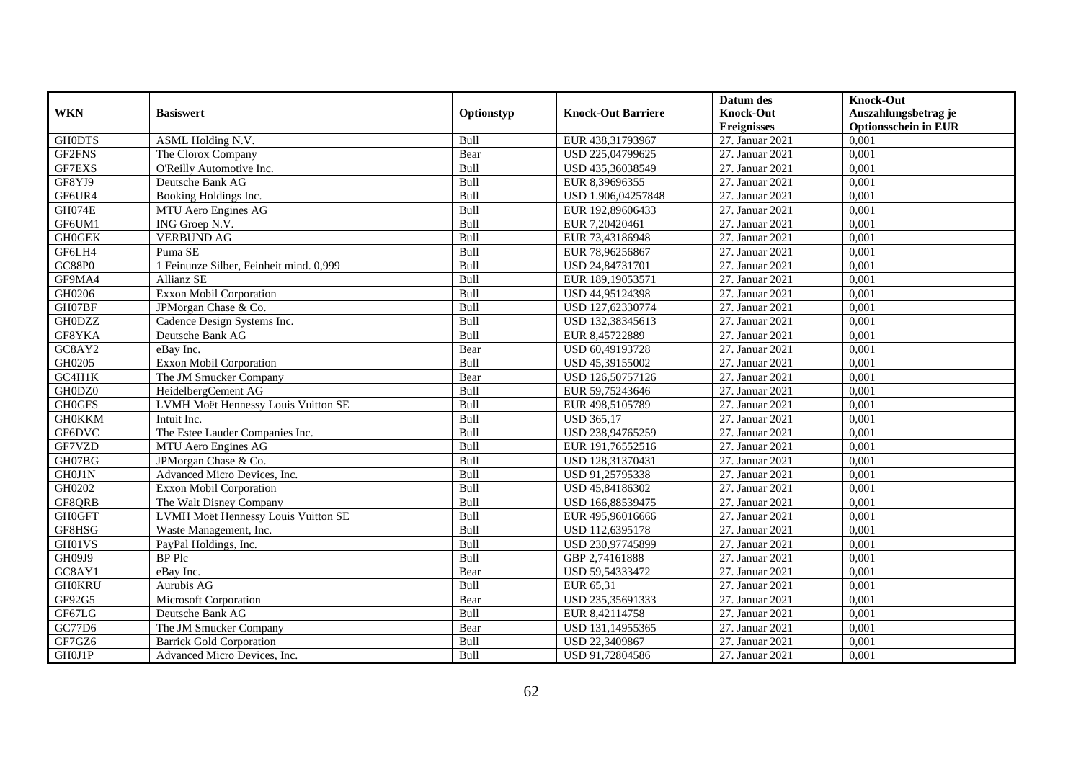|               |                                         |            |                           | Datum des          | <b>Knock-Out</b>            |
|---------------|-----------------------------------------|------------|---------------------------|--------------------|-----------------------------|
| <b>WKN</b>    | <b>Basiswert</b>                        | Optionstyp | <b>Knock-Out Barriere</b> | <b>Knock-Out</b>   | Auszahlungsbetrag je        |
|               |                                         |            |                           | <b>Ereignisses</b> | <b>Optionsschein in EUR</b> |
| <b>GH0DTS</b> | ASML Holding N.V.                       | Bull       | EUR 438,31793967          | 27. Januar 2021    | 0,001                       |
| GF2FNS        | The Clorox Company                      | Bear       | USD 225,04799625          | 27. Januar 2021    | 0,001                       |
| GF7EXS        | O'Reilly Automotive Inc.                | Bull       | USD 435,36038549          | 27. Januar 2021    | 0,001                       |
| GF8YJ9        | Deutsche Bank AG                        | Bull       | EUR 8,39696355            | 27. Januar 2021    | 0,001                       |
| GF6UR4        | Booking Holdings Inc.                   | Bull       | USD 1.906,04257848        | 27. Januar 2021    | 0,001                       |
| GH074E        | MTU Aero Engines AG                     | Bull       | EUR 192,89606433          | 27. Januar 2021    | 0,001                       |
| GF6UM1        | ING Groep N.V.                          | Bull       | EUR 7,20420461            | 27. Januar 2021    | 0,001                       |
| <b>GH0GEK</b> | <b>VERBUND AG</b>                       | Bull       | EUR 73,43186948           | 27. Januar 2021    | 0,001                       |
| GF6LH4        | Puma SE                                 | Bull       | EUR 78,96256867           | 27. Januar 2021    | 0,001                       |
| <b>GC88P0</b> | 1 Feinunze Silber, Feinheit mind. 0,999 | Bull       | USD 24,84731701           | 27. Januar 2021    | 0,001                       |
| GF9MA4        | Allianz SE                              | Bull       | EUR 189,19053571          | 27. Januar 2021    | 0,001                       |
| GH0206        | <b>Exxon Mobil Corporation</b>          | Bull       | USD 44,95124398           | 27. Januar 2021    | 0,001                       |
| GH07BF        | JPMorgan Chase & Co.                    | Bull       | USD 127,62330774          | 27. Januar 2021    | 0,001                       |
| <b>GH0DZZ</b> | Cadence Design Systems Inc.             | Bull       | USD 132,38345613          | 27. Januar 2021    | 0,001                       |
| GF8YKA        | Deutsche Bank AG                        | Bull       | EUR 8,45722889            | 27. Januar 2021    | 0,001                       |
| GC8AY2        | eBay Inc.                               | Bear       | USD 60,49193728           | 27. Januar 2021    | 0,001                       |
| GH0205        | <b>Exxon Mobil Corporation</b>          | Bull       | USD 45,39155002           | 27. Januar 2021    | 0,001                       |
| GC4H1K        | The JM Smucker Company                  | Bear       | USD 126,50757126          | 27. Januar 2021    | 0,001                       |
| GH0DZ0        | HeidelbergCement AG                     | Bull       | EUR 59,75243646           | 27. Januar 2021    | 0,001                       |
| <b>GH0GFS</b> | LVMH Moët Hennessy Louis Vuitton SE     | Bull       | EUR 498,5105789           | 27. Januar 2021    | 0,001                       |
| <b>GH0KKM</b> | Intuit Inc.                             | Bull       | <b>USD 365,17</b>         | 27. Januar 2021    | 0,001                       |
| GF6DVC        | The Estee Lauder Companies Inc.         | Bull       | USD 238,94765259          | 27. Januar 2021    | 0.001                       |
| GF7VZD        | MTU Aero Engines AG                     | Bull       | EUR 191,76552516          | 27. Januar 2021    | 0,001                       |
| GH07BG        | JPMorgan Chase & Co.                    | Bull       | USD 128,31370431          | 27. Januar 2021    | 0,001                       |
| GH0J1N        | Advanced Micro Devices, Inc.            | Bull       | USD 91,25795338           | 27. Januar 2021    | 0,001                       |
| GH0202        | Exxon Mobil Corporation                 | Bull       | USD 45,84186302           | 27. Januar 2021    | 0,001                       |
| GF8QRB        | The Walt Disney Company                 | Bull       | USD 166,88539475          | 27. Januar 2021    | 0,001                       |
| <b>GH0GFT</b> | LVMH Moët Hennessy Louis Vuitton SE     | Bull       | EUR 495,96016666          | 27. Januar 2021    | 0,001                       |
| GF8HSG        | Waste Management, Inc.                  | Bull       | USD 112,6395178           | 27. Januar 2021    | 0,001                       |
| GH01VS        | PayPal Holdings, Inc.                   | Bull       | USD 230,97745899          | 27. Januar 2021    | 0.001                       |
| GH09J9        | <b>BP</b> Plc                           | Bull       | GBP 2,74161888            | 27. Januar 2021    | 0,001                       |
| GC8AY1        | eBay Inc.                               | Bear       | USD 59,54333472           | 27. Januar 2021    | 0,001                       |
| <b>GH0KRU</b> | Aurubis AG                              | Bull       | EUR 65,31                 | 27. Januar 2021    | 0,001                       |
| GF92G5        | Microsoft Corporation                   | Bear       | USD 235,35691333          | 27. Januar 2021    | 0,001                       |
| GF67LG        | Deutsche Bank AG                        | Bull       | EUR 8,42114758            | 27. Januar 2021    | 0,001                       |
| GC77D6        | The JM Smucker Company                  | Bear       | USD 131,14955365          | 27. Januar 2021    | 0,001                       |
| GF7GZ6        | <b>Barrick Gold Corporation</b>         | Bull       | USD 22,3409867            | 27. Januar 2021    | 0,001                       |
| GH0J1P        | Advanced Micro Devices, Inc.            | Bull       | USD 91,72804586           | 27. Januar 2021    | 0,001                       |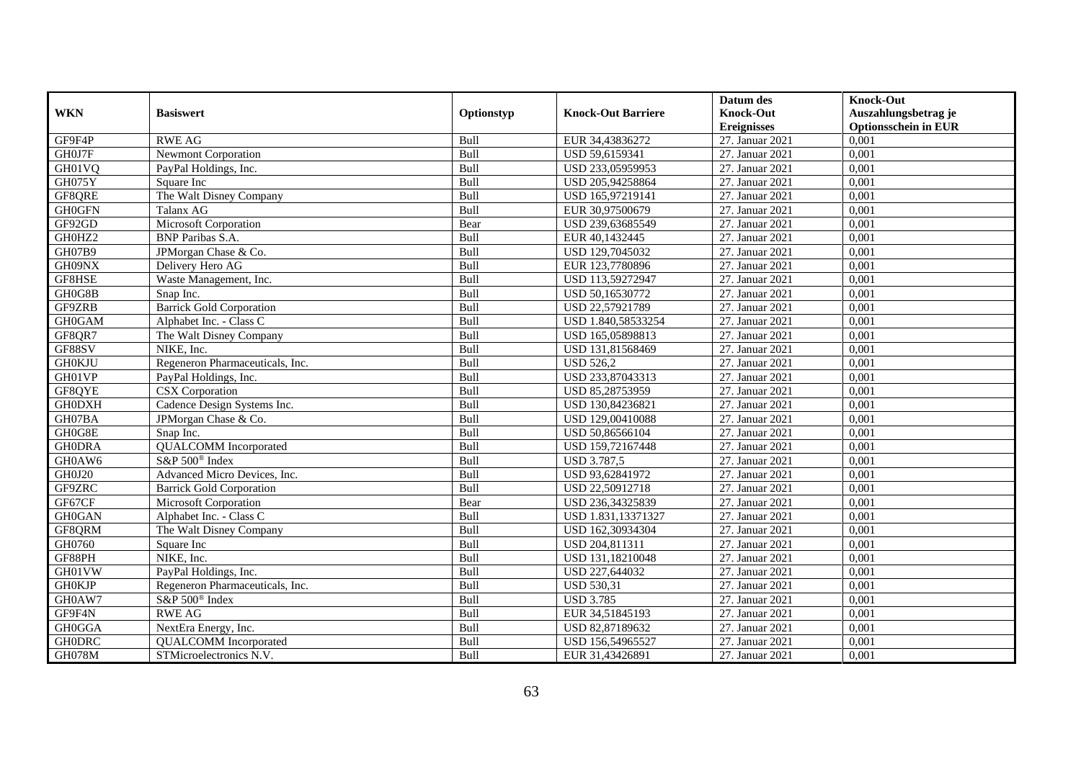|               |                                 |             |                           | Datum des          | <b>Knock-Out</b>            |
|---------------|---------------------------------|-------------|---------------------------|--------------------|-----------------------------|
| <b>WKN</b>    | <b>Basiswert</b>                | Optionstyp  | <b>Knock-Out Barriere</b> | <b>Knock-Out</b>   | Auszahlungsbetrag je        |
|               |                                 |             |                           | <b>Ereignisses</b> | <b>Optionsschein in EUR</b> |
| GF9F4P        | <b>RWE AG</b>                   | Bull        | EUR 34,43836272           | 27. Januar 2021    | 0,001                       |
| GH0J7F        | <b>Newmont Corporation</b>      | Bull        | USD 59,6159341            | 27. Januar 2021    | 0,001                       |
| GH01VQ        | PayPal Holdings, Inc.           | Bull        | USD 233,05959953          | 27. Januar 2021    | 0,001                       |
| GH075Y        | Square Inc                      | Bull        | USD 205,94258864          | 27. Januar 2021    | 0,001                       |
| GF8QRE        | The Walt Disney Company         | Bull        | USD 165,97219141          | 27. Januar 2021    | 0,001                       |
| <b>GH0GFN</b> | Talanx AG                       | Bull        | EUR 30,97500679           | 27. Januar 2021    | 0,001                       |
| GF92GD        | Microsoft Corporation           | Bear        | USD 239,63685549          | 27. Januar 2021    | 0,001                       |
| GH0HZ2        | <b>BNP</b> Paribas S.A.         | Bull        | EUR 40,1432445            | 27. Januar 2021    | 0,001                       |
| GH07B9        | JPMorgan Chase & Co.            | Bull        | USD 129,7045032           | 27. Januar 2021    | 0,001                       |
| GH09NX        | Delivery Hero AG                | Bull        | EUR 123,7780896           | 27. Januar 2021    | 0,001                       |
| GF8HSE        | Waste Management, Inc.          | Bull        | USD 113,59272947          | 27. Januar 2021    | 0,001                       |
| GH0G8B        | Snap Inc.                       | Bull        | USD 50,16530772           | 27. Januar 2021    | 0,001                       |
| GF9ZRB        | <b>Barrick Gold Corporation</b> | Bull        | USD 22,57921789           | 27. Januar 2021    | 0,001                       |
| <b>GH0GAM</b> | Alphabet Inc. - Class C         | Bull        | USD 1.840,58533254        | 27. Januar 2021    | 0,001                       |
| GF8QR7        | The Walt Disney Company         | Bull        | USD 165,05898813          | 27. Januar 2021    | 0,001                       |
| GF88SV        | NIKE, Inc.                      | Bull        | USD 131,81568469          | 27. Januar 2021    | 0,001                       |
| <b>GH0KJU</b> | Regeneron Pharmaceuticals, Inc. | Bull        | <b>USD 526,2</b>          | 27. Januar 2021    | 0,001                       |
| GH01VP        | PayPal Holdings, Inc.           | <b>Bull</b> | USD 233,87043313          | 27. Januar 2021    | 0,001                       |
| GF8QYE        | CSX Corporation                 | Bull        | USD 85,28753959           | 27. Januar 2021    | 0,001                       |
| <b>GH0DXH</b> | Cadence Design Systems Inc.     | Bull        | USD 130,84236821          | 27. Januar 2021    | 0,001                       |
| GH07BA        | JPMorgan Chase & Co.            | Bull        | USD 129,00410088          | 27. Januar 2021    | 0,001                       |
| GH0G8E        | Snap Inc.                       | Bull        | USD 50,86566104           | 27. Januar 2021    | 0,001                       |
| <b>GH0DRA</b> | <b>QUALCOMM</b> Incorporated    | Bull        | USD 159,72167448          | 27. Januar 2021    | 0,001                       |
| GH0AW6        | S&P 500 <sup>®</sup> Index      | Bull        | <b>USD 3.787,5</b>        | 27. Januar 2021    | 0,001                       |
| GH0J20        | Advanced Micro Devices, Inc.    | Bull        | USD 93,62841972           | 27. Januar 2021    | 0,001                       |
| GF9ZRC        | <b>Barrick Gold Corporation</b> | Bull        | USD 22,50912718           | 27. Januar 2021    | 0,001                       |
| GF67CF        | Microsoft Corporation           | Bear        | USD 236,34325839          | 27. Januar 2021    | 0,001                       |
| <b>GH0GAN</b> | Alphabet Inc. - Class C         | Bull        | USD 1.831,13371327        | 27. Januar 2021    | 0.001                       |
| GF8QRM        | The Walt Disney Company         | Bull        | USD 162,30934304          | 27. Januar 2021    | 0,001                       |
| GH0760        | Square Inc                      | Bull        | USD 204,811311            | 27. Januar 2021    | 0,001                       |
| GF88PH        | NIKE, Inc.                      | Bull        | USD 131,18210048          | 27. Januar 2021    | 0,001                       |
| GH01VW        | PayPal Holdings, Inc.           | Bull        | USD 227,644032            | 27. Januar 2021    | 0,001                       |
| <b>GH0KJP</b> | Regeneron Pharmaceuticals, Inc. | Bull        | <b>USD 530,31</b>         | 27. Januar 2021    | 0,001                       |
| GH0AW7        | S&P 500 <sup>®</sup> Index      | Bull        | <b>USD 3.785</b>          | 27. Januar 2021    | 0,001                       |
| GF9F4N        | <b>RWE AG</b>                   | Bull        | EUR 34,51845193           | 27. Januar 2021    | 0,001                       |
| <b>GH0GGA</b> | NextEra Energy, Inc.            | Bull        | USD 82,87189632           | 27. Januar 2021    | 0,001                       |
| <b>GH0DRC</b> | <b>QUALCOMM</b> Incorporated    | Bull        | USD 156,54965527          | 27. Januar 2021    | 0,001                       |
| <b>GH078M</b> | STMicroelectronics N.V.         | Bull        | EUR 31,43426891           | 27. Januar 2021    | 0,001                       |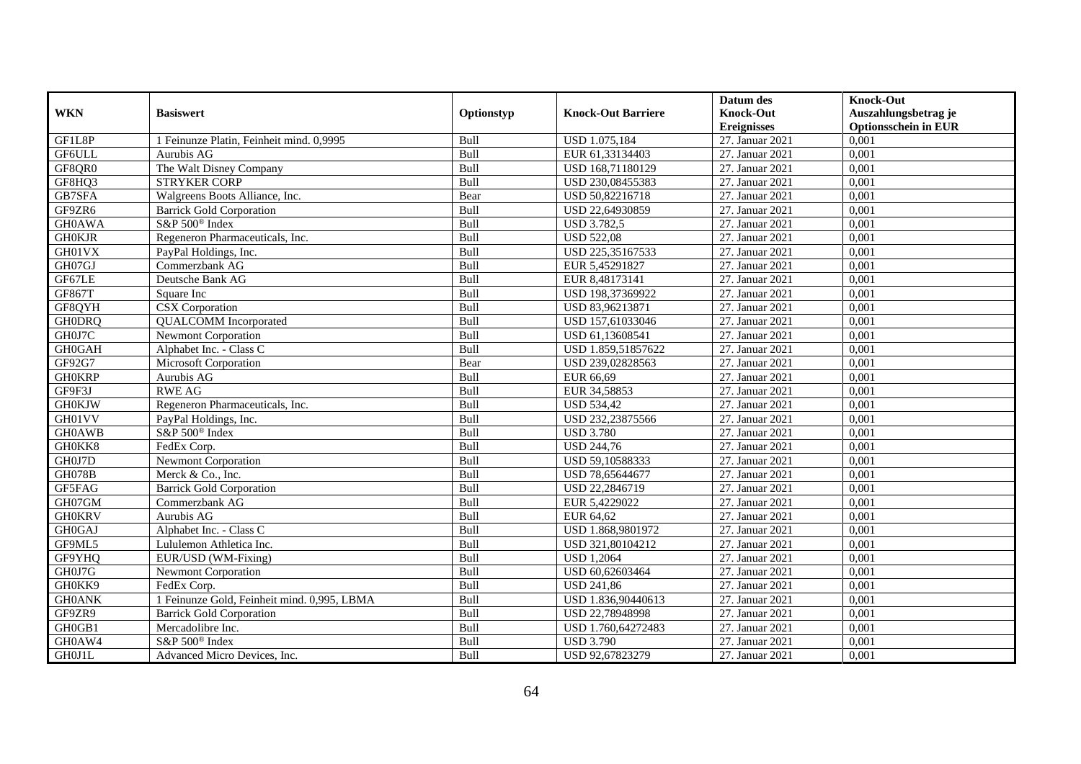|               |                                             |             |                           | Datum des          | <b>Knock-Out</b>            |
|---------------|---------------------------------------------|-------------|---------------------------|--------------------|-----------------------------|
| <b>WKN</b>    | <b>Basiswert</b>                            | Optionstyp  | <b>Knock-Out Barriere</b> | <b>Knock-Out</b>   | Auszahlungsbetrag je        |
|               |                                             |             |                           | <b>Ereignisses</b> | <b>Optionsschein in EUR</b> |
| GF1L8P        | 1 Feinunze Platin, Feinheit mind. 0,9995    | Bull        | <b>USD 1.075,184</b>      | 27. Januar 2021    | 0,001                       |
| GF6ULL        | Aurubis AG                                  | Bull        | EUR 61,33134403           | 27. Januar 2021    | 0,001                       |
| GF8QR0        | The Walt Disney Company                     | Bull        | USD 168,71180129          | 27. Januar 2021    | 0,001                       |
| GF8HQ3        | <b>STRYKER CORP</b>                         | Bull        | USD 230,08455383          | 27. Januar 2021    | 0,001                       |
| GB7SFA        | Walgreens Boots Alliance, Inc.              | Bear        | USD 50,82216718           | 27. Januar 2021    | 0,001                       |
| GF9ZR6        | <b>Barrick Gold Corporation</b>             | Bull        | USD 22,64930859           | 27. Januar 2021    | 0,001                       |
| <b>GH0AWA</b> | S&P 500 <sup>®</sup> Index                  | Bull        | <b>USD 3.782,5</b>        | 27. Januar 2021    | 0,001                       |
| <b>GH0KJR</b> | Regeneron Pharmaceuticals, Inc.             | Bull        | <b>USD 522,08</b>         | 27. Januar 2021    | 0,001                       |
| GH01VX        | PayPal Holdings, Inc.                       | Bull        | USD 225,35167533          | 27. Januar 2021    | 0,001                       |
| GH07GJ        | Commerzbank AG                              | Bull        | EUR 5,45291827            | 27. Januar 2021    | 0,001                       |
| GF67LE        | Deutsche Bank AG                            | Bull        | EUR 8,48173141            | 27. Januar 2021    | 0,001                       |
| <b>GF867T</b> | Square Inc                                  | Bull        | USD 198,37369922          | 27. Januar 2021    | 0,001                       |
| GF8QYH        | <b>CSX</b> Corporation                      | Bull        | USD 83,96213871           | 27. Januar 2021    | 0,001                       |
| <b>GH0DRQ</b> | <b>QUALCOMM</b> Incorporated                | Bull        | USD 157,61033046          | 27. Januar 2021    | 0,001                       |
| GH0J7C        | Newmont Corporation                         | Bull        | USD 61,13608541           | 27. Januar 2021    | 0,001                       |
| <b>GH0GAH</b> | Alphabet Inc. - Class C                     | Bull        | USD 1.859,51857622        | 27. Januar 2021    | 0,001                       |
| GF92G7        | Microsoft Corporation                       | Bear        | USD 239,02828563          | 27. Januar 2021    | 0,001                       |
| <b>GH0KRP</b> | Aurubis AG                                  | <b>Bull</b> | EUR 66.69                 | 27. Januar 2021    | 0,001                       |
| GF9F3J        | <b>RWE AG</b>                               | Bull        | EUR 34,58853              | 27. Januar 2021    | 0,001                       |
| <b>GH0KJW</b> | Regeneron Pharmaceuticals, Inc.             | Bull        | <b>USD 534,42</b>         | 27. Januar 2021    | 0,001                       |
| GH01VV        | PayPal Holdings, Inc.                       | Bull        | USD 232,23875566          | 27. Januar 2021    | 0,001                       |
| <b>GH0AWB</b> | S&P 500 <sup>®</sup> Index                  | Bull        | <b>USD 3.780</b>          | 27. Januar 2021    | 0,001                       |
| GH0KK8        | FedEx Corp.                                 | Bull        | <b>USD 244,76</b>         | 27. Januar 2021    | 0,001                       |
| GH0J7D        | <b>Newmont Corporation</b>                  | Bull        | USD 59,10588333           | 27. Januar 2021    | 0,001                       |
| <b>GH078B</b> | Merck & Co., Inc.                           | Bull        | USD 78,65644677           | 27. Januar 2021    | 0,001                       |
| GF5FAG        | <b>Barrick Gold Corporation</b>             | Bull        | USD 22,2846719            | 27. Januar 2021    | 0,001                       |
| GH07GM        | Commerzbank AG                              | Bull        | EUR 5,4229022             | 27. Januar 2021    | 0,001                       |
| <b>GH0KRV</b> | Aurubis AG                                  | Bull        | EUR 64,62                 | 27. Januar 2021    | 0.001                       |
| <b>GH0GAJ</b> | Alphabet Inc. - Class C                     | Bull        | USD 1.868,9801972         | 27. Januar 2021    | 0,001                       |
| GF9ML5        | Lululemon Athletica Inc.                    | Bull        | USD 321,80104212          | 27. Januar 2021    | 0,001                       |
| GF9YHQ        | EUR/USD (WM-Fixing)                         | Bull        | <b>USD 1,2064</b>         | 27. Januar 2021    | 0,001                       |
| GH0J7G        | <b>Newmont Corporation</b>                  | Bull        | USD 60,62603464           | 27. Januar 2021    | 0,001                       |
| GH0KK9        | FedEx Corp.                                 | Bull        | <b>USD 241,86</b>         | 27. Januar 2021    | 0,001                       |
| <b>GH0ANK</b> | 1 Feinunze Gold, Feinheit mind. 0,995, LBMA | Bull        | USD 1.836,90440613        | 27. Januar 2021    | 0,001                       |
| GF9ZR9        | <b>Barrick Gold Corporation</b>             | Bull        | USD 22,78948998           | 27. Januar 2021    | 0,001                       |
| GH0GB1        | Mercadolibre Inc.                           | Bull        | USD 1.760,64272483        | 27. Januar 2021    | 0,001                       |
| GH0AW4        | S&P 500 <sup>®</sup> Index                  | Bull        | <b>USD 3.790</b>          | 27. Januar 2021    | 0,001                       |
| <b>GH0J1L</b> | Advanced Micro Devices, Inc.                | Bull        | USD 92,67823279           | 27. Januar 2021    | 0,001                       |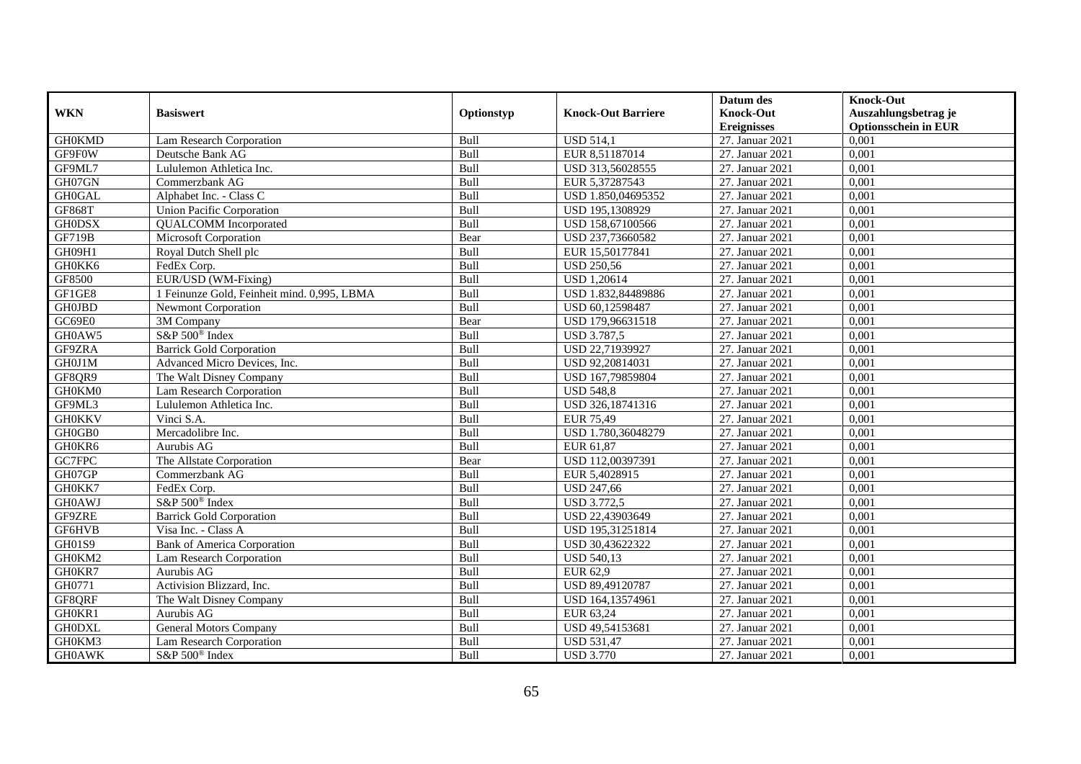|               |                                             |             |                           | Datum des          | <b>Knock-Out</b>            |
|---------------|---------------------------------------------|-------------|---------------------------|--------------------|-----------------------------|
| <b>WKN</b>    | <b>Basiswert</b>                            | Optionstyp  | <b>Knock-Out Barriere</b> | <b>Knock-Out</b>   | Auszahlungsbetrag je        |
|               |                                             |             |                           | <b>Ereignisses</b> | <b>Optionsschein in EUR</b> |
| <b>GH0KMD</b> | Lam Research Corporation                    | Bull        | <b>USD 514,1</b>          | 27. Januar 2021    | 0,001                       |
| GF9F0W        | Deutsche Bank AG                            | Bull        | EUR 8,51187014            | 27. Januar 2021    | 0,001                       |
| GF9ML7        | Lululemon Athletica Inc.                    | Bull        | USD 313,56028555          | 27. Januar 2021    | 0,001                       |
| GH07GN        | Commerzbank AG                              | Bull        | EUR 5,37287543            | 27. Januar 2021    | 0.001                       |
| <b>GH0GAL</b> | Alphabet Inc. - Class C                     | Bull        | USD 1.850,04695352        | 27. Januar 2021    | 0,001                       |
| <b>GF868T</b> | <b>Union Pacific Corporation</b>            | Bull        | USD 195,1308929           | 27. Januar 2021    | 0,001                       |
| <b>GH0DSX</b> | <b>QUALCOMM</b> Incorporated                | Bull        | USD 158,67100566          | 27. Januar 2021    | 0,001                       |
| <b>GF719B</b> | Microsoft Corporation                       | Bear        | USD 237,73660582          | 27. Januar 2021    | 0,001                       |
| GH09H1        | Royal Dutch Shell plc                       | Bull        | EUR 15,50177841           | 27. Januar 2021    | 0,001                       |
| GH0KK6        | FedEx Corp.                                 | Bull        | <b>USD 250,56</b>         | 27. Januar 2021    | 0,001                       |
| GF8500        | EUR/USD (WM-Fixing)                         | Bull        | <b>USD 1,20614</b>        | 27. Januar 2021    | 0,001                       |
| GF1GE8        | 1 Feinunze Gold, Feinheit mind. 0,995, LBMA | Bull        | USD 1.832,84489886        | 27. Januar 2021    | 0,001                       |
| <b>GH0JBD</b> | <b>Newmont Corporation</b>                  | Bull        | USD 60,12598487           | 27. Januar 2021    | 0,001                       |
| GC69E0        | 3M Company                                  | Bear        | USD 179,96631518          | 27. Januar 2021    | 0,001                       |
| GH0AW5        | S&P 500 <sup>®</sup> Index                  | Bull        | <b>USD 3.787,5</b>        | 27. Januar 2021    | 0,001                       |
| GF9ZRA        | <b>Barrick Gold Corporation</b>             | Bull        | USD 22,71939927           | 27. Januar 2021    | 0,001                       |
| GH0J1M        | Advanced Micro Devices, Inc.                | Bull        | USD 92,20814031           | 27. Januar 2021    | 0,001                       |
| GF8QR9        | The Walt Disney Company                     | <b>Bull</b> | USD 167.79859804          | 27. Januar 2021    | 0,001                       |
| GH0KM0        | Lam Research Corporation                    | Bull        | <b>USD 548,8</b>          | 27. Januar 2021    | 0,001                       |
| GF9ML3        | Lululemon Athletica Inc.                    | Bull        | USD 326,18741316          | 27. Januar 2021    | 0,001                       |
| <b>GH0KKV</b> | Vinci S.A.                                  | Bull        | EUR 75,49                 | 27. Januar 2021    | 0,001                       |
| GH0GB0        | Mercadolibre Inc.                           | Bull        | USD 1.780,36048279        | 27. Januar 2021    | 0,001                       |
| GH0KR6        | Aurubis AG                                  | Bull        | EUR 61,87                 | 27. Januar 2021    | 0,001                       |
| GC7FPC        | The Allstate Corporation                    | Bear        | USD 112,00397391          | 27. Januar 2021    | 0,001                       |
| GH07GP        | Commerzbank AG                              | Bull        | EUR 5,4028915             | 27. Januar 2021    | 0.001                       |
| GH0KK7        | FedEx Corp.                                 | Bull        | <b>USD 247,66</b>         | 27. Januar 2021    | 0,001                       |
| <b>GH0AWJ</b> | S&P 500 <sup>®</sup> Index                  | Bull        | <b>USD 3.772,5</b>        | 27. Januar 2021    | 0,001                       |
| GF9ZRE        | <b>Barrick Gold Corporation</b>             | Bull        | USD 22,43903649           | 27. Januar 2021    | 0,001                       |
| GF6HVB        | Visa Inc. - Class A                         | Bull        | USD 195,31251814          | 27. Januar 2021    | 0,001                       |
| GH01S9        | <b>Bank of America Corporation</b>          | Bull        | USD 30,43622322           | 27. Januar 2021    | 0,001                       |
| GH0KM2        | Lam Research Corporation                    | Bull        | <b>USD 540,13</b>         | 27. Januar 2021    | 0,001                       |
| GH0KR7        | Aurubis AG                                  | <b>Bull</b> | EUR 62.9                  | 27. Januar 2021    | 0.001                       |
| GH0771        | Activision Blizzard, Inc.                   | Bull        | USD 89,49120787           | 27. Januar 2021    | 0,001                       |
| GF8QRF        | The Walt Disney Company                     | Bull        | USD 164,13574961          | 27. Januar 2021    | 0,001                       |
| GH0KR1        | Aurubis AG                                  | Bull        | EUR 63,24                 | 27. Januar 2021    | 0,001                       |
| <b>GH0DXL</b> | <b>General Motors Company</b>               | Bull        | USD 49,54153681           | 27. Januar 2021    | 0,001                       |
| GH0KM3        | Lam Research Corporation                    | Bull        | <b>USD 531,47</b>         | 27. Januar 2021    | 0,001                       |
| <b>GH0AWK</b> | S&P 500 <sup>®</sup> Index                  | Bull        | <b>USD 3.770</b>          | 27. Januar 2021    | 0,001                       |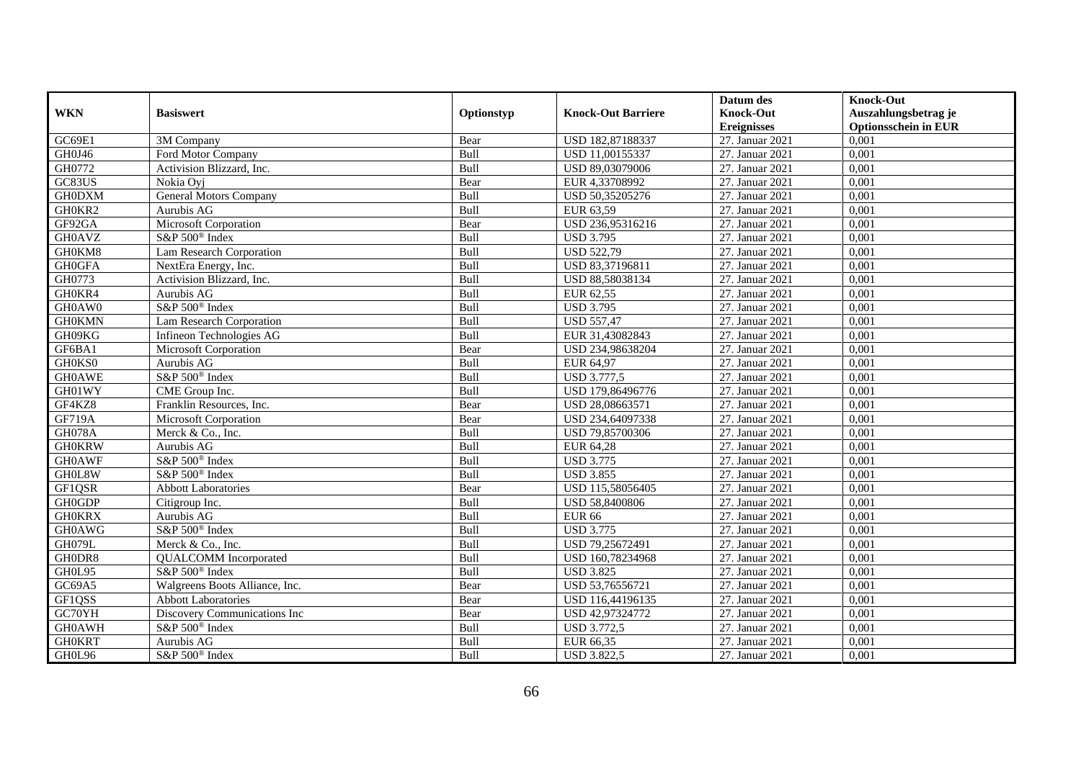|                     |                                |             |                           | Datum des          | <b>Knock-Out</b>            |
|---------------------|--------------------------------|-------------|---------------------------|--------------------|-----------------------------|
| <b>WKN</b>          | <b>Basiswert</b>               | Optionstyp  | <b>Knock-Out Barriere</b> | <b>Knock-Out</b>   | Auszahlungsbetrag je        |
|                     |                                |             |                           | <b>Ereignisses</b> | <b>Optionsschein in EUR</b> |
| GC69E1              | 3M Company                     | Bear        | USD 182,87188337          | 27. Januar 2021    | 0,001                       |
| GH0J46              | Ford Motor Company             | Bull        | USD 11,00155337           | 27. Januar 2021    | 0,001                       |
| GH0772              | Activision Blizzard, Inc.      | Bull        | USD 89,03079006           | 27. Januar 2021    | 0,001                       |
| GC83US              | Nokia Ovi                      | Bear        | EUR 4,33708992            | 27. Januar 2021    | 0,001                       |
| <b>GH0DXM</b>       | <b>General Motors Company</b>  | Bull        | USD 50,35205276           | 27. Januar 2021    | 0,001                       |
| GH0KR2              | Aurubis AG                     | Bull        | EUR 63,59                 | 27. Januar 2021    | 0,001                       |
| GF92GA              | Microsoft Corporation          | Bear        | USD 236,95316216          | 27. Januar 2021    | 0,001                       |
| <b>GH0AVZ</b>       | $S\&P 500^{\circ}$ Index       | Bull        | <b>USD 3.795</b>          | 27. Januar 2021    | 0,001                       |
| GH0KM8              | Lam Research Corporation       | Bull        | <b>USD 522,79</b>         | 27. Januar 2021    | 0,001                       |
| <b>GH0GFA</b>       | NextEra Energy, Inc.           | Bull        | USD 83,37196811           | 27. Januar 2021    | 0,001                       |
| GH0773              | Activision Blizzard, Inc.      | Bull        | USD 88,58038134           | 27. Januar 2021    | 0,001                       |
| GH0KR4              | Aurubis AG                     | Bull        | EUR 62,55                 | 27. Januar 2021    | 0,001                       |
| GH0AW0              | S&P 500 <sup>®</sup> Index     | Bull        | <b>USD 3.795</b>          | 27. Januar 2021    | 0,001                       |
| <b>GH0KMN</b>       | Lam Research Corporation       | Bull        | <b>USD 557,47</b>         | 27. Januar 2021    | 0,001                       |
| GH09KG              | Infineon Technologies AG       | Bull        | EUR 31,43082843           | 27. Januar 2021    | 0,001                       |
| GF6BA1              | Microsoft Corporation          | Bear        | USD 234,98638204          | 27. Januar 2021    | 0,001                       |
| GH0KS0              | Aurubis AG                     | Bull        | EUR 64,97                 | 27. Januar 2021    | 0,001                       |
| <b>GH0AWE</b>       | S&P 500 <sup>®</sup> Index     | <b>Bull</b> | <b>USD 3.777,5</b>        | 27. Januar 2021    | 0,001                       |
| GH01WY              | CME Group Inc.                 | Bull        | USD 179,86496776          | 27. Januar 2021    | 0,001                       |
| GF4KZ8              | Franklin Resources, Inc.       | Bear        | USD 28,08663571           | 27. Januar 2021    | 0,001                       |
| <b>GF719A</b>       | Microsoft Corporation          | Bear        | USD 234,64097338          | 27. Januar 2021    | 0,001                       |
| GH078A              | Merck & Co., Inc.              | Bull        | USD 79,85700306           | 27. Januar 2021    | 0,001                       |
| <b>GH0KRW</b>       | Aurubis AG                     | Bull        | EUR 64,28                 | 27. Januar 2021    | 0,001                       |
| <b>GH0AWF</b>       | S&P 500 <sup>®</sup> Index     | Bull        | <b>USD 3.775</b>          | 27. Januar 2021    | 0,001                       |
| GH0L8W              | S&P 500 <sup>®</sup> Index     | Bull        | <b>USD 3.855</b>          | 27. Januar 2021    | 0,001                       |
| GF1QSR              | <b>Abbott Laboratories</b>     | Bear        | USD 115,58056405          | 27. Januar 2021    | 0,001                       |
| <b>GH0GDP</b>       | Citigroup Inc.                 | Bull        | USD 58,8400806            | 27. Januar 2021    | 0,001                       |
| <b>GH0KRX</b>       | Aurubis AG                     | Bull        | <b>EUR 66</b>             | 27. Januar 2021    | 0.001                       |
| <b>GH0AWG</b>       | S&P 500 <sup>®</sup> Index     | Bull        | <b>USD 3.775</b>          | 27. Januar 2021    | 0,001                       |
| GH079L              | Merck & Co., Inc.              | Bull        | USD 79,25672491           | 27. Januar 2021    | 0,001                       |
| GH0DR8              | <b>QUALCOMM</b> Incorporated   | Bull        | USD 160,78234968          | 27. Januar 2021    | 0,001                       |
| GH0L95              | S&P 500 <sup>®</sup> Index     | Bull        | <b>USD 3.825</b>          | 27. Januar 2021    | 0,001                       |
| $G\overline{C69A5}$ | Walgreens Boots Alliance, Inc. | Bear        | USD 53,76556721           | 27. Januar 2021    | 0,001                       |
| GF1QSS              | <b>Abbott Laboratories</b>     | Bear        | USD 116,44196135          | 27. Januar 2021    | 0,001                       |
| GC70YH              | Discovery Communications Inc   | Bear        | USD 42,97324772           | 27. Januar 2021    | 0,001                       |
| <b>GH0AWH</b>       | S&P 500 <sup>®</sup> Index     | Bull        | <b>USD 3.772,5</b>        | 27. Januar 2021    | 0,001                       |
| <b>GH0KRT</b>       | Aurubis AG                     | Bull        | EUR 66,35                 | 27. Januar 2021    | 0,001                       |
| GH0L96              | S&P 500 <sup>®</sup> Index     | Bull        | <b>USD 3.822,5</b>        | 27. Januar 2021    | 0,001                       |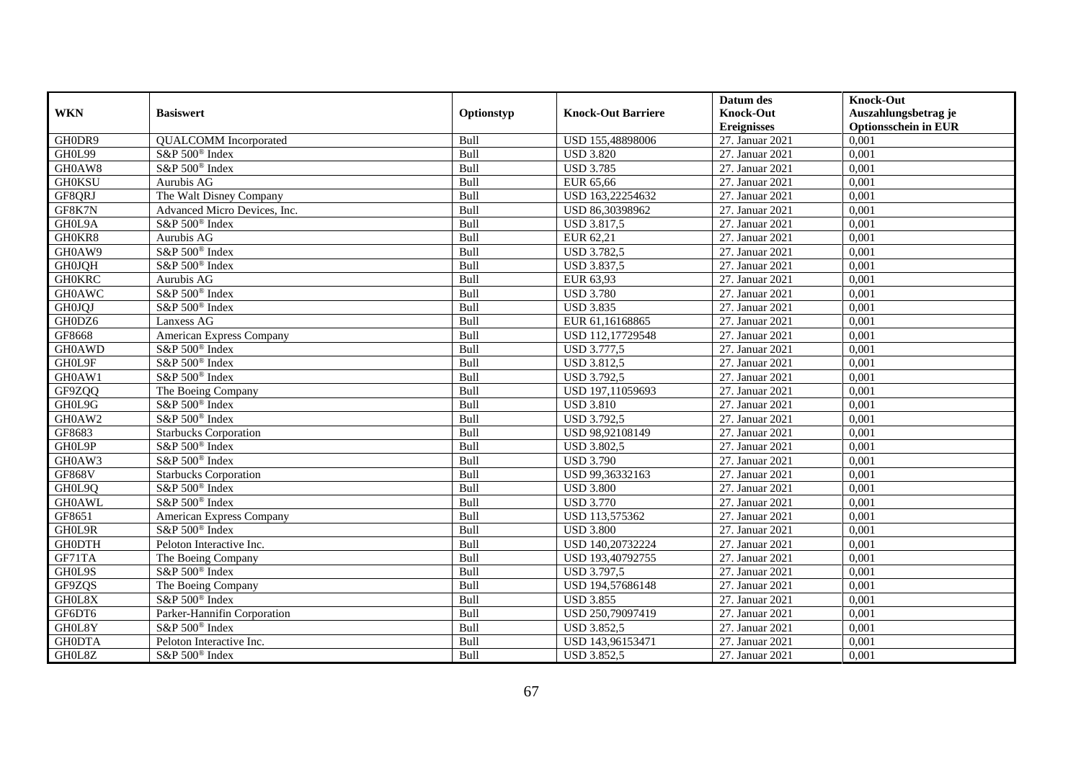|               |                                 |            |                           | Datum des          | <b>Knock-Out</b>            |
|---------------|---------------------------------|------------|---------------------------|--------------------|-----------------------------|
| <b>WKN</b>    | <b>Basiswert</b>                | Optionstyp | <b>Knock-Out Barriere</b> | <b>Knock-Out</b>   | Auszahlungsbetrag je        |
|               |                                 |            |                           | <b>Ereignisses</b> | <b>Optionsschein in EUR</b> |
| GH0DR9        | <b>QUALCOMM</b> Incorporated    | Bull       | USD 155,48898006          | 27. Januar 2021    | 0,001                       |
| GH0L99        | S&P 500 <sup>®</sup> Index      | Bull       | <b>USD 3.820</b>          | 27. Januar 2021    | 0,001                       |
| GH0AW8        | S&P 500 <sup>®</sup> Index      | Bull       | <b>USD 3.785</b>          | 27. Januar 2021    | 0,001                       |
| <b>GH0KSU</b> | Aurubis AG                      | Bull       | EUR 65,66                 | 27. Januar 2021    | 0,001                       |
| GF8QRJ        | The Walt Disney Company         | Bull       | USD 163,22254632          | 27. Januar 2021    | 0,001                       |
| GF8K7N        | Advanced Micro Devices, Inc.    | Bull       | USD 86,30398962           | 27. Januar 2021    | 0,001                       |
| GH0L9A        | $S\&P 500^{\circledcirc}$ Index | Bull       | <b>USD 3.817,5</b>        | 27. Januar 2021    | 0,001                       |
| GH0KR8        | Aurubis AG                      | Bull       | EUR 62,21                 | 27. Januar 2021    | 0,001                       |
| GH0AW9        | S&P 500 <sup>®</sup> Index      | Bull       | <b>USD 3.782,5</b>        | 27. Januar 2021    | 0,001                       |
| <b>GH0JQH</b> | S&P 500 <sup>®</sup> Index      | Bull       | <b>USD 3.837,5</b>        | 27. Januar 2021    | 0,001                       |
| <b>GH0KRC</b> | Aurubis AG                      | Bull       | EUR 63,93                 | 27. Januar 2021    | 0,001                       |
| <b>GH0AWC</b> | S&P 500 <sup>®</sup> Index      | Bull       | <b>USD 3.780</b>          | 27. Januar 2021    | 0,001                       |
| <b>GH0JQJ</b> | S&P 500 <sup>®</sup> Index      | Bull       | <b>USD 3.835</b>          | 27. Januar 2021    | 0,001                       |
| GH0DZ6        | Lanxess AG                      | Bull       | EUR 61.16168865           | 27. Januar 2021    | 0.001                       |
| GF8668        | <b>American Express Company</b> | Bull       | USD 112,17729548          | 27. Januar 2021    | 0,001                       |
| <b>GH0AWD</b> | S&P 500 <sup>®</sup> Index      | Bull       | <b>USD 3.777,5</b>        | 27. Januar 2021    | 0,001                       |
| GH0L9F        | $S\&P 500^{\circ}$ Index        | Bull       | <b>USD 3.812,5</b>        | 27. Januar 2021    | 0,001                       |
| GH0AW1        | S&P 500 <sup>®</sup> Index      | Bull       | <b>USD 3.792,5</b>        | 27. Januar 2021    | 0,001                       |
| GF9ZQQ        | The Boeing Company              | Bull       | USD 197,11059693          | 27. Januar 2021    | 0,001                       |
| GH0L9G        | S&P 500 <sup>®</sup> Index      | Bull       | <b>USD 3.810</b>          | 27. Januar 2021    | 0,001                       |
| GH0AW2        | S&P 500 <sup>®</sup> Index      | Bull       | <b>USD 3.792,5</b>        | 27. Januar 2021    | 0,001                       |
| GF8683        | <b>Starbucks Corporation</b>    | Bull       | USD 98,92108149           | 27. Januar 2021    | 0,001                       |
| GH0L9P        | S&P 500 <sup>®</sup> Index      | Bull       | <b>USD 3.802,5</b>        | 27. Januar 2021    | 0,001                       |
| GH0AW3        | S&P 500 <sup>®</sup> Index      | Bull       | <b>USD 3.790</b>          | 27. Januar 2021    | 0,001                       |
| <b>GF868V</b> | <b>Starbucks Corporation</b>    | Bull       | USD 99,36332163           | 27. Januar 2021    | 0,001                       |
| GH0L9Q        | S&P 500 <sup>®</sup> Index      | Bull       | <b>USD 3.800</b>          | 27. Januar 2021    | 0,001                       |
| <b>GH0AWL</b> | S&P 500 <sup>®</sup> Index      | Bull       | <b>USD 3.770</b>          | 27. Januar 2021    | 0,001                       |
| GF8651        | American Express Company        | Bull       | USD 113,575362            | 27. Januar 2021    | 0,001                       |
| GH0L9R        | S&P 500 <sup>®</sup> Index      | Bull       | <b>USD 3.800</b>          | 27. Januar 2021    | 0,001                       |
| <b>GH0DTH</b> | Peloton Interactive Inc.        | Bull       | USD 140,20732224          | 27. Januar 2021    | 0,001                       |
| GF71TA        | The Boeing Company              | Bull       | USD 193,40792755          | 27. Januar 2021    | 0,001                       |
| GH0L9S        | S&P 500 <sup>®</sup> Index      | Bull       | <b>USD 3.797,5</b>        | 27. Januar 2021    | 0,001                       |
| GF9ZQS        | The Boeing Company              | Bull       | USD 194,57686148          | 27. Januar 2021    | 0,001                       |
| GH0L8X        | S&P 500 <sup>®</sup> Index      | Bull       | <b>USD 3.855</b>          | 27. Januar 2021    | 0,001                       |
| GF6DT6        | Parker-Hannifin Corporation     | Bull       | USD 250,79097419          | 27. Januar 2021    | 0,001                       |
| GH0L8Y        | S&P 500 <sup>®</sup> Index      | Bull       | <b>USD 3.852,5</b>        | 27. Januar 2021    | 0,001                       |
| <b>GH0DTA</b> | Peloton Interactive Inc.        | Bull       | USD 143,96153471          | 27. Januar 2021    | 0,001                       |
| GH0L8Z        | S&P 500 <sup>®</sup> Index      | Bull       | <b>USD 3.852,5</b>        | 27. Januar 2021    | 0,001                       |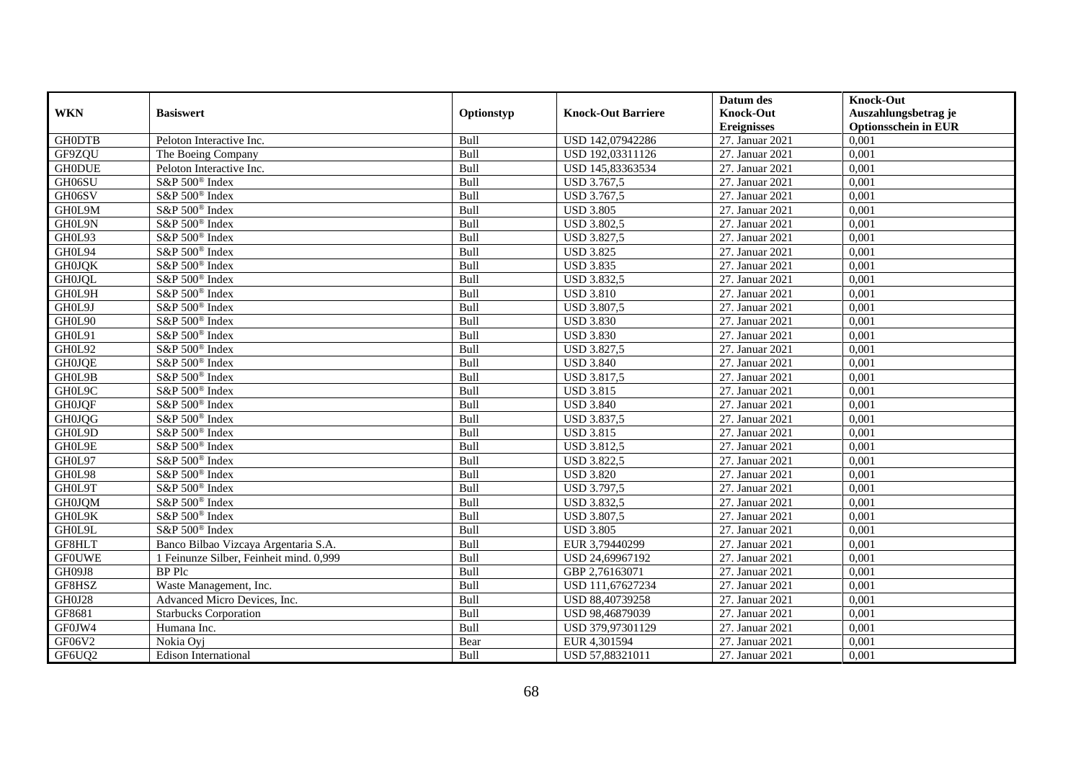|               |                                         |             |                           | Datum des          | <b>Knock-Out</b>            |
|---------------|-----------------------------------------|-------------|---------------------------|--------------------|-----------------------------|
| <b>WKN</b>    | <b>Basiswert</b>                        | Optionstyp  | <b>Knock-Out Barriere</b> | <b>Knock-Out</b>   | Auszahlungsbetrag je        |
|               |                                         |             |                           | <b>Ereignisses</b> | <b>Optionsschein in EUR</b> |
| <b>GH0DTB</b> | Peloton Interactive Inc.                | Bull        | USD 142,07942286          | 27. Januar 2021    | 0,001                       |
| GF9ZQU        | The Boeing Company                      | Bull        | USD 192,03311126          | 27. Januar 2021    | 0,001                       |
| <b>GH0DUE</b> | Peloton Interactive Inc.                | Bull        | USD 145,83363534          | 27. Januar 2021    | 0,001                       |
| GH06SU        | S&P 500 <sup>®</sup> Index              | Bull        | USD 3.767,5               | 27. Januar 2021    | 0,001                       |
| GH06SV        | S&P 500 <sup>®</sup> Index              | Bull        | USD 3.767,5               | 27. Januar 2021    | 0,001                       |
| GH0L9M        | $S\&P 500^{\circ}$ Index                | Bull        | <b>USD 3.805</b>          | 27. Januar 2021    | 0,001                       |
| GH0L9N        | $S\&P 500^{\circ}$ Index                | Bull        | <b>USD 3.802,5</b>        | 27. Januar 2021    | 0,001                       |
| GH0L93        | S&P 500 <sup>®</sup> Index              | Bull        | <b>USD 3.827,5</b>        | 27. Januar 2021    | 0,001                       |
| GH0L94        | S&P 500 <sup>®</sup> Index              | Bull        | <b>USD 3.825</b>          | 27. Januar 2021    | 0,001                       |
| <b>GH0JQK</b> | S&P 500 <sup>®</sup> Index              | Bull        | <b>USD 3.835</b>          | 27. Januar 2021    | 0,001                       |
| <b>GH0JQL</b> | S&P 500 <sup>®</sup> Index              | Bull        | <b>USD 3.832,5</b>        | 27. Januar 2021    | 0,001                       |
| GH0L9H        | S&P 500 <sup>®</sup> Index              | Bull        | <b>USD 3.810</b>          | 27. Januar 2021    | 0,001                       |
| GH0L9J        | $S\&P 500^{\circ}$ Index                | Bull        | <b>USD 3.807,5</b>        | 27. Januar 2021    | 0,001                       |
| GH0L90        | S&P 500 <sup>®</sup> Index              | Bull        | <b>USD 3.830</b>          | 27. Januar 2021    | 0,001                       |
| GH0L91        | S&P 500 <sup>®</sup> Index              | Bull        | <b>USD 3.830</b>          | 27. Januar 2021    | 0,001                       |
| GH0L92        | S&P 500 <sup>®</sup> Index              | Bull        | <b>USD 3.827,5</b>        | 27. Januar 2021    | 0,001                       |
| <b>GH0JQE</b> | S&P 500 <sup>®</sup> Index              | Bull        | <b>USD 3.840</b>          | 27. Januar 2021    | 0,001                       |
| GH0L9B        | $S\&P 500^{\circ}$ Index                | <b>Bull</b> | <b>USD 3.817.5</b>        | 27. Januar 2021    | 0,001                       |
| GH0L9C        | S&P 500 <sup>®</sup> Index              | Bull        | <b>USD 3.815</b>          | 27. Januar 2021    | 0,001                       |
| <b>GH0JQF</b> | S&P 500 <sup>®</sup> Index              | Bull        | <b>USD 3.840</b>          | 27. Januar 2021    | 0,001                       |
| <b>GH0JQG</b> | S&P 500 <sup>®</sup> Index              | Bull        | <b>USD 3.837,5</b>        | 27. Januar 2021    | 0,001                       |
| GH0L9D        | S&P 500 <sup>®</sup> Index              | Bull        | <b>USD 3.815</b>          | 27. Januar 2021    | 0,001                       |
| GH0L9E        | S&P 500 <sup>®</sup> Index              | Bull        | <b>USD 3.812,5</b>        | 27. Januar 2021    | 0,001                       |
| GH0L97        | S&P 500 <sup>®</sup> Index              | Bull        | <b>USD 3.822,5</b>        | 27. Januar 2021    | 0,001                       |
| GH0L98        | S&P 500 <sup>®</sup> Index              | Bull        | <b>USD 3.820</b>          | 27. Januar 2021    | 0.001                       |
| GH0L9T        | S&P 500 <sup>®</sup> Index              | Bull        | <b>USD 3.797,5</b>        | 27. Januar 2021    | 0,001                       |
| <b>GH0JQM</b> | S&P 500 <sup>®</sup> Index              | Bull        | <b>USD 3.832,5</b>        | 27. Januar 2021    | 0,001                       |
| GH0L9K        | S&P 500 <sup>®</sup> Index              | Bull        | <b>USD 3.807,5</b>        | 27. Januar 2021    | 0,001                       |
| GH0L9L        | S&P 500 <sup>®</sup> Index              | Bull        | <b>USD 3.805</b>          | 27. Januar 2021    | 0,001                       |
| GF8HLT        | Banco Bilbao Vizcaya Argentaria S.A.    | Bull        | EUR 3,79440299            | 27. Januar 2021    | 0,001                       |
| <b>GFOUWE</b> | 1 Feinunze Silber, Feinheit mind. 0,999 | Bull        | USD 24,69967192           | 27. Januar 2021    | 0,001                       |
| GH09J8        | <b>BP</b> Plc                           | <b>Bull</b> | GBP 2,76163071            | 27. Januar 2021    | 0.001                       |
| GF8HSZ        | Waste Management, Inc.                  | Bull        | USD 111,67627234          | 27. Januar 2021    | 0,001                       |
| GH0J28        | Advanced Micro Devices, Inc.            | Bull        | USD 88,40739258           | 27. Januar 2021    | 0,001                       |
| GF8681        | <b>Starbucks Corporation</b>            | Bull        | USD 98,46879039           | 27. Januar 2021    | 0,001                       |
| GF0JW4        | Humana Inc.                             | Bull        | USD 379,97301129          | 27. Januar 2021    | 0,001                       |
| GF06V2        | Nokia Ovi                               | Bear        | EUR 4,301594              | 27. Januar 2021    | 0,001                       |
| GF6UQ2        | <b>Edison International</b>             | Bull        | USD 57,88321011           | 27. Januar 2021    | 0,001                       |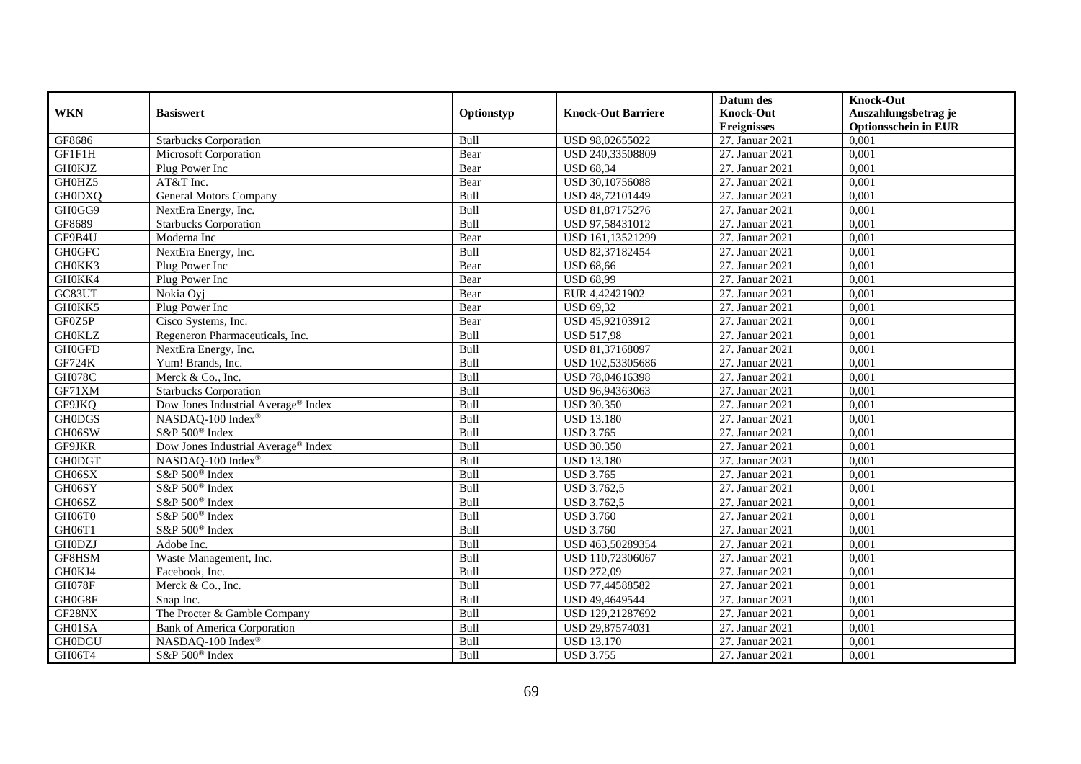|               |                                                 |            |                           | Datum des          | <b>Knock-Out</b>            |
|---------------|-------------------------------------------------|------------|---------------------------|--------------------|-----------------------------|
| <b>WKN</b>    | <b>Basiswert</b>                                | Optionstyp | <b>Knock-Out Barriere</b> | <b>Knock-Out</b>   | Auszahlungsbetrag je        |
|               |                                                 |            |                           | <b>Ereignisses</b> | <b>Optionsschein in EUR</b> |
| GF8686        | <b>Starbucks Corporation</b>                    | Bull       | USD 98,02655022           | 27. Januar 2021    | 0,001                       |
| GF1F1H        | Microsoft Corporation                           | Bear       | USD 240,33508809          | 27. Januar 2021    | 0,001                       |
| <b>GH0KJZ</b> | Plug Power Inc                                  | Bear       | <b>USD 68,34</b>          | 27. Januar 2021    | 0,001                       |
| GH0HZ5        | AT&T Inc.                                       | Bear       | USD 30,10756088           | 27. Januar 2021    | 0,001                       |
| <b>GH0DXQ</b> | <b>General Motors Company</b>                   | Bull       | USD 48,72101449           | 27. Januar 2021    | 0,001                       |
| GH0GG9        | NextEra Energy, Inc.                            | Bull       | USD 81,87175276           | 27. Januar 2021    | 0,001                       |
| GF8689        | <b>Starbucks Corporation</b>                    | Bull       | USD 97,58431012           | 27. Januar 2021    | 0,001                       |
| GF9B4U        | Moderna Inc                                     | Bear       | USD 161,13521299          | 27. Januar 2021    | 0,001                       |
| <b>GH0GFC</b> | NextEra Energy, Inc.                            | Bull       | USD 82,37182454           | 27. Januar 2021    | 0,001                       |
| GH0KK3        | Plug Power Inc                                  | Bear       | <b>USD 68,66</b>          | 27. Januar 2021    | 0,001                       |
| GH0KK4        | Plug Power Inc                                  | Bear       | <b>USD 68,99</b>          | 27. Januar 2021    | 0,001                       |
| GC83UT        | Nokia Oyj                                       | Bear       | EUR 4,42421902            | 27. Januar 2021    | 0,001                       |
| GH0KK5        | Plug Power Inc                                  | Bear       | <b>USD 69,32</b>          | 27. Januar 2021    | 0,001                       |
| GF0Z5P        | Cisco Systems, Inc.                             | Bear       | USD 45.92103912           | 27. Januar 2021    | 0.001                       |
| <b>GH0KLZ</b> | Regeneron Pharmaceuticals, Inc.                 | Bull       | <b>USD 517,98</b>         | 27. Januar 2021    | 0,001                       |
| <b>GH0GFD</b> | NextEra Energy, Inc.                            | Bull       | USD 81,37168097           | 27. Januar 2021    | 0,001                       |
| <b>GF724K</b> | Yum! Brands, Inc.                               | Bull       | USD 102,53305686          | 27. Januar 2021    | 0,001                       |
| <b>GH078C</b> | Merck & Co., Inc.                               | Bull       | USD 78,04616398           | 27. Januar 2021    | 0,001                       |
| GF71XM        | <b>Starbucks Corporation</b>                    | Bull       | USD 96,94363063           | 27. Januar 2021    | 0,001                       |
| GF9JKQ        | Dow Jones Industrial Average® Index             | Bull       | <b>USD 30.350</b>         | 27. Januar 2021    | 0,001                       |
| <b>GH0DGS</b> | NASDAQ-100 Index®                               | Bull       | <b>USD 13.180</b>         | 27. Januar 2021    | 0,001                       |
| GH06SW        | S&P 500 <sup>®</sup> Index                      | Bull       | <b>USD 3.765</b>          | 27. Januar 2021    | 0,001                       |
| GF9JKR        | Dow Jones Industrial Average <sup>®</sup> Index | Bull       | <b>USD 30.350</b>         | 27. Januar 2021    | 0,001                       |
| <b>GH0DGT</b> | NASDAQ-100 Index®                               | Bull       | <b>USD 13.180</b>         | 27. Januar 2021    | 0,001                       |
| GH06SX        | S&P 500 <sup>®</sup> Index                      | Bull       | <b>USD 3.765</b>          | 27. Januar 2021    | 0,001                       |
| GH06SY        | S&P 500 <sup>®</sup> Index                      | Bull       | <b>USD 3.762,5</b>        | 27. Januar 2021    | 0,001                       |
| GH06SZ        | S&P 500 <sup>®</sup> Index                      | Bull       | USD 3.762,5               | 27. Januar 2021    | 0,001                       |
| GH06T0        | S&P 500 <sup>®</sup> Index                      | Bull       | <b>USD 3.760</b>          | 27. Januar 2021    | 0,001                       |
| GH06T1        | S&P 500 <sup>®</sup> Index                      | Bull       | <b>USD 3.760</b>          | 27. Januar 2021    | 0,001                       |
| <b>GH0DZJ</b> | Adobe Inc.                                      | Bull       | USD 463,50289354          | 27. Januar 2021    | 0,001                       |
| GF8HSM        | Waste Management, Inc.                          | Bull       | USD 110,72306067          | 27. Januar 2021    | 0,001                       |
| GH0KJ4        | Facebook, Inc.                                  | Bull       | <b>USD 272,09</b>         | 27. Januar 2021    | 0,001                       |
| <b>GH078F</b> | Merck & Co., Inc.                               | Bull       | USD 77,44588582           | 27. Januar 2021    | 0,001                       |
| GH0G8F        | Snap Inc.                                       | Bull       | USD 49,4649544            | 27. Januar 2021    | 0,001                       |
| GF28NX        | The Procter & Gamble Company                    | Bull       | USD 129,21287692          | 27. Januar 2021    | 0,001                       |
| GH01SA        | <b>Bank of America Corporation</b>              | Bull       | USD 29,87574031           | 27. Januar 2021    | 0,001                       |
| <b>GH0DGU</b> | NASDAQ-100 Index®                               | Bull       | <b>USD 13.170</b>         | 27. Januar 2021    | 0,001                       |
| GH06T4        | S&P 500 <sup>®</sup> Index                      | Bull       | <b>USD 3.755</b>          | 27. Januar 2021    | 0,001                       |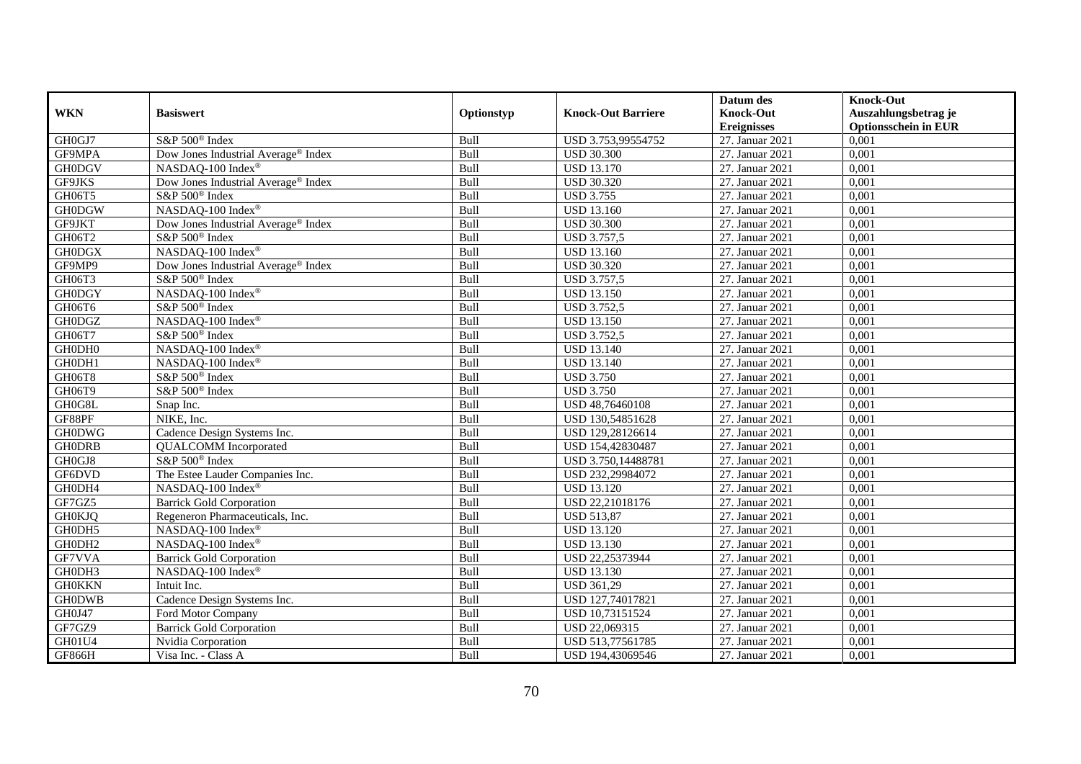|               |                                                 |            |                           | Datum des          | <b>Knock-Out</b>            |
|---------------|-------------------------------------------------|------------|---------------------------|--------------------|-----------------------------|
| <b>WKN</b>    | <b>Basiswert</b>                                | Optionstyp | <b>Knock-Out Barriere</b> | <b>Knock-Out</b>   | Auszahlungsbetrag je        |
|               |                                                 |            |                           | <b>Ereignisses</b> | <b>Optionsschein in EUR</b> |
| GH0GJ7        | S&P 500 <sup>®</sup> Index                      | Bull       | USD 3.753,99554752        | 27. Januar 2021    | 0,001                       |
| GF9MPA        | Dow Jones Industrial Average® Index             | Bull       | <b>USD 30.300</b>         | 27. Januar 2021    | 0,001                       |
| <b>GH0DGV</b> | NASDAQ-100 Index®                               | Bull       | <b>USD 13.170</b>         | 27. Januar 2021    | 0,001                       |
| GF9JKS        | Dow Jones Industrial Average® Index             | Bull       | <b>USD 30.320</b>         | 27. Januar 2021    | 0,001                       |
| GH06T5        | S&P 500 <sup>®</sup> Index                      | Bull       | <b>USD 3.755</b>          | 27. Januar 2021    | 0,001                       |
| <b>GH0DGW</b> | NASDAQ-100 Index®                               | Bull       | <b>USD 13.160</b>         | 27. Januar 2021    | 0,001                       |
| GF9JKT        | Dow Jones Industrial Average® Index             | Bull       | <b>USD 30.300</b>         | 27. Januar 2021    | 0,001                       |
| GH06T2        | S&P 500 <sup>®</sup> Index                      | Bull       | <b>USD 3.757,5</b>        | 27. Januar 2021    | 0,001                       |
| <b>GH0DGX</b> | NASDAQ-100 Index®                               | Bull       | <b>USD 13.160</b>         | 27. Januar 2021    | 0,001                       |
| GF9MP9        | Dow Jones Industrial Average <sup>®</sup> Index | Bull       | <b>USD 30.320</b>         | 27. Januar 2021    | 0,001                       |
| GH06T3        | S&P 500 <sup>®</sup> Index                      | Bull       | <b>USD 3.757,5</b>        | 27. Januar 2021    | 0,001                       |
| <b>GH0DGY</b> | NASDAQ-100 Index®                               | Bull       | <b>USD 13.150</b>         | 27. Januar 2021    | 0,001                       |
| GH06T6        | S&P 500 <sup>®</sup> Index                      | Bull       | <b>USD 3.752,5</b>        | 27. Januar 2021    | 0,001                       |
| <b>GH0DGZ</b> | NASDAQ-100 Index®                               | Bull       | <b>USD 13.150</b>         | 27. Januar 2021    | 0,001                       |
| GH06T7        | S&P 500 <sup>®</sup> Index                      | Bull       | <b>USD 3.752,5</b>        | 27. Januar 2021    | 0,001                       |
| GH0DH0        | NASDAQ-100 Index®                               | Bull       | <b>USD 13.140</b>         | 27. Januar 2021    | 0,001                       |
| GH0DH1        | NASDAQ-100 Index®                               | Bull       | <b>USD 13.140</b>         | 27. Januar 2021    | 0,001                       |
| GH06T8        | S&P 500 <sup>®</sup> Index                      | Bull       | <b>USD 3.750</b>          | 27. Januar 2021    | 0,001                       |
| GH06T9        | $S\&P 500^{\circ}$ Index                        | Bull       | <b>USD 3.750</b>          | 27. Januar 2021    | 0,001                       |
| GH0G8L        | Snap Inc.                                       | Bull       | USD 48,76460108           | 27. Januar 2021    | 0,001                       |
| GF88PF        | NIKE, Inc.                                      | Bull       | USD 130,54851628          | 27. Januar 2021    | 0,001                       |
| <b>GH0DWG</b> | Cadence Design Systems Inc.                     | Bull       | USD 129,28126614          | 27. Januar 2021    | 0,001                       |
| <b>GH0DRB</b> | <b>QUALCOMM</b> Incorporated                    | Bull       | USD 154,42830487          | 27. Januar 2021    | 0,001                       |
| GH0GJ8        | S&P 500 <sup>®</sup> Index                      | Bull       | USD 3.750,14488781        | 27. Januar 2021    | 0,001                       |
| GF6DVD        | The Estee Lauder Companies Inc.                 | Bull       | USD 232,29984072          | 27. Januar 2021    | 0,001                       |
| GH0DH4        | NASDAQ-100 Index®                               | Bull       | <b>USD 13.120</b>         | 27. Januar 2021    | 0,001                       |
| GF7GZ5        | <b>Barrick Gold Corporation</b>                 | Bull       | USD 22,21018176           | 27. Januar 2021    | 0,001                       |
| <b>GH0KJQ</b> | Regeneron Pharmaceuticals, Inc.                 | Bull       | <b>USD 513,87</b>         | 27. Januar 2021    | 0,001                       |
| GH0DH5        | NASDAQ-100 Index®                               | Bull       | <b>USD 13.120</b>         | 27. Januar 2021    | 0,001                       |
| GH0DH2        | NASDAQ-100 Index®                               | Bull       | <b>USD 13.130</b>         | 27. Januar 2021    | 0,001                       |
| GF7VVA        | <b>Barrick Gold Corporation</b>                 | Bull       | USD 22,25373944           | 27. Januar 2021    | 0,001                       |
| GH0DH3        | NASDAQ-100 Index®                               | Bull       | <b>USD 13.130</b>         | 27. Januar 2021    | 0,001                       |
| <b>GH0KKN</b> | Intuit Inc.                                     | Bull       | <b>USD 361,29</b>         | 27. Januar 2021    | 0,001                       |
| <b>GH0DWB</b> | Cadence Design Systems Inc.                     | Bull       | USD 127,74017821          | 27. Januar 2021    | 0,001                       |
| GH0J47        | Ford Motor Company                              | Bull       | USD 10,73151524           | 27. Januar 2021    | 0,001                       |
| GF7GZ9        | <b>Barrick Gold Corporation</b>                 | Bull       | USD 22,069315             | 27. Januar 2021    | 0,001                       |
| GH01U4        | Nvidia Corporation                              | Bull       | USD 513,77561785          | 27. Januar 2021    | 0,001                       |
| GF866H        | Visa Inc. - Class A                             | Bull       | USD 194,43069546          | 27. Januar 2021    | 0,001                       |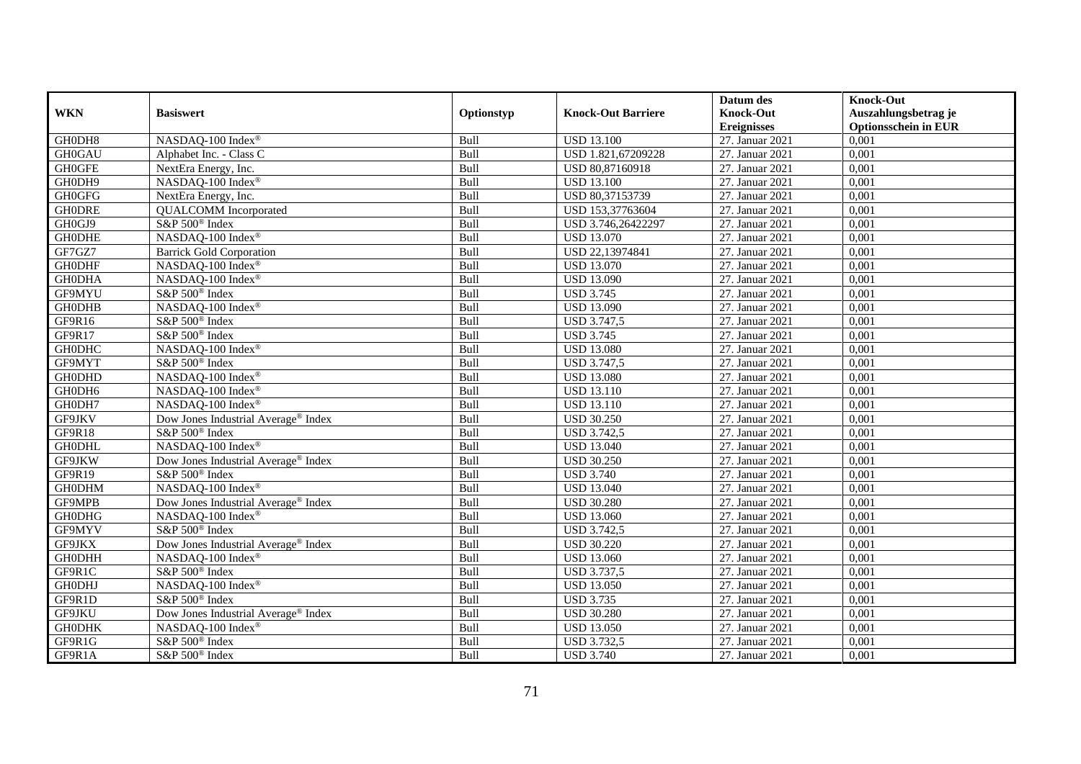|               |                                                 |             |                           | Datum des          | <b>Knock-Out</b>            |
|---------------|-------------------------------------------------|-------------|---------------------------|--------------------|-----------------------------|
| <b>WKN</b>    | <b>Basiswert</b>                                | Optionstyp  | <b>Knock-Out Barriere</b> | <b>Knock-Out</b>   | Auszahlungsbetrag je        |
|               |                                                 |             |                           | <b>Ereignisses</b> | <b>Optionsschein in EUR</b> |
| GH0DH8        | NASDAQ-100 Index®                               | Bull        | <b>USD 13.100</b>         | 27. Januar 2021    | 0,001                       |
| <b>GH0GAU</b> | Alphabet Inc. - Class C                         | Bull        | USD 1.821,67209228        | 27. Januar 2021    | 0,001                       |
| <b>GH0GFE</b> | NextEra Energy, Inc.                            | Bull        | USD 80,87160918           | 27. Januar 2021    | 0,001                       |
| GH0DH9        | NASDAQ-100 Index®                               | Bull        | <b>USD 13.100</b>         | 27. Januar 2021    | 0,001                       |
| <b>GH0GFG</b> | NextEra Energy, Inc.                            | Bull        | USD 80,37153739           | 27. Januar 2021    | 0,001                       |
| <b>GHODRE</b> | <b>QUALCOMM</b> Incorporated                    | Bull        | USD 153,37763604          | 27. Januar 2021    | 0,001                       |
| GH0GJ9        | S&P 500 <sup>®</sup> Index                      | Bull        | USD 3.746,26422297        | 27. Januar 2021    | 0,001                       |
| <b>GH0DHE</b> | NASDAQ-100 Index®                               | Bull        | <b>USD 13.070</b>         | 27. Januar 2021    | 0,001                       |
| GF7GZ7        | <b>Barrick Gold Corporation</b>                 | Bull        | USD 22,13974841           | 27. Januar 2021    | 0,001                       |
| <b>GH0DHF</b> | NASDAQ-100 Index®                               | Bull        | <b>USD 13.070</b>         | 27. Januar 2021    | 0,001                       |
| <b>GH0DHA</b> | NASDAQ-100 Index®                               | Bull        | <b>USD 13.090</b>         | 27. Januar 2021    | 0,001                       |
| GF9MYU        | S&P 500 <sup>®</sup> Index                      | Bull        | <b>USD 3.745</b>          | 27. Januar 2021    | 0,001                       |
| <b>GH0DHB</b> | NASDAQ-100 Index®                               | Bull        | <b>USD 13.090</b>         | 27. Januar 2021    | 0,001                       |
| GF9R16        | S&P 500 <sup>®</sup> Index                      | Bull        | <b>USD 3.747,5</b>        | 27. Januar 2021    | 0,001                       |
| GF9R17        | S&P 500 <sup>®</sup> Index                      | Bull        | <b>USD 3.745</b>          | 27. Januar 2021    | 0,001                       |
| <b>GH0DHC</b> | NASDAQ-100 Index®                               | Bull        | <b>USD 13.080</b>         | 27. Januar 2021    | 0,001                       |
| GF9MYT        | S&P 500 <sup>®</sup> Index                      | Bull        | <b>USD 3.747,5</b>        | 27. Januar 2021    | 0,001                       |
| <b>GH0DHD</b> | NASDAQ-100 Index®                               | <b>Bull</b> | <b>USD 13.080</b>         | 27. Januar 2021    | 0,001                       |
| GH0DH6        | NASDAQ-100 Index®                               | Bull        | <b>USD 13.110</b>         | 27. Januar 2021    | 0,001                       |
| GH0DH7        | NASDAQ-100 Index®                               | Bull        | <b>USD 13.110</b>         | 27. Januar 2021    | 0,001                       |
| GF9JKV        | Dow Jones Industrial Average <sup>®</sup> Index | Bull        | <b>USD 30.250</b>         | 27. Januar 2021    | 0,001                       |
| GF9R18        | S&P 500 <sup>®</sup> Index                      | Bull        | <b>USD 3.742,5</b>        | 27. Januar 2021    | 0,001                       |
| <b>GH0DHL</b> | NASDAQ-100 Index®                               | Bull        | <b>USD 13.040</b>         | 27. Januar 2021    | 0,001                       |
| GF9JKW        | Dow Jones Industrial Average <sup>®</sup> Index | Bull        | <b>USD 30.250</b>         | 27. Januar 2021    | 0,001                       |
| GF9R19        | S&P 500 <sup>®</sup> Index                      | Bull        | <b>USD 3.740</b>          | 27. Januar 2021    | 0.001                       |
| <b>GH0DHM</b> | NASDAQ-100 Index®                               | Bull        | <b>USD 13.040</b>         | 27. Januar 2021    | 0,001                       |
| GF9MPB        | Dow Jones Industrial Average <sup>®</sup> Index | Bull        | <b>USD 30.280</b>         | 27. Januar 2021    | 0,001                       |
| <b>GH0DHG</b> | NASDAQ-100 Index®                               | Bull        | <b>USD 13.060</b>         | 27. Januar 2021    | 0,001                       |
| GF9MYV        | S&P 500 <sup>®</sup> Index                      | Bull        | <b>USD 3.742,5</b>        | 27. Januar 2021    | 0,001                       |
| GF9JKX        | Dow Jones Industrial Average® Index             | Bull        | <b>USD 30.220</b>         | 27. Januar 2021    | 0,001                       |
| <b>GH0DHH</b> | NASDAQ-100 Index®                               | Bull        | <b>USD 13.060</b>         | 27. Januar 2021    | 0,001                       |
| GF9R1C        | S&P 500 <sup>®</sup> Index                      | Bull        | <b>USD 3.737,5</b>        | 27. Januar 2021    | 0.001                       |
| <b>GH0DHJ</b> | NASDAQ-100 Index®                               | Bull        | <b>USD 13.050</b>         | 27. Januar 2021    | 0,001                       |
| GF9R1D        | S&P 500 <sup>®</sup> Index                      | Bull        | <b>USD 3.735</b>          | 27. Januar 2021    | 0,001                       |
| GF9JKU        | Dow Jones Industrial Average® Index             | Bull        | <b>USD 30.280</b>         | 27. Januar 2021    | 0,001                       |
| <b>GH0DHK</b> | NASDAQ-100 Index®                               | Bull        | <b>USD 13.050</b>         | 27. Januar 2021    | 0,001                       |
| GF9R1G        | S&P 500 <sup>®</sup> Index                      | Bull        | <b>USD 3.732,5</b>        | 27. Januar 2021    | 0,001                       |
| GF9R1A        | S&P 500 <sup>®</sup> Index                      | Bull        | <b>USD 3.740</b>          | 27. Januar 2021    | 0,001                       |